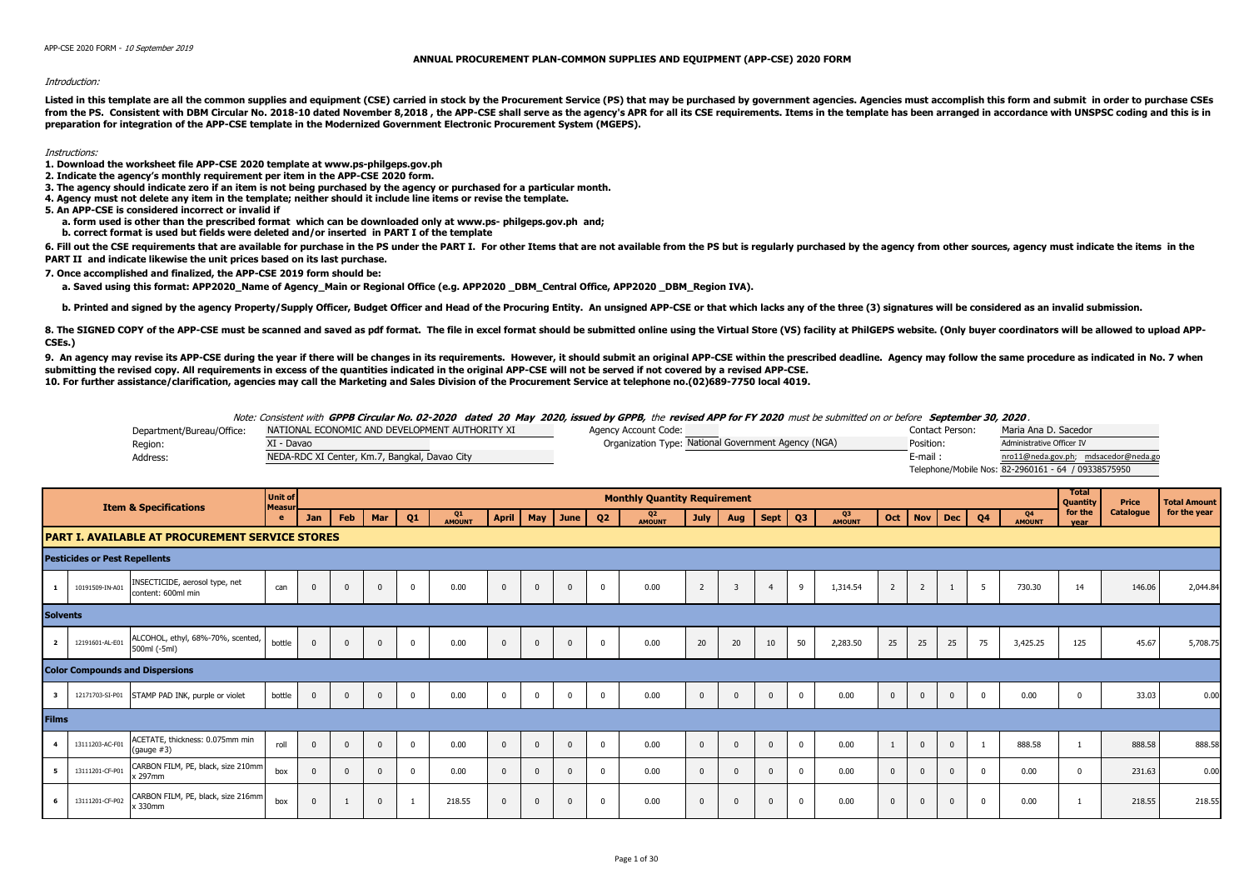## **ANNUAL PROCUREMENT PLAN-COMMON SUPPLIES AND EQUIPMENT (APP-CSE) 2020 FORM**

## Introduction:

Listed in this template are all the common supplies and equipment (CSE) carried in stock by the Procurement Service (PS) that may be purchased by government agencies. Agencies must accomplish this form and submit in order from the PS. Consistent with DBM Circular No. 2018-10 dated November 8.2018, the APP-CSE shall serve as the agency's APR for all its CSE requirements. Items in the template has been arranged in accordance with UNSPSC codin **preparation for integration of the APP-CSE template in the Modernized Government Electronic Procurement System (MGEPS).** 

## Instructions:

- **1. Download the worksheet file APP-CSE 2020 template at www.ps-philgeps.gov.ph**
- **2. Indicate the agency's monthly requirement per item in the APP-CSE 2020 form.**
- **3. The agency should indicate zero if an item is not being purchased by the agency or purchased for a particular month.**
- **4. Agency must not delete any item in the template; neither should it include line items or revise the template.**
- **5. An APP-CSE is considered incorrect or invalid if**
	- **a. form used is other than the prescribed format which can be downloaded only at www.ps- philgeps.gov.ph and;**
	- **b. correct format is used but fields were deleted and/or inserted in PART I of the template**

6. Fill out the CSE requirements that are available for purchase in the PS under the PART I. For other Items that are not available from the PS but is reqularly purchased by the agency from other sources, agency must indic **PART II and indicate likewise the unit prices based on its last purchase.**

**7. Once accomplished and finalized, the APP-CSE 2019 form should be:**

a. Saved using this format: APP2020 Name of Agency Main or Regional Office (e.g. APP2020 DBM Central Office, APP2020 DBM Region IVA).

b. Printed and signed by the agency Property/Supply Officer, Budget Officer and Head of the Procuring Entity. An unsigned APP-CSE or that which lacks any of the three (3) signatures will be considered as an invalid submiss

8. The SIGNED COPY of the APP-CSE must be scanned and saved as pdf format. The file in excel format should be submitted online using the Virtual Store (VS) facility at PhilGEPS website. (Only buyer coordinators will be all **CSEs.)**

9. An agency may revise its APP-CSE during the year if there will be changes in its requirements. However, it should submit an original APP-CSE within the prescribed deadline. Agency may follow the same procedure as indica **submitting the revised copy. All requirements in excess of the quantities indicated in the original APP-CSE will not be served if not covered by a revised APP-CSE. 10. For further assistance/clarification, agencies may call the Marketing and Sales Division of the Procurement Service at telephone no.(02)689-7750 local 4019.**

## Note: Consistent with **GPPB Circular No. 02-2020 dated 20 May 2020, issued by GPPB,** the **revised APP for FY 2020** must be submitted on or before **September 30, 2020** .

| Department/Bureau/Office: | NATIONAL ECONOMIC AND DEVELOPMENT AUTHORITY XI | Agency Account Code:                                | Contact Person: | Maria Ana D. Sacedor                                |
|---------------------------|------------------------------------------------|-----------------------------------------------------|-----------------|-----------------------------------------------------|
| Region:                   | I - Davao                                      | Organization Type: National Government Agency (NGA) | Position:       | Administrative Officer IV                           |
| Address:                  | NEDA-RDC XI Center, Km.7, Bangkal, Davao City  |                                                     | $E$ -mail:      | nro11@neda.gov.ph; mdsacedor@neda.go                |
|                           |                                                |                                                     |                 | Telephone/Mobile Nos: 82-2960161 - 64 / 09338575950 |

|              |                                        | <b>Item &amp; Specifications</b>                       | <b>Unit of</b><br>Measu |            |     |          |                |                     |          |          |               |                | <b>Monthly Quantity Requirement</b> |                |                |             |                |                     |                |                |          |                |                                 | Total<br>Quantity | Price     | <b>Total Amount</b> |
|--------------|----------------------------------------|--------------------------------------------------------|-------------------------|------------|-----|----------|----------------|---------------------|----------|----------|---------------|----------------|-------------------------------------|----------------|----------------|-------------|----------------|---------------------|----------------|----------------|----------|----------------|---------------------------------|-------------------|-----------|---------------------|
|              |                                        |                                                        | e                       | <b>Jan</b> | Feb | Mar      | Q <sub>1</sub> | Q1<br><b>AMOUNT</b> | April    | May      | June <i>V</i> | Q <sub>2</sub> | Q <sub>2</sub><br><b>AMOUNT</b>     | <b>July</b>    | Aug            | <b>Sept</b> | Q <sub>3</sub> | Q3<br><b>AMOUNT</b> | Oct            | <b>Nov</b>     | Dec      | Q <sub>4</sub> | Q <sub>4</sub><br><b>AMOUNT</b> | for the<br>vear   | Catalogue | for the year        |
|              |                                        | <b>PART I. AVAILABLE AT PROCUREMENT SERVICE STORES</b> |                         |            |     |          |                |                     |          |          |               |                |                                     |                |                |             |                |                     |                |                |          |                |                                 |                   |           |                     |
|              | <b>Pesticides or Pest Repellents</b>   |                                                        |                         |            |     |          |                |                     |          |          |               |                |                                     |                |                |             |                |                     |                |                |          |                |                                 |                   |           |                     |
| $\mathbf{1}$ | 10191509-IN-A01                        | INSECTICIDE, aerosol type, net<br>content: 600ml min   | can                     | $\Omega$   |     | $\Omega$ | $\Omega$       | 0.00                | $\Omega$ | $\Omega$ | $\Omega$      | $\mathbf{0}$   | 0.00                                | $\overline{2}$ | $\overline{3}$ |             | 9              | 1,314.54            | $\overline{2}$ | $\overline{2}$ |          | 5              | 730.30                          | 14                | 146.06    | 2,044.84            |
|              | <b>Solvents</b>                        |                                                        |                         |            |     |          |                |                     |          |          |               |                |                                     |                |                |             |                |                     |                |                |          |                |                                 |                   |           |                     |
|              | 12191601-AL-E01<br>$\overline{2}$      | ALCOHOL, ethyl, 68%-70%, scented,<br>500ml (-5ml)      | bottle                  | $\Omega$   |     | $\Omega$ |                | 0.00                | $\Omega$ | $\Omega$ | $\Omega$      | $\Omega$       | 0.00                                | 20             | 20             | 10          | 50             | 2,283.50            | 25             | 25             | 25       | 75             | 3,425.25                        | 125               | 45.67     | 5,708.75            |
|              | <b>Color Compounds and Dispersions</b> |                                                        |                         |            |     |          |                |                     |          |          |               |                |                                     |                |                |             |                |                     |                |                |          |                |                                 |                   |           |                     |
|              | 12171703-SI-P01                        | STAMP PAD INK, purple or violet                        | bottle                  | $\Omega$   |     | $\Omega$ |                | 0.00                | $\Omega$ |          | $\Omega$      | $\Omega$       | 0.00                                | $\Omega$       |                | $\Omega$    | $\Omega$       | 0.00                | $\Omega$       |                |          |                | 0.00                            | $\Omega$          | 33.03     | 0.00                |
| <b>Films</b> |                                        |                                                        |                         |            |     |          |                |                     |          |          |               |                |                                     |                |                |             |                |                     |                |                |          |                |                                 |                   |           |                     |
|              | 13111203-AC-F01                        | ACETATE, thickness: 0.075mm min<br>(gauge #3)          | roll                    |            |     | $\Omega$ | $\Omega$       | 0.00                | $\Omega$ |          | $\Omega$      | $\Omega$       | 0.00                                | $\Omega$       | $\Omega$       | $\Omega$    | $\mathbf 0$    | 0.00                |                |                | $\Omega$ |                | 888.58                          |                   | 888.58    | 888.58              |
|              | 13111201-CF-P01                        | CARBON FILM, PE, black, size 210mm<br>x 297mm          | hox                     |            |     |          |                | 0.00                | $\Omega$ |          |               | $\Omega$       | 0.00                                | $\Omega$       |                | $\Omega$    | $\Omega$       | 0.00                |                |                |          |                | 0.00                            |                   | 231.63    | 0.00                |
|              | 13111201-CF-P02                        | CARBON FILM, PE, black, size 216mm<br>x 330mm          | box                     | $\Omega$   |     | $\Omega$ |                | 218.55              | $\Omega$ |          | $\Omega$      | $\Omega$       | 0.00                                | $\Omega$       | $\Omega$       | $\Omega$    | $\Omega$       | 0.00                | $\Omega$       |                |          | $\Omega$       | 0.00                            |                   | 218.55    | 218.55              |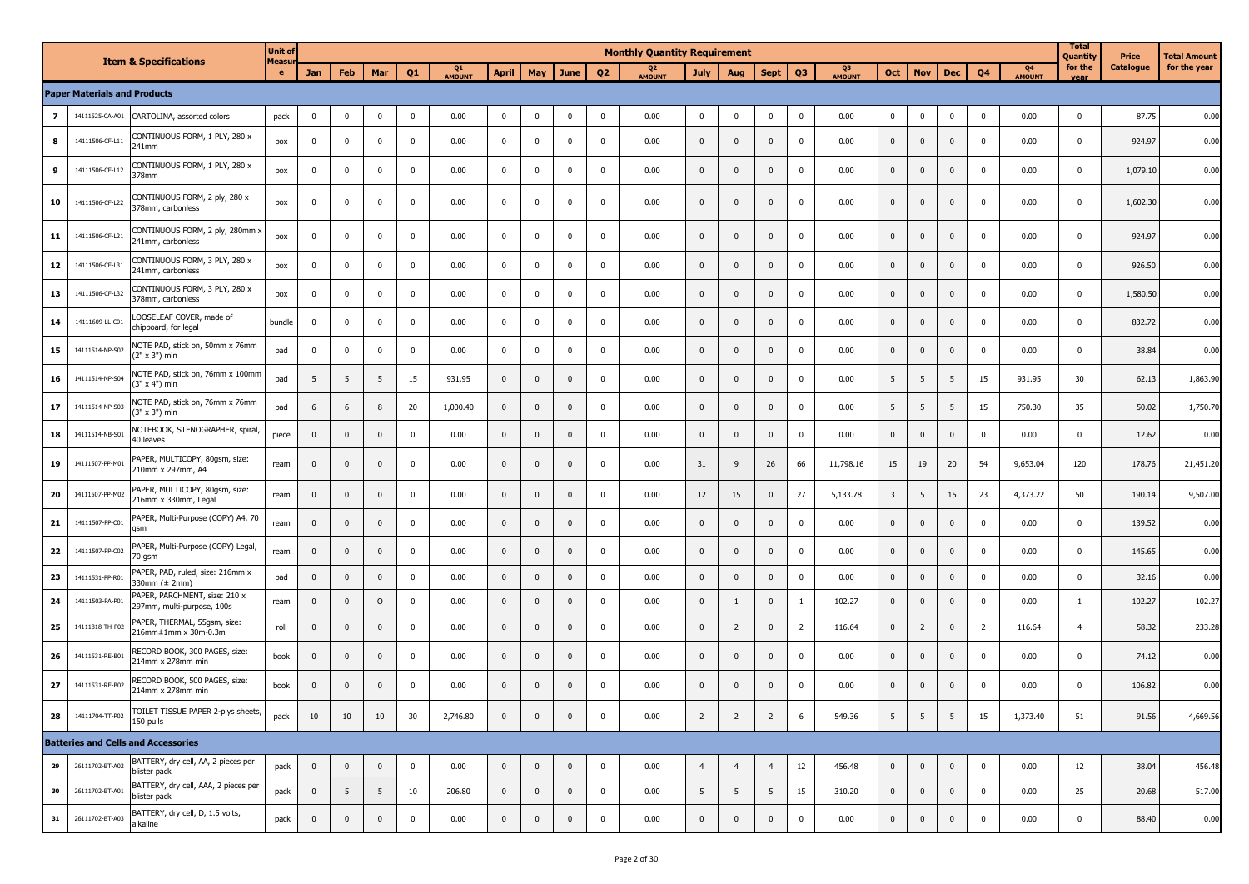|    |                                     | <b>Item &amp; Specifications</b>                                | <b>Unit of</b><br>Measu |                |                |              |                         |                     |                |              |                |                | <b>Monthly Quantity Requirement</b> |                |                |                |                |                     |                |                |              |                |                     | <b>Total</b><br>Quantity | Price            | Total Amount |
|----|-------------------------------------|-----------------------------------------------------------------|-------------------------|----------------|----------------|--------------|-------------------------|---------------------|----------------|--------------|----------------|----------------|-------------------------------------|----------------|----------------|----------------|----------------|---------------------|----------------|----------------|--------------|----------------|---------------------|--------------------------|------------------|--------------|
|    |                                     |                                                                 | $\bullet$               | Jan            | Feb            | Mar          | Q <sub>1</sub>          | Q1<br><b>AMOUNT</b> | <b>April</b>   | <b>May</b>   | June           | Q <sub>2</sub> | Q <sub>2</sub><br>AMOUNT            | <b>July</b>    | Aug            | <b>Sept</b>    | Q <sub>3</sub> | Q3<br><b>AMOUNT</b> | Oct            | <b>Nov</b>     | <b>Dec</b>   | Q <sub>4</sub> | Q4<br><b>AMOUNT</b> | for the                  | <b>Catalogue</b> | for the year |
|    | <b>Paper Materials and Products</b> |                                                                 |                         |                |                |              |                         |                     |                |              |                |                |                                     |                |                |                |                |                     |                |                |              |                |                     |                          |                  |              |
| 7  | 14111525-CA-A01                     | CARTOLINA, assorted colors                                      | pack                    | $\mathbf 0$    | $\mathbf 0$    | $\mathbf 0$  | $\overline{\mathbf{0}}$ | 0.00                | $\mathbf 0$    | $\mathbf 0$  | $\mathbf 0$    | $\mathbf 0$    | 0.00                                | $\overline{0}$ | $\mathbf 0$    | $\mathbf 0$    | $\overline{0}$ | 0.00                | $\mathbf{0}$   | $\mathbf 0$    | $\mathbf 0$  | $\Omega$       | 0.00                | $\mathbf 0$              | 87.75            | 0.00         |
| 8  | 14111506-CF-L11                     | CONTINUOUS FORM, 1 PLY, 280 x<br>241mm                          | box                     | $\mathbf 0$    | $\mathbf 0$    | $\Omega$     | $\mathbf{0}$            | 0.00                | $\mathbf 0$    | $\mathbf 0$  | 0              | $\mathbf 0$    | 0.00                                | $\mathbf 0$    | $\pmb{0}$      | $\mathbf 0$    | $\overline{0}$ | 0.00                | $\mathbf 0$    | $\mathbf 0$    | $\mathbf{0}$ | 0              | 0.00                | $\mathbf 0$              | 924.97           | 0.00         |
| 9  | 14111506-CF-L12                     | CONTINUOUS FORM, 1 PLY, 280 x<br>378mm                          | box                     | $\mathbf 0$    | $\mathbf 0$    | $\mathbf 0$  | $\overline{\mathbf{0}}$ | 0.00                | $\mathbf 0$    | 0            | $\mathbf 0$    | $\mathbf 0$    | 0.00                                | $\mathbf 0$    | $\mathbf 0$    | $\mathbf 0$    | $\overline{0}$ | 0.00                | $\mathbf 0$    | $\mathbf 0$    | $\mathbf{0}$ | 0              | 0.00                | $\mathbf 0$              | 1,079.10         | 0.00         |
| 10 | 14111506-CF-L22                     | CONTINUOUS FORM, 2 ply, 280 x<br>378mm, carbonless              | box                     | $\mathbf 0$    | $\mathbf 0$    | $\Omega$     | $\overline{\mathbf{0}}$ | 0.00                | $\mathbf 0$    | $\mathbf 0$  | $\mathbf 0$    | $\mathbf{0}$   | 0.00                                | $\mathbf 0$    | $\mathbf 0$    | $\pmb{0}$      | $\overline{0}$ | 0.00                | $\mathbf{0}$   | $\mathbf 0$    | $\mathbf{0}$ | $\Omega$       | 0.00                | $\Omega$                 | 1,602.30         | 0.00         |
| 11 | 14111506-CF-L21                     | CONTINUOUS FORM, 2 ply, 280mm ><br>241mm, carbonless            | box                     | $\mathbf 0$    | $\Omega$       | $\Omega$     | $\mathbf{0}$            | 0.00                | $\mathbf 0$    | $\mathbf{0}$ | $\mathbf 0$    | $\mathbf 0$    | 0.00                                | $\pmb{0}$      | $\mathbf 0$    | $\mathbf 0$    | $\mathbf 0$    | 0.00                | $\mathbf{0}$   | $\mathbf 0$    | $\mathbf 0$  | $\Omega$       | 0.00                | $\Omega$                 | 924.97           | 0.00         |
| 12 | 14111506-CF-L31                     | CONTINUOUS FORM, 3 PLY, 280 x<br>241mm, carbonless              | box                     | $\mathbf 0$    | $\mathbf 0$    | $\Omega$     | $\overline{\mathbf{0}}$ | 0.00                | $\mathbf 0$    | $\mathbf 0$  | $\mathbf 0$    | $\mathbf 0$    | 0.00                                | $\mathbf 0$    | $\pmb{0}$      | $\pmb{0}$      | $\overline{0}$ | 0.00                | $\mathbf 0$    | $\mathbf 0$    | $\mathbf 0$  | 0              | 0.00                | $\mathbf 0$              | 926.50           | 0.00         |
| 13 | 14111506-CF-L32                     | CONTINUOUS FORM, 3 PLY, 280 x<br>378mm, carbonless              | box                     | $\mathbf 0$    | $\mathbf 0$    | $\Omega$     | $\mathbf{0}$            | 0.00                | $\mathbf 0$    | $\mathbf 0$  | 0              | $\mathbf 0$    | 0.00                                | $\mathbf 0$    | $\mathbf 0$    | $\mathbf 0$    | $\mathbf 0$    | 0.00                | $\mathbf{0}$   | $\mathbf{0}$   | $\mathbf{0}$ | 0              | 0.00                | 0                        | 1,580.50         | 0.00         |
| 14 | 14111609-LL-C01                     | LOOSELEAF COVER, made of<br>chipboard, for legal                | bundle                  | $\mathbf 0$    | $\mathbf 0$    | 0            | $\overline{\mathbf{0}}$ | 0.00                | $\mathbf 0$    | 0            | $\mathbf 0$    | $\mathbf{0}$   | 0.00                                | $\mathbf 0$    | $\mathbf 0$    | $\mathbf 0$    | $\mathbf 0$    | 0.00                | $\mathbf 0$    | $\mathbf{0}$   | $\mathbf{0}$ | 0              | 0.00                | $\mathbf 0$              | 832.72           | 0.00         |
| 15 | 14111514-NP-S02                     | NOTE PAD, stick on, 50mm x 76mm<br>(2" x 3") min                | pad                     | $\mathbf 0$    | $\mathbf 0$    | $\Omega$     | $\overline{\mathbf{0}}$ | 0.00                | $\mathbf 0$    | $\mathbf 0$  | 0              | $\mathbf 0$    | 0.00                                | $\mathbf 0$    | $\mathbf 0$    | $\mathbf 0$    | $\overline{0}$ | 0.00                | $\mathbf 0$    | $\mathbf 0$    | $\mathbf 0$  | 0              | 0.00                | $\mathbf 0$              | 38.84            | 0.00         |
| 16 | 14111514-NP-S04                     | NOTE PAD, stick on, 76mm x 100mm<br>(3" x 4") min               | pad                     | 5              | 5              | -5           | 15                      | 931.95              | $\mathbf{0}$   | $\mathbf{0}$ | $\mathbf 0$    | $\mathbf{0}$   | 0.00                                | $\pmb{0}$      | $\mathbf 0$    | $\mathbf 0$    | $\mathbf{0}$   | 0.00                | 5              | 5              | 5            | 15             | 931.95              | 30                       | 62.13            | 1,863.90     |
| 17 | 14111514-NP-S03                     | NOTE PAD, stick on, 76mm x 76mm<br>$(3" \times 3")$ min         | pad                     | 6              | 6              | 8            | 20                      | 1,000.40            | $\mathbf 0$    | $\mathbf{0}$ | $\mathbf{0}$   | $\mathbf{0}$   | 0.00                                | $\mathbf 0$    | $\mathbf 0$    | $\mathbf 0$    | $\mathbf 0$    | 0.00                | 5              | 5              | 5            | 15             | 750.30              | 35                       | 50.02            | 1,750.70     |
| 18 | 14111514-NB-S01                     | NOTEBOOK, STENOGRAPHER, spiral,<br>40 leaves                    | piece                   | $\mathbf 0$    | $\mathbf 0$    | $\Omega$     | $\mathbf{0}$            | 0.00                | $\pmb{0}$      | $\mathbf{0}$ | $\mathbf 0$    | $\mathbf 0$    | 0.00                                | $\pmb{0}$      | $\mathbf 0$    | $\mathbf 0$    | $\mathbf 0$    | 0.00                | $\mathbf 0$    | $\mathbf 0$    | $\mathbf 0$  | $\Omega$       | 0.00                | 0                        | 12.62            | 0.00         |
| 19 | 14111507-PP-M01                     | PAPER, MULTICOPY, 80gsm, size:<br>210mm x 297mm, A4             | ream                    | $\mathbf 0$    | $\mathbf 0$    | $\mathbf{0}$ | $\mathbf{0}$            | 0.00                | $\pmb{0}$      | $\mathbf 0$  | $\mathbf 0$    | $\mathbf 0$    | 0.00                                | 31             | 9              | 26             | 66             | 11,798.16           | 15             | 19             | 20           | 54             | 9,653.04            | 120                      | 178.76           | 21,451.20    |
| 20 | 14111507-PP-M02                     | PAPER, MULTICOPY, 80gsm, size:<br>216mm x 330mm, Legal          | ream                    | $\overline{0}$ | $\mathbf{0}$   | $\Omega$     | 0                       | 0.00                | $\mathbf{0}$   | $\mathbf{0}$ | $\mathbf{0}$   | $\mathbf 0$    | 0.00                                | 12             | 15             | $\mathbf 0$    | 27             | 5,133.78            | 3              | 5              | 15           | 23             | 4,373.22            | 50                       | 190.14           | 9,507.00     |
| 21 | 14111507-PP-C01                     | PAPER, Multi-Purpose (COPY) A4, 70<br>qsm                       | ream                    | $\mathbf 0$    | $\mathbf{0}$   | $\mathbf{0}$ | $\mathbf{0}$            | 0.00                | $\mathbf{0}$   | $\mathbf{0}$ | $\mathbf 0$    | $\mathbf{0}$   | 0.00                                | $\mathbf 0$    | $\mathbf 0$    | $\mathbf 0$    | $\mathbf 0$    | 0.00                | $\mathbf{0}$   | $\mathbf 0$    | $\mathbf{0}$ | $\mathbf{0}$   | 0.00                | $\mathbf 0$              | 139.52           | 0.00         |
| 22 | 14111507-PP-C02                     | PAPER, Multi-Purpose (COPY) Legal,<br>70 gsm                    | ream                    | $\mathbf 0$    | $\mathbf 0$    | $\Omega$     | $\overline{\mathbf{0}}$ | 0.00                | $\pmb{0}$      | $\mathbf{0}$ | $\mathbf{0}$   | $\mathbf 0$    | 0.00                                | $\mathbf 0$    | $\mathbf 0$    | $\mathbf 0$    | $\overline{0}$ | 0.00                | $\mathbf 0$    | $\mathbf 0$    | $\mathbf{0}$ | 0              | 0.00                | $\mathbf 0$              | 145.65           | 0.00         |
| 23 | 14111531-PP-R01                     | PAPER, PAD, ruled, size: 216mm x<br>330mm (± 2mm)               | pad                     | $\mathbf 0$    | $\mathbf{0}$   | $\Omega$     | $\mathbf{0}$            | 0.00                | $\pmb{0}$      | $\mathbf 0$  | $\mathbf 0$    | $\mathbf 0$    | 0.00                                | $\pmb{0}$      | $\mathbf 0$    | $\pmb{0}$      | $\overline{0}$ | 0.00                | $\mathbf 0$    | $\mathbf 0$    | $\mathbf 0$  | $\Omega$       | 0.00                | $\mathbf 0$              | 32.16            | 0.00         |
| 24 | 14111503-PA-P01                     | PAPER, PARCHMENT, size: 210 x<br>297mm, multi-purpose, 100s     | ream                    | $\mathbf 0$    | $\mathbf{0}$   | $\circ$      | $\mathbf{0}$            | 0.00                | $\pmb{0}$      | $\mathbf 0$  | $\mathbf 0$    | $\mathbf 0$    | 0.00                                | $\bf{0}$       | $\mathbf{1}$   | $\mathbf 0$    | $\mathbf{1}$   | 102.27              | $\mathbf 0$    | $\mathbf 0$    | $\mathbf 0$  | 0              | 0.00                | 1                        | 102.27           | 102.27       |
| 25 | 14111818-TH-P02                     | PAPER, THERMAL, 55gsm, size:<br>216mm±1mm x 30m-0.3m            | roll                    | $\mathbf 0$    | $\mathbf 0$    | $\Omega$     | $\Omega$                | 0.00                | $\mathbf{0}$   | $\mathbf{0}$ | $\mathbf{0}$   | $\mathbf{0}$   | 0.00                                | $\mathbf 0$    | $\overline{2}$ | $\mathbf 0$    | $\overline{2}$ | 116.64              | $\mathbf{0}$   | $\overline{2}$ | $\mathbf{0}$ | $\overline{2}$ | 116.64              | $\overline{4}$           | 58.32            | 233.28       |
| 26 | 14111531-RE-B01                     | RECORD BOOK, 300 PAGES, size:<br>214mm x 278mm min              | book                    | $\mathbf 0$    | $\mathbf{0}$   | $\Omega$     | 0                       | 0.00                | $\mathbf{0}$   | $\mathbf{0}$ | $\mathbf{0}$   | $\mathbf{0}$   | 0.00                                | $\mathbf 0$    | $\mathbf 0$    | $\mathbf 0$    | $\mathbf 0$    | 0.00                | $\mathbf 0$    | $\mathbf{0}$   | $\mathbf{0}$ | 0              | 0.00                | 0                        | 74.12            | 0.00         |
| 27 | 14111531-RE-B02                     | RECORD BOOK, 500 PAGES, size:<br>214mm x 278mm min              | book                    | $\mathbf{0}$   | $\mathbf{0}$   | $\mathbf{0}$ | 0                       | 0.00                | $\mathbf{0}$   | $\mathbf{0}$ | $\mathbf 0$    | $\mathbf 0$    | 0.00                                | $\pmb{0}$      | $\mathbf 0$    | $\mathbf 0$    | $\mathbf 0$    | 0.00                | $\mathbf{0}$   | $\mathbf{0}$   | $\mathbf{0}$ | 0              | 0.00                | $\mathbf 0$              | 106.82           | 0.00         |
| 28 |                                     | 14111704-TT-P02 TOILET TISSUE PAPER 2-plys sheets,<br>150 pulls | pack                    | 10             | 10             | 10           | 30                      | 2,746.80            | $\pmb{0}$      | $\mathbf 0$  | $\mathbf 0$    | $\pmb{0}$      | 0.00                                | $\overline{2}$ | $\overline{2}$ | $\overline{2}$ | 6              | 549.36              | 5              | 5              | 5            | 15             | 1,373.40            | 51                       | 91.56            | 4,669.56     |
|    |                                     | <b>Batteries and Cells and Accessories</b>                      |                         |                |                |              |                         |                     |                |              |                |                |                                     |                |                |                |                |                     |                |                |              |                |                     |                          |                  |              |
| 29 | 26111702-BT-A02                     | BATTERY, dry cell, AA, 2 pieces per<br>blister pack             | pack                    | $\mathbf 0$    | $\mathbf 0$    | $\mathbf{0}$ | $\mathbf 0$             | 0.00                | $\bf{0}$       | $\mathbf 0$  | $\overline{0}$ | $\mathbf{0}$   | 0.00                                | $\overline{4}$ | $\overline{4}$ | $\overline{4}$ | $12$           | 456.48              | $\mathbf 0$    | $\mathbf 0$    | $\mathbf{0}$ | $\overline{0}$ | 0.00                | 12                       | 38.04            | 456.48       |
| 30 | 26111702-BT-A01                     | BATTERY, dry cell, AAA, 2 pieces per<br>blister pack            | pack                    | $\mathbf 0$    | 5 <sup>5</sup> | 5            | 10                      | 206.80              | $\overline{0}$ | $\mathbf 0$  | $\pmb{0}$      | $\mathbf{0}$   | 0.00                                | 5 <sup>5</sup> | 5              | 5              | 15             | 310.20              | $\overline{0}$ | $\mathbf 0$    | $\mathbf{0}$ | $\mathbf 0$    | 0.00                | 25                       | 20.68            | 517.00       |
| 31 | 26111702-BT-A03                     | BATTERY, dry cell, D, 1.5 volts,<br>alkaline                    | pack                    | $\,$ 0         | $\mathbf 0$    | $\mathbf 0$  | $\mathbf 0$             | 0.00                | $\pmb{0}$      | $\mathbf 0$  | $\pmb{0}$      | $\mathbf 0$    | 0.00                                | $\overline{0}$ | $\pmb{0}$      | $\mathbf 0$    | $\overline{0}$ | 0.00                | $\overline{0}$ | $\mathbf 0$    | $\mathbf 0$  | $\overline{0}$ | 0.00                | $\mathbf 0$              | 88.40            | 0.00         |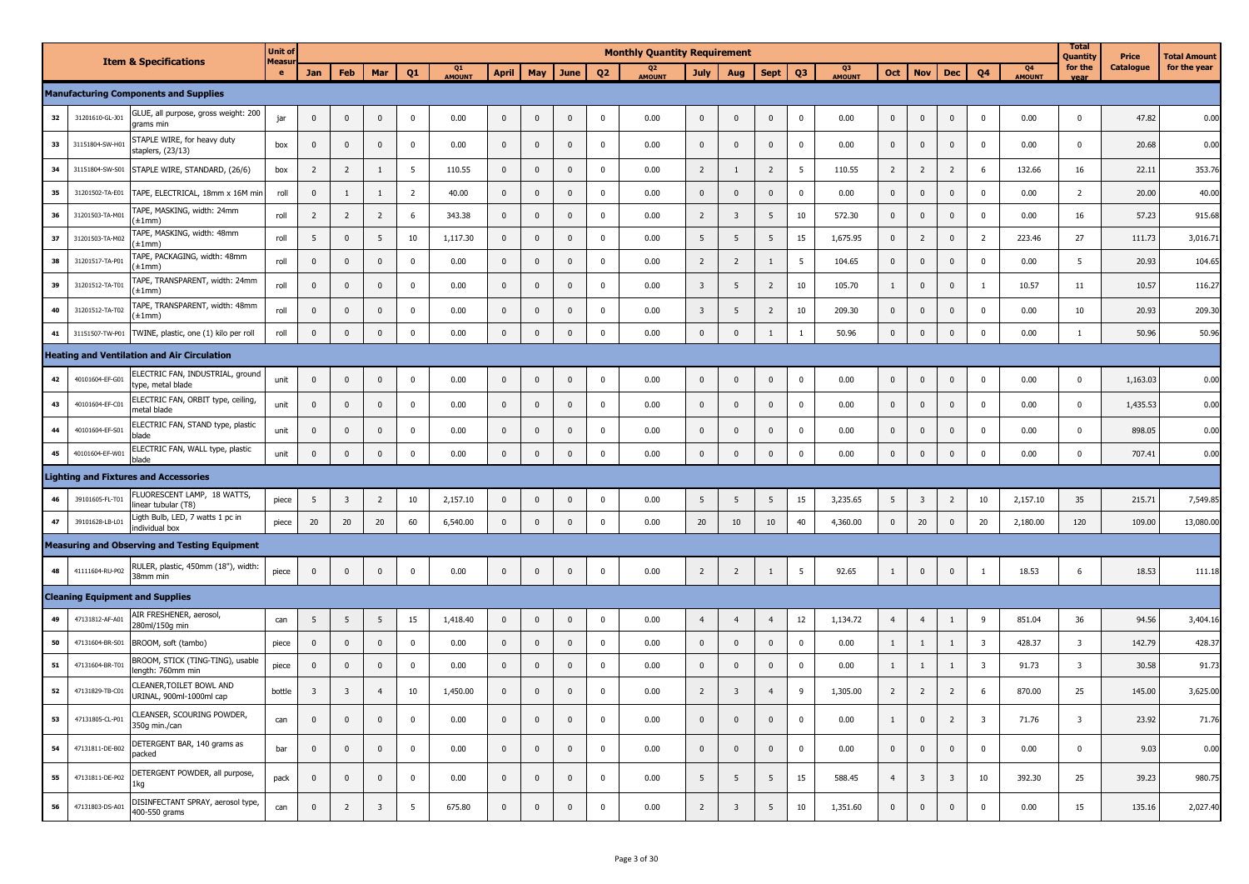|    |                 |                                                       | <b>Unit of</b> |                         |                         |                         |                         |              |                |              |              |                | <b>Monthly Quantity Requirement</b> |                         |                         |                |                 |              |                |                         |                         |                         |                     | <b>Total</b><br>Quantity | Price     | <b>Total Amount</b> |
|----|-----------------|-------------------------------------------------------|----------------|-------------------------|-------------------------|-------------------------|-------------------------|--------------|----------------|--------------|--------------|----------------|-------------------------------------|-------------------------|-------------------------|----------------|-----------------|--------------|----------------|-------------------------|-------------------------|-------------------------|---------------------|--------------------------|-----------|---------------------|
|    |                 | <b>Item &amp; Specifications</b>                      | Measu<br>e.    | Jan                     | Feb                     | Mar                     | Q <sub>1</sub>          | Q1<br>AMOUNT | <b>April</b>   | May          | June         | Q <sub>2</sub> | Q <sub>2</sub><br><b>AMOUNT</b>     | <b>July</b>             | Aug                     | <b>Sept</b>    | Q <sub>3</sub>  | Q3<br>AMOUNT | Oct            | <b>Nov</b>              | <b>Dec</b>              | Q <sub>4</sub>          | Q4<br><b>AMOUNT</b> | for the                  | Catalogue | for the year        |
|    |                 | <b>Manufacturing Components and Supplies</b>          |                |                         |                         |                         |                         |              |                |              |              |                |                                     |                         |                         |                |                 |              |                |                         |                         |                         |                     |                          |           |                     |
| 32 | 31201610-GL-J01 | GLUE, all purpose, gross weight: 200<br>grams min     | jar            | $\mathbf 0$             | $\mathbf{0}$            | $\Omega$                | $\mathbf{0}$            | 0.00         | $\mathbf 0$    | $\mathbf 0$  | $\mathbf 0$  | $\mathbf 0$    | 0.00                                | $\mathbf 0$             | $\mathbf{0}$            | $\mathbf 0$    | $\pmb{0}$       | 0.00         | $\mathbf 0$    | $\mathbf 0$             | $\mathbf 0$             | $\mathbf 0$             | 0.00                | $\Omega$                 | 47.82     | 0.00                |
| 33 | 31151804-SW-H01 | STAPLE WIRE, for heavy duty<br>staplers, (23/13)      | box            | $\bf{0}$                | $\pmb{0}$               | $\mathbf{0}$            | $\mathbf{0}$            | 0.00         | $\mathbf 0$    | $\mathbf 0$  | $\mathbf 0$  | $\mathbf 0$    | 0.00                                | $\mathbf 0$             | $\mathbf 0$             | $\mathbf{0}$   | $\mathbf 0$     | 0.00         | $\overline{0}$ | $\mathbf 0$             | $\mathbf 0$             | $\mathbf 0$             | 0.00                | $\mathbf 0$              | 20.68     | 0.00                |
| 34 | 31151804-SW-S01 | STAPLE WIRE, STANDARD, (26/6)                         | box            | $\overline{2}$          | $\overline{2}$          | 1                       | 5                       | 110.55       | $\mathbf 0$    | $\mathbf 0$  | $\mathbf 0$  | $\mathbf 0$    | 0.00                                | $\overline{2}$          | $\mathbf{1}$            | $\overline{2}$ | $5\phantom{.0}$ | 110.55       | $\overline{2}$ | $\overline{2}$          | $\overline{2}$          | 6                       | 132.66              | 16                       | 22.11     | 353.76              |
| 35 | 31201502-TA-E01 | TAPE, ELECTRICAL, 18mm x 16M min                      | roll           | $\mathbf 0$             | 1                       | 1                       | $\overline{2}$          | 40.00        | $\mathbf 0$    | $\mathbf 0$  | $\mathbf 0$  | $\mathbf 0$    | 0.00                                | $\mathbf 0$             | $\mathbf 0$             | $\mathbf{0}$   | $\pmb{0}$       | 0.00         | $\mathbf{0}$   | $\mathbf 0$             | $\mathbf 0$             | $\mathbf 0$             | 0.00                | $\overline{2}$           | 20.00     | 40.00               |
| 36 | 31201503-TA-M0  | TAPE, MASKING, width: 24mm<br>(±1mm)                  | roll           | $\overline{2}$          | $\overline{2}$          | $\overline{2}$          | 6                       | 343.38       | $\pmb{0}$      | $\mathbf 0$  | $\mathbf 0$  | $\mathbf 0$    | 0.00                                | $\overline{2}$          | $\overline{3}$          | 5              | 10              | 572.30       | $\overline{0}$ | $\mathbf 0$             | $\mathbf 0$             | $\mathbf 0$             | 0.00                | 16                       | 57.23     | 915.68              |
| 37 | 31201503-TA-M02 | TAPE, MASKING, width: 48mm<br>(±1mm)                  | roll           | 5                       | $\mathbf{0}$            | 5                       | 10                      | 1,117.30     | $\pmb{0}$      | $\mathbf 0$  | $\mathbf 0$  | $\mathbf 0$    | 0.00                                | 5                       | $5\phantom{.0}$         | 5              | 15              | 1,675.95     | $\mathbf 0$    | $\overline{2}$          | $\mathbf 0$             | $\overline{2}$          | 223.46              | 27                       | 111.73    | 3,016.71            |
| 38 | 31201517-TA-P0  | TAPE, PACKAGING, width: 48mm<br>'±1mm)                | roll           | $\mathbf 0$             | $\pmb{0}$               | $\mathbf{0}$            | $\overline{\mathbf{0}}$ | 0.00         | $\mathbf 0$    | $\mathbf 0$  | $\mathbf 0$  | $\pmb{0}$      | 0.00                                | $\overline{2}$          | $\overline{2}$          | $\mathbf{1}$   | 5               | 104.65       | $\overline{0}$ | $\mathbf 0$             | $\pmb{0}$               | $\pmb{0}$               | 0.00                | 5                        | 20.93     | 104.65              |
| 39 | 31201512-TA-T01 | TAPE, TRANSPARENT, width: 24mm<br>(±1mm)              | roll           | $\mathbf 0$             | $\pmb{0}$               | $\mathbf 0$             | $\overline{\mathbf{0}}$ | 0.00         | $\mathbf 0$    | $\mathbf 0$  | $\mathbf 0$  | $\mathbf 0$    | 0.00                                | $\overline{\mathbf{3}}$ | 5                       | $\overline{2}$ | 10              | 105.70       | $\mathbf{1}$   | $\mathbf 0$             | $\mathbf 0$             | $\mathbf{1}$            | 10.57               | 11                       | 10.57     | 116.27              |
| 40 | 31201512-TA-T02 | TAPE, TRANSPARENT, width: 48mm<br>(±1mm)              | roll           | $\mathbf 0$             | $\mathbf{0}$            | $\Omega$                | $\mathbf{0}$            | 0.00         | $\mathbf 0$    | $\mathbf 0$  | $\mathbf{0}$ | $\mathbf 0$    | 0.00                                | $\overline{\mathbf{3}}$ | 5                       | $\overline{2}$ | 10              | 209.30       | $\mathbf{0}$   | $\mathbf 0$             | $\mathbf 0$             | $\mathbf 0$             | 0.00                | 10                       | 20.93     | 209.30              |
| 41 | 31151507-TW-P01 | TWINE, plastic, one (1) kilo per roll                 | roll           | $\mathbf 0$             | $\mathbf{0}$            | $\mathbf{0}$            | $\mathbf 0$             | 0.00         | $\mathbf{0}$   | $\mathbf 0$  | $\mathbf 0$  | $\mathbf{0}$   | 0.00                                | $\mathbf{0}$            | $\mathbf 0$             | $\mathbf{1}$   | $\mathbf{1}$    | 50.96        | $\mathbf{0}$   | $\mathbf 0$             | $\mathbf 0$             | $\mathbf 0$             | 0.00                |                          | 50.96     | 50.96               |
|    |                 | <b>Heating and Ventilation and Air Circulation</b>    |                |                         |                         |                         |                         |              |                |              |              |                |                                     |                         |                         |                |                 |              |                |                         |                         |                         |                     |                          |           |                     |
| 42 | 40101604-EF-G01 | ELECTRIC FAN, INDUSTRIAL, ground<br>type, metal blade | unit           | $\mathbf 0$             | $\mathbf 0$             | $\mathbf{0}$            | $\mathbf 0$             | 0.00         | $\mathbf 0$    | $\mathbf 0$  | $\mathbf 0$  | $\mathbf 0$    | 0.00                                | 0                       | $\mathbf 0$             | $\mathbf 0$    | $\pmb{0}$       | 0.00         | $\mathbf 0$    | $\mathbf 0$             | $\mathbf 0$             | $\mathbf 0$             | 0.00                | $\mathbf 0$              | 1,163.03  | 0.00                |
| 43 | 40101604-EF-C01 | ELECTRIC FAN, ORBIT type, ceiling,<br>metal blade     | unit           | $\mathbf 0$             | $\mathbf{0}$            | $\mathbf{0}$            | $\mathbf{0}$            | 0.00         | $\mathbf 0$    | $\mathbf{0}$ | $\mathbf 0$  | 0              | 0.00                                | 0                       | $\mathbf{0}$            | $\mathbf{0}$   | $\mathbf{0}$    | 0.00         | $\mathbf 0$    | $\mathbf 0$             | $\mathbf 0$             | $\mathbf 0$             | 0.00                | $\mathbf 0$              | 1,435.53  | 0.00                |
| 44 | 40101604-EF-S01 | ELECTRIC FAN, STAND type, plastic<br>blade            | unit           | $\mathbf 0$             | $\pmb{0}$               | $\Omega$                | $\mathbf{0}$            | 0.00         | $\mathbf 0$    | $\mathbf 0$  | $\mathbf{0}$ | $\mathbf 0$    | 0.00                                | $\pmb{0}$               | $\mathbf 0$             | $\mathbf{0}$   | $\pmb{0}$       | 0.00         | $\overline{0}$ | $\mathbf 0$             | $\mathbf{0}$            | $\mathbf 0$             | 0.00                | $\mathbf 0$              | 898.05    | 0.00                |
| 45 | 40101604-EF-W01 | ELECTRIC FAN, WALL type, plastic<br>blade             | unit           | $\mathbf 0$             | $\mathbf{0}$            | $\mathbf{0}$            | $\mathbf{0}$            | 0.00         | $\mathbf 0$    | $\mathbf 0$  | $\mathbf 0$  | $\mathbf 0$    | 0.00                                | $\mathbf 0$             | $\mathbf{0}$            | $\mathbf{0}$   | $\pmb{0}$       | 0.00         | $\overline{0}$ | $\mathbf 0$             | $\mathbf 0$             | $\mathbf 0$             | 0.00                | $\mathbf 0$              | 707.41    | 0.00                |
|    |                 | <b>Lighting and Fixtures and Accessories</b>          |                |                         |                         |                         |                         |              |                |              |              |                |                                     |                         |                         |                |                 |              |                |                         |                         |                         |                     |                          |           |                     |
| 46 | 39101605-FL-T01 | FLUORESCENT LAMP, 18 WATTS,<br>linear tubular (T8)    | piece          | 5                       | $\overline{\mathbf{3}}$ | $\overline{2}$          | 10                      | 2,157.10     | $\overline{0}$ | $\mathbf 0$  | $\pmb{0}$    | $\mathbf 0$    | 0.00                                | 5                       | 5                       | 5              | 15              | 3,235.65     | 5 <sup>5</sup> | $\overline{\mathbf{3}}$ | $\overline{2}$          | 10                      | 2,157.10            | 35                       | 215.71    | 7,549.85            |
| 47 | 39101628-LB-L01 | Ligth Bulb, LED, 7 watts 1 pc in<br>individual box    | piece          | 20                      | 20                      | 20                      | 60                      | 6,540.00     | $\mathbf 0$    | $\mathbf 0$  | $\mathbf 0$  | $\mathbf{0}$   | 0.00                                | 20                      | 10                      | $10\,$         | 40              | 4,360.00     | $\overline{0}$ | 20                      | $\pmb{0}$               | 20                      | 2,180.00            | 120                      | 109.00    | 13,080.00           |
|    |                 | <b>Measuring and Observing and Testing Equipment</b>  |                |                         |                         |                         |                         |              |                |              |              |                |                                     |                         |                         |                |                 |              |                |                         |                         |                         |                     |                          |           |                     |
| 48 | 41111604-RU-P02 | RULER, plastic, 450mm (18"), width:<br>38mm min       | piece          | $\mathbf 0$             | $\mathbf 0$             | $\mathbf 0$             | $\mathbf 0$             | 0.00         | $\mathbf 0$    | $\mathbf 0$  | $\pmb{0}$    | $\mathbf 0$    | 0.00                                | $\overline{2}$          | $\overline{2}$          | $\mathbf{1}$   | $5\phantom{.0}$ | 92.65        | $\mathbf{1}$   | $\mathbf 0$             | $\mathbf 0$             | $\mathbf{1}$            | 18.53               | 6                        | 18.53     | 111.18              |
|    |                 | <b>Cleaning Equipment and Supplies</b>                |                |                         |                         |                         |                         |              |                |              |              |                |                                     |                         |                         |                |                 |              |                |                         |                         |                         |                     |                          |           |                     |
| 49 | 47131812-AF-A01 | AIR FRESHENER, aerosol,<br>280ml/150g min             | can            | 5                       | 5                       | 5                       | 15                      | 1,418.40     | $\mathbf 0$    | $\mathbf 0$  | $\mathbf 0$  | 0              | 0.00                                | 4                       | $\overline{4}$          | $\overline{4}$ | 12              | 1,134.72     | $\overline{4}$ | $\overline{4}$          | 1                       | 9                       | 851.04              | 36                       | 94.56     | 3,404.16            |
| 50 | 47131604-BR-S01 | BROOM, soft (tambo)                                   | piece          | $\mathbf 0$             | $\pmb{0}$               | $\mathbf{0}$            | $\overline{\mathbf{0}}$ | 0.00         | $\pmb{0}$      | $\mathbf 0$  | $\mathbf 0$  | $\mathbf 0$    | 0.00                                | 0                       | $\mathbf 0$             | $\mathbf{0}$   | $\pmb{0}$       | 0.00         | $\mathbf{1}$   | 1                       | $\mathbf{1}$            | $\overline{\mathbf{3}}$ | 428.37              | $\overline{\mathbf{3}}$  | 142.79    | 428.37              |
| 51 | 47131604-BR-T01 | BROOM, STICK (TING-TING), usable<br>length: 760mm min | piece          | $\mathbf 0$             | $\pmb{0}$               | $\mathbf{0}$            | 0                       | 0.00         | $\mathbf 0$    | $\mathbf 0$  | $\mathbf 0$  | 0              | 0.00                                | $\pmb{0}$               | $\mathbf{0}$            | $\mathbf{0}$   | $\pmb{0}$       | 0.00         | $\mathbf{1}$   | 1                       | 1                       | 3                       | 91.73               | 3                        | 30.58     | 91.73               |
| 52 | 47131829-TB-C01 | CLEANER, TOILET BOWL AND<br>URINAL, 900ml-1000ml cap  | bottle         | $\overline{\mathbf{3}}$ | 3                       | $\overline{4}$          | 10                      | 1,450.00     | $\mathbf{0}$   | $\mathbf{0}$ | $\Omega$     | $\Omega$       | 0.00                                | $\overline{2}$          | $\overline{\mathbf{3}}$ | $\overline{4}$ | 9               | 1,305.00     | $\overline{2}$ | $\overline{2}$          | $\overline{2}$          | 6                       | 870.00              | 25                       | 145.00    | 3,625.00            |
| 53 | 47131805-CL-P01 | CLEANSER, SCOURING POWDER,<br>350q min./can           | can            | $\mathbf 0$             | $\mathbf 0$             | $\mathbf 0$             | $\overline{\mathbf{0}}$ | 0.00         | $\mathbf 0$    | $\mathbf 0$  | $\pmb{0}$    | $\mathbf 0$    | 0.00                                | $\mathbf 0$             | $\mathbf 0$             | $\mathbf 0$    | $\mathbf 0$     | 0.00         | $\mathbf{1}$   | $\mathbf 0$             | $\overline{2}$          | $\overline{\mathbf{3}}$ | 71.76               | $\overline{3}$           | 23.92     | 71.76               |
| 54 | 47131811-DE-B02 | DETERGENT BAR, 140 grams as<br>packed                 | bar            | $\mathbf 0$             | $\mathbf 0$             | $\mathbf 0$             | $\mathbf 0$             | 0.00         | $\overline{0}$ | $\mathbf 0$  | $\pmb{0}$    | $\mathbf 0$    | 0.00                                | $\mathbf 0$             | $\overline{0}$          | $\mathbf 0$    | $\overline{0}$  | 0.00         | $\overline{0}$ | $\bf{0}$                | $\mathbf 0$             | $\mathbf{0}$            | 0.00                | $\mathbf 0$              | 9.03      | 0.00                |
| 55 | 47131811-DE-P02 | DETERGENT POWDER, all purpose,<br>1kg                 | pack           | $\mathbf 0$             | $\mathbf 0$             | $\mathbf{0}$            | $\overline{\mathbf{0}}$ | 0.00         | $\mathbf 0$    | $\mathbf 0$  | $\mathbf 0$  | $\mathbf 0$    | 0.00                                | 5 <sub>5</sub>          | 5                       | 5              | 15              | 588.45       | $\overline{4}$ | $\overline{\mathbf{3}}$ | $\overline{\mathbf{3}}$ | 10                      | 392.30              | 25                       | 39.23     | 980.75              |
| 56 | 47131803-DS-A01 | DISINFECTANT SPRAY, aerosol type,<br>400-550 grams    | can            | $\mathbf 0$             | $\overline{2}$          | $\overline{\mathbf{3}}$ | 5                       | 675.80       | $\mathbf 0$    | $\mathbf 0$  | $\mathbf 0$  | $\mathbf{0}$   | 0.00                                | $\overline{2}$          | $\overline{\mathbf{3}}$ | 5              | 10              | 1,351.60     | $\overline{0}$ | $\mathbf 0$             | $\mathbf{0}$            | $\mathbf 0$             | 0.00                | 15                       | 135.16    | 2,027.40            |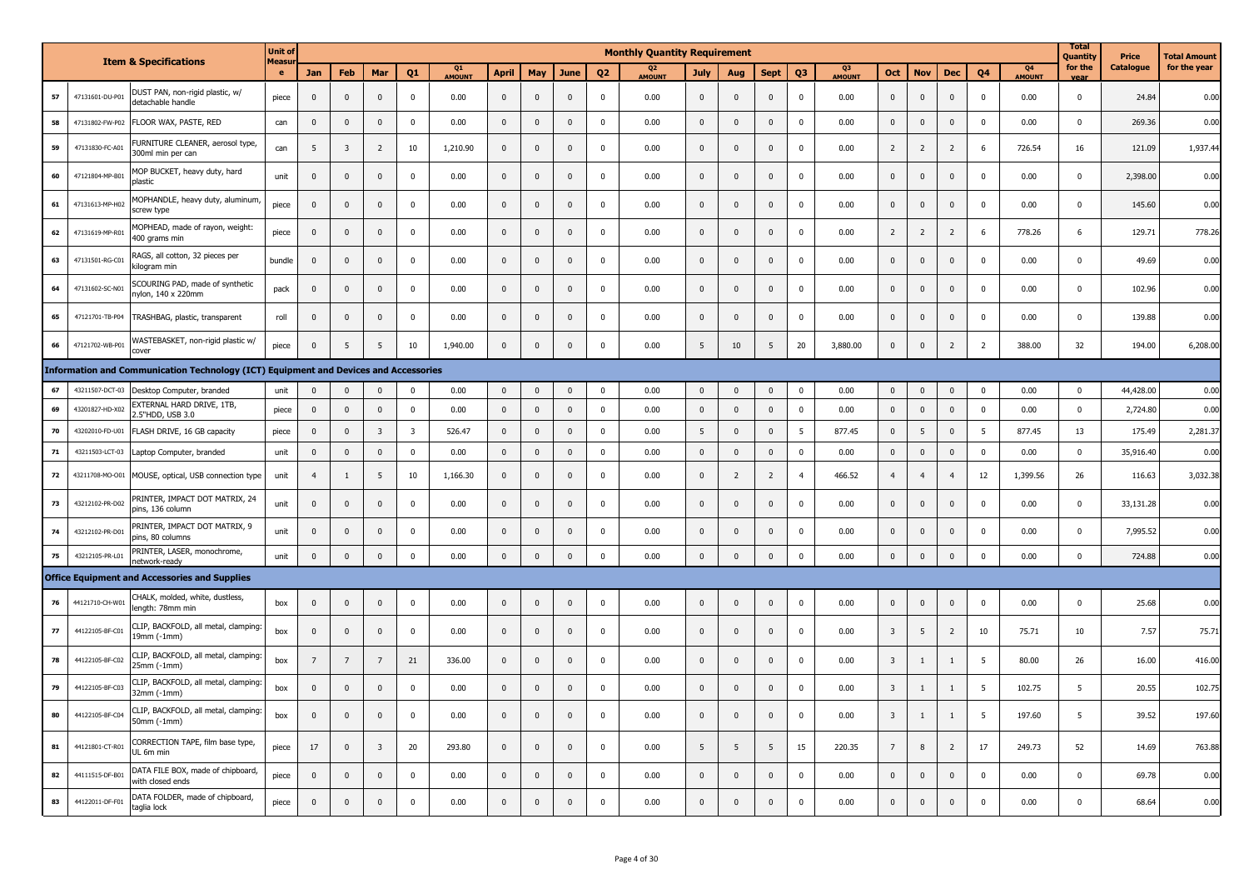|            |                 | <b>Item &amp; Specifications</b>                                                     | <b>Unit of</b><br>Measur |                 |                         |                |                         |              |              |              |              |                         | <b>Monthly Quantity Requirement</b> |                         |                |                |                |                          |                |                |                |                 |                            | Total<br>Quantity | <b>Price</b>     | <b>Total Amount</b> |
|------------|-----------------|--------------------------------------------------------------------------------------|--------------------------|-----------------|-------------------------|----------------|-------------------------|--------------|--------------|--------------|--------------|-------------------------|-------------------------------------|-------------------------|----------------|----------------|----------------|--------------------------|----------------|----------------|----------------|-----------------|----------------------------|-------------------|------------------|---------------------|
|            |                 |                                                                                      | $\bullet$                | <b>Jan</b>      | Feb                     | Mar            | O1                      | Q1<br>AMOUNT | <b>April</b> | May          | <b>June</b>  | 02                      | 02<br><b>MOUNT</b>                  | July                    | Aug            | <b>Sept</b>    | Q <sub>3</sub> | Q <sub>3</sub><br>AMOUNT | <b>Oct</b>     | <b>Nov</b>     | <b>Dec</b>     | 04              | <b>04</b><br><b>AMOUNT</b> | for the<br>vear   | <b>Catalogue</b> | for the year        |
| ${\bf 57}$ | 47131601-DU-P01 | DUST PAN, non-rigid plastic, w/<br>detachable handle                                 | piece                    | $\mathbf 0$     | $\overline{0}$          | $\mathsf 0$    | $\Omega$                | 0.00         | $\mathbf 0$  | $\mathbf{0}$ | $\Omega$     | $\overline{0}$          | 0.00                                | $\mathbf 0$             | $\pmb{0}$      | $\pmb{0}$      | $\overline{0}$ | 0.00                     | $\mathbf{0}$   | $\mathbf 0$    | $\mathbf{0}$   | $\mathbf{0}$    | 0.00                       | $\mathbf 0$       | 24.84            | 0.00                |
| 58         | 47131802-FW-P02 | FLOOR WAX, PASTE, RED                                                                | can                      | $\mathbf 0$     | $\overline{\mathbf{0}}$ | $\mathsf 0$    | $\mathbf 0$             | 0.00         | $\mathbf 0$  | $\mathbf{0}$ | $\mathbf 0$  | $\mathbf 0$             | 0.00                                | $\mathbf 0$             | $\mathbf 0$    | $\mathbf 0$    | $\mathbf 0$    | 0.00                     | $\pmb{0}$      | $\mathbf 0$    | $\mathbf 0$    | $\mathbf 0$     | 0.00                       | $\mathbf 0$       | 269.36           | 0.00                |
| 59         | 47131830-FC-A01 | FURNITURE CLEANER, aerosol type,<br>300ml min per can                                | can                      | 5               | $\overline{\mathbf{3}}$ | 2              | 10                      | 1,210.90     | $\mathbf 0$  | $\Omega$     | $\Omega$     | $\overline{0}$          | 0.00                                | $\pmb{0}$               | $\pmb{0}$      | $\mathbf{0}$   | $\overline{0}$ | 0.00                     | $\overline{2}$ | $\overline{2}$ | $\overline{2}$ | 6               | 726.54                     | 16                | 121.09           | 1,937.44            |
| 60         | 47121804-MP-B01 | MOP BUCKET, heavy duty, hard<br>plastic                                              | unit                     | $\mathbf 0$     | $\Omega$                | $\mathbf{0}$   | $\Omega$                | 0.00         | $\mathbf 0$  | $\mathbf{0}$ | $\Omega$     | $\Omega$                | 0.00                                | $\mathbf{0}$            | $\pmb{0}$      | $\pmb{0}$      | $\mathbf 0$    | 0.00                     | $\mathbf{0}$   | $\mathbf{0}$   | $\mathbf 0$    | $\Omega$        | 0.00                       | $^{\circ}$        | 2,398.00         | 0.00                |
| 61         | 47131613-MP-H02 | MOPHANDLE, heavy duty, aluminum<br>screw type                                        | piece                    | $\mathbf 0$     | $\overline{0}$          | $\mathbf{0}$   | $\mathbf{0}$            | 0.00         | $\mathbf 0$  | $\mathbf 0$  | $\mathbf{0}$ | $\overline{\mathbf{0}}$ | 0.00                                | $\mathbf 0$             | $\mathbf 0$    | $\pmb{0}$      | $\mathbf 0$    | 0.00                     | $\mathbf{0}$   | $\mathbf 0$    | $\mathbf 0$    | $\mathbf 0$     | 0.00                       | $\mathbf{0}$      | 145.60           | 0.00                |
| 62         | 47131619-MP-R01 | MOPHEAD, made of rayon, weight:<br>400 grams min                                     | piece                    | $\mathbf 0$     | $\mathbf{0}$            | $\mathbf 0$    | $\Omega$                | 0.00         | $\mathbf 0$  | $\mathbf{0}$ | $\mathbf{0}$ | $\mathbf{0}$            | 0.00                                | $\mathbf 0$             | $\mathbf 0$    | $\mathbf{0}$   | $\mathbf 0$    | 0.00                     | $\overline{2}$ | $\overline{2}$ | $\overline{2}$ | 6               | 778.26                     | 6                 | 129.71           | 778.26              |
| 63         | 47131501-RG-C01 | RAGS, all cotton, 32 pieces per<br>kilogram min                                      | bundle                   | $\mathbf 0$     | $\overline{0}$          | $\mathsf 0$    | $\mathbf{0}$            | 0.00         | $\mathbf 0$  | $\mathbf{0}$ | $\Omega$     | $\mathbf 0$             | 0.00                                | $\mathbf 0$             | $\pmb{0}$      | $\mathbf 0$    | $\mathbf 0$    | 0.00                     | $\mathbf 0$    | $\mathbf 0$    | $\mathsf 0$    | $\mathbf 0$     | 0.00                       | $\mathsf 0$       | 49.69            | 0.00                |
| 64         | 47131602-SC-N01 | SCOURING PAD, made of synthetic<br>nylon, 140 x 220mm                                | pack                     | $\bf{0}$        | $\overline{0}$          | $\mathbf 0$    | $\Omega$                | 0.00         | $\mathbf 0$  | 0            | $\Omega$     | $\mathbf 0$             | 0.00                                | $\bf{0}$                | $\mathbf 0$    | $\mathbf 0$    | $\mathbf 0$    | 0.00                     | 0              | $\mathbf 0$    | $\mathbf 0$    | $\mathbf 0$     | 0.00                       | $\Omega$          | 102.96           | 0.00                |
| 65         |                 | 47121701-TB-P04 TRASHBAG, plastic, transparent                                       | roll                     | $\mathbf 0$     | $\overline{\mathbf{0}}$ | $\mathbf{0}$   | $\mathbf 0$             | 0.00         | $\mathbf{0}$ | $\mathbf{0}$ | $\Omega$     | $\overline{0}$          | 0.00                                | $\pmb{0}$               | $\mathbf{0}$   | $\mathbf{0}$   | $\mathbf 0$    | 0.00                     | $\mathbf{0}$   | $\overline{0}$ | $\mathbf{0}$   | $\mathbf{0}$    | 0.00                       | $\mathbf 0$       | 139.88           | 0.00                |
| 66         | 47121702-WB-P01 | WASTEBASKET, non-rigid plastic w/<br>cover                                           | piece                    | $\mathbf 0$     | 5                       | 5              | 10                      | 1,940.00     | $\mathbf 0$  | $\mathbf{0}$ | $\mathbf{0}$ | $\mathbf{0}$            | 0.00                                | 5                       | 10             | 5              | 20             | 3,880.00                 | $\mathbf 0$    | $\mathbf 0$    | $\overline{2}$ | $\overline{2}$  | 388.00                     | 32                | 194.00           | 6,208.00            |
|            |                 | Information and Communication Technology (ICT) Equipment and Devices and Accessories |                          |                 |                         |                |                         |              |              |              |              |                         |                                     |                         |                |                |                |                          |                |                |                |                 |                            |                   |                  |                     |
| 67         | 43211507-DCT-03 | Desktop Computer, branded                                                            | unit                     | $\mathbf{0}$    | $\overline{\mathbf{0}}$ | $\mathbf{0}$   | $\Omega$                | 0.00         | $\mathbf 0$  | $\mathbf 0$  | $\Omega$     | $\mathbf 0$             | 0.00                                | $\overline{\mathbf{0}}$ | $\mathbf 0$    | $\pmb{0}$      | $\overline{0}$ | 0.00                     | $\mathbf 0$    | $\mathbf 0$    | $\mathbf 0$    | $\mathbf{0}$    | 0.00                       | $\mathbf 0$       | 44,428.00        | 0.00                |
| 69         | 43201827-HD-X02 | EXTERNAL HARD DRIVE, 1TB,<br>2.5"HDD, USB 3.0                                        | piece                    | $\mathbf 0$     | $\overline{0}$          | $\mathsf 0$    | $\Omega$                | 0.00         | $\mathbf 0$  | $\mathbf{0}$ | $\Omega$     | $\mathbf 0$             | 0.00                                | $\mathbf{0}$            | $\pmb{0}$      | $\pmb{0}$      | $\mathbf 0$    | 0.00                     | $\mathbf{0}$   | $\mathbf{0}$   | $\mathsf 0$    | $\mathbf 0$     | 0.00                       | $\mathsf 0$       | 2,724.80         | 0.00                |
| 70         | 43202010-FD-U01 | FLASH DRIVE, 16 GB capacity                                                          | piece                    | $\mathbf 0$     | $\mathbf 0$             | $\overline{3}$ | $\overline{\mathbf{3}}$ | 526.47       | $\mathbf 0$  | $\mathbf 0$  | $\mathbf{0}$ | $\mathbf 0$             | 0.00                                | 5                       | $\pmb{0}$      | $\mathbf 0$    | 5              | 877.45                   | $\mathbf 0$    | 5              | $\mathbf 0$    | $5\overline{5}$ | 877.45                     | 13                | 175.49           | 2,281.37            |
| 71         | 43211503-LCT-03 | Laptop Computer, branded                                                             | unit                     | $\mathbf 0$     | $\overline{\mathbf{0}}$ | $\mathbf{0}$   | $\mathbf{0}$            | 0.00         | $\mathbf 0$  | $\mathbf{0}$ | $\mathbf{0}$ | $\mathbf 0$             | 0.00                                | $\mathbf 0$             | $\pmb{0}$      | $\mathbf{0}$   | $\overline{0}$ | 0.00                     | $\mathbf{0}$   | $\mathbf{0}$   | $\mathbf{0}$   | $\mathbf{0}$    | 0.00                       | $\mathbf 0$       | 35,916.40        | 0.00                |
| 72         | 43211708-MO-O01 | MOUSE, optical, USB connection type                                                  | unit                     | $\overline{4}$  | -1                      | 5              | 10                      | 1,166.30     | $\mathbf 0$  | $\mathbf{0}$ | $\Omega$     | $\Omega$                | 0.00                                | $\mathbf 0$             | $\overline{2}$ | $\overline{2}$ | $\overline{4}$ | 466.52                   | $\overline{4}$ | $\overline{4}$ | $\overline{4}$ | 12              | 1,399.56                   | 26                | 116.63           | 3,032.38            |
| 73         | 43212102-PR-D02 | PRINTER, IMPACT DOT MATRIX, 24<br>pins, 136 column                                   | unit                     | $\mathbf 0$     | $\overline{0}$          | $\mathsf 0$    | $\Omega$                | 0.00         | $\mathbf 0$  | $\mathbf{0}$ | $\Omega$     | $\Omega$                | 0.00                                | $\mathbf 0$             | $\pmb{0}$      | $\pmb{0}$      | $\mathbf 0$    | 0.00                     | $\mathbf 0$    | $\mathbf 0$    | $\mathsf 0$    | $\mathbf 0$     | 0.00                       | $\Omega$          | 33,131.28        | 0.00                |
| 74         | 43212102-PR-D01 | PRINTER, IMPACT DOT MATRIX, 9<br>pins, 80 columns                                    | unit                     | $\overline{0}$  | $\mathbf{0}$            | $\Omega$       | $\Omega$                | 0.00         | $\mathbf 0$  | $\mathbf 0$  | $\Omega$     | $\Omega$                | 0.00                                | $\mathbf{0}$            | $\Omega$       | $\pmb{0}$      | $\mathbf 0$    | 0.00                     | $\mathbf{0}$   | $\mathbf{0}$   | $\mathbf{0}$   | $\mathbf 0$     | 0.00                       | $\Omega$          | 7,995.52         | 0.00                |
| 75         | 43212105-PR-L01 | PRINTER, LASER, monochrome,<br>network-ready                                         | unit                     | $\mathbf 0$     | $\,$ 0                  | $\pmb{0}$      | $\Omega$                | 0.00         | $\mathbf 0$  | $\pmb{0}$    | $\Omega$     | $\mathbf 0$             | 0.00                                | $\mathbf 0$             | $\Omega$       | $\mathbf 0$    | $\mathbf 0$    | 0.00                     | $\mathbf 0$    | $\mathbf 0$    | $\pmb{0}$      | $\pmb{0}$       | 0.00                       | $\pmb{0}$         | 724.88           | 0.00                |
|            |                 | <b>Office Equipment and Accessories and Supplies</b>                                 |                          |                 |                         |                |                         |              |              |              |              |                         |                                     |                         |                |                |                |                          |                |                |                |                 |                            |                   |                  |                     |
| 76         | 44121710-CH-W01 | CHALK, molded, white, dustless,<br>length: 78mm min                                  | box                      | $\mathbf 0$     | $\mathbf 0$             | $\mathbf 0$    | $\Omega$                | 0.00         | $\mathbf 0$  | $\mathbf 0$  | $\Omega$     | $\mathbf 0$             | 0.00                                | $\mathbf 0$             | $\pmb{0}$      | $\pmb{0}$      | $\pmb{0}$      | 0.00                     | $\mathbf 0$    | $\mathbf 0$    | $\mathbf 0$    | $\pmb{0}$       | 0.00                       | $\mathbf 0$       | 25.68            | 0.00                |
| 77         | 44122105-BF-C01 | CLIP, BACKFOLD, all metal, clamping:<br>19mm (-1mm)                                  | box                      | $\mathbf 0$     | $\overline{0}$          | $\mathbf 0$    | $\mathbf 0$             | 0.00         | $\mathbf 0$  | $\pmb{0}$    | $\mathbf{0}$ | $\mathbf 0$             | 0.00                                | $\mathbf 0$             | $\pmb{0}$      | $\mathbf 0$    | $\pmb{0}$      | 0.00                     | 3              | 5              | $\overline{2}$ | 10              | 75.71                      | 10                | 7.57             | 75.71               |
| 78         | 44122105-BF-C02 | CLIP, BACKFOLD, all metal, clamping<br>25mm (-1mm)                                   | box                      | $7\overline{ }$ | $7\overline{ }$         | 7              | 21                      | 336.00       | $\mathbf 0$  | $\mathbf{0}$ | $\Omega$     | $\overline{\mathbf{0}}$ | 0.00                                | $\mathbf{0}$            | $\mathbf 0$    | $\mathbf 0$    | $\mathbf 0$    | 0.00                     | 3              | 1              | $\mathbf{1}$   | 5               | 80.00                      | 26                | 16.00            | 416.00              |
| 79         | 44122105-BF-C03 | CLIP, BACKFOLD, all metal, clamping:<br>32mm (-1mm)                                  | box                      | $\mathbf 0$     | $\mathbf{0}$            | $\mathbf{0}$   | $\mathbf{0}$            | 0.00         | $\mathbf 0$  | $\mathbf{0}$ | $\Omega$     | $\mathbf{0}$            | 0.00                                | $\mathbf 0$             | $\pmb{0}$      | $\pmb{0}$      | $\mathbf 0$    | 0.00                     | $\overline{3}$ | 1              | 1              | 5               | 102.75                     | 5                 | 20.55            | 102.75              |
| 80         | 44122105-BF-C04 | CLIP, BACKFOLD, all metal, clamping:<br>50mm (-1mm)                                  | box                      | $\mathbf 0$     | $\mathbf 0$             | $\mathbf{0}$   | $\Omega$                | 0.00         | $\mathbf 0$  | $\mathbf{0}$ | $\Omega$     | $\Omega$                | 0.00                                | $\mathbf{0}$            | $\pmb{0}$      | $\mathbf 0$    | $\mathbf 0$    | 0.00                     | 3              | 1              | $\mathbf{1}$   | 5               | 197.60                     | 5                 | 39.52            | 197.60              |
| 81         | 44121801-CT-R0  | CORRECTION TAPE, film base type,<br>UL 6m min                                        | piece                    | 17              | $\Omega$                | $\overline{3}$ | 20                      | 293.80       | $\mathbf 0$  | $\mathbf{0}$ | $\Omega$     | $\Omega$                | 0.00                                | 5                       | 5              | 5              | 15             | 220.35                   | $\overline{7}$ | 8              | $\overline{2}$ | 17              | 249.73                     | 52                | 14.69            | 763.88              |
| 82         | 44111515-DF-B01 | DATA FILE BOX, made of chipboard,<br>with closed ends                                | piece                    | $\mathbf 0$     | $\overline{0}$          | $\mathbf 0$    | $\mathbf{0}$            | 0.00         | $\mathbf 0$  | $\mathbf 0$  | $\mathbf{0}$ | $\overline{\mathbf{0}}$ | 0.00                                | $\mathbf 0$             | $\pmb{0}$      | $\pmb{0}$      | $\pmb{0}$      | 0.00                     | $\mathbf 0$    | $\mathbf 0$    | $\mathbf 0$    | $\mathbf 0$     | 0.00                       | $\mathbf 0$       | 69.78            | 0.00                |
| 83         | 44122011-DF-F01 | DATA FOLDER, made of chipboard,<br>taglia lock                                       | piece                    | $\mathbf 0$     | $\Omega$                | $\mathbf 0$    | $\Omega$                | 0.00         | $\mathbf 0$  | $\Omega$     | $\Omega$     | $\Omega$                | 0.00                                | $\Omega$                | $\mathbf 0$    | $\mathbf 0$    | $\mathbf 0$    | 0.00                     | $\Omega$       | $\Omega$       | $\mathbf 0$    | $\Omega$        | 0.00                       | $\mathbf 0$       | 68.64            | 0.00                |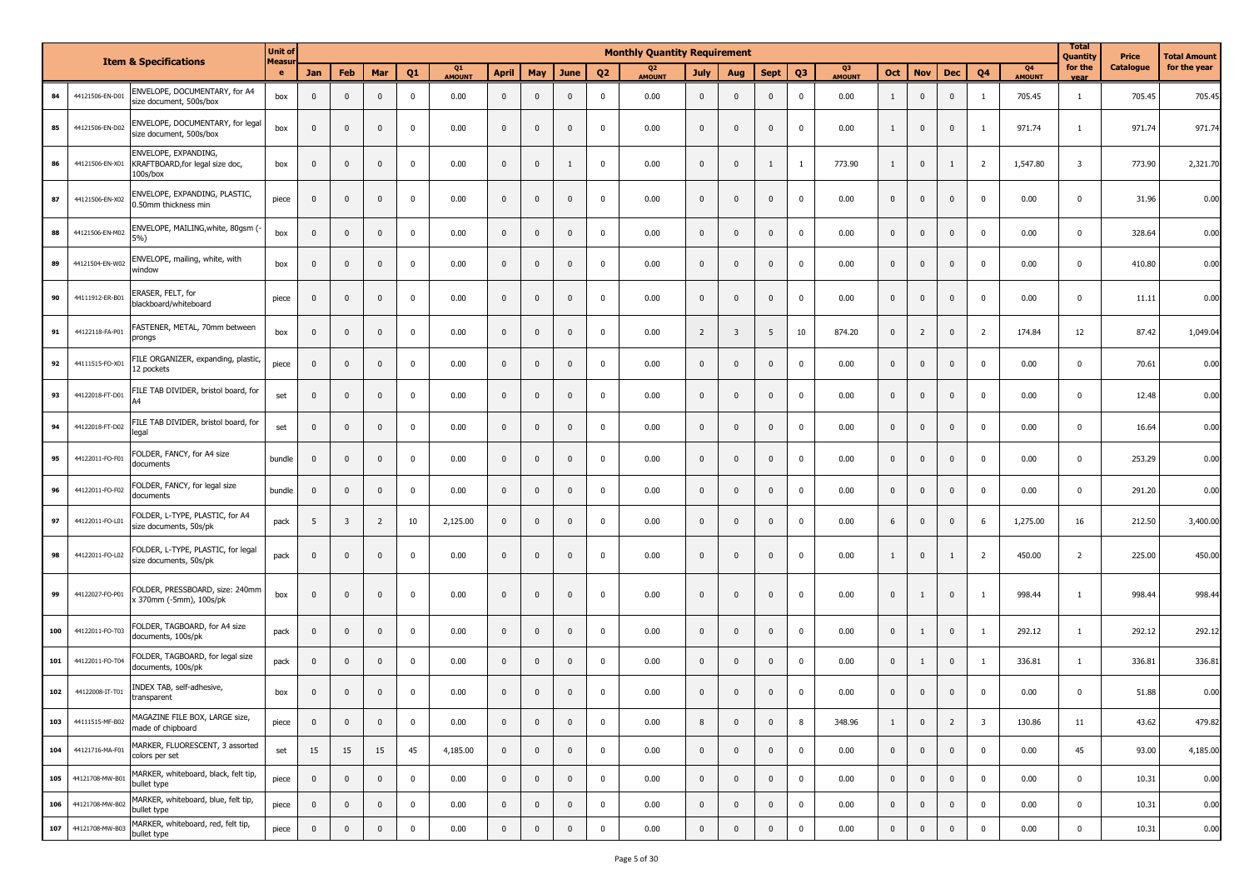|     |                 | <b>Item &amp; Specifications</b>                                    | <b>Unit of</b> |                |                         |                |              |              |                |                |              |                | <b>Monthly Quantity Requirement</b> |                |                         |                         |                |                          |              |                         |                |                         |                                 | <b>Total</b><br>Quantity | <b>Price</b>     | Total Amount |
|-----|-----------------|---------------------------------------------------------------------|----------------|----------------|-------------------------|----------------|--------------|--------------|----------------|----------------|--------------|----------------|-------------------------------------|----------------|-------------------------|-------------------------|----------------|--------------------------|--------------|-------------------------|----------------|-------------------------|---------------------------------|--------------------------|------------------|--------------|
|     |                 |                                                                     | Measur<br>e    | <b>Jan</b>     | Feb                     | Mar            | Q1           | Q1<br>AMOUNT | <b>April</b>   | May            | June         | Q <sub>2</sub> | Q <sub>2</sub><br><b>AMOUNT</b>     | <b>July</b>    | Aug                     | <b>Sept</b>             | Q <sub>3</sub> | Q <sub>3</sub><br>AMOUNT | Oct          | <b>Nov</b>              | <b>Dec</b>     | Q4                      | Q <sub>4</sub><br><b>AMOUNT</b> | for the<br>vear          | <b>Catalogue</b> | for the year |
| 84  | 44121506-EN-D01 | ENVELOPE, DOCUMENTARY, for A4<br>size document, 500s/box            | box            | $\mathbf{0}$   | $\mathbf 0$             | $\mathbf 0$    | $\mathbf 0$  | 0.00         | $\mathbf{0}$   | $\mathbf{0}$   | $\mathbf 0$  | $\mathbf 0$    | 0.00                                | $\mathbf 0$    | $\mathbf{0}$            | $\overline{\mathbf{0}}$ | $\mathbf 0$    | 0.00                     | $\mathbf{1}$ | $\overline{0}$          | $\mathbf 0$    | <sup>1</sup>            | 705.45                          | 1                        | 705.45           | 705.45       |
| 85  | 44121506-EN-D02 | ENVELOPE, DOCUMENTARY, for legal<br>size document, 500s/box         | box            | $\mathbf{0}$   | $\mathbf 0$             | $\mathbf 0$    | $\mathbf 0$  | 0.00         | $\mathbf{0}$   | $\mathbf{0}$   | $\mathbf 0$  | $\mathbf 0$    | 0.00                                | $\mathbf 0$    | $\mathbf{0}$            | $\mathbf{0}$            | $\mathbf 0$    | 0.00                     | 1            | $\mathbf 0$             | $\mathbf 0$    | $\mathbf{1}$            | 971.74                          | $\mathbf{1}$             | 971.74           | 971.74       |
| 86  | 44121506-EN-X01 | ENVELOPE, EXPANDING,<br>KRAFTBOARD, for legal size doc,<br>100s/box | box            | $\mathbf{0}$   | $\mathbf 0$             | $\mathbf 0$    | $\mathbf 0$  | 0.00         | $\mathbf{0}$   | $\mathbf{0}$   | 1            | $\mathbf 0$    | 0.00                                | $\mathbf{0}$   | $\mathbf{0}$            | 1                       | $\mathbf{1}$   | 773.90                   | 1            | $\mathbf 0$             | 1              | $\overline{2}$          | 1,547.80                        | $\overline{\mathbf{3}}$  | 773.90           | 2,321.70     |
| 87  | 44121506-EN-X02 | ENVELOPE, EXPANDING, PLASTIC,<br>0.50mm thickness min               | piece          | $\mathbf{0}$   | $\mathbf 0$             | $\mathbf 0$    | $\pmb{0}$    | 0.00         | $\mathbf{0}$   | $\mathbf{0}$   | $\mathbf 0$  | $\mathbf 0$    | 0.00                                | $\mathbf{0}$   | $\mathbf{0}$            | $\overline{\mathbf{0}}$ | $\mathbf 0$    | 0.00                     | $\mathbf{0}$ | $\overline{0}$          | $\mathbf 0$    | $\mathbf 0$             | 0.00                            | $\mathbf 0$              | 31.96            | 0.00         |
| 88  | 44121506-EN-M02 | ENVELOPE, MAILING, white, 80gsm (-<br>5%)                           | box            | $\mathbf{0}$   | $\mathbf 0$             | $\mathbf 0$    | $\mathbf 0$  | 0.00         | $\mathbf 0$    | $\mathbf{0}$   | $\mathbf 0$  | $\mathbf 0$    | 0.00                                | $\mathbf 0$    | $\mathbf 0$             | $\overline{0}$          | $\mathbf 0$    | 0.00                     | $\mathbf{0}$ | $\mathbf 0$             | $\mathbf 0$    | $\mathbf 0$             | 0.00                            | $\mathbf 0$              | 328.64           | 0.00         |
| 89  | 44121504-EN-W02 | ENVELOPE, mailing, white, with<br>window                            | box            | $\mathbf 0$    | $\mathbf{0}$            | $\mathbf 0$    | $\mathbf 0$  | 0.00         | $\mathbf 0$    | $\mathbf{0}$   | $^{\circ}$   | $\mathbf 0$    | 0.00                                | $\mathbf 0$    | $\mathbf{0}$            | $\mathbf{0}$            | $\mathbf 0$    | 0.00                     | $\mathbf{0}$ | $\overline{0}$          | $\mathbf 0$    | $\mathbf 0$             | 0.00                            | $\mathbf 0$              | 410.80           | 0.00         |
| 90  | 44111912-ER-B01 | ERASER, FELT, for<br>blackboard/whiteboard                          | piece          | $\mathbf{0}$   | $\mathbf 0$             | $\mathbf 0$    | $\mathbf 0$  | 0.00         | $\mathbf{0}$   | $\mathbf{0}$   | $\mathbf 0$  | $\mathbf 0$    | 0.00                                | $\mathbf{0}$   | $\mathbf{0}$            | $\mathbf{0}$            | $\mathbf 0$    | 0.00                     | $\mathbf{0}$ | $\mathbf 0$             | $\mathbf 0$    | $\mathbf 0$             | 0.00                            | $\mathbf 0$              | 11.11            | 0.00         |
| 91  | 44122118-FA-P01 | ASTENER, METAL, 70mm between<br>prongs                              | box            | $\mathbf{0}$   | $\mathbf 0$             | $\mathbf 0$    | $\mathbf 0$  | 0.00         | $\mathbf 0$    | $\mathbf{0}$   | $\mathbf 0$  | $\mathbf 0$    | 0.00                                | $\overline{2}$ | $\overline{\mathbf{3}}$ | 5                       | 10             | 874.20                   | $\mathbf{0}$ | $\overline{2}$          | $\mathbf{0}$   | $\overline{2}$          | 174.84                          | 12                       | 87.42            | 1,049.04     |
| 92  | 44111515-FO-X01 | FILE ORGANIZER, expanding, plastic,<br>12 pockets                   | piece          | $\mathbf{0}$   | $\mathbf 0$             | $\mathbf 0$    | $\mathbf 0$  | 0.00         | $\mathbf{0}$   | $\mathbf{0}$   | $\mathbf 0$  | $\mathbf 0$    | 0.00                                | $\mathbf 0$    | $\mathbf{0}$            | $\overline{\mathbf{0}}$ | $\mathbf 0$    | 0.00                     | $\mathbf 0$  | $\overline{0}$          | $\mathbf 0$    | $\mathbf 0$             | 0.00                            | $\mathbf 0$              | 70.61            | 0.00         |
| 93  | 44122018-FT-D01 | FILE TAB DIVIDER, bristol board, for                                | set            | $\mathbf{0}$   | $\mathbf 0$             | $\mathbf 0$    | $\mathbf 0$  | 0.00         | $\mathbf{0}$   | $\mathbf{0}$   | $\mathbf 0$  | $\pmb{0}$      | 0.00                                | $\mathbf 0$    | $\mathbf{0}$            | $\mathbf{0}$            | $\mathbf 0$    | 0.00                     | $\mathbf{0}$ | $\mathbf 0$             | $\mathbf 0$    | $\mathbf 0$             | 0.00                            | $\mathbf 0$              | 12.48            | 0.00         |
| 94  | 44122018-FT-D02 | FILE TAB DIVIDER, bristol board, for<br>legal                       | set            | $\mathbf{0}$   | $\mathbf 0$             | $\mathbf 0$    | $\mathbf 0$  | 0.00         | $\mathbf{0}$   | $\mathbf{0}$   | $\mathbf 0$  | $\pmb{0}$      | 0.00                                | $\mathbf 0$    | $\mathbf 0$             | $\mathbf 0$             | $\pmb{0}$      | 0.00                     | $\mathbf{0}$ | $\mathbf 0$             | $\mathbf 0$    | $\mathbf 0$             | 0.00                            | $\mathbf 0$              | 16.64            | 0.00         |
| 95  | 44122011-FO-F01 | FOLDER, FANCY, for A4 size<br>documents                             | bundle         | $\overline{0}$ | $\mathbf 0$             | $\mathbf 0$    | $\pmb{0}$    | 0.00         | $\mathbf 0$    | $\mathbf{0}$   | $\mathbf{0}$ | $\mathbf 0$    | 0.00                                | $\mathbf 0$    | $\mathbf{0}$            | $\mathbf{0}$            | $\mathbf 0$    | 0.00                     | $\mathbf{0}$ | $\mathbf{0}$            | $\mathbf 0$    | $\mathbf 0$             | 0.00                            | $\mathbf 0$              | 253.29           | 0.00         |
| 96  | 44122011-FO-F02 | FOLDER, FANCY, for legal size<br>documents                          | bundle         | $\mathbf{0}$   | $\mathbf 0$             | $\mathbf 0$    | $\mathbf 0$  | 0.00         | $\mathbf{0}$   | $\mathbf{0}$   | $\mathbf{0}$ | $\mathbf 0$    | 0.00                                | $\mathbf{0}$   | $\mathbf{0}$            | $\overline{\mathbf{0}}$ | $\mathbf 0$    | 0.00                     | $\mathbf{0}$ | $\mathbf 0$             | $\mathbf 0$    | $\mathbf 0$             | 0.00                            | $\mathbf 0$              | 291.20           | 0.00         |
| 97  | 44122011-FO-L01 | FOLDER, L-TYPE, PLASTIC, for A4<br>size documents, 50s/pk           | pack           | 5              | $\overline{\mathbf{3}}$ | $\overline{2}$ | 10           | 2,125.00     | $\mathbf{0}$   | $\mathbf{0}$   | $\mathbf 0$  | $\mathbf 0$    | 0.00                                | $\mathbf 0$    | $\mathbf{0}$            | $\mathbf{0}$            | $\mathbf 0$    | 0.00                     | 6            | $\overline{0}$          | $\mathbf 0$    | 6                       | 1,275.00                        | 16                       | 212.50           | 3,400.00     |
| 98  | 44122011-FO-L02 | OLDER, L-TYPE, PLASTIC, for legal<br>size documents, 50s/pk         | pack           | $\mathbf{0}$   | $\mathbf 0$             | $\mathbf 0$    | $\mathbf 0$  | 0.00         | $\mathbf{0}$   | $\mathbf{0}$   | $\mathbf 0$  | $\mathbf 0$    | 0.00                                | $\mathbf 0$    | $\mathbf{0}$            | $\overline{\mathbf{0}}$ | $\mathbf 0$    | 0.00                     | $\mathbf{1}$ | $\overline{0}$          | 1              | $\overline{2}$          | 450.00                          | $\overline{2}$           | 225.00           | 450.00       |
| 99  | 44122027-FO-P01 | FOLDER, PRESSBOARD, size: 240mm<br>x 370mm (-5mm), 100s/pk          | box            | $\mathbf{0}$   | $\mathbf 0$             | $\mathbf 0$    | $\mathbf 0$  | 0.00         | $\mathbf 0$    | $\mathbf{0}$   | $\mathbf 0$  | $\mathbf 0$    | 0.00                                | $\mathbf 0$    | $\mathbf{0}$            | $\mathbf{0}$            | $\mathbf 0$    | 0.00                     | $\mathbf 0$  | 1                       | $\mathbf 0$    | $\mathbf{1}$            | 998.44                          | 1                        | 998.44           | 998.44       |
| 100 | 44122011-FO-T03 | OLDER, TAGBOARD, for A4 size<br>documents, 100s/pk                  | pack           | $\mathbf{0}$   | $\mathbf 0$             | $\mathbf 0$    | $\mathbf 0$  | 0.00         | $\mathbf 0$    | $\mathbf{0}$   | $\mathbf 0$  | $\mathbf 0$    | 0.00                                | $\mathbf{0}$   | $\mathbf{0}$            | $\mathbf 0$             | $\mathbf 0$    | 0.00                     | $\mathbf{0}$ | -1                      | $\mathbf 0$    | $\mathbf{1}$            | 292.12                          | $\mathbf{1}$             | 292.12           | 292.12       |
| 101 | 44122011-FO-T04 | FOLDER, TAGBOARD, for legal size<br>documents, 100s/pk              | pack           | $\mathbf 0$    | $\mathbf 0$             | $\mathbf 0$    | $\mathbf 0$  | 0.00         | $\mathbf{0}$   | $\mathbf{0}$   | $\mathbf 0$  | $\mathbf 0$    | 0.00                                | $\mathbf 0$    | $\mathbf{0}$            | $\overline{\mathbf{0}}$ | $\mathbf 0$    | 0.00                     | $\mathbf{0}$ | 1                       | $\mathbf 0$    | -1                      | 336.81                          | 1                        | 336.81           | 336.81       |
| 102 | 44122008-IT-T01 | INDEX TAB, self-adhesive,<br>transparent                            | box            | $\mathbf{0}$   | $\mathbf 0$             | $\mathbf 0$    | $\mathbf 0$  | 0.00         | $\mathbf 0$    | $\mathbf{0}$   | $\mathbf{0}$ | $\mathbf 0$    | 0.00                                | $\mathbf 0$    | $\mathbf 0$             | $\mathbf 0$             | $\mathbf 0$    | 0.00                     | $\mathbf{0}$ | $\overline{0}$          | $\mathbf 0$    | $\mathbf 0$             | 0.00                            | $\mathbf 0$              | 51.88            | 0.00         |
| 103 | 44111515-MF-B02 | MAGAZINE FILE BOX, LARGE size,<br>made of chipboard                 | piece          | $\mathbf{0}$   | $\mathbf 0$             | $\pmb{0}$      | $\mathbf{0}$ | 0.00         | $\mathbf 0$    | $\overline{0}$ | $\mathbf{0}$ | $\mathbf 0$    | 0.00                                | 8              | $\overline{0}$          | $\mathbf 0$             | $\bf 8$        | 348.96                   | $\mathbf{1}$ | $\mathbf{0}$            | $\overline{2}$ | $\overline{\mathbf{3}}$ | 130.86                          | 11                       | 43.62            | 479.82       |
| 104 | 44121716-MA-F01 | MARKER, FLUORESCENT, 3 assorted<br>colors per set                   | set            | 15             | 15                      | 15             | 45           | 4,185.00     | $\mathbf{0}$   | $\mathbf 0$    | $\mathbf 0$  | $\pmb{0}$      | 0.00                                | $\mathbf 0$    | $\overline{0}$          | $\mathbf 0$             | $\mathbf 0$    | 0.00                     | $\mathbf{0}$ | $\overline{0}$          | $\mathbf{0}$   | $\mathbf 0$             | 0.00                            | 45                       | 93.00            | 4,185.00     |
| 105 | 44121708-MW-B01 | MARKER, whiteboard, black, felt tip,<br>bullet type                 | piece          | $\mathbf 0$    | $\mathbf 0$             | $\mathbf 0$    | $\mathbf 0$  | 0.00         | $\overline{0}$ | $\mathbf 0$    | $\mathbf{0}$ | $\pmb{0}$      | 0.00                                | $\mathbf{0}$   | $\overline{0}$          | $\mathbf 0$             | $\mathbf 0$    | 0.00                     | $\mathbf{0}$ | $\overline{\mathbf{0}}$ | $\pmb{0}$      | $\mathbf 0$             | 0.00                            | $\mathbf{0}$             | 10.31            | 0.00         |
| 106 | 44121708-MW-B02 | MARKER, whiteboard, blue, felt tip,<br>bullet type                  | piece          | $\mathbf 0$    | $\mathbf 0$             | $\pmb{0}$      | $\mathbf{0}$ | 0.00         | $\overline{0}$ | $\mathbf 0$    | $\mathbf 0$  | $\pmb{0}$      | 0.00                                | $\overline{0}$ | $\overline{0}$          | $\mathbf 0$             | $\mathbf 0$    | 0.00                     | $\mathbf{0}$ | $\bf{0}$                | $\mathbf 0$    | $\mathbf 0$             | 0.00                            | $\mathbf 0$              | 10.31            | 0.00         |
| 107 | 44121708-MW-B03 | MARKER, whiteboard, red, felt tip,<br>bullet type                   | piece          | $\mathbf 0$    | $\mathbf 0$             | $\pmb{0}$      | $\mathbf{0}$ | 0.00         | $\mathbf 0$    | $\mathbf 0$    | $\mathbf 0$  | $\mathbf 0$    | 0.00                                | $\mathbf 0$    | $\mathbf 0$             | $\mathbf 0$             | $\mathbf 0$    | 0.00                     | $\mathbf 0$  | $\mathbf 0$             | $\pmb{0}$      | $\mathbf 0$             | 0.00                            | $\mathbf 0$              | 10.31            | 0.00         |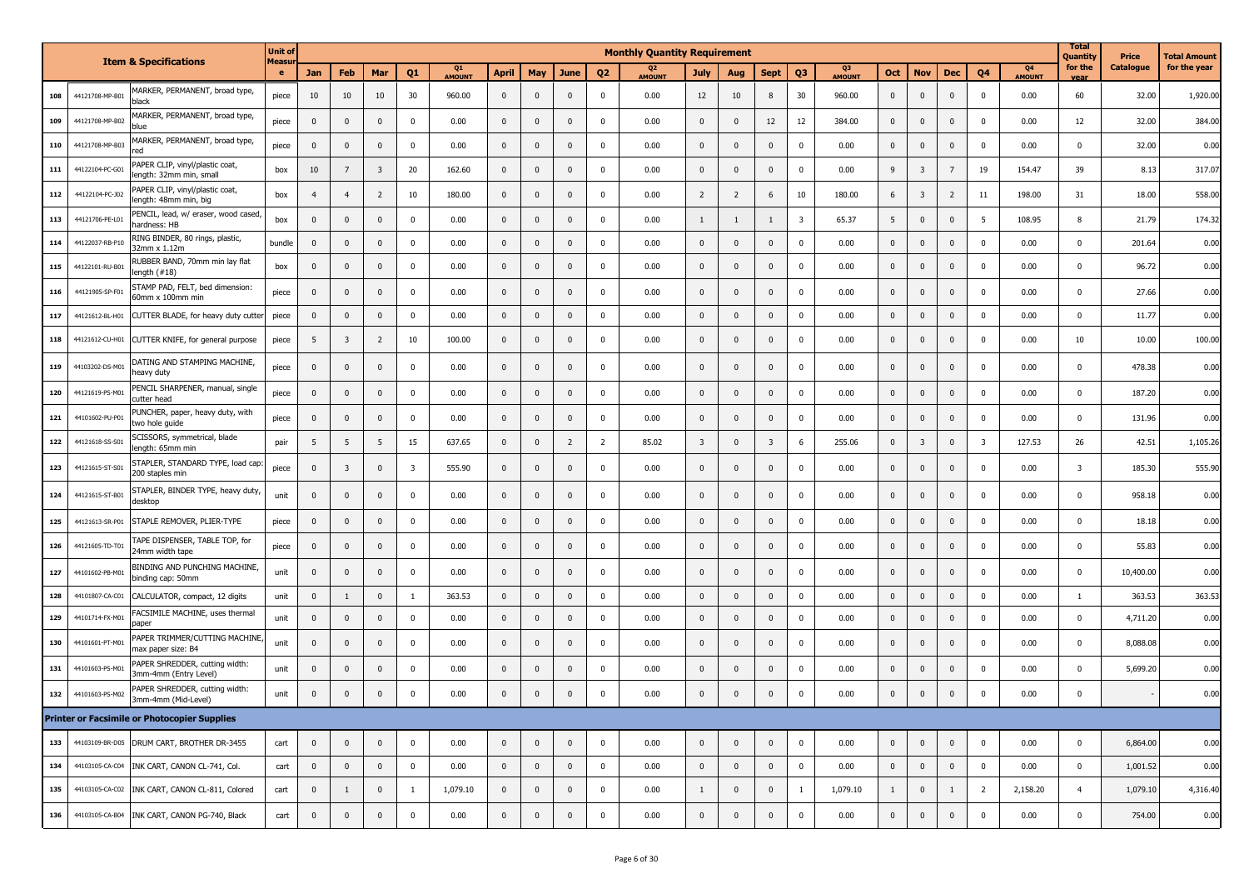|     |                 | <b>Item &amp; Specifications</b>                           | <b>Unit of</b> |                |                         |                |                |                     |             |              |                |                | <b>Monthly Quantity Requirement</b> |                |                |                         |                         |                     |              |                         |                         |                |                                 | <b>Total</b><br>Quantity | Price     | Total Amount |
|-----|-----------------|------------------------------------------------------------|----------------|----------------|-------------------------|----------------|----------------|---------------------|-------------|--------------|----------------|----------------|-------------------------------------|----------------|----------------|-------------------------|-------------------------|---------------------|--------------|-------------------------|-------------------------|----------------|---------------------------------|--------------------------|-----------|--------------|
|     |                 |                                                            | Measu<br>e     | <b>Jan</b>     | Feb                     | Mar            | Q <sub>1</sub> | Q1<br><b>AMOUNT</b> | April       | May          | June           | Q <sub>2</sub> | Q <sub>2</sub><br><b>AMOUNT</b>     | July           | Aug            | <b>Sept</b>             | Q <sub>3</sub>          | Q3<br><b>AMOUNT</b> | Oct          | <b>Nov</b>              | Dec                     | Q <sub>4</sub> | Q <sub>4</sub><br><b>AMOUNT</b> | for the<br>vear          | Catalogue | for the year |
| 108 | 44121708-MP-B01 | MARKER, PERMANENT, broad type,<br>black                    | piece          | 10             | 10                      | 10             | 30             | 960.00              | $\mathbf 0$ | $\mathbf 0$  | $\mathbf 0$    | 0              | 0.00                                | 12             | 10             | 8                       | 30                      | 960.00              | $\mathbf 0$  | $\mathbf 0$             | $\mathbf 0$             | 0              | 0.00                            | 60                       | 32.00     | 1,920.00     |
| 109 | 44121708-MP-B02 | MARKER, PERMANENT, broad type,<br>blue                     | piece          | $\mathbf{0}$   | $\mathbf{0}$            | $\mathbf{0}$   | $^{\circ}$     | 0.00                | $\mathbf 0$ | $\mathbf 0$  | $\mathbf 0$    | $\Omega$       | 0.00                                | $\mathbf 0$    | $\mathbf{0}$   | 12                      | 12                      | 384.00              | 0            | $\mathbf{0}$            | $\overline{0}$          | 0              | 0.00                            | 12                       | 32.00     | 384.00       |
| 110 | 44121708-MP-B03 | MARKER, PERMANENT, broad type,<br>red                      | piece          | $\mathbf{0}$   | $\mathbf{0}$            | $\mathbf{0}$   | $\Omega$       | 0.00                | $\mathbf 0$ | $\mathbf{0}$ | $\mathbf 0$    | 0              | 0.00                                | $\mathbf 0$    | $\mathbf{0}$   | $\mathbf{0}$            | $\mathbf{0}$            | 0.00                | $\mathbf{0}$ | $\mathbf 0$             | $\mathbf 0$             | $\mathbf{0}$   | 0.00                            | 0                        | 32.00     | 0.00         |
| 111 | 44122104-PC-G01 | PAPER CLIP, vinyl/plastic coat,<br>length: 32mm min, small | box            | 10             | $7\overline{ }$         | 3              | 20             | 162.60              | $\mathbf 0$ | 0            | $\mathbf 0$    | $\Omega$       | 0.00                                | $\mathbf 0$    | $\mathbf{0}$   | $\mathbf{0}$            | $\mathbf 0$             | 0.00                | 9            | $\overline{3}$          | $\overline{7}$          | 19             | 154.47                          | 39                       | 8.13      | 317.07       |
| 112 | 44122104-PC-J02 | PAPER CLIP, vinyl/plastic coat,<br>length: 48mm min, big   | box            | $\overline{4}$ | $\overline{4}$          | $\overline{2}$ | 10             | 180.00              | $\mathbf 0$ | $\mathbf 0$  | $\mathbf{0}$   | $\Omega$       | 0.00                                | $\overline{2}$ | $\overline{2}$ | 6                       | 10                      | 180.00              | 6            | $\overline{\mathbf{3}}$ | $\overline{2}$          | 11             | 198.00                          | 31                       | 18.00     | 558.00       |
| 113 | 44121706-PE-L01 | PENCIL, lead, w/ eraser, wood cased<br>hardness: HB        | box            | $\mathbf{0}$   | $\mathbf 0$             | $\mathbf{0}$   | 0              | 0.00                | $\mathbf 0$ | $\mathbf 0$  | $\mathbf 0$    | $\Omega$       | 0.00                                | $\overline{1}$ | $\overline{1}$ | $\mathbf{1}$            | $\overline{\mathbf{3}}$ | 65.37               | 5            | $\mathbf{0}$            | $\mathbf 0$             | 5              | 108.95                          | 8                        | 21.79     | 174.32       |
| 114 | 44122037-RB-P10 | RING BINDER, 80 rings, plastic,<br>32mm x 1.12m            | bundle         | $\mathbf{0}$   | $\overline{\mathbf{0}}$ | $\mathbf{0}$   | $\Omega$       | 0.00                | $\mathbf 0$ | $\mathbf 0$  | $\mathbf 0$    | $\Omega$       | 0.00                                | $\mathbf 0$    | $\mathbf{0}$   | 0                       | $\mathbf 0$             | 0.00                | $\pmb{0}$    | $\mathbf{0}$            | $\overline{\mathbf{0}}$ | $\mathbf{0}$   | 0.00                            | $\mathbf 0$              | 201.64    | 0.00         |
| 115 | 44122101-RU-B01 | RUBBER BAND, 70mm min lay flat<br>length (#18)             | box            | $\mathbf 0$    | $\overline{\mathbf{0}}$ | $\mathbf 0$    | $\Omega$       | 0.00                | $\mathbf 0$ | $\pmb{0}$    | $\mathbf 0$    | $\Omega$       | 0.00                                | $\mathbf 0$    | $\mathbf 0$    | $\mathbf{0}$            | $\mathbf 0$             | 0.00                | $\pmb{0}$    | $\mathbf{0}$            | $\mathbf 0$             | 0              | 0.00                            | $\mathbf 0$              | 96.72     | 0.00         |
| 116 | 44121905-SP-F01 | STAMP PAD, FELT, bed dimension:<br>60mm x 100mm min        | piece          | $\mathbf{0}$   | $\mathbf{0}$            | $\mathbf{0}$   | $\Omega$       | 0.00                | $\mathbf 0$ | $\mathbf 0$  | $\mathbf{0}$   | $\Omega$       | 0.00                                | $\mathbf 0$    | $\mathbf{0}$   | $\mathbf{0}$            | $\mathbf 0$             | 0.00                | $\mathbf{0}$ | $\mathbf{0}$            | $\mathbf{0}$            | $\Omega$       | 0.00                            | 0                        | 27.66     | 0.00         |
| 117 | 44121612-BL-H01 | CUTTER BLADE, for heavy duty cutte                         | piece          | $\mathbf{0}$   | $\overline{\mathbf{0}}$ | $\mathbf{0}$   | 0              | 0.00                | $\mathbf 0$ | $\mathbf 0$  | $\mathbf 0$    | $\mathbf 0$    | 0.00                                | $\mathbf 0$    | $\mathbf 0$    | $\mathbf{0}$            | $\mathbf 0$             | 0.00                | $\mathbf 0$  | $\mathbf 0$             | $\mathbf 0$             | $\mathbf 0$    | 0.00                            | $\mathbf 0$              | 11.77     | 0.00         |
| 118 | 44121612-CU-H01 | CUTTER KNIFE, for general purpose                          | piece          | 5              | $\overline{\mathbf{3}}$ | $\overline{2}$ | 10             | 100.00              | $\mathbf 0$ | $\mathbf 0$  | $\mathbf 0$    | $\Omega$       | 0.00                                | $\mathbf 0$    | $\mathbf{0}$   | $\mathbf{0}$            | $\mathbf 0$             | 0.00                | 0            | $\mathbf 0$             | $\mathbf{0}$            | $\Omega$       | 0.00                            | 10                       | 10.00     | 100.00       |
| 119 | 44103202-DS-M01 | DATING AND STAMPING MACHINE,<br>heavy duty                 | piece          | $\mathbf{0}$   | $\mathbf 0$             | $\mathbf{0}$   | $\Omega$       | 0.00                | $\mathbf 0$ | $\mathbf 0$  | $\mathbf 0$    | $\Omega$       | 0.00                                | $\mathbf{0}$   | $\mathbf{0}$   | $\mathbf{0}$            | $\mathbf 0$             | 0.00                | $\mathbf{0}$ | $\mathbf{0}$            | $\mathbf 0$             | 0              | 0.00                            | 0                        | 478.38    | 0.00         |
| 120 | 44121619-PS-M01 | PENCIL SHARPENER, manual, single<br>cutter head            | piece          | $\mathbf{0}$   | $\overline{\mathbf{0}}$ | $\mathbf 0$    | $\Omega$       | 0.00                | $\mathbf 0$ | $\pmb{0}$    | $\mathbf 0$    | $\Omega$       | 0.00                                | $\mathbf 0$    | $\mathbf{0}$   | $\mathbf{0}$            | $\mathbf 0$             | 0.00                | $\pmb{0}$    | $\mathbf{0}$            | $\mathbf{0}$            | $\Omega$       | 0.00                            | $\mathbf 0$              | 187.20    | 0.00         |
| 121 | 44101602-PU-P01 | PUNCHER, paper, heavy duty, with<br>two hole guide         | piece          | $\mathbf{0}$   | $\overline{\mathbf{0}}$ | $\mathbf{0}$   | $\Omega$       | 0.00                | $\mathbf 0$ | $\mathbf 0$  | $\mathbf 0$    | $\mathbf 0$    | 0.00                                | $\mathbf 0$    | $\mathbf{0}$   | $\mathbf{0}$            | $\mathbf 0$             | 0.00                | 0            | $\mathbf{0}$            | $\mathbf{0}$            | 0              | 0.00                            | $\mathbf 0$              | 131.96    | 0.00         |
| 122 | 44121618-SS-S01 | SCISSORS, symmetrical, blade<br>length: 65mm min           | pair           | 5              | 5                       | 5              | 15             | 637.65              | $\mathbf 0$ | $\pmb{0}$    | $\overline{2}$ | $\overline{2}$ | 85.02                               | $\overline{3}$ | $\mathbf 0$    | $\overline{\mathbf{3}}$ | 6                       | 255.06              | $\pmb{0}$    | $\overline{\mathbf{3}}$ | $\mathbf 0$             | 3              | 127.53                          | 26                       | 42.51     | 1,105.26     |
| 123 | 44121615-ST-S0  | STAPLER, STANDARD TYPE, load cap<br>200 staples min        | piece          | $\mathbf{0}$   | $\overline{\mathbf{3}}$ | $\mathbf{0}$   | 3              | 555.90              | $\mathbf 0$ | $\mathbf 0$  | $\mathbf{0}$   | $\Omega$       | 0.00                                | $\mathbf{0}$   | $\mathbf{0}$   | 0                       | $\mathbf 0$             | 0.00                | 0            | $\mathbf{0}$            | $\mathbf 0$             | 0              | 0.00                            | $\overline{\mathbf{3}}$  | 185.30    | 555.90       |
| 124 | 44121615-ST-B01 | STAPLER, BINDER TYPE, heavy duty<br>desktop                | unit           | $\mathbf{0}$   | $\mathbf 0$             | $\mathbf{0}$   | $\Omega$       | 0.00                | $\mathbf 0$ | $\mathbf 0$  | $\mathbf 0$    | 0              | 0.00                                | $\mathbf 0$    | $\mathbf{0}$   | $\mathbf{0}$            | $\mathbf 0$             | 0.00                | 0            | $\mathbf{0}$            | $\mathbf{0}$            | 0              | 0.00                            | 0                        | 958.18    | 0.00         |
| 125 | 44121613-SR-P01 | STAPLE REMOVER, PLIER-TYPE                                 | piece          | $\mathbf{0}$   | $\mathbf{0}$            | $\mathbf{0}$   | $^{\circ}$     | 0.00                | $\mathbf 0$ | $\mathbf 0$  | $\mathbf 0$    | $\Omega$       | 0.00                                | $\mathbf 0$    | $\mathbf{0}$   | $\mathbf{0}$            | $\mathbf 0$             | 0.00                | 0            | $\mathbf{0}$            | $\mathbf 0$             | 0              | 0.00                            | 0                        | 18.18     | 0.00         |
| 126 | 44121605-TD-T01 | TAPE DISPENSER, TABLE TOP, for<br>24mm width tape          | piece          | $\mathbf{0}$   | $\mathbf{0}$            | $\mathbf{0}$   | $^{\circ}$     | 0.00                | $\mathbf 0$ | $\mathbf 0$  | $\mathbf 0$    | 0              | 0.00                                | $\mathbf 0$    | $\mathbf{0}$   | 0                       | $\mathbf 0$             | 0.00                | $\mathbf{0}$ | $\mathbf 0$             | $\mathbf 0$             | $\mathbf{0}$   | 0.00                            | 0                        | 55.83     | 0.00         |
| 127 | 44101602-PB-M01 | BINDING AND PUNCHING MACHINE,<br>binding cap: 50mm         | unit           | $\mathbf{0}$   | $\mathbf 0$             | $\mathbf{0}$   | $\Omega$       | 0.00                | $\mathbf 0$ | $\mathbf{0}$ | $\mathbf 0$    | $\Omega$       | 0.00                                | $\mathbf{0}$   | $\mathbf{0}$   | $\mathbf{0}$            | $\mathbf 0$             | 0.00                | $\mathbf 0$  | $\mathbf{0}$            | $\mathbf{0}$            | $\Omega$       | 0.00                            | 0                        | 10,400.00 | 0.00         |
| 128 | 44101807-CA-C01 | CALCULATOR, compact, 12 digits                             | unit           | $\mathbf{0}$   | $\mathbf{1}$            | $\mathbf 0$    | 1              | 363.53              | $\mathbf 0$ | $\pmb{0}$    | $\mathbf 0$    | $\mathbf 0$    | 0.00                                | $\pmb{0}$      | $\mathbf{0}$   | $\mathbf{0}$            | $\mathbf 0$             | 0.00                | $\pmb{0}$    | $\mathbf 0$             | $\mathbf 0$             | $\mathbf 0$    | 0.00                            | 1                        | 363.53    | 363.53       |
| 129 | 44101714-FX-M01 | FACSIMILE MACHINE, uses thermal<br>paper                   | unit           | $\mathbf{0}$   | $\overline{\mathbf{0}}$ | $\mathbf{0}$   | $\Omega$       | 0.00                | $\mathbf 0$ | $\mathbf 0$  | $\mathbf 0$    | 0              | 0.00                                | $\mathbf 0$    | $\mathbf{0}$   | $\mathbf{0}$            | $\mathbf{0}$            | 0.00                | $\pmb{0}$    | $\mathbf 0$             | $\mathbf 0$             | 0              | 0.00                            | 0                        | 4,711.20  | 0.00         |
| 130 | 44101601-PT-M01 | PAPER TRIMMER/CUTTING MACHINE,<br>max paper size: B4       | unit           | $\mathbf{0}$   | $\mathbf 0$             | $\mathbf{0}$   | $\Omega$       | 0.00                | $\mathbf 0$ | $\mathbf 0$  | $\mathbf{0}$   | $\Omega$       | 0.00                                | $\mathbf{0}$   | $\mathbf{0}$   | 0                       | $\mathbf 0$             | 0.00                | $\mathbf{0}$ | $\mathbf{0}$            | $\mathbf{0}$            | $\Omega$       | 0.00                            | 0                        | 8,088.08  | 0.00         |
| 131 | 44101603-PS-M01 | PAPER SHREDDER, cutting width:<br>3mm-4mm (Entry Level)    | unit           | $\mathbf{0}$   | $\mathbf 0$             | $\mathbf{0}$   | 0              | 0.00                | $\mathbf 0$ | $\mathbf 0$  | $\mathbf 0$    | $^{\circ}$     | 0.00                                | $\mathbf 0$    | $\mathbf{0}$   | $\mathbf{0}$            | $\mathbf 0$             | 0.00                | 0            | $\mathbf{0}$            | $\mathbf{0}$            | 0              | 0.00                            | 0                        | 5,699.20  | 0.00         |
| 132 | 44101603-PS-M02 | PAPER SHREDDER, cutting width:<br>3mm-4mm (Mid-Level)      | unit           | $\mathbf{0}$   | $\mathbf 0$             | $\mathbf 0$    | $^{\circ}$     | 0.00                | $\mathbf 0$ | $\mathbf 0$  | $\mathbf 0$    | $\Omega$       | 0.00                                | $\mathbf{0}$   | $\mathbf{0}$   | $\mathbf 0$             | $\mathbf 0$             | 0.00                | 0            | $\mathbf{0}$            | $\mathbf{0}$            | 0              | 0.00                            | $\Omega$                 |           | 0.00         |
|     |                 | <b>Printer or Facsimile or Photocopier Supplies</b>        |                |                |                         |                |                |                     |             |              |                |                |                                     |                |                |                         |                         |                     |              |                         |                         |                |                                 |                          |           |              |
| 133 |                 | 44103109-BR-D05 DRUM CART, BROTHER DR-3455                 | cart           | $\mathbf{0}$   | $\mathbf 0$             | $\mathbf 0$    | $\mathbf 0$    | 0.00                | $\mathbf 0$ | $\mathbf 0$  | $\mathbf 0$    | $\mathbf 0$    | 0.00                                | $\pmb{0}$      | $\mathbf 0$    | $\mathbf 0$             | $\mathbf 0$             | 0.00                | $\mathbf 0$  | $\pmb{0}$               | $\overline{0}$          | $\mathbf 0$    | 0.00                            | $\mathbf{0}$             | 6,864.00  | 0.00         |
| 134 | 44103105-CA-C04 | INK CART, CANON CL-741, Col.                               | cart           | $\mathbf 0$    | $\mathbf 0$             | $\mathbf 0$    | $\mathbf 0$    | 0.00                | $\mathbf 0$ | $\mathbf 0$  | $\mathbf 0$    | $\pmb{0}$      | 0.00                                | $\mathbf 0$    | $\pmb{0}$      | $\mathbf 0$             | $\mathbf 0$             | 0.00                | $\mathbf{0}$ | $\pmb{0}$               | $\overline{0}$          | $\mathbf 0$    | 0.00                            | $\mathbf 0$              | 1,001.52  | 0.00         |
| 135 | 44103105-CA-C02 | INK CART, CANON CL-811, Colored                            | cart           | $\mathbf 0$    | $\mathbf{1}$            | $\mathbf 0$    | $\mathbf{1}$   | 1,079.10            | $\mathbf 0$ | $\mathbf 0$  | $\pmb{0}$      | $\pmb{0}$      | 0.00                                | $\mathbf{1}$   | $\pmb{0}$      | $\pmb{0}$               | $\mathbf{1}$            | 1,079.10            | $\mathbf{1}$ | $\pmb{0}$               | $\mathbf{1}$            | $\overline{2}$ | 2,158.20                        | $\overline{4}$           | 1,079.10  | 4,316.40     |
| 136 | 44103105-CA-B04 | INK CART, CANON PG-740, Black                              | cart           | $\mathbf{0}$   | $\mathbf 0$             | $\bf{0}$       | $\mathbf 0$    | 0.00                | $\pmb{0}$   | $\mathbf 0$  | $\bf{0}$       | $\pmb{0}$      | 0.00                                | $\mathbf 0$    | $\pmb{0}$      | $\mathbf 0$             | $\mathbf 0$             | 0.00                | $\mathbf 0$  | $\pmb{0}$               | $\mathbf 0$             | $\pmb{0}$      | 0.00                            | $\mathbf 0$              | 754.00    | 0.00         |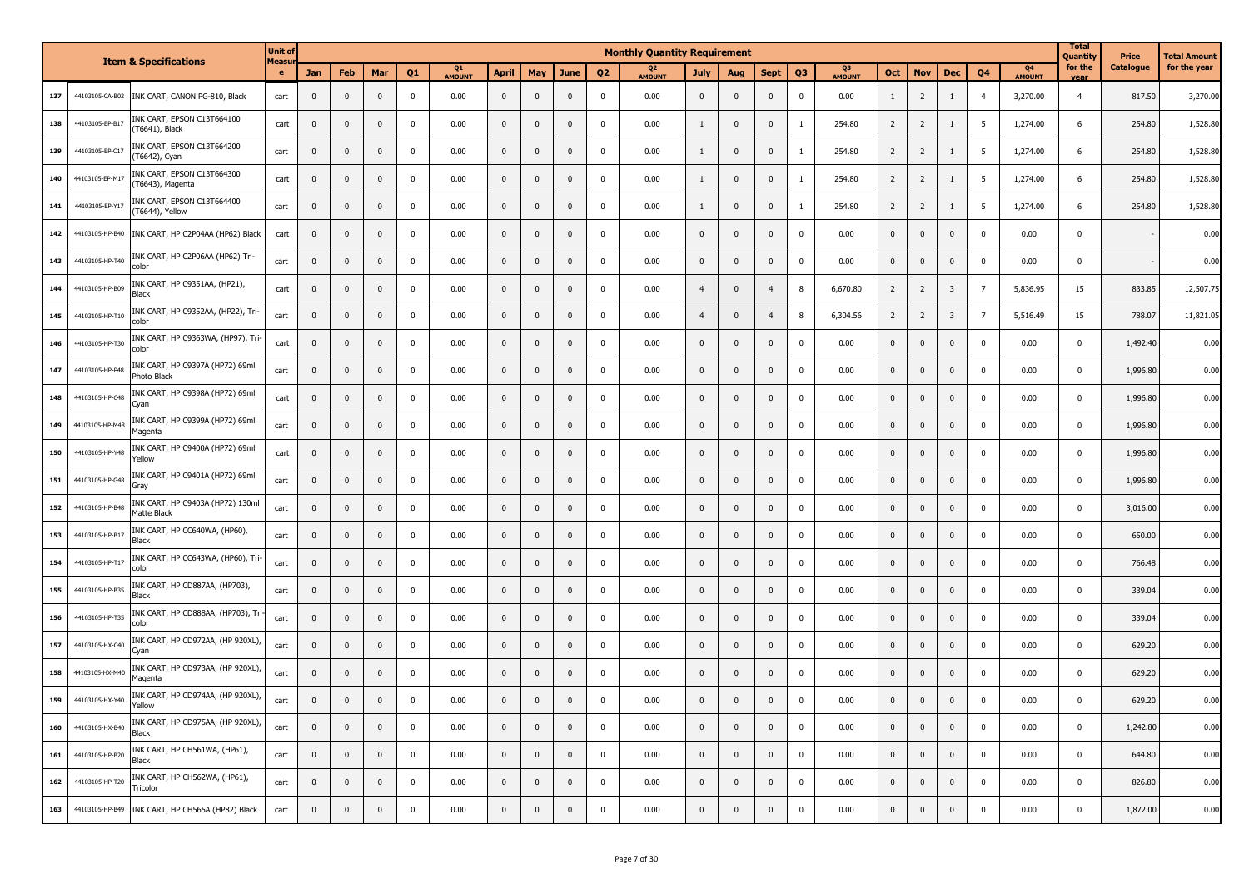|     |                 | <b>Item &amp; Specifications</b>                 | <b>Unit of</b><br>Measu |              |              |              |                  |              |              |                         |              |                | <b>Monthly Quantity Requirement</b> |                |                |                |                |              |                |                |                         |                |                     | <b>Total</b><br><b>Quantity</b> | Price     | Total Amount |
|-----|-----------------|--------------------------------------------------|-------------------------|--------------|--------------|--------------|------------------|--------------|--------------|-------------------------|--------------|----------------|-------------------------------------|----------------|----------------|----------------|----------------|--------------|----------------|----------------|-------------------------|----------------|---------------------|---------------------------------|-----------|--------------|
|     |                 |                                                  | $\bullet$               | Jan          | Feb          | Mar          | Q <sub>1</sub>   | Q1<br>AMOUNT | <b>April</b> | May                     | <b>June</b>  | Q <sub>2</sub> | Q <sub>2</sub><br><b>AMOUNT</b>     | <b>July</b>    | Aug            | <b>Sept</b>    | Q <sub>3</sub> | Q3<br>AMOUNT | Oct            | <b>Nov</b>     | <b>Dec</b>              | Q <sub>4</sub> | Q4<br><b>AMOUNT</b> | for the                         | Catalogue | for the year |
| 137 | 44103105-CA-B02 | INK CART, CANON PG-810, Black                    | cart                    | $\mathbf{0}$ | $\mathbf 0$  | $\mathbf 0$  | $\mathbf 0$      | 0.00         | $\mathbf{0}$ | $\mathbf 0$             | $\mathbf 0$  | 0              | 0.00                                | $\mathbf{0}$   | $\mathbf{0}$   | $\mathbf{0}$   | $\mathbf 0$    | 0.00         | $\mathbf{1}$   | $\overline{2}$ | 1                       | $\overline{4}$ | 3,270.00            | $\overline{4}$                  | 817.50    | 3,270.00     |
| 138 | 44103105-EP-B17 | INK CART, EPSON C13T664100<br>(T6641), Black     | cart                    | $\mathbf 0$  | $\mathbf 0$  | $\mathbf 0$  | 0                | 0.00         | $\mathbf 0$  | $\mathbf 0$             | $\mathbf{0}$ | 0              | 0.00                                | -1             | $\mathbf{0}$   | $\mathbf{0}$   | <sup>1</sup>   | 254.80       | $\overline{2}$ | $\overline{2}$ | $\mathbf{1}$            | 5              | 1,274.00            | 6                               | 254.80    | 1,528.80     |
| 139 | 44103105-EP-C17 | INK CART, EPSON C13T664200<br>(T6642), Cyan      | cart                    | $\mathbf 0$  | $\mathbf 0$  | $\mathbf 0$  | 0                | 0.00         | $\mathbf 0$  | $\mathbf 0$             | $\mathbf 0$  | 0              | 0.00                                | $\mathbf{1}$   | $\overline{0}$ | $\overline{0}$ | $\mathbf{1}$   | 254.80       | $\overline{2}$ | $\overline{2}$ | 1                       | 5              | 1,274.00            | 6                               | 254.80    | 1,528.80     |
| 140 | 44103105-EP-M17 | INK CART, EPSON C13T664300<br>(T6643), Magenta   | cart                    | $\mathbf 0$  | $\pmb{0}$    | $\pmb{0}$    | 0                | 0.00         | $\mathbf{0}$ | $\mathbf 0$             | $\mathbf 0$  | 0              | 0.00                                | 1              | $\overline{0}$ | $\mathbf 0$    | -1             | 254.80       | $\overline{2}$ | $\overline{2}$ | 1                       | 5              | 1,274.00            | 6                               | 254.80    | 1,528.80     |
| 141 | 44103105-EP-Y17 | INK CART, EPSON C13T664400<br>(T6644), Yellow    | cart                    | $\mathbf{0}$ | $\mathbf 0$  | $\mathbf 0$  | 0                | 0.00         | $\mathbf 0$  | $\mathbf 0$             | $\mathbf{0}$ | 0              | 0.00                                | $\mathbf{1}$   | $\overline{0}$ | $\mathbf{0}$   | <sup>1</sup>   | 254.80       | $\overline{2}$ | $\overline{2}$ | 1                       | -5             | 1,274.00            | 6                               | 254.80    | 1,528.80     |
| 142 | 44103105-HP-B40 | INK CART, HP C2P04AA (HP62) Black                | cart                    | $\mathbf 0$  | $\pmb{0}$    | $\mathbf 0$  | $\mathbf 0$      | 0.00         | $\mathbf 0$  | $\mathbf 0$             | $\mathbf 0$  | 0              | 0.00                                | $\mathbf{0}$   | $\overline{0}$ | $\mathbf 0$    | $\mathbf 0$    | 0.00         | $\pmb{0}$      | $\mathbf 0$    | $\mathbf 0$             | $\Omega$       | 0.00                | $\mathbf 0$                     |           | 0.00         |
| 143 | 44103105-HP-T40 | INK CART, HP C2P06AA (HP62) Tri-<br>color        | cart                    | $\mathbf 0$  | $\mathbf 0$  | $\mathbf 0$  | $\mathbf 0$      | 0.00         | $\mathbf 0$  | $\mathbf 0$             | $\mathbf 0$  | 0              | 0.00                                | $\mathbf{0}$   | $\mathbf{0}$   | $\mathbf 0$    | $\mathbf 0$    | 0.00         | $\mathbf 0$    | $\mathbf 0$    | $\mathbf 0$             | $\mathbf{0}$   | 0.00                | $\mathbf 0$                     |           | 0.00         |
| 144 | 44103105-HP-B09 | INK CART, HP C9351AA, (HP21),<br>Black           | cart                    | $\mathbf{0}$ | $\mathbf 0$  | $\mathbf{0}$ | 0                | 0.00         | $\mathbf 0$  | $\mathbf 0$             | $\mathbf{0}$ | 0              | 0.00                                | $\overline{4}$ | $\mathbf{0}$   | $\overline{4}$ | 8              | 6,670.80     | $\overline{2}$ | $\overline{2}$ | $\overline{\mathbf{3}}$ | $\overline{7}$ | 5,836.95            | 15                              | 833.85    | 12,507.75    |
| 145 | 44103105-HP-T10 | INK CART, HP C9352AA, (HP22), Tri-<br>color      | cart                    | $\mathbf{0}$ | $\mathbf 0$  | 0            | 0                | 0.00         | $\mathbf 0$  | $\mathbf 0$             | $\mathbf 0$  | 0              | 0.00                                | $\overline{4}$ | $\mathbf{0}$   | $\overline{4}$ | 8              | 6,304.56     | $\overline{2}$ | $\overline{2}$ | $\overline{\mathbf{3}}$ | $\overline{7}$ | 5,516.49            | 15                              | 788.07    | 11,821.05    |
| 146 | 44103105-HP-T30 | INK CART, HP C9363WA, (HP97), Tri-<br>color      | cart                    | $\mathbf 0$  | $\mathbf 0$  | $\mathbf 0$  | $\mathbf 0$      | 0.00         | $\mathbf 0$  | $\overline{\mathbf{0}}$ | $\mathbf 0$  | $^{\circ}$     | 0.00                                | $\mathbf{0}$   | $\mathbf{0}$   | $\mathbf 0$    | $\mathbf 0$    | 0.00         | $\mathbf 0$    | $\pmb{0}$      | $\mathbf 0$             | $\mathbf{0}$   | 0.00                | $\mathbf 0$                     | 1,492.40  | 0.00         |
| 147 | 44103105-HP-P48 | INK CART, HP C9397A (HP72) 69ml<br>Photo Black   | cart                    | $\mathbf{0}$ | $\mathbf{0}$ | $\mathbf{0}$ | 0                | 0.00         | $\mathbf 0$  | $\mathbf{0}$            | $\mathbf{0}$ | 0              | 0.00                                | $\mathbf{0}$   | $\mathbf{0}$   | $\mathbf 0$    | $\mathbf 0$    | 0.00         | $\mathbf 0$    | $\mathbf{0}$   | $\mathbf{0}$            | $\mathbf{0}$   | 0.00                | $\mathbf 0$                     | 1,996.80  | 0.00         |
| 148 | 44103105-HP-C48 | INK CART, HP C9398A (HP72) 69ml<br>Cyan          | cart                    | $\mathbf{0}$ | $\mathbf 0$  | $\mathbf 0$  | $\mathbf 0$      | 0.00         | $\mathbf 0$  | $\mathbf{0}$            | $\mathbf{0}$ | 0              | 0.00                                | $\mathbf{0}$   | $\mathbf{0}$   | $\mathbf{0}$   | $\mathbf 0$    | 0.00         | $\mathbf 0$    | $\mathbf 0$    | $\mathbf 0$             | $\mathbf{0}$   | 0.00                | $\mathbf{0}$                    | 1,996.80  | 0.00         |
| 149 | 44103105-HP-M48 | INK CART, HP C9399A (HP72) 69ml<br>Magenta       | cart                    | $\mathbf 0$  | $\mathbf 0$  | $\mathbf 0$  | $\mathbf 0$      | 0.00         | $\mathbf{0}$ | $\mathbf 0$             | $\mathbf{0}$ | 0              | 0.00                                | $\mathbf{0}$   | $\mathbf{0}$   | $\mathbf 0$    | $\mathbf 0$    | 0.00         | $\mathbf 0$    | $\mathbf{0}$   | $\mathbf 0$             | $\mathbf{0}$   | 0.00                | $\mathbf 0$                     | 1,996.80  | 0.00         |
| 150 | 44103105-HP-Y48 | INK CART, HP C9400A (HP72) 69ml<br>Yellow        | cart                    | $\mathbf 0$  | $\mathbf 0$  | $\mathbf 0$  | $\mathbf 0$      | 0.00         | $\mathbf{0}$ | $\mathbf 0$             | $\mathbf{0}$ | 0              | 0.00                                | $\mathbf{0}$   | $\mathbf{0}$   | $\mathbf{0}$   | $\mathbf 0$    | 0.00         | $\mathbf 0$    | $\mathbf 0$    | $\mathbf{0}$            | $\mathbf 0$    | 0.00                | $\mathbf 0$                     | 1,996.80  | 0.00         |
| 151 | 44103105-HP-G48 | INK CART, HP C9401A (HP72) 69ml<br>Gray          | cart                    | $\mathbf 0$  | $\mathbf 0$  | $\pmb{0}$    | 0                | 0.00         | $\mathbf{0}$ | $\mathbf 0$             | $\mathbf{0}$ | 0              | 0.00                                | $\mathbf{0}$   | $\mathbf 0$    | $\mathbf{0}$   | $\mathbf 0$    | 0.00         | $\pmb{0}$      | $\mathbf{0}$   | $\mathbf{0}$            | 0              | 0.00                | $\mathbf 0$                     | 1,996.80  | 0.00         |
| 152 | 44103105-HP-B48 | INK CART, HP C9403A (HP72) 130ml<br>Matte Black  | cart                    | $\mathbf 0$  | $\pmb{0}$    | $\mathbf 0$  | 0                | 0.00         | $\mathbf{0}$ | $\mathbf 0$             | $\mathbf 0$  | 0              | 0.00                                | $\mathbf{0}$   | $\overline{0}$ | $\mathbf 0$    | $\mathbf 0$    | 0.00         | $\mathbf 0$    | $\mathbf 0$    | $\mathbf 0$             | $\mathbf{0}$   | 0.00                | $\mathbf 0$                     | 3,016.00  | 0.00         |
| 153 | 44103105-HP-B17 | INK CART, HP CC640WA, (HP60),<br>Black           | cart                    | $\mathbf 0$  | $\mathbf 0$  | $\mathbf 0$  | 0                | 0.00         | $\mathbf{0}$ | $\mathbf 0$             | $\mathbf 0$  | 0              | 0.00                                | $\mathbf{0}$   | $\overline{0}$ | $\mathbf 0$    | $\mathbf 0$    | 0.00         | $\mathbf 0$    | $\mathbf{0}$   | $\mathbf{0}$            | $\mathbf{0}$   | 0.00                | $\mathbf 0$                     | 650.00    | 0.00         |
| 154 | 44103105-HP-T17 | INK CART, HP CC643WA, (HP60), Tri-<br>color      | cart                    | $\mathbf 0$  | $\pmb{0}$    | $\mathbf 0$  | 0                | 0.00         | $\mathbf{0}$ | $\mathbf 0$             | $\mathbf 0$  | 0              | 0.00                                | $\mathbf{0}$   | $\overline{0}$ | $\mathbf 0$    | $\mathbf 0$    | 0.00         | $\bf{0}$       | $\mathbf 0$    | $\mathbf 0$             | $\mathbf{0}$   | 0.00                | $\mathbf 0$                     | 766.48    | 0.00         |
| 155 | 44103105-HP-B35 | INK CART, HP CD887AA, (HP703),<br>Black          | cart                    | $\mathbf 0$  | $\mathbf 0$  | $\mathbf 0$  | $\mathbf 0$      | 0.00         | $\mathbf 0$  | $\mathbf 0$             | $\mathbf 0$  | 0              | 0.00                                | $\mathbf{0}$   | $\mathbf{0}$   | $\mathbf 0$    | $\mathbf 0$    | 0.00         | $\mathbf 0$    | $\mathbf 0$    | $\mathbf 0$             | $\mathbf{0}$   | 0.00                | $\mathbf 0$                     | 339.04    | 0.00         |
| 156 | 44103105-HP-T35 | INK CART, HP CD888AA, (HP703), Tr<br>color       | cart                    | $\mathbf{0}$ | $\mathbf 0$  | $\mathbf 0$  | 0                | 0.00         | $\mathbf 0$  | $\mathbf 0$             | $\mathbf{0}$ | 0              | 0.00                                | $\mathbf{0}$   | $\mathbf{0}$   | $\mathbf{0}$   | $\mathbf 0$    | 0.00         | $\mathbf 0$    | $\mathbf{0}$   | $\mathbf 0$             | $\mathbf{0}$   | 0.00                | $\mathbf 0$                     | 339.04    | 0.00         |
| 157 | 44103105-HX-C40 | INK CART, HP CD972AA, (HP 920XL),<br>Cyan        | cart                    | $\mathbf{0}$ | $\mathbf 0$  | $\mathbf 0$  | 0                | 0.00         | $\mathbf{0}$ | $\mathbf 0$             | $\mathbf 0$  | 0              | 0.00                                | $\mathbf{0}$   | $\mathbf 0$    | $\mathbf{0}$   | $\mathbf 0$    | 0.00         | $\mathbf 0$    | $\mathbf{0}$   | $\mathbf 0$             | $\mathbf{0}$   | 0.00                | $\mathbf 0$                     | 629.20    | 0.00         |
| 158 | 44103105-HX-M40 | INK CART, HP CD973AA, (HP 920XL),<br>Magenta     | cart                    | $\mathbf{0}$ | $\mathbf 0$  | $\mathbf 0$  | 0                | 0.00         | $\mathbf{0}$ | $\overline{\mathbf{0}}$ | $\mathbf 0$  | $^{\circ}$     | 0.00                                | $\mathbf{0}$   | $\mathbf 0$    | $\mathbf{0}$   | $\mathbf 0$    | 0.00         | $\mathbf 0$    | $\mathbf{0}$   | $\mathbf 0$             | $\mathbf{0}$   | 0.00                | $\mathbf 0$                     | 629.20    | 0.00         |
| 159 | 44103105-HX-Y40 | INK CART, HP CD974AA, (HP 920XL),<br>ellow       | cart                    | $\mathbf{0}$ | $\mathbf{0}$ | $\mathbf{0}$ | $\mathbf 0$      | 0.00         | $\mathbf{0}$ | $\mathbf{0}$            | $\mathbf{0}$ | 0              | 0.00                                | $\mathbf{0}$   | $\mathbf{0}$   | $\mathbf{0}$   | $\mathbf{0}$   | 0.00         | $\mathbf{0}$   | $\mathbf{0}$   | $\mathbf{0}$            | $\Omega$       | 0.00                | $\Omega$                        | 629.20    | 0.00         |
| 160 | 44103105-HX-B40 | INK CART, HP CD975AA, (HP 920XL),<br>Black       | cart                    | $\mathbf 0$  | $\mathbf 0$  | $\mathbf 0$  | $\mathbf 0$      | 0.00         | $\mathbf{0}$ | $\mathbf 0$             | $\mathbf 0$  | $\mathbf 0$    | 0.00                                | $\mathbf 0$    | $\mathbf{0}$   | $\mathbf{0}$   | $\mathbf 0$    | 0.00         | $\overline{0}$ | $\mathbf{0}$   | $\mathbf{0}$            | $\mathbf 0$    | 0.00                | $\mathbf{0}$                    | 1,242.80  | 0.00         |
| 161 | 44103105-HP-B20 | INK CART, HP CH561WA, (HP61),<br>Black           | cart                    | $\pmb{0}$    | $\pmb{0}$    | $\mathbf{0}$ | $\mathbf 0$      | 0.00         | $\mathbf 0$  | $\overline{0}$          | $\mathbf 0$  | $\mathbf 0$    | 0.00                                | $\overline{0}$ | $\overline{0}$ | $\overline{0}$ | $\mathbf 0$    | 0.00         | $\overline{0}$ | $\mathbf 0$    | $\overline{0}$          | $\mathbf 0$    | 0.00                | $\mathbf 0$                     | 644.80    | 0.00         |
| 162 | 44103105-HP-T20 | INK CART, HP CH562WA, (HP61),<br>Tricolor        | cart                    | $\mathbf{0}$ | $\pmb{0}$    | $\mathbf{0}$ | $\mathbf 0$      | 0.00         | $\mathbf{0}$ | $\mathbf 0$             | $\mathbf 0$  | $\mathbf 0$    | 0.00                                | $\mathbf 0$    | $\mathbf{0}$   | $\overline{0}$ | $\mathbf 0$    | 0.00         | $\mathbf 0$    | $\mathbf{0}$   | $\overline{0}$          | $\mathbf 0$    | 0.00                | $\mathbf 0$                     | 826.80    | 0.00         |
| 163 |                 | 44103105-HP-B49 INK CART, HP CH565A (HP82) Black | cart                    | $\pmb{0}$    | $\pmb{0}$    | $\bf{0}$     | $\boldsymbol{0}$ | 0.00         | $\mathbf 0$  | $\mathbf 0$             | $\mathbf 0$  | $\mathbf 0$    | 0.00                                | $\mathbf 0$    | $\mathbf 0$    | $\overline{0}$ | $\mathbf 0$    | 0.00         | $\mathbf 0$    | $\mathbf 0$    | $\mathbf 0$             | $\mathbf 0$    | 0.00                | $\mathbf 0$                     | 1,872.00  | 0.00         |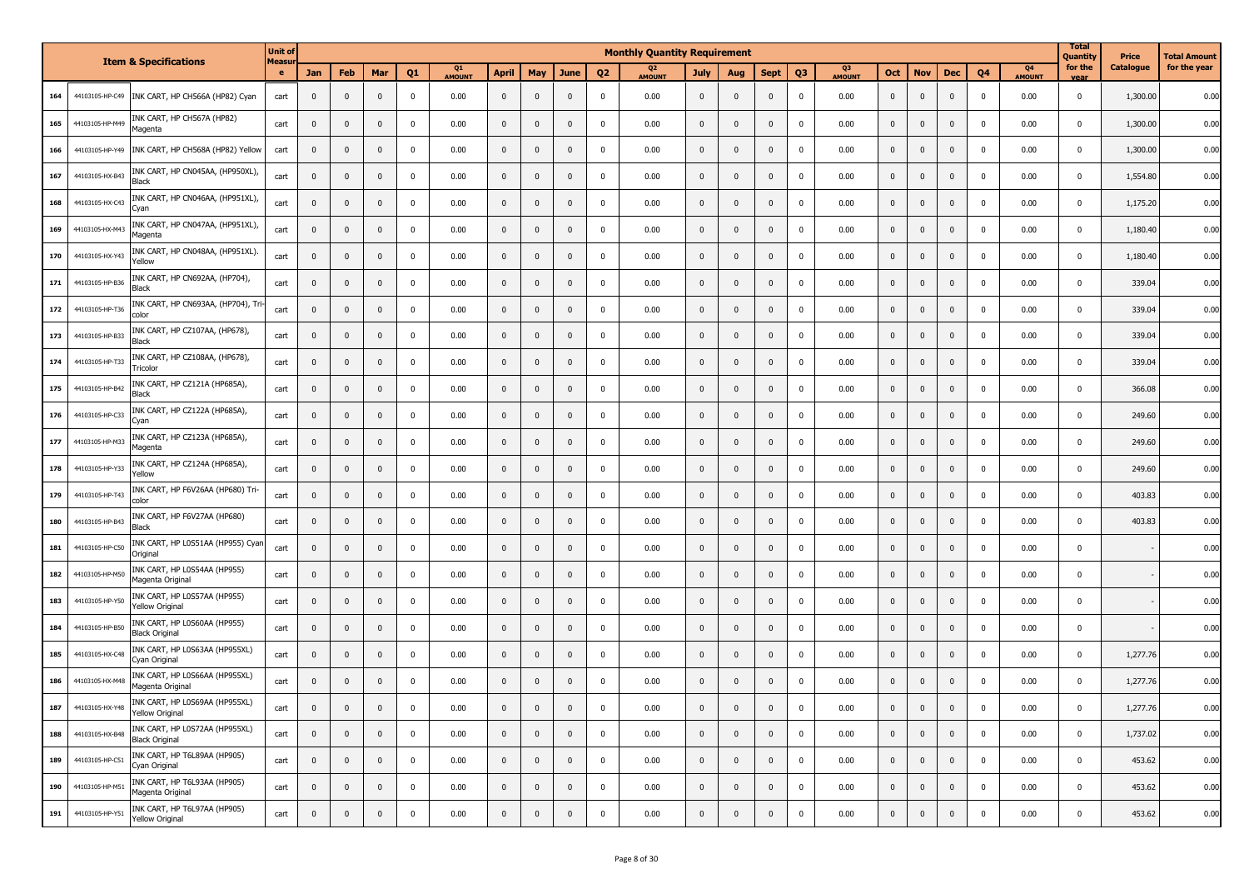|     |                 | <b>Item &amp; Specifications</b>                        | <b>Unit of</b><br>Measu |                |              |              |                |              |              |              |              |                | <b>Monthly Quantity Requirement</b> |              |              |                |                |              |              |              |                         |                |                     | <b>Total</b><br>Quantity | Price     | Total Amount |
|-----|-----------------|---------------------------------------------------------|-------------------------|----------------|--------------|--------------|----------------|--------------|--------------|--------------|--------------|----------------|-------------------------------------|--------------|--------------|----------------|----------------|--------------|--------------|--------------|-------------------------|----------------|---------------------|--------------------------|-----------|--------------|
|     |                 |                                                         | $\bullet$               | Jan            | Feb          | Mar          | Q <sub>1</sub> | Q1<br>AMOUNT | <b>April</b> | May          | <b>June</b>  | Q <sub>2</sub> | Q <sub>2</sub><br><b>AMOUNT</b>     | July         | Aug          | <b>Sept</b>    | Q <sub>3</sub> | Q3<br>AMOUNT | <b>Oct</b>   | <b>Nov</b>   | Dec                     | Q <sub>4</sub> | Q4<br><b>AMOUNT</b> | for the<br>vear          | Catalogue | for the year |
| 164 | 44103105-HP-C49 | INK CART, HP CH566A (HP82) Cyan                         | cart                    | $\mathbf{0}$   | $\mathbf 0$  | $\mathbf 0$  | $\mathbf 0$    | 0.00         | $\mathbf{0}$ | $\mathbf 0$  | $\mathbf 0$  | $\mathbf 0$    | 0.00                                | $\mathbf 0$  | $\mathbf{0}$ | $\mathbf 0$    | $\mathbf 0$    | 0.00         | $\mathbf 0$  | $\mathbf{0}$ | $\overline{\mathbf{0}}$ | $\mathbf 0$    | 0.00                | 0                        | 1,300.00  | 0.00         |
| 165 | 44103105-HP-M49 | INK CART, HP CH567A (HP82)<br>Magenta                   | cart                    | $\mathbf 0$    | $\mathbf 0$  | $\mathbf 0$  | 0              | 0.00         | $\mathbf 0$  | $\mathbf 0$  | $\mathbf{0}$ | 0              | 0.00                                | $\mathbf{0}$ | $\mathbf{0}$ | $\mathbf 0$    | $\pmb{0}$      | 0.00         | $\pmb{0}$    | $\mathbf{0}$ | $\mathbf{0}$            | $\mathbf 0$    | 0.00                | $\mathbf 0$              | 1,300.00  | 0.00         |
| 166 | 44103105-HP-Y49 | INK CART, HP CH568A (HP82) Yellow                       | cart                    | $\mathbf 0$    | $\mathbf 0$  | $\mathbf{0}$ | $\mathbf 0$    | 0.00         | $\mathbf{0}$ | $\mathbf 0$  | $\mathbf{0}$ | 0              | 0.00                                | $\mathbf{0}$ | $\mathbf{0}$ | $\pmb{0}$      | $\mathbf 0$    | 0.00         | $\mathbf 0$  | $\mathbf 0$  | $\overline{\mathbf{0}}$ | $\mathbf 0$    | 0.00                | $\mathbf{0}$             | 1,300.00  | 0.00         |
| 167 | 44103105-HX-B43 | INK CART, HP CN045AA, (HP950XL),<br><b>Black</b>        | cart                    | $\mathbf 0$    | $\mathbf 0$  | $\mathbf 0$  | $\mathbf 0$    | 0.00         | $\mathbf{0}$ | $\mathbf 0$  | $\mathbf{0}$ | $\mathbf 0$    | 0.00                                | $\mathbf{0}$ | $\mathbf{0}$ | $\pmb{0}$      | $\pmb{0}$      | 0.00         | $\mathbf 0$  | $\mathbf 0$  | $\mathbf{0}$            | $\mathbf 0$    | 0.00                | $\mathbf{0}$             | 1,554.80  | 0.00         |
| 168 | 44103105-HX-C43 | INK CART, HP CN046AA, (HP951XL),<br>Cyan                | cart                    | $\mathbf 0$    | $\mathbf 0$  | $\mathbf{0}$ | $\mathbf 0$    | 0.00         | $\mathbf{0}$ | $\mathbf 0$  | $\mathbf{0}$ | $\mathbf 0$    | 0.00                                | $\mathbf{0}$ | $\mathbf{0}$ | $\mathbf 0$    | $\pmb{0}$      | 0.00         | $\mathbf 0$  | $\mathbf 0$  | $\mathbf 0$             | $\mathbf 0$    | 0.00                | $\mathbf{0}$             | 1,175.20  | 0.00         |
| 169 | 44103105-HX-M43 | INK CART, HP CN047AA, (HP951XL),<br>Magenta             | cart                    | $\mathbf 0$    | $\mathbf 0$  | $\mathbf 0$  | $\mathbf 0$    | 0.00         | $\mathbf 0$  | $\mathbf 0$  | $\pmb{0}$    | $\mathbf 0$    | 0.00                                | $\mathbf{0}$ | $\mathbf 0$  | $\pmb{0}$      | $\pmb{0}$      | 0.00         | $\mathbf 0$  | $\mathbf 0$  | $\mathbf{0}$            | $\mathbf 0$    | 0.00                | $\mathbf{0}$             | 1,180.40  | 0.00         |
| 170 | 44103105-HX-Y43 | INK CART, HP CN048AA, (HP951XL).<br>Yellow              | cart                    | $\mathbf 0$    | $\mathbf 0$  | $\mathbf 0$  | $\mathbf 0$    | 0.00         | $\mathbf 0$  | $\mathbf 0$  | $\pmb{0}$    | $\mathbf 0$    | 0.00                                | $\mathbf{0}$ | $\mathbf 0$  | $\pmb{0}$      | $\mathbf 0$    | 0.00         | $\mathbf 0$  | $\mathbf 0$  | $\overline{\mathbf{0}}$ | $\mathbf 0$    | 0.00                | $\overline{0}$           | 1,180.40  | 0.00         |
| 171 | 44103105-HP-B36 | INK CART, HP CN692AA, (HP704),<br><b>Black</b>          | cart                    | $\mathbf 0$    | $\mathbf 0$  | $\mathbf 0$  | $\mathbf 0$    | 0.00         | $\mathbf 0$  | $\mathbf 0$  | $\pmb{0}$    | $\mathbf 0$    | 0.00                                | $\mathbf{0}$ | $\mathbf 0$  | $\pmb{0}$      | $\pmb{0}$      | 0.00         | $\mathbf 0$  | $\mathbf{0}$ | $\mathbf{0}$            | $\mathbf 0$    | 0.00                | $\mathbf{0}$             | 339.04    | 0.00         |
| 172 | 44103105-HP-T36 | INK CART, HP CN693AA, (HP704), Tri<br>color             | cart                    | $\mathbf 0$    | $\pmb{0}$    | $\mathbf 0$  | $\mathbf 0$    | 0.00         | $\mathbf 0$  | $\mathbf 0$  | $\pmb{0}$    | $\mathbf 0$    | 0.00                                | $\mathbf{0}$ | $\mathbf 0$  | $\pmb{0}$      | $\mathbf 0$    | 0.00         | $\mathbf 0$  | $\mathbf 0$  | $\overline{\mathbf{0}}$ | $\mathbf 0$    | 0.00                | $\overline{0}$           | 339.04    | 0.00         |
| 173 | 44103105-HP-B33 | INK CART, HP CZ107AA, (HP678),<br><b>Black</b>          | cart                    | $\mathbf 0$    | $\mathbf 0$  | $\mathbf{0}$ | 0              | 0.00         | $\mathbf 0$  | $\mathbf 0$  | $\mathbf{0}$ | 0              | 0.00                                | $\mathbf{0}$ | $\mathbf 0$  | $\pmb{0}$      | $\mathbf 0$    | 0.00         | $\mathbf{0}$ | $\mathbf{0}$ | $\mathbf{0}$            | $\mathbf 0$    | 0.00                | $\mathbf{0}$             | 339.04    | 0.00         |
| 174 | 44103105-HP-T33 | INK CART, HP CZ108AA, (HP678),<br>Tricolor              | cart                    | $\mathbf{0}$   | $\mathbf 0$  | $\mathbf{0}$ | $\mathbf 0$    | 0.00         | $\mathbf 0$  | $\mathbf 0$  | $\mathbf{0}$ | 0              | 0.00                                | $\mathbf{0}$ | $\mathbf 0$  | $\pmb{0}$      | $\mathbf 0$    | 0.00         | $\mathbf 0$  | $\mathbf{0}$ | $\mathbf{0}$            | $^{\circ}$     | 0.00                | $\Omega$                 | 339.04    | 0.00         |
| 175 | 44103105-HP-B42 | INK CART, HP CZ121A (HP685A)<br>Black                   | cart                    | $\mathbf 0$    | $\mathbf 0$  | 0            | 0              | 0.00         | $\mathbf 0$  | $\mathbf 0$  | $\mathbf{0}$ | 0              | 0.00                                | $\mathbf{0}$ | $\mathbf{0}$ | $\mathbf 0$    | $\mathbf 0$    | 0.00         | $\pmb{0}$    | $\mathbf{0}$ | $\mathbf{0}$            | $\mathbf 0$    | 0.00                | $\overline{0}$           | 366.08    | 0.00         |
| 176 | 44103105-HP-C33 | INK CART, HP CZ122A (HP685A)<br>Cyan                    | cart                    | $\mathbf{0}$   | $\mathbf 0$  | $\mathbf{0}$ | $\mathbf 0$    | 0.00         | $\mathbf 0$  | $\mathbf 0$  | $\mathbf{0}$ | 0              | 0.00                                | $\mathbf{0}$ | $\mathbf{0}$ | $\overline{0}$ | $\mathbf 0$    | 0.00         | $\mathbf 0$  | $\mathbf{0}$ | $\overline{\mathbf{0}}$ | $\mathbf 0$    | 0.00                | $\overline{0}$           | 249.60    | 0.00         |
| 177 | 44103105-HP-M33 | INK CART, HP CZ123A (HP685A),<br>Magenta                | cart                    | $\mathbf{0}$   | $\mathbf 0$  | $\mathbf{0}$ | 0              | 0.00         | $\mathbf 0$  | $\mathbf 0$  | $\mathbf{0}$ | 0              | 0.00                                | $\mathbf{0}$ | $\mathbf{0}$ | $\mathbf 0$    | $\mathbf 0$    | 0.00         | $\mathbf{0}$ | $\mathbf{0}$ | $\overline{\mathbf{0}}$ | $\mathbf 0$    | 0.00                | $\overline{0}$           | 249.60    | 0.00         |
| 178 | 44103105-HP-Y33 | INK CART, HP CZ124A (HP685A),<br>Yellow                 | cart                    | $\mathbf{0}$   | $\mathbf 0$  | $\mathbf{0}$ | $\mathbf 0$    | 0.00         | $\mathbf 0$  | $\mathbf 0$  | $\mathbf{0}$ | 0              | 0.00                                | $\mathbf 0$  | $\mathbf{0}$ | $\overline{0}$ | $\mathbf 0$    | 0.00         | $\mathbf 0$  | $\mathbf{0}$ | $\overline{\mathbf{0}}$ | $\mathbf 0$    | 0.00                | $\mathbf{0}$             | 249.60    | 0.00         |
| 179 | 44103105-HP-T43 | INK CART, HP F6V26AA (HP680) Tri-<br>color              | cart                    | $\mathbf 0$    | $\mathbf 0$  | $\mathbf{0}$ | 0              | 0.00         | $\mathbf 0$  | $\mathbf 0$  | $\mathbf{0}$ | 0              | 0.00                                | $\mathbf{0}$ | $\mathbf{0}$ | $\pmb{0}$      | $\mathbf 0$    | 0.00         | $\mathbf{0}$ | $\mathbf{0}$ | $\overline{\mathbf{0}}$ | $\mathbf 0$    | 0.00                | $\mathbf{0}$             | 403.83    | 0.00         |
| 180 | 44103105-HP-B43 | INK CART, HP F6V27AA (HP680)<br><b>Black</b>            | cart                    | $\mathbf 0$    | $\mathbf 0$  | 0            | $\mathbf 0$    | 0.00         | $\mathbf 0$  | $\mathbf 0$  | 0            | 0              | 0.00                                | $\mathbf{0}$ | $\mathbf{0}$ | $\pmb{0}$      | $\mathbf 0$    | 0.00         | $\mathbf 0$  | $\mathbf{0}$ | $\mathbf 0$             | $\overline{0}$ | 0.00                | $\Omega$                 | 403.83    | 0.00         |
| 181 | 44103105-HP-C50 | INK CART, HP L0S51AA (HP955) Cyar<br>Original           | cart                    | $\mathbf 0$    | $\mathbf 0$  | 0            | 0              | 0.00         | $\mathbf 0$  | $\mathbf 0$  | 0            | 0              | 0.00                                | $\mathbf{0}$ | $\mathbf 0$  | $\mathbf 0$    | $\mathbf 0$    | 0.00         | $\pmb{0}$    | $\mathbf 0$  | $\overline{\mathbf{0}}$ | $\mathbf 0$    | 0.00                | $\mathbf{0}$             |           | 0.00         |
| 182 | 44103105-HP-M50 | INK CART, HP L0S54AA (HP955)<br>Magenta Original        | cart                    | $\mathbf 0$    | $\mathbf 0$  | 0            | $\mathbf 0$    | 0.00         | $\mathbf 0$  | $\mathbf 0$  | 0            | 0              | 0.00                                | $\mathbf 0$  | $\mathbf{0}$ | $\mathbf 0$    | $\mathbf 0$    | 0.00         | $\pmb{0}$    | $\mathbf 0$  | $\overline{\mathbf{0}}$ | $\mathbf 0$    | 0.00                | $\mathbf 0$              |           | 0.00         |
| 183 | 44103105-HP-Y50 | INK CART, HP L0S57AA (HP955)<br><b>Yellow Original</b>  | cart                    | $\mathbf 0$    | $\mathbf 0$  | $\mathbf 0$  | $\mathbf 0$    | 0.00         | $\mathbf{0}$ | $\mathbf 0$  | 0            | 0              | 0.00                                | $\mathbf 0$  | $\mathbf 0$  | $\pmb{0}$      | $\mathbf 0$    | 0.00         | $\mathbf 0$  | $\mathbf 0$  | $\mathbf 0$             | $\mathbf 0$    | 0.00                | $\mathbf{0}$             |           | 0.00         |
| 184 | 44103105-HP-B50 | INK CART, HP LOS60AA (HP955)<br><b>Black Original</b>   | cart                    | $\mathbf 0$    | $\mathbf 0$  | $\mathbf 0$  | $\mathbf 0$    | 0.00         | $\mathbf 0$  | $\mathbf 0$  | 0            | 0              | 0.00                                | $\mathbf 0$  | $\mathbf 0$  | $\pmb{0}$      | $\mathbf 0$    | 0.00         | $\mathbf 0$  | $\mathbf 0$  | $\mathbf 0$             | $\mathbf 0$    | 0.00                | $\mathbf{0}$             |           | 0.00         |
| 185 | 44103105-HX-C48 | INK CART, HP LOS63AA (HP955XL)<br>Cyan Original         | cart                    | $\mathbf 0$    | $\mathbf 0$  | $\mathbf 0$  | $\mathbf 0$    | 0.00         | $\mathbf{0}$ | $\mathbf 0$  | 0            | 0              | 0.00                                | $\mathbf 0$  | $\mathbf 0$  | $\pmb{0}$      | $\mathbf 0$    | 0.00         | $\mathbf 0$  | $\mathbf{0}$ | $\mathbf 0$             | $\mathbf 0$    | 0.00                | $\mathbf{0}$             | 1,277.76  | 0.00         |
| 186 | 44103105-HX-M48 | INK CART, HP L0S66AA (HP955XL)<br>Magenta Original      | cart                    | $\overline{0}$ | $\mathbf{0}$ | $\mathbf{0}$ | 0              | 0.00         | $\mathbf{0}$ | $\mathbf{0}$ | $\mathbf{0}$ | 0              | 0.00                                | $\mathbf{0}$ | $\Omega$     | $\mathbf 0$    | $\mathbf 0$    | 0.00         | $\mathbf{0}$ | $\Omega$     | $\mathbf{0}$            | $\Omega$       | 0.00                | $\Omega$                 | 1,277.76  | 0.00         |
| 187 | 44103105-HX-Y48 | INK CART, HP L0S69AA (HP955XL)<br>Yellow Original       | cart                    | $\mathbf{0}$   |              |              |                | 0.00         |              | υ            |              |                | 0.00                                |              | U            |                |                | 0.00         | U            | U            |                         |                | 0.00                |                          | 1,277.76  | 0.00         |
| 188 | 44103105-HX-B48 | INK CART, HP L0S72AA (HP955XL)<br><b>Black Original</b> | cart                    | $\mathbf 0$    | $\mathbf 0$  | $\mathbf{0}$ | $\mathbf{0}$   | 0.00         | $\mathbf{0}$ | $\mathbf 0$  | $\mathbf{0}$ | $\mathbf{0}$   | 0.00                                | $\mathbf 0$  | $\mathbf 0$  | $\overline{0}$ | $\mathbf 0$    | 0.00         | $\mathbf 0$  | $\pmb{0}$    | $\mathbf 0$             | $\overline{0}$ | 0.00                | $\mathbf{0}$             | 1,737.02  | 0.00         |
| 189 | 44103105-HP-C51 | INK CART, HP T6L89AA (HP905)<br>Cyan Original           | cart                    | $\pmb{0}$      | $\mathbf 0$  | $\mathbf{0}$ | $\mathbf 0$    | 0.00         | $\mathbf{0}$ | $\mathbf 0$  | $\mathbf 0$  | $\Omega$       | 0.00                                | $\mathbf 0$  | $\mathbf 0$  | $\mathbf{0}$   | $\mathbf 0$    | 0.00         | $\pmb{0}$    | $\mathbf 0$  | $\mathbf 0$             | $\mathbf{0}$   | 0.00                | $\mathbf 0$              | 453.62    | 0.00         |
| 190 | 44103105-HP-M51 | INK CART, HP T6L93AA (HP905)<br>Magenta Original        | cart                    | $\pmb{0}$      | $\mathbf 0$  | $\mathbf{0}$ | $\mathbf 0$    | 0.00         | $\mathbf{0}$ | $\mathbf 0$  | $\mathbf{0}$ | $\mathbf 0$    | 0.00                                | $\mathbf 0$  | $\mathbf{0}$ | $\mathbf{0}$   | $\mathbf 0$    | 0.00         | $\mathbf 0$  | $\mathbf 0$  | $\mathbf 0$             | $\mathbf 0$    | 0.00                | $\mathbf 0$              | 453.62    | 0.00         |
| 191 | 44103105-HP-Y51 | INK CART, HP T6L97AA (HP905)<br>Yellow Original         | cart                    | $\mathbf 0$    | $\mathbf 0$  | $\mathbf{0}$ | $\mathbf 0$    | 0.00         | $\mathbf 0$  | $\mathbf 0$  | $\mathbf 0$  | $\mathbf 0$    | 0.00                                | $\mathbf 0$  | $\mathbf 0$  | $\mathbf{0}$   | $\mathbf 0$    | 0.00         | $\mathbf 0$  | $\pmb{0}$    | $\mathbf 0$             | $\mathbf 0$    | 0.00                | $\overline{0}$           | 453.62    | 0.00         |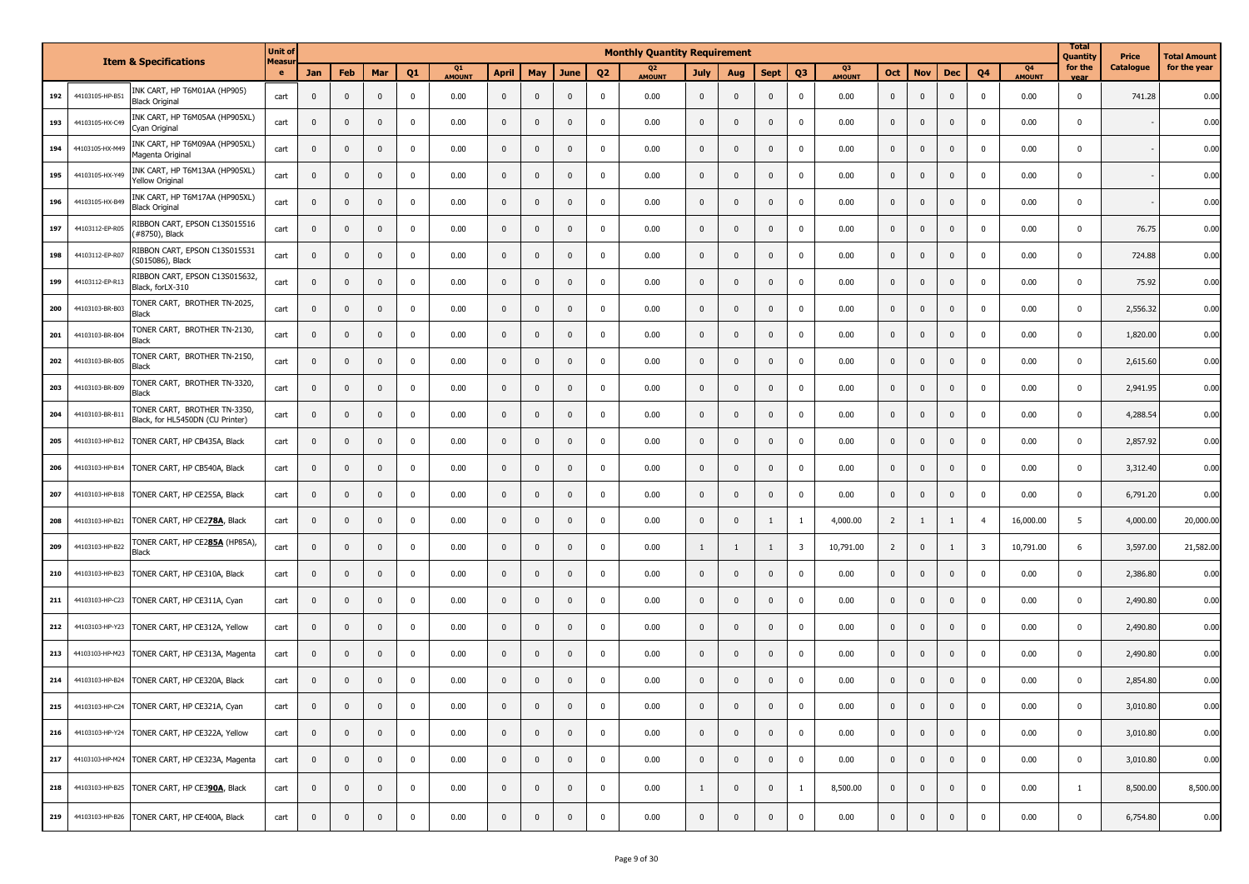|     |                 | <b>Item &amp; Specifications</b>                                | <b>Unit of</b><br>Measu |             |                         |              |             |              |             |                |              |                | <b>Monthly Quantity Requirement</b> |                |              |              |                         |              |                |                |              |                |                     | <b>Total</b><br>Quantity | Price     | Fotal Amount |
|-----|-----------------|-----------------------------------------------------------------|-------------------------|-------------|-------------------------|--------------|-------------|--------------|-------------|----------------|--------------|----------------|-------------------------------------|----------------|--------------|--------------|-------------------------|--------------|----------------|----------------|--------------|----------------|---------------------|--------------------------|-----------|--------------|
|     |                 |                                                                 | e                       | <b>Jan</b>  | Feb                     | Mar          | Q1          | Q1<br>AMOUNT | April       | May            | June         | Q <sub>2</sub> | Q <sub>2</sub><br>AMOUNT            | <b>July</b>    | Aug          | <b>Sept</b>  | Q <sub>3</sub>          | Q3<br>AMOUNT | Oct            | <b>Nov</b>     | <b>Dec</b>   | Q4             | Q4<br><b>AMOUNT</b> | for the                  | Catalogue | for the year |
| 192 | 44103105-HP-B51 | INK CART, HP T6M01AA (HP905)<br>Black Original                  | cart                    | $\pmb{0}$   | $\mathbf 0$             | $\pmb{0}$    | 0           | 0.00         | $\mathbf 0$ | $\mathbf 0$    | $\mathbf 0$  | $\mathbf 0$    | 0.00                                | $\mathbf 0$    | $\mathbf{0}$ | $\mathbf 0$  | $\mathbf 0$             | 0.00         | $\mathbf 0$    | $\mathbf{0}$   | $\mathbf 0$  | $\mathbf 0$    | 0.00                | $\mathbf 0$              | 741.28    | 0.00         |
| 193 | 44103105-HX-C49 | INK CART, HP T6M05AA (HP905XL)<br>Cyan Original                 | cart                    | $\mathbf 0$ | $\mathbf 0$             | $\mathbf{0}$ | 0           | 0.00         | $\mathbf 0$ | $\mathbf 0$    | $\mathbf 0$  | $\Omega$       | 0.00                                | $\mathbf 0$    | $\mathbf 0$  | $\mathbf{0}$ | $\pmb{0}$               | 0.00         | $\mathbf 0$    | $\mathbf{0}$   | $\pmb{0}$    | $\mathbf 0$    | 0.00                | $\mathbf 0$              |           | 0.00         |
| 194 | 44103105-HX-M49 | INK CART, HP T6M09AA (HP905XL)<br>Magenta Original              | cart                    | $\pmb{0}$   | $\mathbf 0$             | $\mathbf{0}$ | 0           | 0.00         | $\mathbf 0$ | $\mathbf 0$    | $\mathbf 0$  | $^{\circ}$     | 0.00                                | $\mathbf 0$    | $\mathbf 0$  | $\mathbf{0}$ | $\pmb{0}$               | 0.00         | $\mathbf 0$    | $\mathbf 0$    | $\mathbf 0$  | $\mathbf 0$    | 0.00                | $\mathbf 0$              |           | 0.00         |
| 195 | 44103105-HX-Y49 | INK CART, HP T6M13AA (HP905XL)<br>Yellow Original               | cart                    | $\mathbf 0$ | $\mathbf 0$             | $\mathbf{0}$ | 0           | 0.00         | $\mathbf 0$ | $\mathbf 0$    | $\mathbf 0$  | 0              | 0.00                                | $\mathbf 0$    | $\mathbf{0}$ | $\mathbf{0}$ | $\mathbf 0$             | 0.00         | $\mathbf 0$    | $\mathbf{0}$   | $\mathbf{0}$ | $\mathbf 0$    | 0.00                | $\mathbf 0$              |           | 0.00         |
| 196 | 44103105-HX-B49 | INK CART, HP T6M17AA (HP905XL)<br><b>Black Original</b>         | cart                    | $\mathbf 0$ | $\mathbf 0$             | $\mathbf{0}$ | 0           | 0.00         | $\mathbf 0$ | $\pmb{0}$      | $\mathbf 0$  | $\mathbf 0$    | 0.00                                | $\mathbf 0$    | $\mathbf{0}$ | $\mathbf{0}$ | $\mathbf 0$             | 0.00         | $\mathbf 0$    | $\mathbf{0}$   | $\mathbf{0}$ | $\mathbf 0$    | 0.00                | $\mathbf 0$              |           | 0.00         |
| 197 | 44103112-EP-R05 | RIBBON CART, EPSON C13S015516<br>#8750), Black                  | cart                    | $\mathbf 0$ | $\mathbf{0}$            | $\mathbf{0}$ | 0           | 0.00         | $\mathbf 0$ | $\mathbf 0$    | $\mathbf 0$  | $\mathbf 0$    | 0.00                                | $\mathbf 0$    | $\mathbf{0}$ | $\mathbf{0}$ | $\mathbf 0$             | 0.00         | $\mathbf 0$    | $\mathbf{0}$   | $\mathbf{0}$ | $\mathbf 0$    | 0.00                | $\mathbf 0$              | 76.75     | 0.00         |
| 198 | 44103112-EP-R07 | RIBBON CART, EPSON C13S015531<br>S015086), Black                | cart                    | $\mathbf 0$ | $\mathbf 0$             | $\mathbf{0}$ | 0           | 0.00         | $\mathbf 0$ | $\mathbf 0$    | $\mathbf 0$  | $\mathbf 0$    | 0.00                                | $\mathbf 0$    | $\mathbf 0$  | $\mathbf{0}$ | $\mathbf 0$             | 0.00         | $\mathbf 0$    | $\mathbf{0}$   | $\mathbf{0}$ | $\mathbf 0$    | 0.00                | $^{\circ}$               | 724.88    | 0.00         |
| 199 | 44103112-EP-R13 | RIBBON CART, EPSON C13S015632,<br>Black, forLX-310              | cart                    | $\mathbf 0$ | $\mathbf{0}$            | $\mathbf{0}$ | 0           | 0.00         | $\mathbf 0$ | $\mathbf 0$    | $\mathbf 0$  | $^{\circ}$     | 0.00                                | $\mathbf 0$    | $\mathbf{0}$ | $\mathbf{0}$ | $\mathbf 0$             | 0.00         | $\mathbf 0$    | $\mathbf{0}$   | $\mathbf 0$  | $\mathbf 0$    | 0.00                | $\mathbf 0$              | 75.92     | 0.00         |
| 200 | 44103103-BR-B03 | TONER CART, BROTHER TN-2025,<br>Black                           | cart                    | $\mathbf 0$ | $\mathbf{0}$            | $\mathbf{0}$ | 0           | 0.00         | $\mathbf 0$ | $\mathbf{0}$   | $\mathbf 0$  | $^{\circ}$     | 0.00                                | $\mathbf{0}$   | $\mathbf{0}$ | $\mathbf{0}$ | $\mathbf{0}$            | 0.00         | $\mathbf 0$    | $\mathbf{0}$   | $\mathbf{0}$ | $\mathbf 0$    | 0.00                | $^{\circ}$               | 2,556.32  | 0.00         |
| 201 | 44103103-BR-B04 | TONER CART, BROTHER TN-2130<br>Black                            | cart                    | $\mathbf 0$ | $\mathbf{0}$            | $\mathbf{0}$ | 0           | 0.00         | $\mathbf 0$ | $\mathbf 0$    | $\mathbf 0$  | $^{\circ}$     | 0.00                                | $\mathbf 0$    | $\mathbf{0}$ | $\mathbf{0}$ | $\mathbf 0$             | 0.00         | $\mathbf 0$    | $\mathbf{0}$   | $\mathbf 0$  | $\mathbf 0$    | 0.00                | $\mathbf 0$              | 1,820.00  | 0.00         |
| 202 | 44103103-BR-B05 | TONER CART, BROTHER TN-2150<br>Black                            | cart                    | $\mathbf 0$ | $\mathbf 0$             | $\mathbf{0}$ | 0           | 0.00         | $\mathbf 0$ | $\overline{0}$ | $\mathbf 0$  | $^{\circ}$     | 0.00                                | $\mathbf 0$    | $\mathbf{0}$ | $\mathbf{0}$ | $\mathbf 0$             | 0.00         | $\mathbf 0$    | $\mathbf{0}$   | $\mathbf{0}$ | $\mathbf 0$    | 0.00                | $\mathbf 0$              | 2,615.60  | 0.00         |
| 203 | 44103103-BR-B09 | TONER CART, BROTHER TN-3320,<br>Black                           | cart                    | $\mathbf 0$ | $\mathbf{0}$            | $\mathbf{0}$ | $^{\circ}$  | 0.00         | $\mathbf 0$ | $\overline{0}$ | $\mathbf 0$  | 0              | 0.00                                | $\mathbf 0$    | $\mathbf{0}$ | $\mathbf{0}$ | $\mathbf 0$             | 0.00         | $\mathbf 0$    | $\mathbf{0}$   | $\mathbf{0}$ | $\mathbf 0$    | 0.00                | $\mathbf 0$              | 2,941.95  | 0.00         |
| 204 | 44103103-BR-B1  | TONER CART, BROTHER TN-3350<br>Black, for HL5450DN (CU Printer) | cart                    | $\mathbf 0$ | $\overline{\mathbf{0}}$ | 0            | $^{\circ}$  | 0.00         | $\mathbf 0$ | $\overline{0}$ | $\mathbf 0$  | 0              | 0.00                                | $\mathbf 0$    | $\mathbf{0}$ | $\mathbf{0}$ | $\mathbf 0$             | 0.00         | $\mathbf 0$    | $\mathbf{0}$   | $\mathbf 0$  | $\mathbf 0$    | 0.00                | $\mathbf 0$              | 4,288.54  | 0.00         |
| 205 | 44103103-HP-B12 | TONER CART, HP CB435A, Black                                    | cart                    | $\mathbf 0$ | $\overline{\mathbf{0}}$ | $\mathbf{0}$ | $^{\circ}$  | 0.00         | $\mathbf 0$ | $\mathbf 0$    | $\mathbf 0$  | 0              | 0.00                                | $\mathbf 0$    | $\mathbf 0$  | $\mathbf{0}$ | $\mathbf 0$             | 0.00         | $\mathbf 0$    | $\mathbf{0}$   | $\mathbf{0}$ | $\mathbf 0$    | 0.00                | $\mathbf 0$              | 2,857.92  | 0.00         |
| 206 | 44103103-HP-B14 | TONER CART, HP CB540A, Black                                    | cart                    | $\pmb{0}$   | $\mathbf 0$             | 0            | 0           | 0.00         | $\mathbf 0$ | $\overline{0}$ | $\mathbf 0$  | 0              | 0.00                                | $\mathbf 0$    | $\mathbf 0$  | $\mathbf 0$  | $\mathbf 0$             | 0.00         | $\mathbf 0$    | $\mathbf 0$    | $\mathbf 0$  | $\mathbf 0$    | 0.00                | $\mathbf 0$              | 3,312.40  | 0.00         |
| 207 | 44103103-HP-B18 | TONER CART, HP CE255A, Black                                    | cart                    | $\mathbf 0$ | $\mathbf 0$             | 0            | 0           | 0.00         | $\mathbf 0$ | $\overline{0}$ | $\mathbf 0$  | $^{\circ}$     | 0.00                                | $\mathbf 0$    | $\mathbf 0$  | $\mathbf 0$  | $\mathbf 0$             | 0.00         | $\mathbf 0$    | $\mathbf{0}$   | $\mathbf 0$  | $\mathbf 0$    | 0.00                | $\mathbf 0$              | 6,791.20  | 0.00         |
| 208 | 44103103-HP-B21 | TONER CART, HP CE278A, Black                                    | cart                    | $\mathbf 0$ | $\mathbf 0$             | 0            | 0           | 0.00         | $\mathbf 0$ | $\mathbf 0$    | $\mathbf 0$  | $\mathbf 0$    | 0.00                                | $\mathbf 0$    | $\mathbf{0}$ | 1            | 1                       | 4,000.00     | $\overline{2}$ | 1              | 1            | $\overline{4}$ | 16,000.00           | 5                        | 4,000.00  | 20,000.00    |
| 209 | 44103103-HP-B22 | TONER CART, HP CE2 <mark>85A</mark> (HP85A),<br>Black           | cart                    | $\mathbf 0$ | $\overline{\mathbf{0}}$ | $\mathbf{0}$ | 0           | 0.00         | $\mathbf 0$ | $\mathbf 0$    | $\mathbf{0}$ | $\Omega$       | 0.00                                | -1             | 1            | 1            | $\overline{\mathbf{3}}$ | 10,791.00    | $\overline{2}$ | $\mathbf{0}$   | 1            | 3              | 10,791.00           | 6                        | 3,597.00  | 21,582.00    |
| 210 | 44103103-HP-B23 | TONER CART, HP CE310A, Black                                    | cart                    | $\mathbf 0$ | $\overline{\mathbf{0}}$ | 0            | $\Omega$    | 0.00         | $\mathbf 0$ | $\mathbf 0$    | $\mathbf 0$  | $\Omega$       | 0.00                                | $\mathbf 0$    | $\mathbf{0}$ | $\mathbf{0}$ | $\mathbf{0}$            | 0.00         | $\pmb{0}$      | $\mathbf{0}$   | $\mathbf 0$  | $\mathbf 0$    | 0.00                | $\mathbf 0$              | 2,386.80  | 0.00         |
| 211 | 44103103-HP-C23 | TONER CART, HP CE311A, Cyan                                     | cart                    | $\mathbf 0$ | $\overline{\mathbf{0}}$ | 0            | 0           | 0.00         | $\mathbf 0$ | $\mathbf 0$    | $\mathbf 0$  | $\mathbf 0$    | 0.00                                | $\mathbf 0$    | $\mathbf 0$  | $\mathbf 0$  | $\mathbf 0$             | 0.00         | $\pmb{0}$      | $\mathbf{0}$   | 0            | $\mathbf 0$    | 0.00                | $\mathbf 0$              | 2,490.80  | 0.00         |
| 212 | 44103103-HP-Y23 | TONER CART, HP CE312A, Yellow                                   | cart                    | $\mathbf 0$ | $\mathbf 0$             | $\mathbf{0}$ | 0           | 0.00         | $\mathbf 0$ | $\overline{0}$ | $\mathbf 0$  | 0              | 0.00                                | $\mathbf 0$    | $\mathbf{0}$ | $\mathbf{0}$ | $\mathbf{0}$            | 0.00         | $\mathbf 0$    | $\mathbf{0}$   | $\mathbf{0}$ | $\mathbf 0$    | 0.00                | $\mathbf 0$              | 2,490.80  | 0.00         |
| 213 | 44103103-HP-M23 | TONER CART, HP CE313A, Magenta                                  | cart                    | $\mathbf 0$ | $\overline{\mathbf{0}}$ | $\mathbf{0}$ | 0           | 0.00         | $\mathbf 0$ | $\overline{0}$ | $\mathbf 0$  | 0              | 0.00                                | $\mathbf 0$    | $\mathbf{0}$ | $\mathbf{0}$ | $\mathbf 0$             | 0.00         | $\mathbf{0}$   | $\mathbf{0}$   | $\mathbf{0}$ | $\mathbf 0$    | 0.00                | $\mathbf 0$              | 2,490.80  | 0.00         |
| 214 | 44103103-HP-B24 | TONER CART, HP CE320A, Black                                    | cart                    | $\mathbf 0$ | $\mathbf{0}$            | $\mathbf{0}$ | 0           | 0.00         | $\mathbf 0$ | $\mathbf{0}$   | $\mathbf{0}$ | 0              | 0.00                                | $\mathbf{0}$   | $\mathbf{0}$ | $\mathbf{0}$ | $\mathbf{0}$            | 0.00         | $\mathbf{0}$   | $\mathbf{0}$   | $\mathbf 0$  | $\mathbf 0$    | 0.00                | 0                        | 2,854.80  | 0.00         |
| 215 |                 | 44103103-HP-C24 TONER CART, HP CE321A, Cyan                     | cart                    | $\mathbf 0$ | U                       | v            | U           | $0.00\,$     | U           | v              | U            | U              | 0.00                                | U              | U            | U            | U                       | 0.00         | v              | U              | U            | U              | 0.00                | $\mathbf 0$              | 3,010.80  | 0.00         |
| 216 |                 | 44103103-HP-Y24 TONER CART, HP CE322A, Yellow                   | cart                    | $\mathbf 0$ | $\mathbf 0$             | $\mathbf 0$  | $\mathbf 0$ | 0.00         | $\mathbf 0$ | $\overline{0}$ | $\mathbf 0$  | $\mathbf 0$    | 0.00                                | $\overline{0}$ | $\mathbf 0$  | $\mathbf 0$  | $\overline{0}$          | 0.00         | $\mathbf{0}$   | $\mathbf{0}$   | $\mathbf 0$  | $\mathbf 0$    | 0.00                | $\mathbf 0$              | 3,010.80  | 0.00         |
| 217 |                 | 44103103-HP-M24 TONER CART, HP CE323A, Magenta                  | cart                    | $\pmb{0}$   | $\mathbf 0$             | $\mathbf 0$  | $\mathbf 0$ | 0.00         | $\mathbf 0$ | $\mathbf 0$    | $\pmb{0}$    | $\mathbf 0$    | 0.00                                | $\mathbf 0$    | $\mathbf 0$  | $\mathbf 0$  | $\mathbf 0$             | 0.00         | $\mathbf 0$    | $\mathbf{0}$   | $\mathbf 0$  | $\mathbf 0$    | 0.00                | $\mathbf 0$              | 3,010.80  | 0.00         |
| 218 |                 | 44103103-HP-B25 TONER CART, HP CE390A, Black                    | cart                    | $\pmb{0}$   | $\mathbf 0$             | 0            | 0           | 0.00         | $\mathbf 0$ | $\mathbf 0$    | $\mathbf 0$  | 0              | 0.00                                | $\mathbf{1}$   | $\mathbf{0}$ | $\mathbf 0$  | $\mathbf{1}$            | 8,500.00     | $\mathbf 0$    | $\overline{0}$ | $\mathbf{0}$ | $\mathbf{0}$   | 0.00                | $\mathbf{1}$             | 8,500.00  | 8,500.00     |
| 219 |                 | 44103103-HP-B26 TONER CART, HP CE400A, Black                    | cart                    | $\pmb{0}$   | $\mathbf 0$             | $\mathbf 0$  | 0           | 0.00         | $\bf{0}$    | $\bf{0}$       | $\mathbf 0$  | $\mathbf 0$    | 0.00                                | $\overline{0}$ | $\mathbf 0$  | $\mathbf 0$  | $\pmb{0}$               | 0.00         | $\overline{0}$ | $\overline{0}$ | $\mathbf{0}$ | $\mathbf{0}$   | 0.00                | $\mathbf 0$              | 6,754.80  | 0.00         |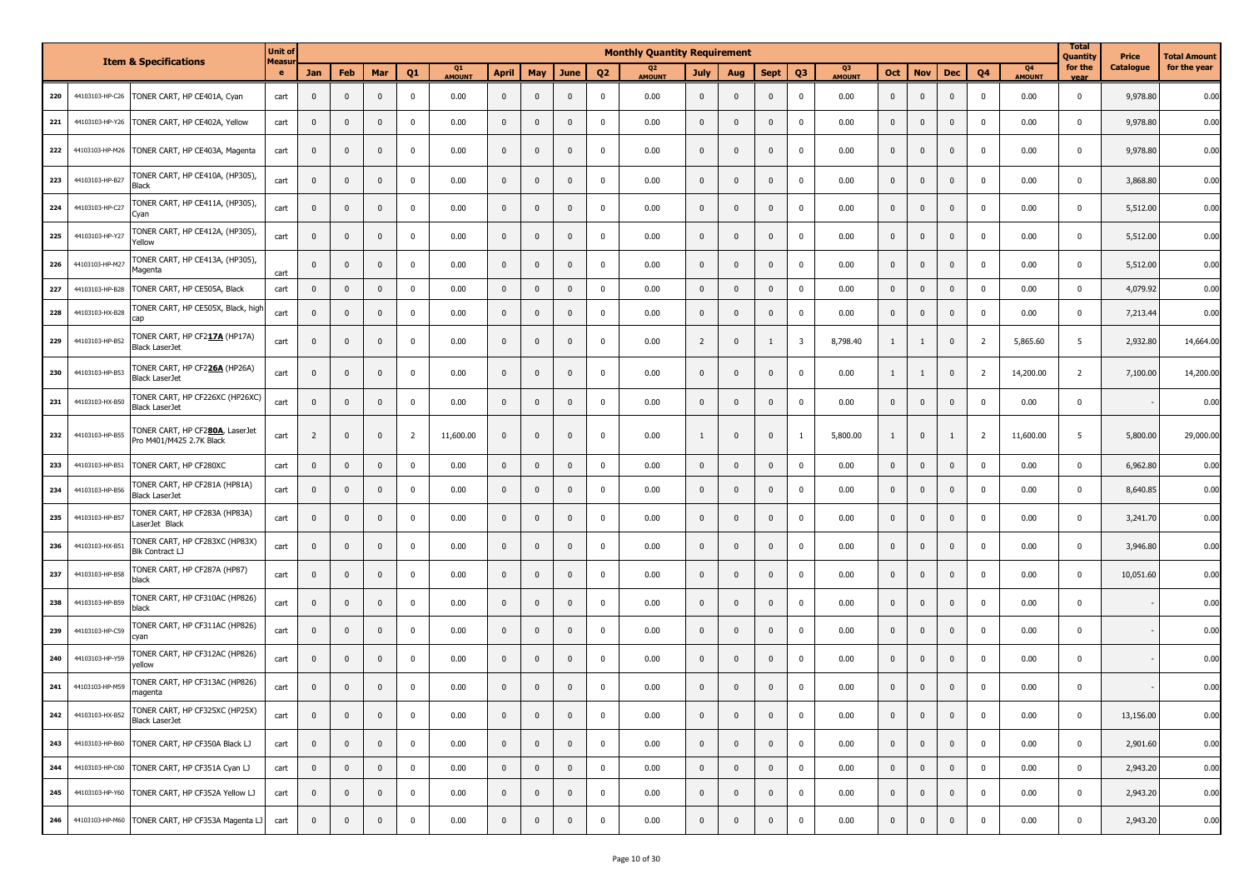|     |                 | <b>Item &amp; Specifications</b>                            | <b>Unit of</b>     |                |             |                         |                |              |              |                         |              |                | <b>Monthly Quantity Requirement</b> |                |              |                |                         |              |                |                |                         |                |                                 | <b>Total</b><br>Quantity | Price     | <b>Total Amount</b> |
|-----|-----------------|-------------------------------------------------------------|--------------------|----------------|-------------|-------------------------|----------------|--------------|--------------|-------------------------|--------------|----------------|-------------------------------------|----------------|--------------|----------------|-------------------------|--------------|----------------|----------------|-------------------------|----------------|---------------------------------|--------------------------|-----------|---------------------|
|     |                 |                                                             | Measu<br>$\bullet$ | Jan            | Feb         | Mar                     | Q <sub>1</sub> | Q1<br>AMOUNT | <b>April</b> | May                     | <b>June</b>  | Q <sub>2</sub> | Q <sub>2</sub><br><b>AMOUNT</b>     | July           | Aug          | <b>Sept</b>    | Q <sub>3</sub>          | Q3<br>AMOUNT | Oct            | <b>Nov</b>     | <b>Dec</b>              | Q <sub>4</sub> | Q <sub>4</sub><br><b>AMOUNT</b> | for the<br>vea           | Catalogue | for the year        |
| 220 | 44103103-HP-C26 | TONER CART, HP CE401A, Cyan                                 | cart               | $\bf{0}$       | $\mathbf 0$ | $\mathbf{0}$            | $\mathbf 0$    | 0.00         | $\mathbf{0}$ | $\mathbf 0$             | $\mathbf{0}$ | $^{\circ}$     | 0.00                                | $\mathbf{0}$   | $\mathbf{0}$ | $\mathbf{0}$   | $\mathbf 0$             | 0.00         | $\mathbf 0$    | $\mathbf 0$    | $\pmb{0}$               | $\mathbf 0$    | 0.00                            | 0                        | 9,978.80  | 0.00                |
| 221 | 44103103-HP-Y26 | TONER CART, HP CE402A, Yellow                               | cart               | $\mathbf 0$    | $\mathbf 0$ | $\mathbf 0$             | $^{\circ}$     | 0.00         | $\mathbf 0$  | $\mathbf 0$             | $\mathbf{0}$ | 0              | 0.00                                | $\mathbf{0}$   | $\mathbf{0}$ | $\mathbf{0}$   | $\mathbf 0$             | 0.00         | $\mathbf 0$    | $\mathbf 0$    | $\mathbf 0$             | 0              | 0.00                            | $\mathbf 0$              | 9,978.80  | 0.00                |
| 222 | 44103103-HP-M26 | TONER CART, HP CE403A, Magenta                              | cart               | $\mathbf 0$    | $\mathbf 0$ | $\mathbf{0}$            | $\mathbf 0$    | 0.00         | $\mathbf 0$  | $\mathbf{0}$            | $\mathbf{0}$ | 0              | 0.00                                | $\mathbf{0}$   | $\mathbf{0}$ | $\mathbf{0}$   | $\mathbf 0$             | 0.00         | $\mathbf{0}$   | $\mathbf 0$    | $\mathbf 0$             | $\mathbf{0}$   | 0.00                            | 0                        | 9,978.80  | 0.00                |
| 223 | 44103103-HP-B27 | TONER CART, HP CE410A, (HP305),<br>Black                    | cart               | $\mathbf 0$    | $\mathbf 0$ | 0                       | $^{\circ}$     | 0.00         | $\mathbf{0}$ | $\mathbf 0$             | $\mathbf 0$  | 0              | 0.00                                | $\mathbf{0}$   | $\mathbf{0}$ | $\mathbf 0$    | $\mathbf 0$             | 0.00         | $\pmb{0}$      | $\mathbf 0$    | $\mathbf 0$             | $\Omega$       | 0.00                            | $\mathbf 0$              | 3,868.80  | 0.00                |
| 224 | 44103103-HP-C27 | TONER CART, HP CE411A, (HP305),<br>Cyan                     | cart               | $\mathbf{0}$   | $\mathbf 0$ | $\mathbf{0}$            | $^{\circ}$     | 0.00         | $\mathbf{0}$ | $\mathbf{0}$            | $\mathbf{0}$ | $\Omega$       | 0.00                                | $\mathbf{0}$   | $\mathbf{0}$ | $\mathbf{0}$   | $\mathbf 0$             | 0.00         | $\mathbf 0$    | $\mathbf 0$    | $\mathbf{0}$            | $\mathbf{0}$   | 0.00                            | 0                        | 5,512.00  | 0.00                |
| 225 | 44103103-HP-Y27 | TONER CART, HP CE412A, (HP305),<br>Yellow                   | cart               | $\bf{0}$       | $\mathbf 0$ | $\mathbf{0}$            | $\mathbf 0$    | 0.00         | $\mathbf{0}$ | $\mathbf{0}$            | $\mathbf{0}$ | $^{\circ}$     | 0.00                                | $\mathbf{0}$   | $\mathbf{0}$ | $\mathbf{0}$   | $\mathbf 0$             | 0.00         | $\pmb{0}$      | $\mathbf 0$    | $\pmb{0}$               | $\mathbf{0}$   | 0.00                            | 0                        | 5,512.00  | 0.00                |
| 226 | 44103103-HP-M27 | TONER CART, HP CE413A, (HP305),<br>Magenta                  | cart               | $\mathbf 0$    | $\mathbf 0$ | $\mathbf{0}$            | $\mathbf 0$    | 0.00         | $\mathbf{0}$ | $\mathbf{0}$            | $\mathbf{0}$ | $\Omega$       | 0.00                                | $\mathbf{0}$   | $\mathbf{0}$ | $\mathbf{0}$   | $\mathbf 0$             | 0.00         | $\mathbf 0$    | $\mathbf 0$    | $\mathbf{0}$            | $\Omega$       | 0.00                            | 0                        | 5,512.00  | 0.00                |
| 227 | 44103103-HP-B28 | TONER CART, HP CE505A, Black                                | cart               | $\mathbf 0$    | $\mathbf 0$ | $\mathbf{0}$            | $\mathbf 0$    | 0.00         | $\mathbf{0}$ | $\mathbf 0$             | $\mathbf{0}$ | 0              | 0.00                                | $\mathbf 0$    | $\mathbf{0}$ | $\mathbf{0}$   | $\mathbf 0$             | 0.00         | $\mathbf 0$    | $\mathbf 0$    | $\pmb{0}$               | $\mathbf{0}$   | 0.00                            | $\mathbf 0$              | 4,079.92  | 0.00                |
| 228 | 44103103-HX-B28 | TONER CART, HP CE505X, Black, high<br>cap                   | cart               | $\bf{0}$       | $\mathbf 0$ | 0                       | 0              | 0.00         | $\mathbf{0}$ | $\overline{\mathbf{0}}$ | $\mathbf{0}$ | 0              | 0.00                                | $\mathbf{0}$   | $\mathbf{0}$ | $\mathbf{0}$   | $\mathbf 0$             | 0.00         | $\mathbf 0$    | $\mathbf 0$    | $\mathbf 0$             | $\mathbf{0}$   | 0.00                            | 0                        | 7,213.44  | 0.00                |
| 229 | 44103103-HP-B52 | TONER CART, HP CF217A (HP17A)<br><b>Black LaserJet</b>      | cart               | $\mathbf 0$    | $\mathbf 0$ | $\mathbf{0}$            | 0              | 0.00         | $\mathbf 0$  | $\mathbf 0$             | $\mathbf{0}$ | $\Omega$       | 0.00                                | $\overline{2}$ | $\mathbf{0}$ | 1              | $\overline{\mathbf{3}}$ | 8,798.40     | 1              | $\mathbf{1}$   | $\overline{0}$          | $\overline{2}$ | 5,865.60                        | 5                        | 2,932.80  | 14,664.00           |
| 230 | 44103103-HP-B53 | TONER CART, HP CF226A (HP26A)<br><b>Black LaserJet</b>      | cart               | $\mathbf 0$    | $\mathbf 0$ | $\mathbf{0}$            | $\mathbf 0$    | 0.00         | $\mathbf{0}$ | $\mathbf 0$             | $\mathbf{0}$ | 0              | 0.00                                | $\mathbf{0}$   | $\mathbf{0}$ | $\mathbf{0}$   | $\mathbf 0$             | 0.00         | $\mathbf{1}$   | 1              | $\overline{0}$          | $\overline{2}$ | 14,200.00                       | $\overline{2}$           | 7,100.00  | 14,200.00           |
| 231 | 44103103-HX-B50 | TONER CART, HP CF226XC (HP26XC)<br><b>Black LaserJet</b>    | cart               | $\mathbf 0$    | $\mathbf 0$ | 0                       | 0              | 0.00         | $\mathbf{0}$ | $\mathbf 0$             | $\mathbf{0}$ | 0              | 0.00                                | $\mathbf{0}$   | $\mathbf{0}$ | $\mathbf{0}$   | $\mathbf 0$             | 0.00         | $\mathbf 0$    | $\mathbf 0$    | $\mathbf 0$             | $\mathbf{0}$   | 0.00                            | 0                        |           | 0.00                |
| 232 | 44103103-HP-B55 | TONER CART, HP CF280A, LaserJet<br>Pro M401/M425 2.7K Black | cart               | $\overline{2}$ | $\mathbf 0$ | $\mathbf{0}$            | 2              | 11,600.00    | $\mathbf 0$  | $\mathbf 0$             | $\mathbf{0}$ | 0              | 0.00                                | 1              | $\mathbf{0}$ | $\mathbf{0}$   | -1                      | 5,800.00     | $\mathbf{1}$   | $\mathbf 0$    | 1                       | $\overline{2}$ | 11,600.00                       | 5                        | 5,800.00  | 29,000.00           |
| 233 | 44103103-HP-B51 | TONER CART, HP CF280XC                                      | cart               | $\mathbf 0$    | $\mathbf 0$ | $\mathbf 0$             | $\mathbf 0$    | 0.00         | $\mathbf{0}$ | $\mathbf 0$             | $\mathbf 0$  | 0              | 0.00                                | $\mathbf 0$    | 0            | $\mathbf 0$    | $\mathbf 0$             | 0.00         | $\mathbf 0$    | $\mathbf 0$    | $\mathbf 0$             | $\mathbf 0$    | 0.00                            | $\mathbf 0$              | 6,962.80  | 0.00                |
| 234 | 44103103-HP-B56 | TONER CART, HP CF281A (HP81A)<br><b>Black LaserJet</b>      | cart               | $\mathbf 0$    | $\mathbf 0$ | $\pmb{0}$               | 0              | 0.00         | $\mathbf{0}$ | $\mathbf 0$             | $\mathbf 0$  | $\mathbf 0$    | 0.00                                | $\mathbf{0}$   | $\mathbf{0}$ | $\mathbf{0}$   | $\mathbf 0$             | 0.00         | $\mathbf 0$    | $\mathbf 0$    | $\pmb{0}$               | $\mathbf 0$    | 0.00                            | $\mathbf 0$              | 8,640.85  | 0.00                |
| 235 | 44103103-HP-B57 | TONER CART, HP CF283A (HP83A)<br>LaserJet Black             | cart               | $\mathbf 0$    | $\mathbf 0$ | $\mathbf 0$             | $\mathbf 0$    | 0.00         | $\mathbf{0}$ | $\mathbf 0$             | $\mathbf 0$  | 0              | 0.00                                | $\mathbf{0}$   | $\mathbf{0}$ | $\mathbf{0}$   | $\mathbf 0$             | 0.00         | $\mathbf 0$    | $\mathbf 0$    | $\mathbf 0$             | $\Omega$       | 0.00                            | $\mathbf 0$              | 3,241.70  | 0.00                |
| 236 | 44103103-HX-B51 | TONER CART, HP CF283XC (HP83X)<br><b>Blk Contract LJ</b>    | cart               | $\bf{0}$       | $\mathbf 0$ | $\mathbf{0}$            | $\mathbf 0$    | 0.00         | $\mathbf 0$  | $\mathbf 0$             | $\mathbf{0}$ | 0              | 0.00                                | $\mathbf{0}$   | $\mathbf{0}$ | $\mathbf{0}$   | $\mathbf 0$             | 0.00         | $\mathbf 0$    | $\mathbf 0$    | $\mathbf 0$             | $\mathbf{0}$   | 0.00                            | $\mathbf 0$              | 3,946.80  | 0.00                |
| 237 | 44103103-HP-B58 | TONER CART, HP CF287A (HP87)<br>black                       | cart               | $\mathbf 0$    | $\mathbf 0$ | 0                       | $\mathbf 0$    | 0.00         | $\mathbf{0}$ | $\mathbf 0$             | $\mathbf 0$  | 0              | 0.00                                | $\mathbf{0}$   | $\mathbf{0}$ | $\mathbf{0}$   | $\mathbf 0$             | 0.00         | $\pmb{0}$      | $\mathbf 0$    | $\overline{\mathbf{0}}$ | $\mathbf{0}$   | 0.00                            | $\mathbf 0$              | 10,051.60 | 0.00                |
| 238 | 44103103-HP-B59 | TONER CART, HP CF310AC (HP826)<br>black                     | cart               | $\mathbf 0$    | $\mathbf 0$ | $\mathbf{0}$            | $^{\circ}$     | 0.00         | $\mathbf 0$  | $\mathbf 0$             | $\mathbf{0}$ | 0              | 0.00                                | $\mathbf{0}$   | $\mathbf{0}$ | $\mathbf{0}$   | $\mathbf 0$             | 0.00         | $\pmb{0}$      | $\mathbf 0$    | $\overline{0}$          | $\mathbf{0}$   | 0.00                            | $\mathbf 0$              |           | 0.00                |
| 239 | 44103103-HP-C59 | TONER CART, HP CF311AC (HP826)<br>cyan                      | cart               | $\bf{0}$       | $\mathbf 0$ | $\mathbf{0}$            | $\mathbf 0$    | 0.00         | $\mathbf{0}$ | $\mathbf 0$             | $\mathbf{0}$ | 0              | 0.00                                | $\mathbf{0}$   | $\mathbf{0}$ | $\mathbf{0}$   | $\mathbf 0$             | 0.00         | $\mathbf 0$    | $\mathbf 0$    | $\pmb{0}$               | $\mathbf{0}$   | 0.00                            | 0                        |           | 0.00                |
| 240 | 44103103-HP-Y59 | TONER CART, HP CF312AC (HP826)<br>yellow                    | cart               | $\mathbf 0$    | $\mathbf 0$ | $\pmb{0}$               | 0              | 0.00         | $\mathbf{0}$ | $\mathbf 0$             | $\mathbf 0$  | $^{\circ}$     | 0.00                                | $\mathbf{0}$   | $\mathbf{0}$ | $\mathbf{0}$   | $\mathbf 0$             | 0.00         | $\pmb{0}$      | $\mathbf 0$    | $\pmb{0}$               | $\Omega$       | 0.00                            | $\mathbf 0$              |           | 0.00                |
| 241 | 44103103-HP-M59 | TONER CART, HP CF313AC (HP826)<br>magenta                   | cart               | $\bf{0}$       | $\mathbf 0$ | $\mathbf{0}$            | $\mathbf 0$    | 0.00         | $\mathbf{0}$ | $\mathbf 0$             | $\mathbf{0}$ | 0              | 0.00                                | $\mathbf{0}$   | $\mathbf{0}$ | $\mathbf{0}$   | $\mathbf 0$             | 0.00         | $\mathbf{0}$   | $\mathbf 0$    | $\pmb{0}$               | $\mathbf{0}$   | 0.00                            | 0                        |           | 0.00                |
| 242 | 44103103-HX-B52 | TONER CART, HP CF325XC (HP25X)<br><b>Black LaserJet</b>     | cart               | $\mathbf 0$    | $\mathbf 0$ | $\mathbf 0$             | $\mathsf 0$    | 0.00         | $\mathbf{0}$ | $\mathbf 0$             | $\mathbf 0$  | $\mathbf 0$    | 0.00                                | $\mathbf{0}$   | $\mathbf 0$  | $\mathbf 0$    | $\mathbf 0$             | 0.00         | $\pmb{0}$      | $\overline{0}$ | $\mathbf 0$             | $\pmb{0}$      | 0.00                            | $\mathbf 0$              | 13,156.00 | 0.00                |
| 243 | 44103103-HP-B60 | TONER CART, HP CF350A Black LJ                              | cart               | $\mathbf 0$    | $\mathbf 0$ | $\mathbf{0}$            | $\mathbf 0$    | 0.00         | $\mathbf{0}$ | $\mathbf 0$             | $\mathbf 0$  | $\mathbf 0$    | 0.00                                | $\mathbf 0$    | $\mathbf{0}$ | $\mathbf{0}$   | $\mathbf 0$             | 0.00         | $\mathbf 0$    | $\mathbf 0$    | $\mathbf{0}$            | $\mathbf 0$    | 0.00                            | $\mathbf 0$              | 2,901.60  | 0.00                |
| 244 | 44103103-HP-C60 | TONER CART, HP CF351A Cyan LJ                               | cart               | $\mathbf 0$    | $\mathbf 0$ | $\overline{\mathbf{0}}$ | $\mathbf 0$    | 0.00         | $\pmb{0}$    | $\mathbf 0$             | $\mathbf 0$  | $\pmb{0}$      | 0.00                                | $\mathbf 0$    | $\mathbf 0$  | $\overline{0}$ | $\mathbf 0$             | 0.00         | $\overline{0}$ | $\mathbf 0$    | $\mathbf 0$             | $\mathbf 0$    | 0.00                            | $\mathbf 0$              | 2,943.20  | 0.00                |
| 245 | 44103103-HP-Y60 | TONER CART, HP CF352A Yellow LJ                             | cart               | $\mathbf 0$    | $\mathbf 0$ | $\mathbf 0$             | $\pmb{0}$      | 0.00         | $\mathbf 0$  | $\mathbf 0$             | $\mathbf 0$  | $\mathbf 0$    | 0.00                                | $\mathbf 0$    | $\mathbf 0$  | $\overline{0}$ | $\mathbf 0$             | 0.00         | $\mathbf 0$    | $\mathbf 0$    | $\mathbf 0$             | $\pmb{0}$      | 0.00                            | $\mathbf 0$              | 2,943.20  | 0.00                |
| 246 | 44103103-HP-M60 | TONER CART, HP CF353A Magenta LJ                            | cart               | $\mathbf 0$    | $\mathbf 0$ | $\mathbf 0$             | $\mathbf 0$    | 0.00         | $\mathbf 0$  | $\mathbf 0$             | $\mathbf 0$  | 0              | 0.00                                | $\mathbf 0$    | $\mathbf 0$  | $\mathbf 0$    | $\mathbf 0$             | 0.00         | $\overline{0}$ | $\mathbf 0$    | $\mathbf 0$             | $\pmb{0}$      | 0.00                            | $\mathbf 0$              | 2,943.20  | 0.00                |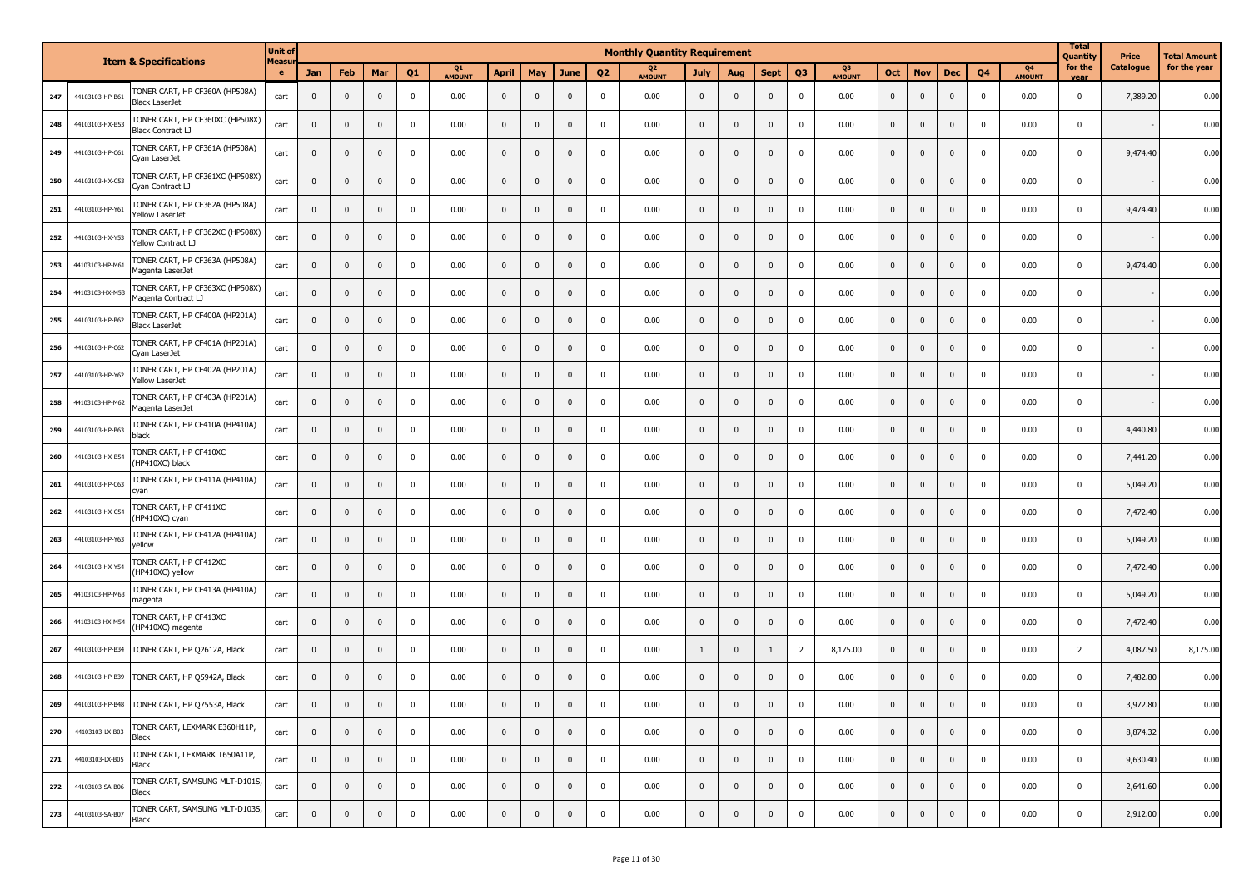|     |                 | <b>Item &amp; Specifications</b>                        | <b>Unit of</b><br><b>Measu</b> |                |                |              |                |              |                |              |                         |                | <b>Monthly Quantity Requirement</b> |                |                |                |                |                          |                |                |              |              |                                 | <b>Total</b><br>Quantity | Price     | Total Amount |
|-----|-----------------|---------------------------------------------------------|--------------------------------|----------------|----------------|--------------|----------------|--------------|----------------|--------------|-------------------------|----------------|-------------------------------------|----------------|----------------|----------------|----------------|--------------------------|----------------|----------------|--------------|--------------|---------------------------------|--------------------------|-----------|--------------|
|     |                 |                                                         | e                              | Jan            | Feb            | Mar          | Q <sub>1</sub> | Q1<br>AMOUNT | April          | May          | <b>June</b>             | Q <sub>2</sub> | Q <sub>2</sub><br><b>AMOUNT</b>     | <b>July</b>    | Aug            | <b>Sept</b>    | Q <sub>3</sub> | Q <sub>3</sub><br>AMOUNT | Oct            | <b>Nov</b>     | <b>Dec</b>   | Q4           | Q <sub>4</sub><br><b>AMOUNT</b> | for the<br>vear          | Catalogue | for the year |
| 247 | 44103103-HP-B61 | TONER CART, HP CF360A (HP508A)<br>Black LaserJet        | cart                           | $\mathbf 0$    | $\mathbf 0$    | $\mathbf 0$  | 0              | 0.00         | $\mathbf{0}$   | $\mathbf 0$  | $\overline{\mathbf{0}}$ | $\mathbf 0$    | 0.00                                | $\mathbf{0}$   | $\mathbf{0}$   | $\mathbf{0}$   | $\mathbf 0$    | 0.00                     | $\mathbf{0}$   | $\mathbf{0}$   | $\mathbf{0}$ | $\mathbf 0$  | 0.00                            | $\mathbf 0$              | 7,389.20  | 0.00         |
| 248 | 44103103-HX-B53 | TONER CART, HP CF360XC (HP508X)<br>Black Contract LJ    | cart                           | $\mathbf 0$    | $\mathbf 0$    | $\mathbf 0$  | 0              | 0.00         | $\mathbf 0$    | $\mathbf 0$  | $\mathbf 0$             | 0              | 0.00                                | $\mathbf 0$    | $\pmb{0}$      | $\mathbf 0$    | $\mathbf{0}$   | 0.00                     | $\mathbf 0$    | $\mathbf 0$    | $\mathbf 0$  | $^{\circ}$   | 0.00                            | $\mathbf 0$              |           | 0.00         |
| 249 | 44103103-HP-C61 | TONER CART, HP CF361A (HP508A)<br>Cyan LaserJet         | cart                           | $\mathbf 0$    | $\mathbf 0$    | $\mathbf 0$  | $\mathbf 0$    | 0.00         | $\mathbf 0$    | $\mathbf 0$  | $\mathbf 0$             | 0              | 0.00                                | $\mathbf{0}$   | 0              | $\mathbf{0}$   | $\Omega$       | 0.00                     | $\mathbf 0$    | $\pmb{0}$      | $\mathbf{0}$ | $^{\circ}$   | 0.00                            | $\mathbf 0$              | 9,474.40  | 0.00         |
| 250 | 44103103-HX-C53 | TONER CART, HP CF361XC (HP508X)<br>Cyan Contract LJ     | cart                           | $\mathbf{0}$   | $\mathbf 0$    | $\mathbf 0$  | $\mathbf 0$    | 0.00         | $\mathbf 0$    | $\mathbf 0$  | $\mathbf{0}$            | $\mathbf 0$    | 0.00                                | $\mathbf 0$    | $\mathbf{0}$   | $\mathbf{0}$   | $\Omega$       | 0.00                     | $\mathbf 0$    | $\pmb{0}$      | $\mathbf{0}$ | $\Omega$     | 0.00                            | $\mathbf{0}$             |           | 0.00         |
| 251 | 44103103-HP-Y61 | TONER CART, HP CF362A (HP508A)<br>Yellow LaserJet       | cart                           | $\mathbf 0$    | $\mathbf 0$    | $\mathbf 0$  | $\mathbf 0$    | 0.00         | $\mathbf 0$    | $\mathbf 0$  | $\mathbf 0$             | $\mathbf 0$    | 0.00                                | $\mathbf 0$    | $\pmb{0}$      | $\mathbf 0$    | $\mathbf 0$    | 0.00                     | $\mathbf 0$    | $\pmb{0}$      | $\mathbf 0$  | $^{\circ}$   | 0.00                            | $\mathbf 0$              | 9,474.40  | 0.00         |
| 252 | 44103103-HX-Y53 | TONER CART, HP CF362XC (HP508X)<br>Yellow Contract LJ   | cart                           | $\mathbf 0$    | $\mathbf 0$    | $\mathbf{0}$ | $\Omega$       | 0.00         | $\mathbf{0}$   | $\mathbf 0$  | $\mathbf{0}$            | $\mathbf 0$    | 0.00                                | $\mathbf{0}$   | $\mathbf{0}$   | $\mathbf 0$    | $\mathbf 0$    | 0.00                     | $\mathbf 0$    | $\mathbf{0}$   | $\mathbf 0$  | $^{\circ}$   | 0.00                            | $\Omega$                 |           | 0.00         |
| 253 | 44103103-HP-M61 | TONER CART, HP CF363A (HP508A)<br>Magenta LaserJet      | cart                           | $\mathbf 0$    | $\mathbf 0$    | $\mathbf 0$  | $\mathbf 0$    | 0.00         | $\mathbf 0$    | $\mathbf 0$  | $\mathbf 0$             | $\mathbf 0$    | 0.00                                | $\mathbf{0}$   | $\mathbf 0$    | $\mathbf{0}$   | $\mathbf 0$    | 0.00                     | $\mathbf 0$    | $\mathbf{0}$   | $\mathbf 0$  | $\mathbf{0}$ | 0.00                            | $\mathbf 0$              | 9,474.40  | 0.00         |
| 254 | 44103103-HX-M53 | TONER CART, HP CF363XC (HP508X)<br>Magenta Contract LJ  | cart                           | $\mathbf 0$    | $\mathbf 0$    | $\mathbf 0$  | $\mathbf 0$    | 0.00         | $\mathbf 0$    | $\mathbf 0$  | $\mathbf 0$             | $\mathbf 0$    | 0.00                                | $\mathbf{0}$   | $\mathbf{0}$   | $\mathbf{0}$   | $\mathbf 0$    | 0.00                     | $\mathbf 0$    | $\mathbf{0}$   | $\mathbf 0$  | $\mathbf 0$  | 0.00                            | $\mathbf 0$              |           | 0.00         |
| 255 | 44103103-HP-B62 | TONER CART, HP CF400A (HP201A)<br><b>Black LaserJet</b> | cart                           | $\mathbf 0$    | $\mathbf 0$    | $\mathbf 0$  | $\mathbf 0$    | 0.00         | $\mathbf 0$    | $\mathbf 0$  | $\mathbf 0$             | 0              | 0.00                                | $\mathbf 0$    | $\pmb{0}$      | $\mathbf{0}$   | $\mathbf{0}$   | 0.00                     | $\mathbf{0}$   | $\mathbf{0}$   | $\mathbf{0}$ | $^{\circ}$   | 0.00                            | $\mathbf 0$              |           | 0.00         |
| 256 | 44103103-HP-C62 | TONER CART, HP CF401A (HP201A)<br>Cyan LaserJet         | cart                           | $\bf{0}$       | $\mathbf 0$    | $\mathbf 0$  | 0              | 0.00         | $\mathbf 0$    | $\mathbf 0$  | $\mathbf 0$             | 0              | 0.00                                | $\mathbf 0$    | $\mathbf 0$    | $\mathbf 0$    | $\mathbf 0$    | 0.00                     | $\mathbf{0}$   | $\mathbf 0$    | $\mathbf 0$  | $\mathbf 0$  | 0.00                            | $\overline{0}$           |           | 0.00         |
| 257 | 44103103-HP-Y62 | TONER CART, HP CF402A (HP201A)<br>Yellow LaserJet       | cart                           | $\mathbf 0$    | $\mathbf 0$    | $\mathbf 0$  | $\mathbf 0$    | 0.00         | $\mathbf 0$    | $\mathbf 0$  | $\mathbf 0$             | $\mathbf 0$    | 0.00                                | $\mathbf{0}$   | $\mathbf{0}$   | $\mathbf{0}$   | $\mathbf{0}$   | 0.00                     | $\mathbf 0$    | $\mathbf{0}$   | $\mathbf{0}$ | $\Omega$     | 0.00                            | $\overline{0}$           |           | 0.00         |
| 258 | 44103103-HP-M62 | TONER CART, HP CF403A (HP201A)<br>Magenta LaserJet      | cart                           | $\mathbf 0$    | $\mathbf 0$    | $\mathbf 0$  | 0              | 0.00         | $\mathbf 0$    | $\mathbf 0$  | $\overline{\mathbf{0}}$ | $\mathbf 0$    | 0.00                                | $\mathbf{0}$   | $\mathbf 0$    | $\mathbf{0}$   | $\mathbf{0}$   | 0.00                     | $\mathbf{0}$   | $\pmb{0}$      | $\mathbf{0}$ | $^{\circ}$   | 0.00                            | $\mathbf 0$              |           | 0.00         |
| 259 | 44103103-HP-B63 | TONER CART, HP CF410A (HP410A)<br>black                 | cart                           | $\mathbf 0$    | $\mathbf 0$    | $\mathbf 0$  | $\mathbf 0$    | 0.00         | $\mathbf 0$    | $\pmb{0}$    | $\overline{\mathbf{0}}$ | $\mathbf 0$    | 0.00                                | $\mathbf 0$    | $\pmb{0}$      | $\mathbf{0}$   | $\mathbf{0}$   | 0.00                     | $\pmb{0}$      | $\pmb{0}$      | $\mathbf 0$  | $\Omega$     | 0.00                            | $\overline{0}$           | 4,440.80  | 0.00         |
| 260 | 44103103-HX-B54 | TONER CART, HP CF410XC<br>(HP410XC) black               | cart                           | $\mathbf{0}$   | $\mathbf 0$    | $\mathbf 0$  | $\mathbf 0$    | 0.00         | $\mathbf{0}$   | $\mathbf{0}$ | $\mathbf{0}$            | $\mathbf 0$    | 0.00                                | $\mathbf{0}$   | $\mathbf{0}$   | $\mathbf{0}$   | $\mathbf{0}$   | 0.00                     | $\mathbf{0}$   | $\mathbf{0}$   | $\mathbf{0}$ | $\mathbf{0}$ | 0.00                            | $\mathbf 0$              | 7,441.20  | 0.00         |
| 261 | 44103103-HP-C63 | TONER CART, HP CF411A (HP410A)<br>cyan                  | cart                           | $\mathbf{0}$   | $\mathbf 0$    | $\mathbf 0$  | $\mathbf 0$    | 0.00         | $\mathbf 0$    | $\mathbf 0$  | $\mathbf 0$             | 0              | 0.00                                | $\mathbf 0$    | $\mathbf{0}$   | $\mathbf{0}$   | $\Omega$       | 0.00                     | $\mathbf{0}$   | 0              | $\mathbf 0$  | $^{\circ}$   | 0.00                            | $\mathbf 0$              | 5,049.20  | 0.00         |
| 262 | 44103103-HX-C54 | TONER CART, HP CF411XC<br>(HP410XC) cyan                | cart                           | $\mathbf 0$    | $\mathbf 0$    | $\mathbf 0$  | $\mathbf 0$    | 0.00         | $\mathbf 0$    | $\pmb{0}$    | $\mathbf 0$             | $\mathbf 0$    | 0.00                                | $\mathbf 0$    | $\mathbf{0}$   | $\mathbf 0$    | $\mathbf{0}$   | 0.00                     | $\mathbf 0$    | $\pmb{0}$      | $\mathbf 0$  | $\Omega$     | 0.00                            | $\mathbf 0$              | 7,472.40  | 0.00         |
| 263 | 44103103-HP-Y63 | TONER CART, HP CF412A (HP410A)<br>yellow                | cart                           | $\mathbf{0}$   | $\mathbf 0$    | $\mathbf{0}$ | $\mathbf 0$    | 0.00         | $\mathbf{0}$   | $\mathbf 0$  | $\overline{0}$          | $\mathbf 0$    | 0.00                                | $\mathbf{0}$   | $\mathbf{0}$   | $\mathbf 0$    | $\mathbf 0$    | 0.00                     | $\mathbf 0$    | $\mathbf{0}$   | $\mathbf{0}$ | $\mathbf{0}$ | 0.00                            | $\mathbf 0$              | 5,049.20  | 0.00         |
| 264 | 44103103-HX-Y54 | TONER CART, HP CF412XC<br>(HP410XC) yellow              | cart                           | $\mathbf 0$    | $\mathbf 0$    | $\mathbf{0}$ | $\mathbf 0$    | 0.00         | $\mathbf 0$    | $\pmb{0}$    | $\mathbf 0$             | 0              | 0.00                                | $\mathbf{0}$   | $\mathbf{0}$   | $\mathbf{0}$   | $^{\circ}$     | 0.00                     | $\mathbf 0$    | $\pmb{0}$      | $\mathbf{0}$ | $\Omega$     | 0.00                            | $\mathbf 0$              | 7,472.40  | 0.00         |
| 265 | 44103103-HP-M63 | TONER CART, HP CF413A (HP410A)<br>magenta               | cart                           | $\mathbf 0$    | $\mathbf 0$    | $\mathbf 0$  | $\mathbf 0$    | 0.00         | $\overline{0}$ | $\pmb{0}$    | $\mathbf 0$             | $\mathbf 0$    | 0.00                                | $\mathbf 0$    | $\mathbf 0$    | $\mathbf 0$    | $\mathbf 0$    | 0.00                     | $\mathbf 0$    | $\mathbf 0$    | $\mathbf 0$  | $\mathbf 0$  | 0.00                            | $\mathbf 0$              | 5,049.20  | 0.00         |
| 266 | 44103103-HX-M54 | TONER CART, HP CF413XC<br>(HP410XC) magenta             | cart                           | $\mathbf 0$    | $\mathbf 0$    | $\mathbf 0$  | $\mathbf 0$    | 0.00         | $\mathbf 0$    | $\mathbf 0$  | $\mathbf 0$             | $\mathbf 0$    | 0.00                                | $\mathbf{0}$   | $\mathbf 0$    | $\mathbf{0}$   | $\mathbf 0$    | 0.00                     | $\mathbf 0$    | 0              | $\mathbf 0$  | $\mathbf{0}$ | 0.00                            | $\mathbf 0$              | 7,472.40  | 0.00         |
| 267 | 44103103-HP-B34 | TONER CART, HP Q2612A, Black                            | cart                           | $\bf{0}$       | $\mathbf 0$    | $\mathbf 0$  | 0              | 0.00         | $\mathbf 0$    | $\mathbf 0$  | $\mathbf 0$             | 0              | 0.00                                | $\mathbf{1}$   | $\mathbf{0}$   | $\mathbf{1}$   | $\overline{2}$ | 8,175.00                 | $\mathbf 0$    | $\mathbf 0$    | $\mathbf 0$  | $\mathbf 0$  | 0.00                            | 2                        | 4,087.50  | 8,175.00     |
| 268 | 44103103-HP-B39 | TONER CART, HP Q5942A, Black                            | cart                           | $\mathbf 0$    | $\mathbf{0}$   | $\mathbf 0$  | $\mathbf 0$    | 0.00         | $\mathbf 0$    | $\mathbf 0$  | $\mathbf 0$             | 0              | 0.00                                | $\mathbf{0}$   | $\mathbf{0}$   | $\mathbf{0}$   | $\Omega$       | 0.00                     | $\mathbf{0}$   | $\mathbf{0}$   | $\mathbf{0}$ | $\Omega$     | 0.00                            | $\Omega$                 | 7,482.80  | 0.00         |
| 269 | 44103103-HP-B48 | TONER CART, HP Q7553A, Black                            | cart                           | $\Omega$       | $\mathbf{0}$   | $\mathbf{0}$ |                | 0.00         | $\Omega$       | $\mathbf 0$  | $\mathbf{0}$            | $\Omega$       | 0.00                                | $\mathbf{0}$   | n              | $\Omega$       |                | 0.00                     | $\mathbf{0}$   | $\mathbf{0}$   | $\Omega$     | $\Omega$     | 0.00                            |                          | 3,972.80  | 0.00         |
| 270 | 44103103-LX-B03 | TONER CART, LEXMARK E360H11P,<br><b>Black</b>           | cart                           | $\overline{0}$ | $\mathbf{0}$   | $\mathbf 0$  | $\mathbf{0}$   | 0.00         | $\overline{0}$ | $\mathbf 0$  | $\overline{0}$          | $\mathbf 0$    | 0.00                                | $\overline{0}$ | $\overline{0}$ | $\overline{0}$ | $\mathbf 0$    | 0.00                     | $\overline{0}$ | $\overline{0}$ | $\mathbf 0$  | $\mathbf 0$  | 0.00                            | $\mathbf 0$              | 8,874.32  | 0.00         |
| 271 | 44103103-LX-B05 | TONER CART, LEXMARK T650A11P,<br><b>Black</b>           | cart                           | $\overline{0}$ | $\mathbf 0$    | $\mathbf 0$  | $\mathbf{0}$   | 0.00         | $\bf{0}$       | $\mathbf 0$  | $\mathbf{0}$            | $\mathbf 0$    | 0.00                                | $\overline{0}$ | $\overline{0}$ | $\mathbf 0$    | $\mathbf 0$    | 0.00                     | $\overline{0}$ | $\mathbf 0$    | $\mathbf 0$  | $\mathbf 0$  | 0.00                            | $\mathbf 0$              | 9,630.40  | 0.00         |
| 272 | 44103103-SA-B06 | TONER CART, SAMSUNG MLT-D101S,<br><b>Black</b>          | cart                           | $\mathbf 0$    | $\mathbf 0$    | $\mathbf 0$  | $\overline{0}$ | 0.00         | $\mathbf{0}$   | $\mathbf 0$  | $\mathbf 0$             | $\mathbf 0$    | 0.00                                | $\mathbf 0$    | $\overline{0}$ | $\mathbf 0$    | $\pmb{0}$      | 0.00                     | $\overline{0}$ | $\mathbf 0$    | $\mathbf 0$  | $\mathbf 0$  | 0.00                            | $\mathbf 0$              | 2,641.60  | 0.00         |
| 273 | 44103103-SA-B07 | TONER CART, SAMSUNG MLT-D103S,<br><b>Black</b>          | cart                           | $\mathbf 0$    | $\overline{0}$ | $\mathbf 0$  | $\mathbf 0$    | 0.00         | $\overline{0}$ | $\mathbf 0$  | $\mathbf 0$             | $\mathbf 0$    | 0.00                                | $\mathbf 0$    | $\mathbf 0$    | $\mathbf 0$    | $\mathbf 0$    | 0.00                     | $\overline{0}$ | $\mathbf 0$    | $\mathbf 0$  | $\mathbf 0$  | 0.00                            | $\mathbf 0$              | 2,912.00  | 0.00         |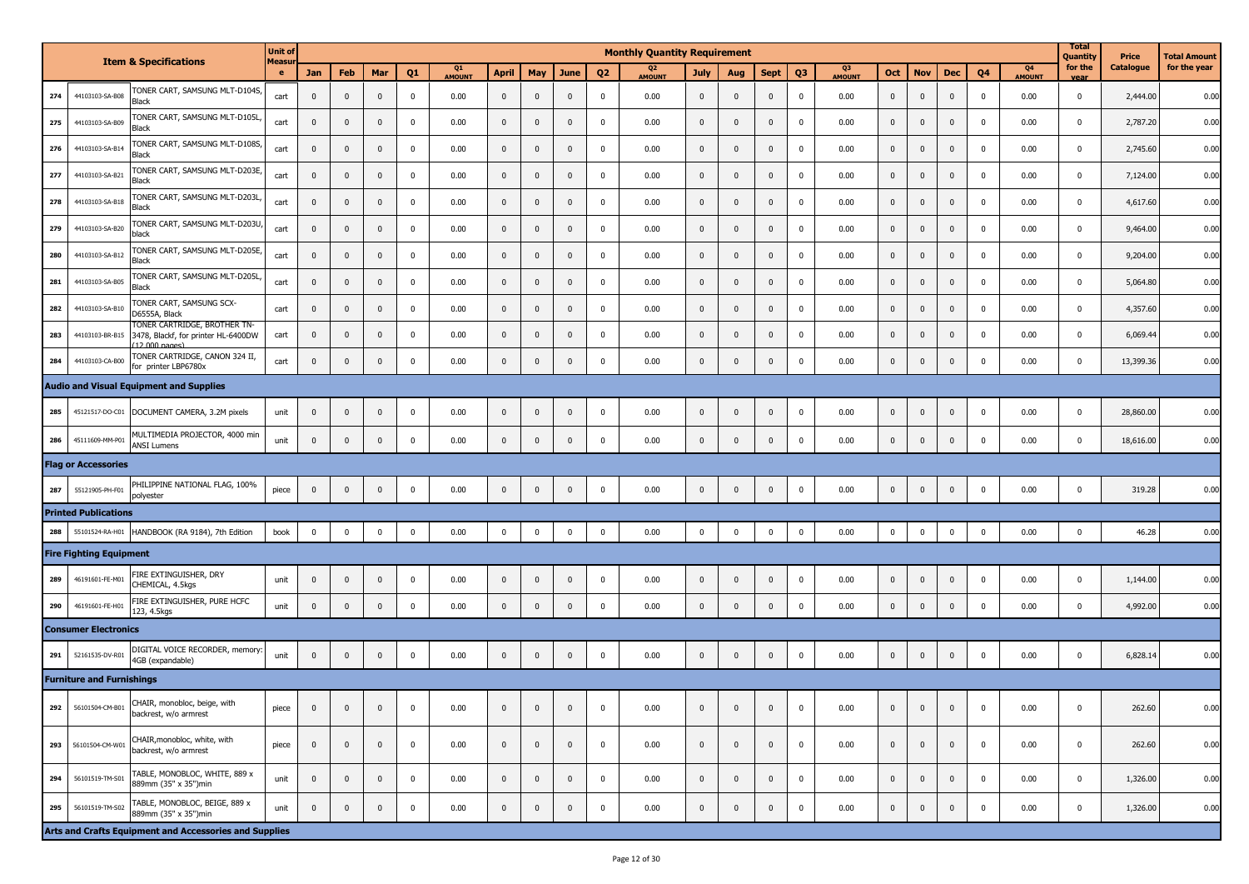|     |                                  | <b>Item &amp; Specifications</b>                                                                | <b>Unit of</b><br><b>Measu</b> |              |                         |             |                |              |              |              |              |                         | <b>Monthly Quantity Requirement</b> |                         |             |              |                         |                     |              |                |                |             |                                 | <b>Total</b><br><b>Quantity</b> | Price     | Total Amount |
|-----|----------------------------------|-------------------------------------------------------------------------------------------------|--------------------------------|--------------|-------------------------|-------------|----------------|--------------|--------------|--------------|--------------|-------------------------|-------------------------------------|-------------------------|-------------|--------------|-------------------------|---------------------|--------------|----------------|----------------|-------------|---------------------------------|---------------------------------|-----------|--------------|
|     |                                  |                                                                                                 |                                | Jan          | Feb                     | Mar         | Q <sub>1</sub> | Q1<br>AMOUNT | <b>April</b> | May          | June         | Q <sub>2</sub>          | Q <sub>2</sub><br>AMOUNT            | <b>July</b>             | Aug         | <b>Sept</b>  | Q <sub>3</sub>          | Q3<br><b>AMOUNT</b> | Oct          | <b>Nov</b>     | <b>Dec</b>     | Q4          | Q <sub>4</sub><br><b>AMOUNT</b> | for the<br>vea                  | Catalogue | for the year |
| 274 | 44103103-SA-B08                  | TONER CART, SAMSUNG MLT-D104S,<br>Black                                                         | cart                           | $\mathbf 0$  | $\mathbf 0$             | $\mathbf 0$ | $\mathbf 0$    | 0.00         | $\mathbf 0$  | $\pmb{0}$    | $\mathbf{0}$ | $\overline{\mathbf{0}}$ | 0.00                                | $\pmb{0}$               | $\pmb{0}$   | $\pmb{0}$    | $\overline{0}$          | 0.00                | 0            | $\mathbf{0}$   | $\mathbf 0$    | $\mathbf 0$ | 0.00                            | $^{\circ}$                      | 2,444.00  | 0.00         |
| 275 | 44103103-SA-B09                  | TONER CART, SAMSUNG MLT-D105L<br>Black                                                          | cart                           | $\mathbf 0$  | $\overline{0}$          | $\mathbf 0$ | $^{\circ}$     | 0.00         | $\mathbf 0$  | $\pmb{0}$    | $\Omega$     | $\mathbf{0}$            | 0.00                                | $\mathbf 0$             | $\pmb{0}$   | $\pmb{0}$    | $\overline{\mathbf{0}}$ | 0.00                | $\mathbf 0$  | $\mathbf 0$    | $\mathbf 0$    | $\mathbf 0$ | 0.00                            | $\mathbf 0$                     | 2,787.20  | 0.00         |
| 276 | 44103103-SA-B14                  | TONER CART, SAMSUNG MLT-D108S<br>Black                                                          | cart                           | $\mathbf 0$  | $\mathbf 0$             | $\mathbf 0$ | $\mathbf 0$    | 0.00         | $\mathbf 0$  | $\pmb{0}$    | $\Omega$     | $\mathbf{0}$            | 0.00                                | $\pmb{0}$               | $\mathbf 0$ | $\pmb{0}$    | $\overline{\mathbf{0}}$ | 0.00                | $\mathbf 0$  | $\mathbf{0}$   | $\mathbf 0$    | $\mathbf 0$ | 0.00                            | $\mathbf 0$                     | 2,745.60  | 0.00         |
| 277 | 44103103-SA-B21                  | TONER CART, SAMSUNG MLT-D203E<br>Black                                                          | cart                           | $\mathbf 0$  | $\overline{0}$          | $\mathbf 0$ | $^{\circ}$     | 0.00         | $\mathbf 0$  | $\pmb{0}$    | $\mathbf{0}$ | $\mathbf 0$             | 0.00                                | $\pmb{0}$               | $\pmb{0}$   | $\mathbf 0$  | $\overline{0}$          | 0.00                | $\mathbf 0$  | $\mathbf 0$    | $\mathbf 0$    | $\mathbf 0$ | 0.00                            | $\mathbf 0$                     | 7,124.00  | 0.00         |
| 278 | 44103103-SA-B18                  | TONER CART, SAMSUNG MLT-D203L<br>Black                                                          | cart                           | $\mathbf{0}$ | $\mathbf 0$             | $\mathbf 0$ | $\mathbf 0$    | 0.00         | $\mathbf 0$  | $\mathbf{0}$ | $\mathbf{0}$ | $\mathbf{0}$            | 0.00                                | $\pmb{0}$               | $\mathbf 0$ | $\pmb{0}$    | $\overline{0}$          | 0.00                | $\mathbf 0$  | $\mathbf{0}$   | $\mathbf 0$    | $\mathbf 0$ | 0.00                            | $\mathbf 0$                     | 4,617.60  | 0.00         |
| 279 | 44103103-SA-B20                  | TONER CART, SAMSUNG MLT-D203U<br>black                                                          | cart                           | $\mathbf 0$  | $\overline{0}$          | $\mathbf 0$ | $^{\circ}$     | 0.00         | $\mathbf 0$  | $\pmb{0}$    | $\mathbf{0}$ | $\mathbf 0$             | 0.00                                | $\pmb{0}$               | $\pmb{0}$   | $\mathbf 0$  | $\overline{0}$          | 0.00                | $\mathbf 0$  | $\mathbf 0$    | $\mathbf 0$    | $\mathbf 0$ | 0.00                            | $\mathbf 0$                     | 9,464.00  | 0.00         |
| 280 | 44103103-SA-B12                  | TONER CART, SAMSUNG MLT-D205E<br>Black                                                          | cart                           | $\mathbf{0}$ | $\overline{0}$          | $\mathbf 0$ | $\mathbf 0$    | 0.00         | $\mathbf 0$  | $\mathbf{0}$ | $\mathbf{0}$ | $\mathbf{0}$            | 0.00                                | $\pmb{0}$               | $\mathbf 0$ | $\mathbf 0$  | $\overline{0}$          | 0.00                | $\mathbf 0$  | $\mathbf 0$    | $\mathbf 0$    | $\mathbf 0$ | 0.00                            | $\mathbf 0$                     | 9,204.00  | 0.00         |
| 281 | 44103103-SA-B05                  | TONER CART, SAMSUNG MLT-D205L<br>Black                                                          | cart                           | $\mathbf 0$  | $\overline{\mathbf{0}}$ | $\mathbf 0$ | $^{\circ}$     | 0.00         | $\mathbf 0$  | $\mathbf 0$  | $\mathbf{0}$ | $^{\circ}$              | 0.00                                | $\mathbf 0$             | $\mathbf 0$ | $\mathbf 0$  | $\mathbf 0$             | 0.00                | 0            | $\mathbf{0}$   | $\mathbf 0$    | $\mathbf 0$ | 0.00                            | $\mathbf 0$                     | 5,064.80  | 0.00         |
| 282 | 44103103-SA-B10                  | TONER CART, SAMSUNG SCX-<br>D6555A, Black                                                       | cart                           | $\mathbf 0$  | $\overline{0}$          | $\mathbf 0$ | $^{\circ}$     | 0.00         | $\mathbf 0$  | $\mathbf{0}$ | $\mathbf{0}$ | $^{\circ}$              | 0.00                                | $\mathbf 0$             | $\mathbf 0$ | $\mathbf 0$  | $\mathbf 0$             | 0.00                | 0            | $\mathbf{0}$   | $\mathbf 0$    | $\mathbf 0$ | 0.00                            | $\mathbf 0$                     | 4,357.60  | 0.00         |
| 283 | 44103103-BR-B15                  | TONER CARTRIDGE, BROTHER TN-<br>3478, Blackf, for printer HL-6400DW<br>$(12,000, \text{naqes})$ | cart                           | $\mathbf 0$  | $\overline{\mathbf{0}}$ | $\mathbf 0$ | $^{\circ}$     | 0.00         | $\mathbf 0$  | $\mathbf 0$  | $\mathbf{0}$ | 0                       | 0.00                                | $\mathbf 0$             | $\mathbf 0$ | $\mathbf 0$  | $\mathbf 0$             | 0.00                | 0            | $\mathbf 0$    | $\mathbf 0$    | 0           | 0.00                            | $\mathbf 0$                     | 6,069.44  | 0.00         |
| 284 | 44103103-CA-B00                  | TONER CARTRIDGE, CANON 324 II,<br>for printer LBP6780x                                          | cart                           | $\mathbf{0}$ | $\mathbf 0$             | $\mathbf 0$ | $\mathbf 0$    | 0.00         | $\mathbf 0$  | $\pmb{0}$    | $\mathbf{0}$ | $\overline{\mathbf{0}}$ | 0.00                                | $\mathbf 0$             | $\pmb{0}$   | $\mathbf 0$  | $\overline{0}$          | 0.00                | $\mathbf 0$  | $\mathbf 0$    | $\mathbf 0$    | $\mathbf 0$ | 0.00                            | $\mathbf 0$                     | 13,399.36 | 0.00         |
|     |                                  | <b>Audio and Visual Equipment and Supplies</b>                                                  |                                |              |                         |             |                |              |              |              |              |                         |                                     |                         |             |              |                         |                     |              |                |                |             |                                 |                                 |           |              |
| 285 | 45121517-DO-C01                  | DOCUMENT CAMERA, 3.2M pixels                                                                    | unit                           | $\mathbf 0$  | $\mathbf 0$             | $\mathbf 0$ | $\mathbf 0$    | 0.00         | $\mathbf 0$  | $\mathbf 0$  | $\mathbf{0}$ | $\mathbf 0$             | 0.00                                | $\pmb{0}$               | $\pmb{0}$   | $\pmb{0}$    | $\overline{\mathbf{0}}$ | 0.00                | $\mathbf 0$  | $\mathbf 0$    | $\mathbf 0$    | $\mathbf 0$ | 0.00                            | $\mathbf 0$                     | 28,860.00 | 0.00         |
| 286 | 45111609-MM-P01                  | MULTIMEDIA PROJECTOR, 4000 min<br><b>ANSI Lumens</b>                                            | unit                           | $\mathbf 0$  | $\overline{0}$          | $\mathbf 0$ | $\mathbf 0$    | 0.00         | $\mathbf 0$  | $\pmb{0}$    | $\mathbf{0}$ | $\overline{\mathbf{0}}$ | 0.00                                | $\mathbf 0$             | $\pmb{0}$   | $\pmb{0}$    | $\overline{0}$          | 0.00                | $\mathbf 0$  | $\mathbf 0$    | $\mathbf 0$    | $\mathbf 0$ | 0.00                            | $\mathbf 0$                     | 18,616.00 | 0.00         |
|     | <b>Flag or Accessories</b>       |                                                                                                 |                                |              |                         |             |                |              |              |              |              |                         |                                     |                         |             |              |                         |                     |              |                |                |             |                                 |                                 |           |              |
| 287 | 55121905-PH-F01                  | PHILIPPINE NATIONAL FLAG, 100%<br>polyester                                                     | piece                          | $\mathbf 0$  | $\mathbf 0$             | $\mathbf 0$ | $\mathbf 0$    | 0.00         | $\mathbf 0$  | $\mathbf 0$  | $\mathbf 0$  | $\mathbf 0$             | 0.00                                | $\mathbf 0$             | $\pmb{0}$   | $\mathbf 0$  | $\overline{0}$          | 0.00                | $\mathbf 0$  | $\mathbf{0}$   | $\overline{0}$ | $\mathbf 0$ | 0.00                            | $\mathbf 0$                     | 319.28    | 0.00         |
|     | <b>Printed Publications</b>      |                                                                                                 |                                |              |                         |             |                |              |              |              |              |                         |                                     |                         |             |              |                         |                     |              |                |                |             |                                 |                                 |           |              |
| 288 | 55101524-RA-H01                  | HANDBOOK (RA 9184), 7th Edition                                                                 | book                           | $\mathbf 0$  | $\overline{\mathbf{0}}$ | $\mathbf 0$ | $\mathbf 0$    | 0.00         | $\pmb{0}$    | $\mathbf 0$  | $\mathbf 0$  | $\mathbf 0$             | 0.00                                | $\overline{\mathbf{0}}$ | $\mathbf 0$ | $\mathbf 0$  | $\overline{\mathbf{0}}$ | 0.00                | $\mathbf 0$  | $\mathbf 0$    | $\mathbf{0}$   | $\mathbf 0$ | 0.00                            | $\mathbf 0$                     | 46.28     | 0.00         |
|     | <b>Fire Fighting Equipment</b>   |                                                                                                 |                                |              |                         |             |                |              |              |              |              |                         |                                     |                         |             |              |                         |                     |              |                |                |             |                                 |                                 |           |              |
| 289 | 46191601-FE-M01                  | FIRE EXTINGUISHER, DRY<br>CHEMICAL, 4.5kgs                                                      | unit                           | $\mathbf{0}$ | $\mathbf 0$             | $\mathbf 0$ | 0              | 0.00         | $\mathbf 0$  | $\mathbf 0$  | $\mathbf{0}$ | $\mathbf 0$             | 0.00                                | $\mathbf 0$             | $\mathbf 0$ | $\pmb{0}$    | $\overline{0}$          | 0.00                | $\mathbf{0}$ | $\mathbf 0$    | $\mathbf 0$    | $\mathbf 0$ | 0.00                            | $\mathbf 0$                     | 1,144.00  | 0.00         |
| 290 | 46191601-FE-H01                  | FIRE EXTINGUISHER, PURE HCFC<br>123, 4.5kgs                                                     | unit                           | $\mathbf 0$  | $\mathbf 0$             | $\mathbf 0$ | $\mathbf 0$    | 0.00         | $\mathbf 0$  | $\mathbf 0$  | $\mathbf 0$  | $\mathbf 0$             | 0.00                                | $\mathbf 0$             | $\mathbf 0$ | $\pmb{0}$    | $\overline{0}$          | 0.00                | $\mathbf 0$  | $\mathbf{0}$   | $\mathbf 0$    | $\mathbf 0$ | 0.00                            | $\mathbf 0$                     | 4,992.00  | 0.00         |
|     | <b>Consumer Electronics</b>      |                                                                                                 |                                |              |                         |             |                |              |              |              |              |                         |                                     |                         |             |              |                         |                     |              |                |                |             |                                 |                                 |           |              |
| 291 | 52161535-DV-R01                  | DIGITAL VOICE RECORDER, memory<br>4GB (expandable)                                              | unit                           | $\mathbf 0$  | $\mathbf 0$             | $\mathbf 0$ | $\mathbf 0$    | 0.00         | $\mathbf 0$  | $\mathbf 0$  | $\mathbf{0}$ | $\mathbf 0$             | 0.00                                | $\mathbf 0$             | $\mathbf 0$ | $\pmb{0}$    | $\overline{0}$          | 0.00                | $\mathbf{0}$ | $\mathbf{0}$   | $\mathbf 0$    | $\mathbf 0$ | 0.00                            | $\mathbf 0$                     | 6,828.14  | 0.00         |
|     | <b>Furniture and Furnishings</b> |                                                                                                 |                                |              |                         |             |                |              |              |              |              |                         |                                     |                         |             |              |                         |                     |              |                |                |             |                                 |                                 |           |              |
|     | 292 56101504-CM-B01              | CHAIR, monobloc, beige, with<br>backrest, w/o armrest                                           | piece                          |              |                         |             |                | 0.00         |              |              |              | 0                       | 0.00                                |                         |             |              |                         | 0.00                |              |                |                |             | 0.00                            | 0                               | 262.60    | 0.00         |
|     | 293 56101504-CM-W01              | CHAIR, monobloc, white, with<br>backrest, w/o armrest                                           | piece                          | $\mathbf 0$  | $\mathbf{0}$            | $\mathbf 0$ | $\mathbf 0$    | 0.00         | $\mathbf{0}$ | $\mathbf{0}$ | $\mathbf{0}$ | $\mathbf 0$             | 0.00                                | $\mathbf{0}$            | $\mathbf 0$ | $\mathbf{0}$ | $\overline{0}$          | 0.00                | $\mathbf{0}$ | $\mathbf{0}$   | $\mathbf 0$    | $\mathbf 0$ | 0.00                            | $\mathbf 0$                     | 262.60    | 0.00         |
| 294 | 56101519-TM-S01                  | TABLE, MONOBLOC, WHITE, 889 x<br>889mm (35" x 35")min                                           | unit                           | $\mathbf 0$  | $\mathbf 0$             | $\mathbf 0$ | $\mathbf 0$    | 0.00         | $\mathbf{0}$ | $\mathbf{0}$ | $\mathbf{0}$ | $\mathbf 0$             | 0.00                                | $\mathbf{0}$            | $\mathbf 0$ | $\mathbf{0}$ | $\mathbf 0$             | 0.00                | $\mathbf 0$  | $\mathbf 0$    | $\mathbf{0}$   | $\mathbf 0$ | 0.00                            | $^{\circ}$                      | 1,326.00  | 0.00         |
| 295 | 56101519-TM-S02                  | TABLE, MONOBLOC, BEIGE, 889 x<br>889mm (35" x 35")min                                           | unit                           | $\mathbf 0$  | $\overline{0}$          | $\mathbf 0$ | $\mathbf 0$    | 0.00         | $\mathbf 0$  | $\mathbf 0$  | $\mathbf 0$  | $\mathbf 0$             | 0.00                                | $\overline{0}$          | $\pmb{0}$   | $\mathbf 0$  | $\overline{0}$          | 0.00                | $\mathbf 0$  | $\overline{0}$ | $\mathbf{0}$   | $\mathbf 0$ | 0.00                            | $\mathbf 0$                     | 1,326.00  | 0.00         |
|     |                                  | Arts and Crafts Equipment and Accessories and Supplies                                          |                                |              |                         |             |                |              |              |              |              |                         |                                     |                         |             |              |                         |                     |              |                |                |             |                                 |                                 |           |              |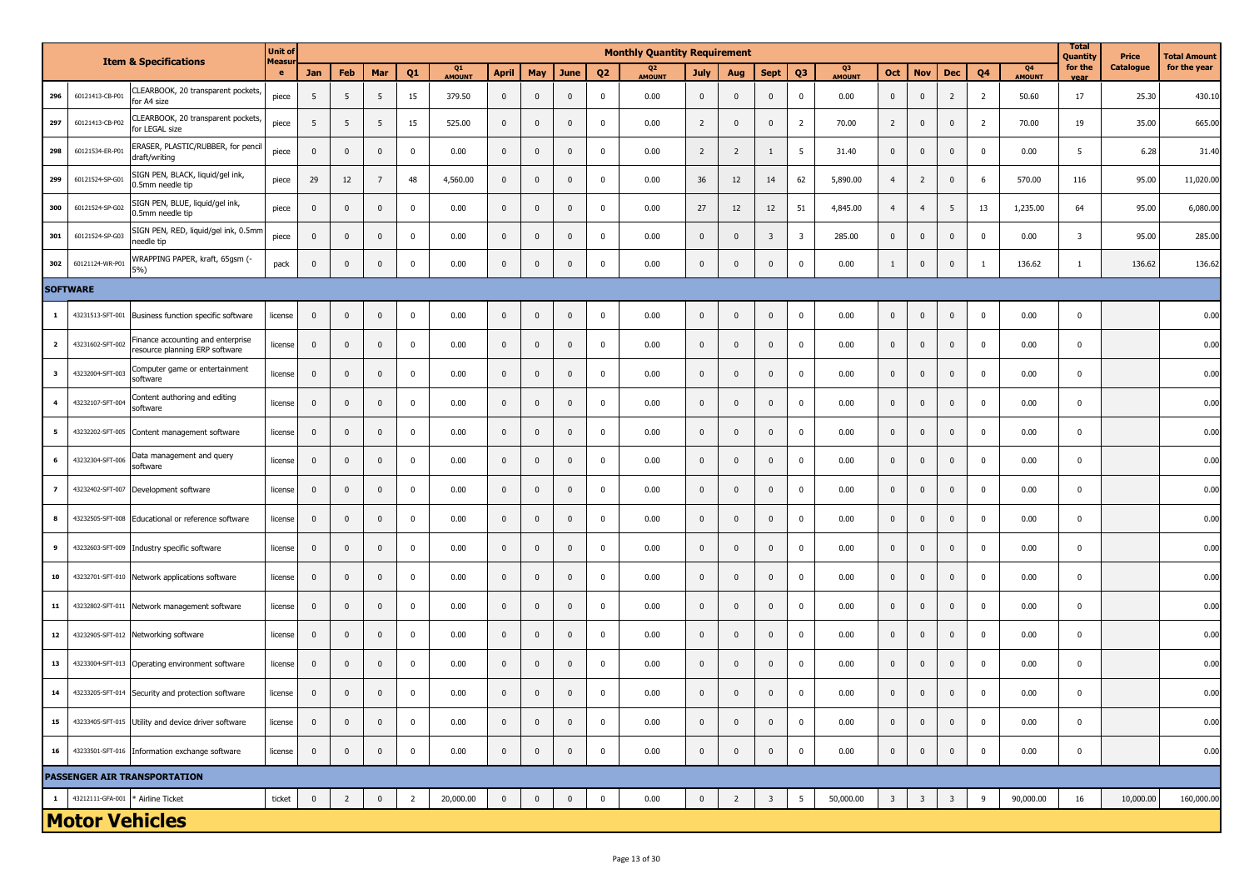|                         |                                   | <b>Item &amp; Specifications</b>                                    | <b>Unit of</b><br>Measu |              |                |                |                |                     |              |              |              |                | <b>Monthly Quantity Requirement</b> |                |                |                         |                         |                     |                |                         |                         |                |                     | <b>Total</b><br>Quantity | Price            | Total Amount |
|-------------------------|-----------------------------------|---------------------------------------------------------------------|-------------------------|--------------|----------------|----------------|----------------|---------------------|--------------|--------------|--------------|----------------|-------------------------------------|----------------|----------------|-------------------------|-------------------------|---------------------|----------------|-------------------------|-------------------------|----------------|---------------------|--------------------------|------------------|--------------|
|                         |                                   |                                                                     | $\bullet$               | Jan          | Feb            | Mar            | Q <sub>1</sub> | Q1<br><b>AMOUNT</b> | <b>April</b> | May          | <b>June</b>  | Q <sub>2</sub> | Q <sub>2</sub><br><b>AMOUNT</b>     | July           | Aug            | <b>Sept</b>             | Q <sub>3</sub>          | Q3<br><b>AMOUNT</b> | Oct            | <b>Nov</b>              | <b>Dec</b>              | Q4             | Q4<br><b>AMOUNT</b> | for the<br>vear          | <b>Catalogue</b> | for the year |
| 296                     | 60121413-CB-P01                   | CLEARBOOK, 20 transparent pockets,<br>for A4 size                   | piece                   | 5            | 5              | 5              | 15             | 379.50              | $\mathbf{0}$ | $\mathbf 0$  | $\mathbf 0$  | 0              | 0.00                                | $\mathbf{0}$   | $\mathbf 0$    | $\overline{0}$          | 0                       | 0.00                | 0              | $\mathbf{0}$            | $\overline{2}$          | $\overline{2}$ | 50.60               | 17                       | 25.30            | 430.10       |
| 297                     | 60121413-CB-P02                   | CLEARBOOK, 20 transparent pockets,<br>for LEGAL size                | piece                   | 5            | 5              | 5              | 15             | 525.00              | $\mathbf 0$  | $\mathbf 0$  | $\mathbf{0}$ | 0              | 0.00                                | $\overline{2}$ | $\mathbf{0}$   | $\mathbf 0$             | $\overline{2}$          | 70.00               | $\overline{2}$ | $\mathbf{0}$            | $\mathbf{0}$            | $\overline{2}$ | 70.00               | 19                       | 35.00            | 665.00       |
| 298                     | 60121534-ER-P01                   | ERASER, PLASTIC/RUBBER, for pencil<br>draft/writing                 | piece                   | $\mathbf 0$  | $\mathbf 0$    | 0              | 0              | 0.00                | $\mathbf{0}$ | $\mathbf 0$  | 0            | 0              | 0.00                                | $\overline{2}$ | $\overline{2}$ | 1                       | 5                       | 31.40               | 0              | $\mathbf{0}$            | $\mathbf 0$             | $\mathbf 0$    | 0.00                | 5                        | 6.28             | 31.40        |
| 299                     | 60121524-SP-G01                   | SIGN PEN, BLACK, liquid/gel ink,<br>0.5mm needle tip                | piece                   | 29           | 12             | $\overline{7}$ | 48             | 4,560.00            | $\mathbf 0$  | $\mathbf 0$  | 0            | $\mathbf 0$    | 0.00                                | 36             | 12             | 14                      | 62                      | 5,890.00            | $\overline{4}$ | $\overline{2}$          | $\mathbf 0$             | 6              | 570.00              | 116                      | 95.00            | 11,020.00    |
| 300                     | 60121524-SP-G02                   | SIGN PEN, BLUE, liquid/gel ink,<br>0.5mm needle tip                 | piece                   | $\mathbf{0}$ | $\mathbf 0$    | $\mathbf 0$    | 0              | 0.00                | $\mathbf 0$  | $\mathbf 0$  | $\mathbf{0}$ | 0              | 0.00                                | 27             | 12             | 12                      | 51                      | 4,845.00            | $\overline{4}$ | $\overline{4}$          | 5                       | 13             | 1,235.00            | 64                       | 95.00            | 6,080.00     |
| 301                     | 60121524-SP-G03                   | SIGN PEN, RED, liquid/gel ink, 0.5mm<br>needle tip                  | piece                   | $\mathbf 0$  | $\mathbf 0$    | 0              | 0              | 0.00                | $\mathbf{0}$ | $\mathbf 0$  | 0            | $\mathbf 0$    | 0.00                                | $\mathbf 0$    | $\mathbf{0}$   | $\overline{\mathbf{3}}$ | $\overline{\mathbf{3}}$ | 285.00              | $\mathbf 0$    | $\mathbf{0}$            | $\mathbf 0$             | $\mathbf 0$    | 0.00                | $\overline{\mathbf{3}}$  | 95.00            | 285.00       |
| 302                     | 60121124-WR-P01                   | WRAPPING PAPER, kraft, 65gsm (-<br>5%)                              | pack                    | $\mathbf 0$  | $\mathbf 0$    | 0              | 0              | 0.00                | $\mathbf 0$  | $\mathbf 0$  | 0            | 0              | 0.00                                | $\mathbf 0$    | $\mathbf 0$    | $\mathbf 0$             | $\mathbf 0$             | 0.00                | $\mathbf{1}$   | $\mathbf{0}$            | $\mathbf 0$             | -1             | 136.62              | -1                       | 136.62           | 136.62       |
|                         | <b>SOFTWARE</b>                   |                                                                     |                         |              |                |                |                |                     |              |              |              |                |                                     |                |                |                         |                         |                     |                |                         |                         |                |                     |                          |                  |              |
| $\mathbf{1}$            | 43231513-SFT-001                  | Business function specific software                                 | license                 | $\mathbf 0$  | $\mathbf 0$    | $\pmb{0}$      | 0              | 0.00                | $\mathbf 0$  | $\mathbf 0$  | 0            | 0              | 0.00                                | $\mathbf 0$    | $\mathbf 0$    | $\mathbf 0$             | $\mathbf 0$             | 0.00                | $\pmb{0}$      | $\mathbf 0$             | $\mathbf 0$             | $\mathbf 0$    | 0.00                | $\mathbf 0$              |                  | 0.00         |
| $\overline{\mathbf{2}}$ | 43231602-SFT-002                  | Finance accounting and enterprise<br>resource planning ERP software | license                 | $\mathbf{0}$ | $\mathbf 0$    | $\mathbf 0$    | 0              | 0.00                | $\mathbf{0}$ | $\mathbf 0$  | $\mathbf 0$  | $\mathbf{0}$   | 0.00                                | $\mathbf 0$    | $\mathbf 0$    | $\overline{\mathbf{0}}$ | $\mathbf 0$             | 0.00                | $\mathbf 0$    | $\mathbf 0$             | $\mathbf 0$             | $\mathbf 0$    | 0.00                | $\mathbf 0$              |                  | 0.00         |
| $\overline{\mathbf{3}}$ | 43232004-SFT-003                  | Computer game or entertainment<br>software                          | license                 | $\mathbf 0$  | $\mathbf 0$    | $\mathbf 0$    | 0              | 0.00                | $\mathbf 0$  | $\mathbf 0$  | $\mathbf 0$  | $\mathbf{0}$   | 0.00                                | $\mathbf 0$    | $\mathbf 0$    | $\mathbf 0$             | $\mathbf 0$             | 0.00                | $\mathbf 0$    | $\mathbf{0}$            | $\mathbf 0$             | $\mathbf 0$    | 0.00                | $\mathbf 0$              |                  | 0.00         |
| $\overline{4}$          | 43232107-SFT-004                  | Content authoring and editing<br>software                           | license                 | $\mathbf 0$  | $\mathbf 0$    | $\mathbf 0$    | 0              | 0.00                | $\mathbf 0$  | $\mathbf 0$  | $\pmb{0}$    | 0              | 0.00                                | $\mathbf 0$    | $\mathbf 0$    | $\pmb{0}$               | $\mathbf 0$             | 0.00                | $\mathbf 0$    | $\mathbf 0$             | $\mathbf 0$             | $\mathbf 0$    | 0.00                | $\overline{0}$           |                  | 0.00         |
| 5                       | 43232202-SFT-005                  | Content management software                                         | license                 | $\mathbf 0$  | $\mathbf 0$    | $\mathbf 0$    | $\mathbf 0$    | 0.00                | $\mathbf{0}$ | $\mathbf 0$  | 0            | $\mathbf 0$    | 0.00                                | $\mathbf 0$    | $\mathbf{0}$   | $\mathbf 0$             | $\mathbf 0$             | 0.00                | 0              | $\mathbf{0}$            | $\overline{\mathbf{0}}$ | $\mathbf 0$    | 0.00                | $\mathbf{0}$             |                  | 0.00         |
| 6                       | 43232304-SFT-006                  | Data management and query<br>software                               | license                 | $\mathbf 0$  | $\mathbf 0$    | $\mathbf 0$    | 0              | 0.00                | $\mathbf 0$  | $\mathbf 0$  | 0            | $\mathbf 0$    | 0.00                                | $\mathbf 0$    | $\mathbf{0}$   | $\mathbf 0$             | $\mathbf 0$             | 0.00                | $\mathbf{0}$   | $\mathbf{0}$            | $\mathbf{0}$            | $\mathbf 0$    | 0.00                | $\mathbf{0}$             |                  | 0.00         |
| $\overline{7}$          | 43232402-SFT-007                  | Development software                                                | license                 | $\mathbf 0$  | $\mathbf 0$    | 0              | 0              | 0.00                | $\mathbf{0}$ | $\mathbf 0$  | $\mathbf 0$  | 0              | 0.00                                | $\mathbf 0$    | $\mathbf 0$    | $\mathbf 0$             | $\mathbf 0$             | 0.00                | 0              | $\mathbf 0$             | $\mathbf 0$             | $\mathbf 0$    | 0.00                | $\mathbf{0}$             |                  | 0.00         |
| 8                       | 43232505-SFT-008                  | Educational or reference software                                   | license                 | $\mathbf 0$  | $\mathbf 0$    | $\mathbf 0$    | $\mathbf 0$    | 0.00                | $\mathbf 0$  | $\mathbf 0$  | 0            | $\mathbf 0$    | 0.00                                | $\mathbf 0$    | $\mathbf{0}$   | $\pmb{0}$               | $\mathbf 0$             | 0.00                | $\mathbf{0}$   | $\mathbf{0}$            | $\overline{\mathbf{0}}$ | $\mathbf 0$    | 0.00                | $\mathbf 0$              |                  | 0.00         |
| 9                       | 43232603-SFT-009                  | Industry specific software                                          | license                 | $\mathbf 0$  | $\mathbf{0}$   | 0              | $^{\circ}$     | 0.00                | $\mathbf{0}$ | $\mathbf 0$  | 0            | $^{\circ}$     | 0.00                                | $\mathbf 0$    | $\mathbf{0}$   | $\mathbf 0$             | $\mathbf 0$             | 0.00                | $\mathbf 0$    | $\mathbf{0}$            | $\mathbf{0}$            | $\mathbf 0$    | 0.00                | $\mathbf{0}$             |                  | 0.00         |
| 10                      | 43232701-SFT-010                  | Network applications software                                       | license                 | $\mathbf{0}$ | $\mathbf 0$    | $\mathbf 0$    | $\mathbf 0$    | 0.00                | $\mathbf{0}$ | $\mathbf 0$  | 0            | $\mathbf 0$    | 0.00                                | $\mathbf 0$    | $\mathbf{0}$   | $\mathbf 0$             | 0                       | 0.00                | $\mathbf{0}$   | $\mathbf{0}$            | $\mathbf{0}$            | $\mathbf 0$    | 0.00                | $\mathbf{0}$             |                  | 0.00         |
| 11                      | 43232802-SFT-011                  | Network management software                                         | license                 | $\mathbf 0$  | $\mathbf 0$    | 0              | 0              | 0.00                | $\mathbf 0$  | $\mathbf 0$  | 0            | $\mathbf 0$    | 0.00                                | $\mathbf 0$    | $\mathbf 0$    | $\mathbf 0$             | $\mathbf 0$             | 0.00                | $\mathbf 0$    | $\mathbf{0}$            | $\mathbf 0$             | $\mathbf 0$    | 0.00                | $\mathbf{0}$             |                  | 0.00         |
| 12                      |                                   | 43232905-SFT-012 Networking software                                | license                 | $\mathbf{0}$ | $\mathbf 0$    | 0              | 0              | 0.00                | $\mathbf 0$  | $\mathbf 0$  | $\mathbf{0}$ | 0              | 0.00                                | $\mathbf 0$    | $\mathbf{0}$   | $\mathbf{0}$            | $\mathbf 0$             | 0.00                | $\mathbf{0}$   | $\mathbf{0}$            | $\mathbf{0}$            | $\mathbf 0$    | 0.00                | $\mathbf{0}$             |                  | 0.00         |
| 13                      | 43233004-SFT-013                  | Operating environment software                                      | license                 | $\mathbf{0}$ | $\mathbf 0$    | $\mathbf 0$    | $\mathbf 0$    | 0.00                | $\mathbf 0$  | $\mathbf 0$  | $\mathbf{0}$ | $\mathbf 0$    | 0.00                                | $\mathbf 0$    | $\mathbf{0}$   | $\mathbf 0$             | 0                       | 0.00                | $\mathbf{0}$   | $\mathbf{0}$            | $\mathbf{0}$            | $\mathbf 0$    | 0.00                | $\mathbf{0}$             |                  | 0.00         |
| 14                      | 43233205-SFT-014                  | Security and protection software                                    | license                 | $\mathbf{0}$ | $\mathbf 0$    | $\mathbf{0}$   | 0              | 0.00                | $\mathbf 0$  | $\mathbf{0}$ | $\mathbf{0}$ | 0              | 0.00                                | $\mathbf{0}$   | $\mathbf{0}$   | $\mathbf{0}$            | $\mathbf 0$             | 0.00                | $\mathbf{0}$   | $\mathbf{0}$            | $\mathbf{0}$            | $\mathbf 0$    | 0.00                | $\mathbf 0$              |                  | 0.00         |
| 15                      |                                   | 43233405-SFT-015 Utility and device driver software                 | license                 | $\mathbf{0}$ | $\mathbf 0$    | $\overline{0}$ | 0              | 0.00                | $\mathbf{0}$ | $\bf{0}$     | $\mathbf{0}$ | $\mathbf{0}$   | 0.00                                | $\mathbf 0$    | $\mathbf{0}$   | $\overline{0}$          | $\bf{0}$                | 0.00                | $\mathbf{0}$   | $\mathbf{0}$            | $\mathbf 0$             | $\mathbf{0}$   | 0.00                | $\mathbf 0$              |                  | 0.00         |
| 16                      |                                   | 43233501-SFT-016 Information exchange software                      | license                 | $\bf{0}$     | $\bf{0}$       | $\pmb{0}$      | 0              | 0.00                | $\mathbf 0$  | $\mathbf 0$  | $\pmb{0}$    | 0              | 0.00                                | $\mathbf{0}$   | $\mathbf 0$    | $\mathbf 0$             | $\mathbf 0$             | 0.00                | $\bf{0}$       | $\mathbf 0$             | $\mathbf 0$             | $\mathbf 0$    | 0.00                | $\mathbf{0}$             |                  | 0.00         |
|                         |                                   | <b>PASSENGER AIR TRANSPORTATION</b>                                 |                         |              |                |                |                |                     |              |              |              |                |                                     |                |                |                         |                         |                     |                |                         |                         |                |                     |                          |                  |              |
| $\mathbf{1}$            | 43212111-GFA-001 * Airline Ticket |                                                                     | ticket                  | $\pmb{0}$    | $\overline{2}$ | $\mathbf 0$    | $\overline{2}$ | 20,000.00           | $\pmb{0}$    | $\mathbf 0$  | $\mathbf 0$  | $\pmb{0}$      | 0.00                                | $\mathbf 0$    | $\overline{2}$ | $\overline{\mathbf{3}}$ | $5\phantom{.0}$         | 50,000.00           | $3^{\circ}$    | $\overline{\mathbf{3}}$ | $\overline{\mathbf{3}}$ | 9              | 90,000.00           | 16                       | 10,000.00        | 160,000.00   |
|                         |                                   | <b>Motor Vehicles</b>                                               |                         |              |                |                |                |                     |              |              |              |                |                                     |                |                |                         |                         |                     |                |                         |                         |                |                     |                          |                  |              |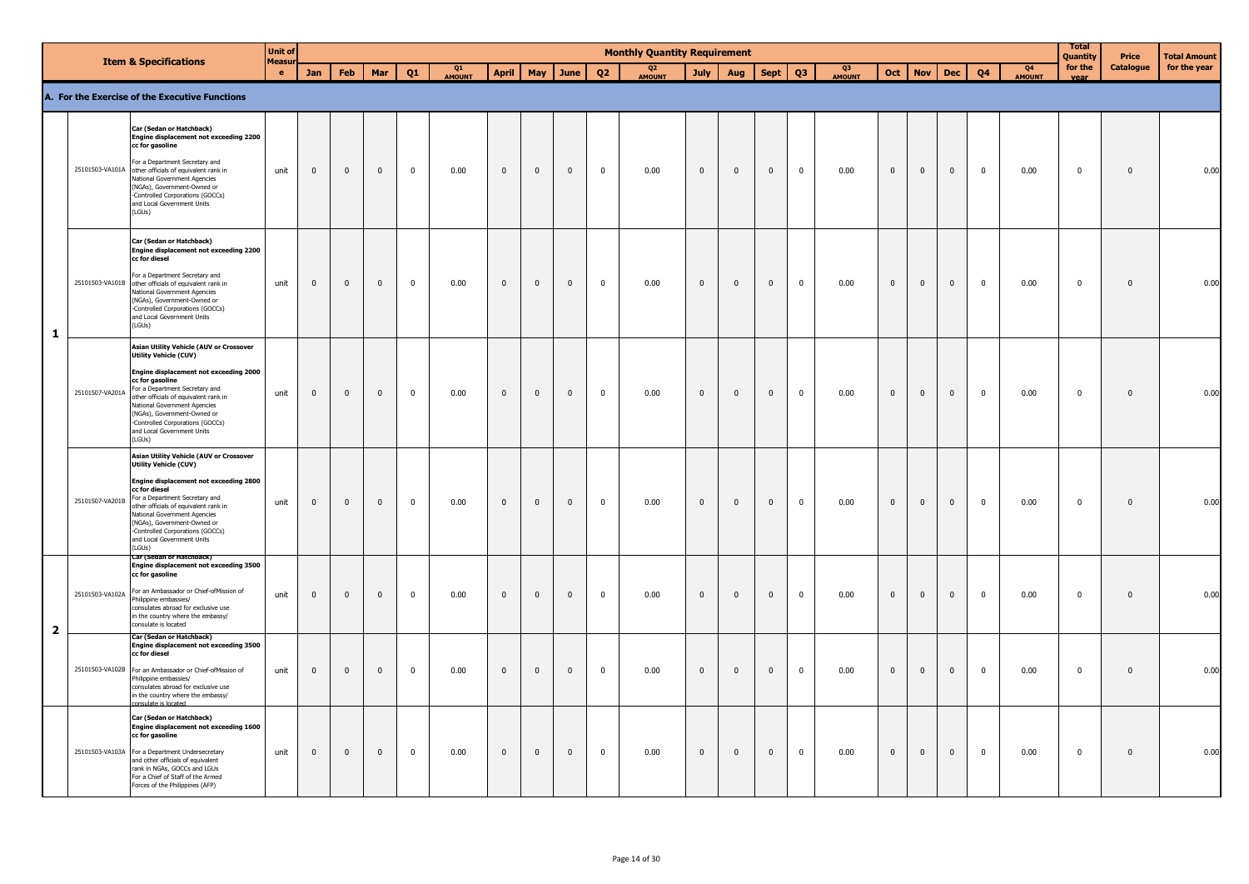|                |                 | <b>Item &amp; Specifications</b>                                                                                                                                                                                                                                                                                                                                                | <b>Unit of</b>            |                |              |              |                |              |              |                |                |                | <b>Monthly Quantity Requirement</b> |                |              |                |                |              |                         |              |                |              |                                 | <b>Total</b><br>Quantity | Price        | <b>Total Amount</b> |
|----------------|-----------------|---------------------------------------------------------------------------------------------------------------------------------------------------------------------------------------------------------------------------------------------------------------------------------------------------------------------------------------------------------------------------------|---------------------------|----------------|--------------|--------------|----------------|--------------|--------------|----------------|----------------|----------------|-------------------------------------|----------------|--------------|----------------|----------------|--------------|-------------------------|--------------|----------------|--------------|---------------------------------|--------------------------|--------------|---------------------|
|                |                 |                                                                                                                                                                                                                                                                                                                                                                                 | <b>Measu</b><br>$\bullet$ | <b>Jan</b>     | Feb          | Mar          | Q1             | Q1<br>AMOUNT | <b>April</b> | May            | June           | Q <sub>2</sub> | Q <sub>2</sub><br>AMOUNT            | <b>July</b>    | Aug          | <b>Sept</b>    | Q <sub>3</sub> | Q3<br>AMOUNT | Oct                     | <b>Nov</b>   | <b>Dec</b>     | <b>Q4</b>    | O <sub>4</sub><br><b>AMOUNT</b> | for the<br>vear          | Catalogue    | for the year        |
|                |                 | A. For the Exercise of the Executive Functions                                                                                                                                                                                                                                                                                                                                  |                           |                |              |              |                |              |              |                |                |                |                                     |                |              |                |                |              |                         |              |                |              |                                 |                          |              |                     |
|                |                 | Car (Sedan or Hatchback)<br>Engine displacement not exceeding 2200<br>cc for gasoline<br>For a Department Secretary and<br>25101503 VA101A other officials of equivalent rank in<br>National Government Agencies<br>(NGAs), Government-Owned or<br>-Controlled Corporations (GOCCs)                                                                                             | unit                      | $\mathbf 0$    | $\mathbf 0$  | $\pmb{0}$    | $\mathbf 0$    | 0.00         | $\mathbf 0$  | $\mathbf 0$    | $\mathbf 0$    | $\mathbf 0$    | 0.00                                | $\mathbf{0}$   | $\mathbf 0$  | $\mathbf 0$    | $\mathbf 0$    | 0.00         | $\pmb{0}$               | $\mathbf 0$  | $\pmb{0}$      | $\mathbf 0$  | 0.00                            | $\mathbf 0$              | $\mathbf 0$  | 0.00                |
|                |                 | and Local Government Units<br>(LGUs)                                                                                                                                                                                                                                                                                                                                            |                           |                |              |              |                |              |              |                |                |                |                                     |                |              |                |                |              |                         |              |                |              |                                 |                          |              |                     |
| $\mathbf{1}$   |                 | Car (Sedan or Hatchback)<br>Engine displacement not exceeding 2200<br>cc for diesel<br>For a Department Secretary and<br>25101503-VA101B other officials of equivalent rank in<br>National Government Agencies<br>(NGAs), Government-Owned or<br>-Controlled Corporations (GOCCs)<br>and Local Government Units<br>(LGUs)                                                       | unit                      | $\mathbf 0$    | $\mathbf{0}$ | $\mathbf 0$  | $\mathbf 0$    | 0.00         | $\mathbf 0$  | $\mathbf 0$    | $\mathbf 0$    | $\mathbf 0$    | 0.00                                | $\overline{0}$ | $\mathbf 0$  | $\mathbf{0}$   | $\overline{0}$ | 0.00         | $\overline{\mathbf{0}}$ | $\mathbf{0}$ | $\mathbf 0$    | $\mathbf 0$  | 0.00                            | $\mathbf 0$              | $\mathbf{0}$ | 0.00                |
|                | 25101507-VA201A | <b>Asian Utility Vehicle (AUV or Crossover</b><br>Utility Vehicle (CUV)<br>Engine displacement not exceeding 2000<br>cc for gasoline<br>For a Department Secretary and<br>other officials of equivalent rank in<br>National Government Agencies<br>(NGAs), Government-Owned or<br>-Controlled Corporations (GOCCs)<br>and Local Government Units<br>(LGUs)                      | unit                      | $\overline{0}$ | $\mathbf{0}$ | $\mathbf{0}$ | $\mathbf{0}$   | 0.00         | $\mathbf{0}$ | $\mathbf{0}$   | $\mathbf{0}$   | $\overline{0}$ | 0.00                                | $\mathbf{0}$   | $\mathbf{0}$ | $\mathbf{0}$   | $\mathbf 0$    | 0.00         | $\pmb{0}$               | $\Omega$     | $\mathbf{0}$   | $\mathbf{0}$ | 0.00                            | $\mathbf{0}$             | $\mathbf{0}$ | 0.00                |
|                |                 | <b>Asian Utility Vehicle (AUV or Crossover</b><br><b>Utility Vehicle (CUV)</b><br>Engine displacement not exceeding 2800<br>cc for diesel<br>25101507-VA201B For a Department Secretary and<br>other officials of equivalent rank in<br>National Government Agencies<br>(NGAs), Government-Owned or<br>-Controlled Corporations (GOCCs)<br>and Local Government Units<br>(LGUs) | unit                      | $\mathbf 0$    | $\mathbf 0$  | $\Omega$     | $\mathbf{0}$   | 0.00         | $\mathbf 0$  | $\overline{0}$ | $\overline{0}$ | $\mathbf 0$    | 0.00                                | $\overline{0}$ | $\mathbf{0}$ | $\mathbf{0}$   | $\mathbf 0$    | 0.00         | $\bf{0}$                | $\mathbf 0$  | $\overline{0}$ | $\mathbf{0}$ | 0.00                            | $\mathbf{0}$             | $\mathbf{0}$ | 0.00                |
| $\overline{2}$ |                 | Car (Sedan or Hatchback)<br>Engine displacement not exceeding 3500<br>cc for gasoline<br>25101503-VA102A For an Ambassador or Chief-ofMission of<br>Philippine embassies/<br>consulates abroad for exclusive use<br>in the country where the embassy/<br>consulate is located                                                                                                   | unit                      | $\mathbf 0$    | $\mathbf 0$  | $\mathbf{0}$ | $\overline{0}$ | 0.00         | $\mathbf{0}$ | $\mathbf 0$    | $\mathsf 0$    | $\mathbf 0$    | 0.00                                | $\mathbf{0}$   | $\mathbf{0}$ | $\mathbf 0$    | $\mathbf 0$    | 0.00         | $\pmb{0}$               | $\mathbf{0}$ | $\pmb{0}$      | $\mathbf{0}$ | 0.00                            | $\mathbf 0$              | $\mathbf{0}$ | 0.00                |
|                |                 | Car (Sedan or Hatchback)<br>Engine displacement not exceeding 3500<br>cc for diesel<br>25101503-VA102B For an Ambassador or Chief-ofMission of<br>Philippine embassies/<br>consulates abroad for exclusive use<br>in the country where the embassy/<br>nsulate is located                                                                                                       | unit                      | $\mathbf 0$    | $\mathbf 0$  | $\mathbf{0}$ | $\mathbf 0$    | 0.00         | $\mathbf{0}$ | $\mathbf 0$    | $\mathbf{0}$   | $\mathbf 0$    | 0.00                                | $\mathbf{0}$   | $\pmb{0}$    | $\mathbf 0$    | $\mathbf 0$    | 0.00         | $\pmb{0}$               | $\mathbf 0$  | $\pmb{0}$      | $\mathbf 0$  | 0.00                            | $\mathbf 0$              | $\pmb{0}$    | 0.00                |
|                |                 | Car (Sedan or Hatchback)<br>Engine displacement not exceeding 1600<br>cc for gasoline<br>25101503-VA103A For a Department Undersecretary<br>and other officials of equivalent<br>rank in NGAs, GOCCs and LGUs<br>For a Chief of Staff of the Armed<br>Forces of the Philippines (AFP)                                                                                           | unit                      | $\mathbf 0$    | $\mathbf{0}$ | $\mathbf{0}$ | $\pmb{0}$      | 0.00         | $\mathbf 0$  | $\mathbf 0$    | $\mathbf 0$    | $\pmb{0}$      | 0.00                                | $\mathbf 0$    | $\mathbf 0$  | $\overline{0}$ | $\overline{0}$ | 0.00         | $\mathbf 0$             | $\mathbf{0}$ | $\mathbf 0$    | $\pmb{0}$    | 0.00                            | $\mathbf 0$              | $\mathbf 0$  | 0.00                |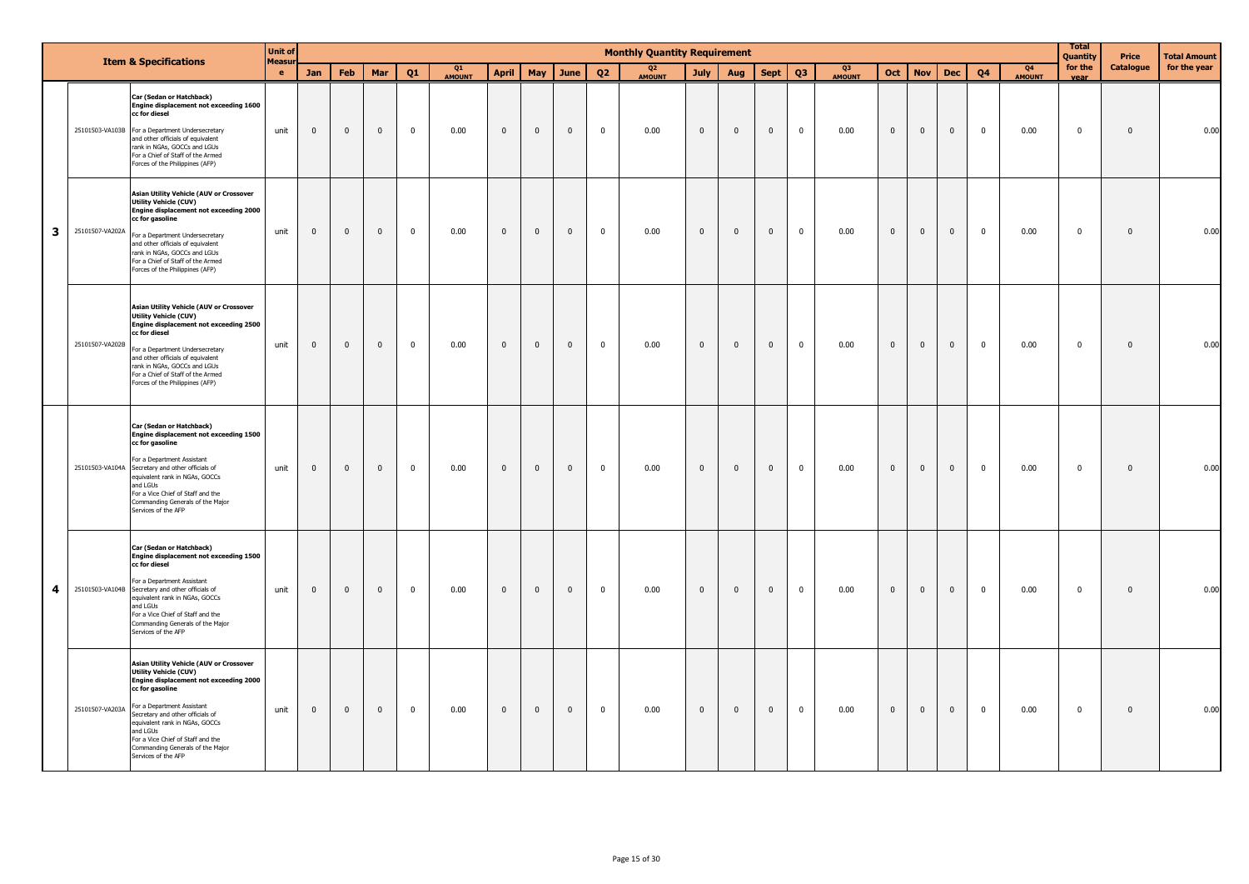|   |                 | <b>Item &amp; Specifications</b>                                                                                                                                                                                                                                                                                                                     | <b>Unit of</b><br><b>Measur</b> |              |                |              |                |              |              |              |              |                | <b>Monthly Quantity Requirement</b> |              |                |                |                |              |                |                |                |                |                                 | Total<br>Quantity | Price        | <b>Total Amount</b> |
|---|-----------------|------------------------------------------------------------------------------------------------------------------------------------------------------------------------------------------------------------------------------------------------------------------------------------------------------------------------------------------------------|---------------------------------|--------------|----------------|--------------|----------------|--------------|--------------|--------------|--------------|----------------|-------------------------------------|--------------|----------------|----------------|----------------|--------------|----------------|----------------|----------------|----------------|---------------------------------|-------------------|--------------|---------------------|
|   |                 |                                                                                                                                                                                                                                                                                                                                                      | e.                              | Jan          | Feb            | Mar          | Q1             | Q1<br>AMOUNT | April        | May          | June         | Q <sub>2</sub> | Q <sub>2</sub><br>AMOUNT            | July         | Aug            | <b>Sept</b>    | Q <sub>3</sub> | Q3<br>AMOUNT | Oct            | <b>Nov</b>     | Dec            | Q <sub>4</sub> | Q <sub>4</sub><br><b>AMOUNT</b> | for the<br>vear   | Catalogue    | for the year        |
|   |                 | Car (Sedan or Hatchback)<br>Engine displacement not exceeding 1600<br>cc for diesel<br>25101503-VA103B For a Department Undersecretary<br>and other officials of equivalent<br>rank in NGAs, GOCCs and LGUs<br>For a Chief of Staff of the Armed<br>Forces of the Philippines (AFP)                                                                  | unit                            | $\mathbf{0}$ | $\overline{0}$ | $\mathbf{0}$ | $\mathbf{0}$   | 0.00         | $\mathbf{0}$ | $\mathbf{0}$ | $\mathbf{0}$ | $\mathbf 0$    | 0.00                                | $\mathbf{0}$ | $\mathbf{0}$   | $\overline{0}$ | $\overline{0}$ | 0.00         | $\mathbf{0}$   | $\mathbf{0}$   | $\overline{0}$ | $\overline{0}$ | 0.00                            | $\mathbf{0}$      | $\mathbf{0}$ | 0.00                |
| 3 | 25101507-VA202A | Asian Utility Vehicle (AUV or Crossover<br><b>Utility Vehicle (CUV)</b><br>Engine displacement not exceeding 2000<br>cc for gasoline<br>For a Department Undersecretary<br>and other officials of equivalent<br>rank in NGAs, GOCCs and LGUs<br>For a Chief of Staff of the Armed<br>Forces of the Philippines (AFP)                                 | unit                            | $\mathbf{0}$ | $\mathbf{0}$   | $\mathbf{0}$ | $\mathbf{0}$   | 0.00         | $\mathbf{0}$ | $\mathbf{0}$ | $\mathbf 0$  | $\mathbf 0$    | 0.00                                | $\mathbf{0}$ | $\overline{0}$ | $\overline{0}$ | $\mathbf 0$    | 0.00         | $\overline{0}$ | $\mathbf 0$    | $\overline{0}$ | $\mathbf{0}$   | 0.00                            | $\mathbf 0$       | $\mathbf 0$  | 0.00                |
|   | 25101507-VA202B | Asian Utility Vehicle (AUV or Crossover<br><b>Utility Vehicle (CUV)</b><br><b>Engine displacement not exceeding 2500</b><br>cc for diesel<br>For a Department Undersecretary<br>and other officials of equivalent<br>rank in NGAs, GOCCs and LGUs<br>For a Chief of Staff of the Armed<br>Forces of the Philippines (AFP)                            | unit                            | $\mathbf 0$  | $\mathbf 0$    | $\mathbf{0}$ | $\mathbf 0$    | 0.00         | $\mathbf 0$  | $\mathbf 0$  | $\mathbf 0$  | $\pmb{0}$      | 0.00                                | $\mathbf 0$  | $\mathbf 0$    | $\overline{0}$ | $\mathbf 0$    | 0.00         | $\overline{0}$ | $\mathbf 0$    | $\overline{0}$ | $\mathbf 0$    | 0.00                            | $\mathbf 0$       | $\mathbf 0$  | 0.00                |
|   |                 | Car (Sedan or Hatchback)<br>Engine displacement not exceeding 1500<br>cc for gasoline<br>For a Department Assistant<br>25101503-VA104A Secretary and other officials of<br>equivalent rank in NGAs, GOCCs<br>and LGUs<br>For a Vice Chief of Staff and the<br>Commanding Generals of the Major<br>Services of the AFP                                | unit                            | $\mathbf{0}$ | $\mathbf{0}$   | $\mathbf{0}$ | $\mathbf{0}$   | 0.00         | $\mathbf{0}$ | $\mathbf{0}$ | $\mathbf{0}$ | $\mathbf 0$    | 0.00                                | $\mathbf{0}$ | $\overline{0}$ | $\overline{0}$ | $\mathbf{0}$   | 0.00         | $\mathbf 0$    | $\mathbf 0$    | $\overline{0}$ | $\mathbf 0$    | 0.00                            | $\mathbf 0$       | $\mathbf 0$  | 0.00                |
| 4 |                 | Car (Sedan or Hatchback)<br>Engine displacement not exceeding 1500<br>cc for diesel<br>For a Department Assistant<br>25101503-VA104B Secretary and other officials of<br>equivalent rank in NGAs, GOCCs<br>and LGUs<br>For a Vice Chief of Staff and the<br>Commanding Generals of the Major<br>Services of the AFP                                  | unit                            | $\mathbf{0}$ | $\mathbf{0}$   | $\mathbf{0}$ | $\overline{0}$ | 0.00         | $\mathbf 0$  | $\mathbf{0}$ | $\mathbf{0}$ | $\mathbf 0$    | 0.00                                | $\mathbf{0}$ | $\mathbf{0}$   | $\overline{0}$ | $\mathbf 0$    | 0.00         | $\mathbf{0}$   | $\overline{0}$ | $\mathbf{0}$   | $\mathbf 0$    | 0.00                            | $\mathbf 0$       | $\mathbf 0$  | 0.00                |
|   | 25101507-VA203A | Asian Utility Vehicle (AUV or Crossover<br><b>Utility Vehicle (CUV)</b><br>Engine displacement not exceeding 2000<br>cc for gasoline<br>For a Department Assistant<br>Secretary and other officials of<br>equivalent rank in NGAs, GOCCs<br>and LGUs<br>For a Vice Chief of Staff and the<br>Commanding Generals of the Major<br>Services of the AFP | unit                            | $\mathbf{0}$ | $\mathbf{0}$   | $\mathbf 0$  | $\mathbf 0$    | 0.00         | $\mathbf{0}$ | $\mathbf{0}$ | $\mathbf 0$  | $\mathbf 0$    | 0.00                                | $\mathbf{0}$ | $\mathbf{0}$   | $\mathbf{0}$   | $\mathbf 0$    | 0.00         | $\mathbf{0}$   | $\mathbf{0}$   | $\mathbf{0}$   | $\mathbf 0$    | 0.00                            | $\mathbf 0$       | $\mathbf 0$  | 0.00                |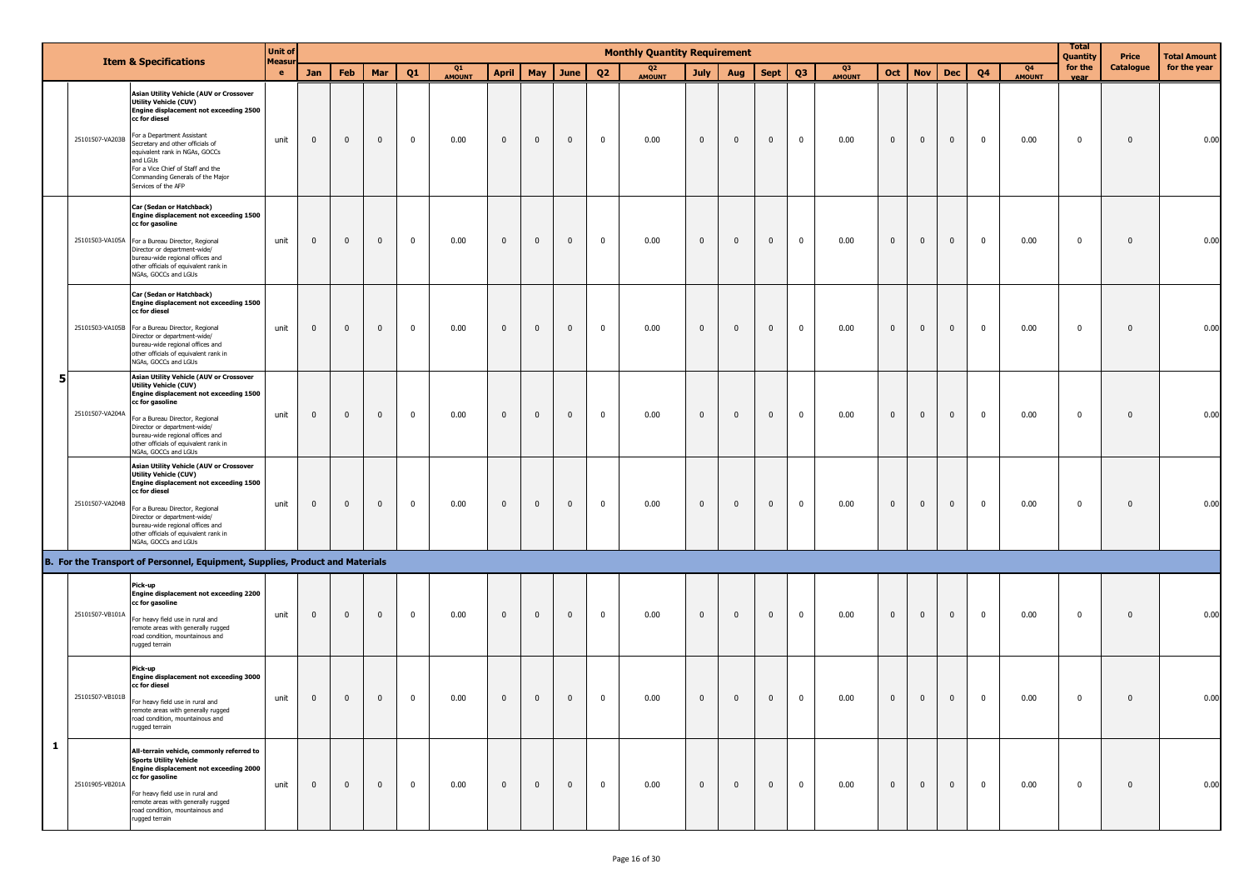|   |                 |                                                                                                                                                                                                                                                                                                                                                    | <b>Unit of</b>            |                |                |                |              |                     |                |                |              |                | <b>Monthly Quantity Requirement</b> |              |              |                |                         |                     |                |                |                         |                |                     | <b>Total</b><br>Quantity | Price        | <b>Total Amount</b> |
|---|-----------------|----------------------------------------------------------------------------------------------------------------------------------------------------------------------------------------------------------------------------------------------------------------------------------------------------------------------------------------------------|---------------------------|----------------|----------------|----------------|--------------|---------------------|----------------|----------------|--------------|----------------|-------------------------------------|--------------|--------------|----------------|-------------------------|---------------------|----------------|----------------|-------------------------|----------------|---------------------|--------------------------|--------------|---------------------|
|   |                 | <b>Item &amp; Specifications</b>                                                                                                                                                                                                                                                                                                                   | <b>Measu</b><br>$\bullet$ | Jan            | Feb            | Mar            | Q1           | Q1<br><b>AMOUNT</b> | <b>April</b>   | May            | June         | Q <sub>2</sub> | Q <sub>2</sub><br><b>AMOUNT</b>     | July         | Aug          | <b>Sept</b>    | Q <sub>3</sub>          | Q3<br><b>AMOUNT</b> | Oct            | <b>Nov</b>     | <b>Dec</b>              | Q <sub>4</sub> | Q4<br><b>AMOUNT</b> | for the<br>vear          | Catalogue    | for the year        |
|   | 25101507-VA203B | Asian Utility Vehicle (AUV or Crossover<br><b>Utility Vehicle (CUV)</b><br>Engine displacement not exceeding 2500<br>cc for diesel<br>For a Department Assistant<br>Secretary and other officials of<br>equivalent rank in NGAs, GOCCs<br>and LGUs<br>For a Vice Chief of Staff and the<br>Commanding Generals of the Major<br>Services of the AFP | unit                      | $\mathbf 0$    | $\mathbf 0$    | $\overline{0}$ | $\mathbf 0$  | 0.00                | $\pmb{0}$      | $\mathbf 0$    | $\mathbf{0}$ | $\mathbf 0$    | 0.00                                | $\mathbf 0$  | $\mathbf 0$  | $\mathbf 0$    | $\overline{\mathbf{0}}$ | 0.00                | $\mathbf{0}$   | $\mathbf{0}$   | $\overline{\mathbf{0}}$ | $\mathbf 0$    | 0.00                | $\overline{0}$           | $\mathbf 0$  | 0.00                |
|   |                 | Car (Sedan or Hatchback)<br>Engine displacement not exceeding 1500<br>cc for gasoline<br>25101503-VA105A For a Bureau Director, Regional<br>Director or department-wide/<br>bureau-wide regional offices and<br>other officials of equivalent rank in<br>NGAs, GOCCs and LGUs                                                                      | unit                      | $\mathbf 0$    | 0              | $\mathbf 0$    | $\mathbf 0$  | 0.00                | $\mathbf 0$    | $\mathbf 0$    | $\mathbf{0}$ | $\mathbf 0$    | 0.00                                | $\mathbf 0$  | $\mathbf{0}$ | $\mathbf 0$    | $\mathbf 0$             | 0.00                | $\pmb{0}$      | $\mathbf{0}$   | $\overline{\mathbf{0}}$ | $\mathbf{0}$   | 0.00                | $\overline{0}$           | $\mathbf{0}$ | 0.00                |
|   |                 | Car (Sedan or Hatchback)<br>Engine displacement not exceeding 1500<br>cc for diesel<br>25101503-VA105B For a Bureau Director, Regional<br>Director or department-wide/<br>bureau-wide regional offices and<br>other officials of equivalent rank in<br>NGAs, GOCCs and LGUs                                                                        | unit                      | $\mathbf 0$    | 0              | $\mathbf 0$    | $\mathbf 0$  | 0.00                | $\mathbf 0$    | $\mathbf 0$    | $\mathbf{0}$ | $\mathbf 0$    | 0.00                                | $\mathbf{0}$ | $\mathbf 0$  | $\mathbf 0$    | $\mathbf 0$             | 0.00                | $\mathbf 0$    | $\mathbf{0}$   | $\mathbf{0}$            | $\mathbf 0$    | 0.00                | $\mathbf 0$              | $\mathbf{0}$ | 0.00                |
| 5 | 25101507-VA204A | Asian Utility Vehicle (AUV or Crossover<br><b>Utility Vehicle (CUV)</b><br>Engine displacement not exceeding 1500<br>cc for gasoline<br>For a Bureau Director, Regional<br>Director or department-wide/<br>bureau-wide regional offices and<br>other officials of equivalent rank in<br>NGAs, GOCCs and LGUs                                       | unit                      | $\mathbf 0$    | $\mathbf 0$    | $\mathbf 0$    | $\mathbf 0$  | 0.00                | $\mathbf 0$    | $\mathbf 0$    | $\mathbf{0}$ | $\mathbf 0$    | 0.00                                | $\mathbf 0$  | $\mathbf{0}$ | $\mathbf{0}$   | $\mathbf 0$             | 0.00                | $\mathbf{0}$   | $\mathbf{0}$   | $\overline{\mathbf{0}}$ | $\mathbf 0$    | 0.00                | 0                        | $\mathbf{0}$ | 0.00                |
|   | 25101507-VA204B | Asian Utility Vehicle (AUV or Crossover<br><b>Utility Vehicle (CUV)</b><br>Engine displacement not exceeding 1500<br>cc for diesel<br>For a Bureau Director, Regional<br>Director or department-wide/<br>bureau-wide regional offices and<br>other officials of equivalent rank in<br>NGAs, GOCCs and LGUs                                         | unit                      | $\mathbf 0$    | $\mathbf 0$    | $\overline{0}$ | $\mathbf 0$  | 0.00                | $\pmb{0}$      | $\mathbf 0$    | $\mathbf 0$  | $\mathbf 0$    | 0.00                                | $\mathbf 0$  | $\mathbf 0$  | $\mathbf 0$    | $\overline{\mathbf{0}}$ | 0.00                | $\mathbf{0}$   | $\mathbf 0$    | $\mathbf 0$             | $\mathbf 0$    | 0.00                | $\overline{0}$           | $\mathbf 0$  | 0.00                |
|   |                 | B. For the Transport of Personnel, Equipment, Supplies, Product and Materials                                                                                                                                                                                                                                                                      |                           |                |                |                |              |                     |                |                |              |                |                                     |              |              |                |                         |                     |                |                |                         |                |                     |                          |              |                     |
|   | 25101507-VB101A | Pick-up<br>Engine displacement not exceeding 2200<br>cc for gasoline<br>For heavy field use in rural and<br>remote areas with generally rugged<br>road condition, mountainous and<br>rugged terrain                                                                                                                                                | unit                      | $\mathbf 0$    | $\mathbf 0$    | $\mathbf 0$    | $\mathbf 0$  | 0.00                | $\pmb{0}$      | $\mathbf 0$    | $\mathbf{0}$ | $\mathbf 0$    | 0.00                                | $\mathbf{0}$ | $\mathbf{0}$ | $\mathbf{0}$   | $\mathbf 0$             | 0.00                | $\mathbf{0}$   | $\mathbf{0}$   | $\overline{\mathbf{0}}$ | $\mathbf 0$    | 0.00                | $\overline{0}$           | $\mathbf{0}$ | 0.00                |
|   | 25101507-VB101B | Pick-up<br>Engine displacement not exceeding 3000<br>cc for diesel<br>For heavy field use in rural and<br>remote areas with generally rugged<br>road condition, mountainous and<br>rugged terrain                                                                                                                                                  | unit                      | $\overline{0}$ | $\overline{0}$ | $\mathbf{0}$   | $\mathbf 0$  | 0.00                | $\pmb{0}$      | $\mathbf 0$    | $\mathbf{0}$ | $\mathbf 0$    | 0.00                                | $\mathbf{0}$ | $\mathbf 0$  | $\overline{0}$ | $\mathbf{0}$            | 0.00                | $\mathbf 0$    | $\mathbf 0$    | $\mathbf{0}$            | $\mathbf{0}$   | 0.00                | $\overline{\mathbf{0}}$  | $\mathbf 0$  | 0.00                |
| 1 | 25101905-VB201A | All-terrain vehicle, commonly referred to<br><b>Sports Utility Vehicle</b><br>Engine displacement not exceeding 2000<br>cc for gasoline<br>For heavy field use in rural and<br>remote areas with generally rugged<br>road condition, mountainous and<br>rugged terrain                                                                             | unit                      | $\overline{0}$ | $\mathbf{0}$   | $\overline{0}$ | $\mathbf{0}$ | 0.00                | $\overline{0}$ | $\overline{0}$ | $\mathbf 0$  | $\mathbf{0}$   | 0.00                                | $\mathbf 0$  | $\mathbf 0$  | $\overline{0}$ | $\mathbf{0}$            | 0.00                | $\overline{0}$ | $\overline{0}$ | $\overline{0}$          | $\overline{0}$ | 0.00                | $\overline{\mathbf{0}}$  | $\mathbf 0$  | 0.00                |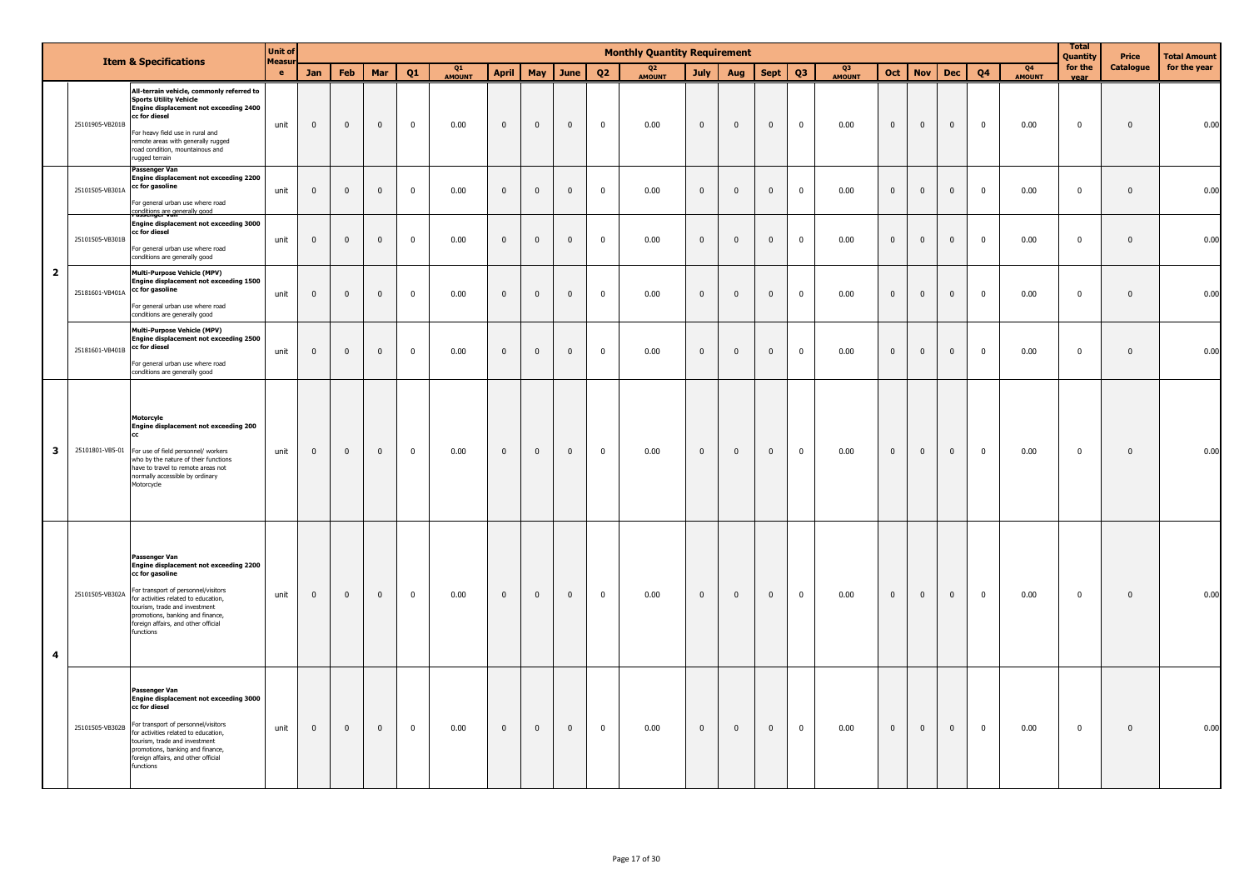|                |                 | <b>Item &amp; Specifications</b>                                                                                                                                                                                                                                                        | <b>Unit of</b><br><b>Measu</b> |              |                         |              |             |                     |                |                |                |              | <b>Monthly Quantity Requirement</b> |              |              |                         |                |                     |                |                |                |                         |                                 | <b>Total</b><br>Quantity | Price            | <b>Total Amount</b> |
|----------------|-----------------|-----------------------------------------------------------------------------------------------------------------------------------------------------------------------------------------------------------------------------------------------------------------------------------------|--------------------------------|--------------|-------------------------|--------------|-------------|---------------------|----------------|----------------|----------------|--------------|-------------------------------------|--------------|--------------|-------------------------|----------------|---------------------|----------------|----------------|----------------|-------------------------|---------------------------------|--------------------------|------------------|---------------------|
|                |                 |                                                                                                                                                                                                                                                                                         | $\bullet$                      | <b>Jan</b>   | <b>Feb</b>              | Mar          | O1          | Q1<br><b>AMOUNT</b> | <b>April</b>   | May            | June           | 02           | Q <sub>2</sub><br><b>AMOUNT</b>     | <b>July</b>  | Aug          | <b>Sept</b>             | Q3             | Q3<br><b>AMOUNT</b> | Oct            | <b>Nov</b>     | <b>Dec</b>     | 04                      | Q <sub>4</sub><br><b>AMOUNT</b> | for the<br>vear          | <b>Catalogue</b> | for the year        |
|                | 25101905-VB201B | All-terrain vehicle, commonly referred to<br><b>Sports Utility Vehicle</b><br>Ingine displacement not exceeding 2400<br>cc for diesel<br>For heavy field use in rural and<br>remote areas with generally rugged<br>road condition, mountainous and<br>ugged terrain                     | unit                           | $\mathbf 0$  | $\mathbf 0$             | $\mathbf 0$  | $\pmb{0}$   | 0.00                | $\mathbf 0$    | $\overline{0}$ | $\mathbf 0$    | $\mathbf 0$  | 0.00                                | $\mathbf 0$  | $\mathbf 0$  | $\mathbf 0$             | $\mathbf 0$    | 0.00                | $\overline{0}$ | $\overline{0}$ | $\overline{0}$ | $\overline{0}$          | 0.00                            | $\overline{\mathbf{0}}$  | $\mathbf 0$      | 0.00                |
|                | 25101505-VB301A | Passenger Van<br>Engine displacement not exceeding 2200<br>cc for gasoline<br>For general urban use where road                                                                                                                                                                          | unit                           | $\mathbf 0$  | $\overline{0}$          | $\mathbf 0$  | $\mathbf 0$ | 0.00                | $\mathbf 0$    | $\mathbf{0}$   | $\mathbf 0$    | $\mathbf 0$  | 0.00                                | $\mathbf{0}$ | $\mathbf 0$  | $\mathbf{0}$            | $\mathbf 0$    | 0.00                | $\mathbf{0}$   | $\mathbf{0}$   | $\mathbf 0$    | $\overline{0}$          | 0.00                            | $\mathbf 0$              | $\mathbf 0$      | 0.00                |
|                | 25101505-VB301B | onditions are generally good<br><b>Engine displacement not exceeding 3000</b><br>cc for diesel<br>For general urban use where road<br>conditions are generally good                                                                                                                     | unit                           | $\mathbf{0}$ | $\overline{0}$          | $\mathbf{0}$ | $\mathbf 0$ | 0.00                | $\mathbf{0}$   | $\mathbf 0$    | $\mathbf{0}$   | $\mathbf 0$  | 0.00                                | $\mathbf 0$  | $\mathbf{0}$ | $\mathbf{0}$            | $\mathbf 0$    | 0.00                | $\mathbf{0}$   | $\overline{0}$ | $\mathbf 0$    | $\mathbf 0$             | 0.00                            | $\overline{\mathbf{0}}$  | $\mathbf 0$      | 0.00                |
| $\overline{2}$ | 25181601-VB401A | <b>Multi-Purpose Vehicle (MPV)</b><br>Engine displacement not exceeding 1500<br>cc for gasoline<br>For general urban use where road                                                                                                                                                     | unit                           | $\mathbf 0$  | $\overline{0}$          | $\mathbf 0$  | $\mathbf 0$ | 0.00                | $\mathbf 0$    | $\mathbf 0$    | $\mathbf 0$    | $\pmb{0}$    | 0.00                                | $\mathbf 0$  | $\mathbf 0$  | $\overline{\mathbf{0}}$ | $\mathbf 0$    | 0.00                | $\overline{0}$ | $\mathbf{0}$   | $\mathbf 0$    | $\overline{0}$          | 0.00                            | $\mathbf 0$              | $\mathbf 0$      | 0.00                |
|                | 25181601-VB401B | conditions are generally good<br>Multi-Purpose Vehicle (MPV)<br>Engine displacement not exceeding 2500<br>cc for diesel<br>For general urban use where road<br>conditions are generally good                                                                                            | unit                           | $\mathbf 0$  | $\overline{\mathbf{0}}$ | $\mathbf 0$  | $\mathbf 0$ | 0.00                | $\mathbf 0$    | $\mathbf 0$    | $\mathbf 0$    | $\pmb{0}$    | 0.00                                | $\mathbf 0$  | $\mathbf 0$  | $\mathbf 0$             | $\mathbf 0$    | 0.00                | $\overline{0}$ | $\mathbf{0}$   | $\mathbf 0$    | $\overline{\mathbf{0}}$ | 0.00                            | $\overline{0}$           | $\mathbf 0$      | 0.00                |
| 3              |                 | Motorcyle<br>Engine displacement not exceeding 200<br>25101801-VB5-01 For use of field personnel/ workers<br>who by the nature of their functions<br>have to travel to remote areas not<br>normally accessible by ordinary<br>Motorcycle                                                | unit                           | $\mathbf{0}$ | $\overline{0}$          | $\mathbf{0}$ | $\mathbf 0$ | 0.00                | $\mathbf{0}$   | $\mathbf{0}$   | $\mathbf{0}$   | $\mathbf{0}$ | 0.00                                | $\mathbf{0}$ | $\mathbf{0}$ | $\overline{0}$          | $\overline{0}$ | 0.00                | $\overline{0}$ | $\overline{0}$ | $\overline{0}$ | $\bf{0}$                | 0.00                            | $\overline{0}$           | $\mathbf 0$      | 0.00                |
| 4              | 25101505-VB302A | Passenger Van<br>Engine displacement not exceeding 2200<br>cc for gasoline<br>For transport of personnel/visitors<br>for activities related to education,<br>tourism, trade and investment<br>promotions, banking and finance,<br>foreign affairs, and other official<br>functions      | unit                           | $\mathbf{0}$ | $\overline{0}$          | $\mathbf{0}$ | $\mathbf 0$ | 0.00                | $\overline{0}$ | $\overline{0}$ | $\mathbf{0}$   | $\mathbf 0$  | 0.00                                | $\mathbf{0}$ | $\mathbf{0}$ | $\mathbf{0}$            | $\mathbf 0$    | 0.00                | $\mathbf{0}$   | $\overline{0}$ | $\mathbf{0}$   | $\overline{0}$          | 0.00                            | $\overline{\mathbf{0}}$  | $\mathbf 0$      | 0.00                |
|                | 25101505-VB302B | <b>Passenger Van</b><br>Engine displacement not exceeding 3000<br>cc for diesel<br>For transport of personnel/visitors<br>for activities related to education.<br>tourism, trade and investment<br>promotions, banking and finance,<br>foreign affairs, and other official<br>functions | unit                           | $\mathbf 0$  | $\overline{0}$          | $\mathbf{0}$ | $\mathbf 0$ | 0.00                | $\mathbf 0$    | $\overline{0}$ | $\overline{0}$ | $\mathbf 0$  | 0.00                                | $\mathbf{0}$ | $\pmb{0}$    | $\mathbf 0$             | $\mathbf 0$    | 0.00                | $\overline{0}$ | $\mathbf 0$    | $\mathbf 0$    | $\bf{0}$                | 0.00                            | $\overline{0}$           | $\pmb{0}$        | 0.00                |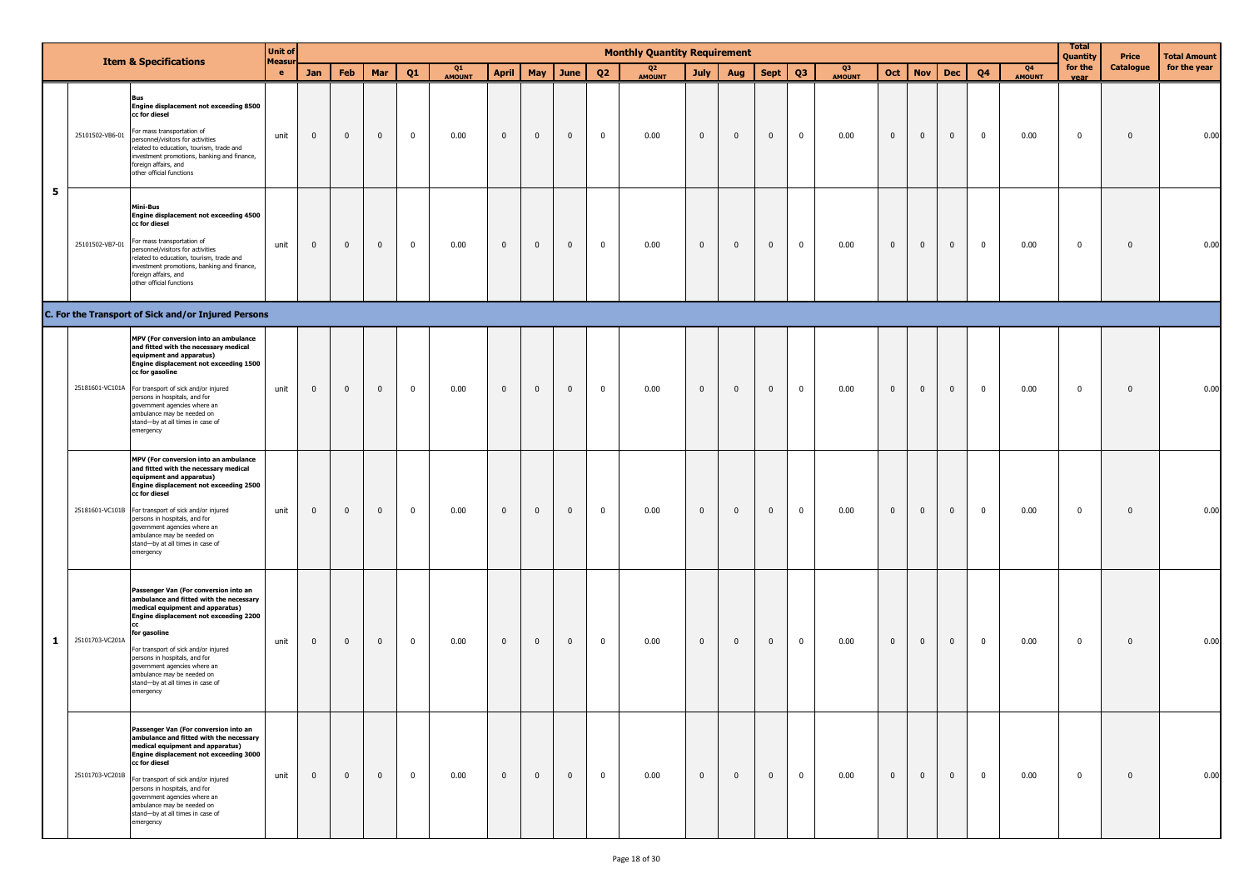|              |                 | <b>Item &amp; Specifications</b>                                                                                                                                                                                                                                                                                                                                                | <b>Unit of</b> |              |              |                |                         |              |                |              |                |                         | <b>Monthly Quantity Requirement</b> |                |                |              |                |              |                |                         |                |                |                                 | <b>Total</b><br><b>Quantity</b> | Price        | Total Amount |
|--------------|-----------------|---------------------------------------------------------------------------------------------------------------------------------------------------------------------------------------------------------------------------------------------------------------------------------------------------------------------------------------------------------------------------------|----------------|--------------|--------------|----------------|-------------------------|--------------|----------------|--------------|----------------|-------------------------|-------------------------------------|----------------|----------------|--------------|----------------|--------------|----------------|-------------------------|----------------|----------------|---------------------------------|---------------------------------|--------------|--------------|
|              |                 |                                                                                                                                                                                                                                                                                                                                                                                 | Measur<br>e.   | <b>Jan</b>   | Feb          | Mar            | Q1                      | Q1<br>AMOUNT | <b>April</b>   | May          | June           | Q <sub>2</sub>          | Q <sub>2</sub><br>AMOUNT            | <b>July</b>    | Aug            | <b>Sept</b>  | Q <sub>3</sub> | Q3<br>AMOUNT | Oct            | <b>Nov</b>              | <b>Dec</b>     | Q <sub>4</sub> | Q <sub>4</sub><br><b>AMOUNT</b> | for the<br>vear                 | Catalogue    | for the year |
|              | 25101502-VB6-01 | Bus<br>Engine displacement not exceeding 8500<br>cc for diesel<br>For mass transportation of<br>personnel/visitors for activities<br>related to education, tourism, trade and<br>investment promotions, banking and finance,<br>foreign affairs, and<br>other official functions                                                                                                | unit           | $\mathbf 0$  | $\mathbf 0$  | $\overline{0}$ | $\overline{\mathbf{0}}$ | 0.00         | $\mathbf{0}$   | $\mathbf{0}$ | $\mathbf{0}$   | $\overline{\mathbf{0}}$ | 0.00                                | $\mathbf{0}$   | $\overline{0}$ | $\mathbf 0$  | $\mathbf 0$    | 0.00         | $\mathbf{0}$   | $\overline{0}$          | $\mathbf{0}$   | $\mathbf 0$    | 0.00                            | $\mathbf 0$                     | $\mathbf{0}$ | 0.00         |
| 5            | 25101502-VB7-01 | Mini-Bus<br>Engine displacement not exceeding 4500<br>cc for diesel<br>For mass transportation of<br>personnel/visitors for activities<br>related to education, tourism, trade and<br>investment promotions, banking and finance,<br>foreign affairs, and<br>other official functions                                                                                           | unit           | $\mathbf{0}$ | $\mathbf{0}$ | $\overline{0}$ | $\mathbf{0}$            | 0.00         | $\mathbf 0$    | $\mathbf 0$  | $\overline{0}$ | $\mathbf{0}$            | 0.00                                | $\mathbf 0$    | $\mathbf 0$    | $\mathbf 0$  | $\mathbf 0$    | 0.00         | $\mathbf{0}$   | $\overline{\mathbf{0}}$ | $\mathbf 0$    | $\mathbf 0$    | 0.00                            | $\mathbf 0$                     | $\mathbf{0}$ | 0.00         |
|              |                 | C. For the Transport of Sick and/or Injured Persons                                                                                                                                                                                                                                                                                                                             |                |              |              |                |                         |              |                |              |                |                         |                                     |                |                |              |                |              |                |                         |                |                |                                 |                                 |              |              |
|              |                 | MPV (For conversion into an ambulance<br>and fitted with the necessary medical<br>equipment and apparatus)<br>Engine displacement not exceeding 1500<br>cc for gasoline<br>25181601-VC101A For transport of sick and/or injured<br>persons in hospitals, and for<br>government agencies where an<br>ambulance may be needed on<br>stand-by at all times in case of<br>emergency | unit           | $\mathbf{0}$ | $\mathbf 0$  | $\mathbf 0$    | $\mathbf 0$             | 0.00         | $\mathbf{0}$   | $\mathbf 0$  | $\mathbf 0$    | $\overline{0}$          | 0.00                                | $\mathbf{0}$   | $\overline{0}$ | $\mathbf 0$  | $\mathbf 0$    | 0.00         | $\mathbf{0}$   | $\mathbf 0$             | $\mathbf{0}$   | $\mathbf 0$    | 0.00                            | $\mathbf 0$                     | $\mathbf{0}$ | 0.00         |
|              |                 | MPV (For conversion into an ambulance<br>and fitted with the necessary medical<br>equipment and apparatus)<br>Engine displacement not exceeding 2500<br>cc for diesel<br>25181601-VC101B For transport of sick and/or injured<br>persons in hospitals, and for<br>government agencies where an<br>ambulance may be needed on<br>stand-by at all times in case of<br>emergency   | unit           | $\mathbf 0$  | $\mathbf{0}$ | $\overline{0}$ | $\mathbf{0}$            | 0.00         | $\mathbf 0$    | $\mathbf 0$  | $\overline{0}$ | $\overline{0}$          | 0.00                                | $\mathbf 0$    | $\overline{0}$ | $\mathbf{0}$ | $\overline{0}$ | 0.00         | $\mathbf 0$    | $\overline{0}$          | $\mathbf{0}$   | $\mathbf{0}$   | 0.00                            | $\mathbf 0$                     | $\mathbf 0$  | 0.00         |
| $\mathbf{1}$ | 25101703-VC201A | Passenger Van (For conversion into an<br>ambulance and fitted with the necessary<br>medical equipment and apparatus)<br>Engine displacement not exceeding 2200<br>for gasoline<br>For transport of sick and/or injured<br>persons in hospitals, and for<br>government agencies where an<br>ambulance may be needed on<br>stand-by at all times in case of<br>emergency          | unit           | $\mathbf{0}$ | $\mathbf 0$  | $\mathbf{0}$   | $\overline{0}$          | 0.00         | $\mathbf{0}$   | $\mathbf 0$  | $\overline{0}$ | $\overline{\mathbf{0}}$ | 0.00                                | $\mathbf{0}$   | $\overline{0}$ | $\mathbf{0}$ | $\mathbf 0$    | 0.00         | $\mathbf{0}$   | $\overline{0}$          | $\mathbf{0}$   | $\mathbf 0$    | 0.00                            | $\mathbf 0$                     | $\mathbf{0}$ | 0.00         |
|              | 25101703-VC201B | Passenger Van (For conversion into an<br>ambulance and fitted with the necessary<br>medical equipment and apparatus)<br>Engine displacement not exceeding 3000<br>cc for diesel<br>For transport of sick and/or injured<br>persons in hospitals, and for<br>government agencies where an<br>ambulance may be needed on<br>stand-by at all times in case of<br>emergency         | unit           | $\mathbf{0}$ | $\mathbf{0}$ | $\overline{0}$ | $\mathbf{0}$            | 0.00         | $\overline{0}$ | $\mathbf 0$  | $\overline{0}$ | $\overline{0}$          | 0.00                                | $\overline{0}$ | $\overline{0}$ | $\mathbf{0}$ | $\mathbf 0$    | 0.00         | $\overline{0}$ | $\bf{0}$                | $\overline{0}$ | $\mathbf{0}$   | 0.00                            | $\mathbf 0$                     | $\mathbf 0$  | 0.00         |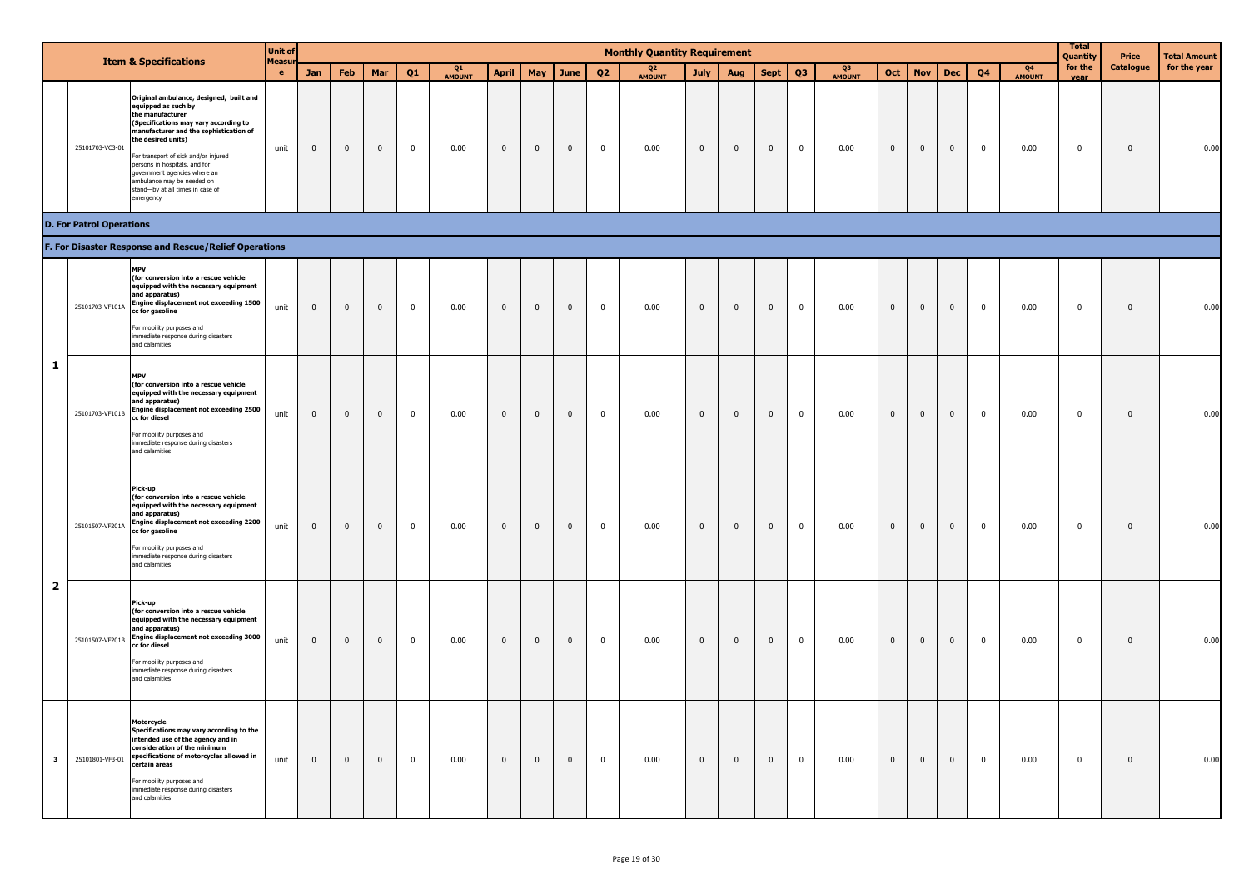|                         |                                 | <b>Item &amp; Specifications</b>                                                                                                                                                                                                                                                                                                                                                    | <b>Unit of</b><br>Measu |             |              |                         |              |                     |              |              |                |                         | <b>Monthly Quantity Requirement</b> |              |                         |                |                |                     |              |                |              |                |                     | <b>Total</b><br>Quantity | Price            | <b>Total Amount</b> |
|-------------------------|---------------------------------|-------------------------------------------------------------------------------------------------------------------------------------------------------------------------------------------------------------------------------------------------------------------------------------------------------------------------------------------------------------------------------------|-------------------------|-------------|--------------|-------------------------|--------------|---------------------|--------------|--------------|----------------|-------------------------|-------------------------------------|--------------|-------------------------|----------------|----------------|---------------------|--------------|----------------|--------------|----------------|---------------------|--------------------------|------------------|---------------------|
|                         |                                 |                                                                                                                                                                                                                                                                                                                                                                                     | $\bullet$               | Jan         | Feb          | Mar                     | Q1           | Q1<br><b>AMOUNT</b> | <b>April</b> | May          | June           | Q2                      | Q <sub>2</sub><br><b>AMOUNT</b>     | <b>July</b>  | Aug                     | <b>Sept</b>    | Q <sub>3</sub> | Q3<br><b>AMOUNT</b> | Oct          | <b>Nov</b>     | <b>Dec</b>   | Q <sub>4</sub> | Q4<br><b>AMOUNT</b> | for the<br>vear          | <b>Catalogue</b> | for the year        |
|                         | 25101703-VC3-01                 | Original ambulance, designed, built and<br>equipped as such by<br>the manufacturer<br>(Specifications may vary according to<br>manufacturer and the sophistication of<br>the desired units)<br>For transport of sick and/or injured<br>persons in hospitals, and for<br>government agencies where an<br>ambulance may be needed on<br>stand-by at all times in case of<br>emergency | unit                    | $\mathbf 0$ | $\mathbf 0$  | $\overline{0}$          | $\mathbf{0}$ | 0.00                | $\mathbf 0$  | $\mathbf 0$  | $\overline{0}$ | $\overline{0}$          | 0.00                                | $\mathbf 0$  | $\overline{\mathbf{0}}$ | $\overline{0}$ | $\mathbf 0$    | 0.00                | $\mathbf 0$  | $\bf{0}$       | $\mathbf 0$  | $\mathbf 0$    | 0.00                | $\pmb{0}$                | $\mathbf 0$      | 0.00                |
|                         | <b>D. For Patrol Operations</b> |                                                                                                                                                                                                                                                                                                                                                                                     |                         |             |              |                         |              |                     |              |              |                |                         |                                     |              |                         |                |                |                     |              |                |              |                |                     |                          |                  |                     |
|                         |                                 | F. For Disaster Response and Rescue/Relief Operations                                                                                                                                                                                                                                                                                                                               |                         |             |              |                         |              |                     |              |              |                |                         |                                     |              |                         |                |                |                     |              |                |              |                |                     |                          |                  |                     |
|                         | 25101703-VF101A                 | <b>MPV</b><br>(for conversion into a rescue vehicle<br>equipped with the necessary equipment<br>and apparatus)<br>Engine displacement not exceeding 1500<br>cc for gasoline<br>For mobility purposes and<br>immediate response during disasters<br>and calamities                                                                                                                   | unit                    | $\mathbf 0$ | $\mathbf 0$  | $\pmb{0}$               | $\mathbf{0}$ | 0.00                | $\mathbf 0$  | $\mathbf 0$  | $\mathbf 0$    | $\mathbf{0}$            | 0.00                                | $\mathbf 0$  | $\mathbf 0$             | $\mathbf 0$    | $\mathbf{0}$   | 0.00                | $\mathbf 0$  | $\overline{0}$ | $\mathbf 0$  | $\mathbf 0$    | 0.00                | $\mathbf 0$              | $\mathbf 0$      | 0.00                |
| 1                       |                                 | <b>MPV</b><br>(for conversion into a rescue vehicle<br>equipped with the necessary equipment<br>and apparatus)<br>25101703-VF101B Engine displacement not exceeding 2500<br>cc for diesel<br>For mobility purposes and<br>immediate response during disasters<br>and calamities                                                                                                     | unit                    | $\mathbf 0$ | $\mathbf{0}$ | $\pmb{0}$               | $\mathbf 0$  | 0.00                | $\mathbf 0$  | $\mathbf 0$  | $\pmb{0}$      | $\mathbf 0$             | 0.00                                | $\mathbf 0$  | $\mathbb O$             | $\mathbb O$    | $\mathbf 0$    | 0.00                | $\mathbf 0$  | $\mathbf 0$    | $\mathbf 0$  | $\mathbf 0$    | 0.00                | $\mathbf 0$              | $\mathbf 0$      | 0.00                |
|                         | 25101507-VF201A                 | Pick-up<br>(for conversion into a rescue vehicle<br>equipped with the necessary equipment<br>and apparatus)<br>Engine displacement not exceeding 2200<br>cc for gasoline<br>For mobility purposes and<br>immediate response during disasters<br>and calamities                                                                                                                      | unit                    | $\mathbf 0$ | $\mathbf 0$  | $\overline{\mathbf{0}}$ | $\mathbf{0}$ | 0.00                | $\mathbf 0$  | $\mathbf 0$  | $\overline{0}$ | $\overline{0}$          | 0.00                                | $\mathbf 0$  | $\overline{\mathbf{0}}$ | $\overline{0}$ | $\pmb{0}$      | 0.00                | $\mathbf 0$  | $\mathbf 0$    | $\mathbf 0$  | $\pmb{0}$      | 0.00                | $\mathbf 0$              | $\mathbf 0$      | 0.00                |
| $\overline{\mathbf{2}}$ | 25101507-VF201B                 | Pick-up<br>(for conversion into a rescue vehicle<br>equipped with the necessary equipment<br>and apparatus)<br>Engine displacement not exceeding 3000<br>cc for diesel<br>For mobility purposes and<br>mmediate response during disasters<br>and calamities                                                                                                                         | unit                    | $\mathbf 0$ | $\mathbf{0}$ | $\overline{0}$          | $\mathbf{0}$ | 0.00                | $\mathbf 0$  | $\mathbf 0$  | $\overline{0}$ | $\overline{0}$          | 0.00                                | $\mathbf 0$  | $\overline{0}$          | $\overline{0}$ | $\overline{0}$ | 0.00                | $\mathbf 0$  | $\overline{0}$ | $\mathbf 0$  | $\mathbf 0$    | 0.00                | $\overline{0}$           | $\mathbf{0}$     | 0.00                |
| $\overline{\mathbf{3}}$ |                                 | Motorcycle<br>Specifications may vary according to the<br>intended use of the agency and in<br>consideration of the minimum<br>25101801-VF3-01 specifications of motorcycles allowed in<br>certain areas<br>For mobility purposes and<br>immediate response during disasters<br>and calamities                                                                                      | unit                    | $\mathbf 0$ | $\mathbf{0}$ | $\mathbf{0}$            | $\mathbf 0$  | 0.00                | $\mathbf 0$  | $\mathbf{0}$ | $\mathbf{0}$   | $\overline{\mathbf{0}}$ | 0.00                                | $\mathbf{0}$ | $\mathbf{0}$            | $\mathbf{0}$   | $\mathbf 0$    | 0.00                | $\mathbf{0}$ | $\overline{0}$ | $\mathbf{0}$ | $\mathbf 0$    | 0.00                | $\mathbf 0$              | $\mathbf 0$      | 0.00                |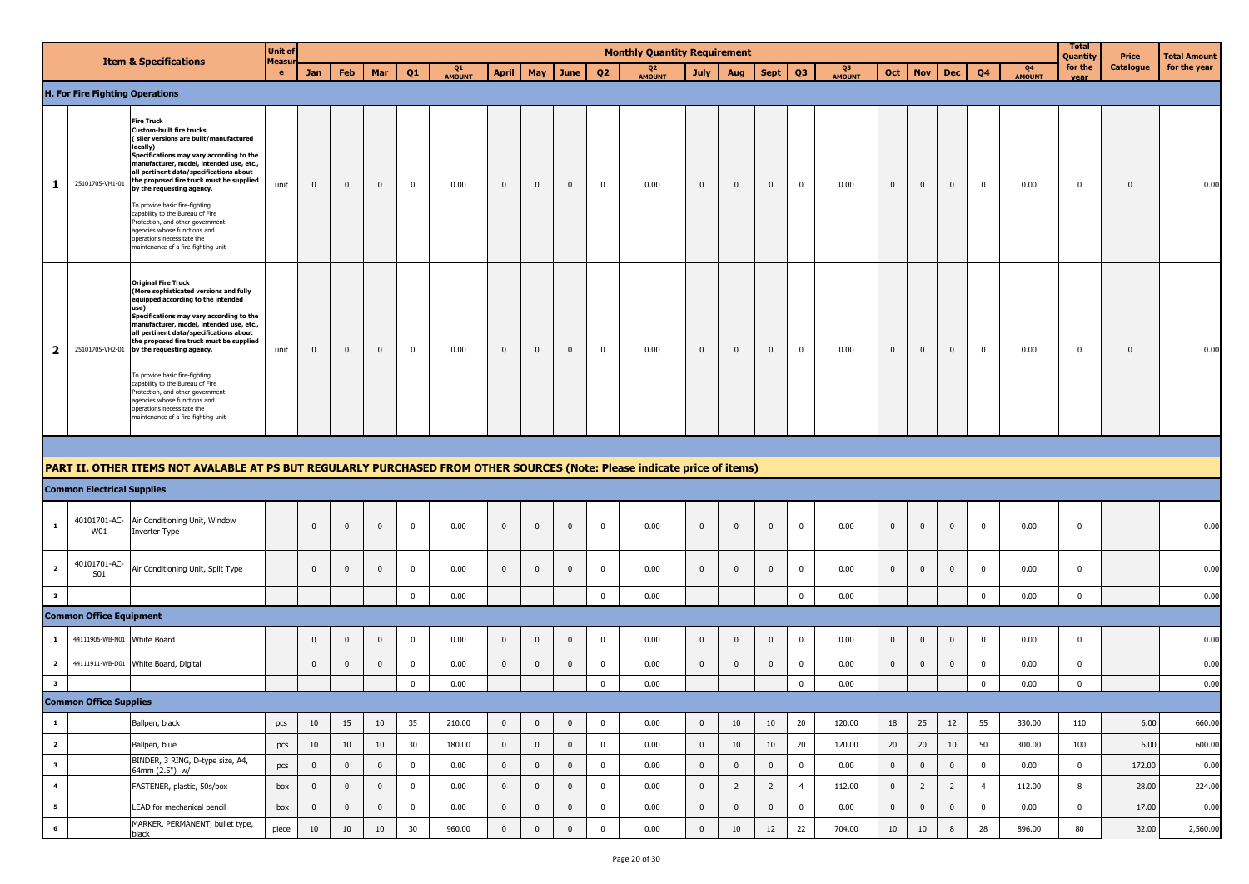|                          |                                        | <b>Item &amp; Specifications</b>                                                                                                                                                                                                                                                                                                                                                                                                                                                                                                                              | <b>Unit of</b><br>Measu |              |              |                         |                |              |              |                |              |                | <b>Monthly Quantity Requirement</b> |                |                |                |                |              |             |                |                |                         |                     | <b>Total</b><br>Quantity | Price                   | <b>Total Amount</b> |
|--------------------------|----------------------------------------|---------------------------------------------------------------------------------------------------------------------------------------------------------------------------------------------------------------------------------------------------------------------------------------------------------------------------------------------------------------------------------------------------------------------------------------------------------------------------------------------------------------------------------------------------------------|-------------------------|--------------|--------------|-------------------------|----------------|--------------|--------------|----------------|--------------|----------------|-------------------------------------|----------------|----------------|----------------|----------------|--------------|-------------|----------------|----------------|-------------------------|---------------------|--------------------------|-------------------------|---------------------|
|                          |                                        |                                                                                                                                                                                                                                                                                                                                                                                                                                                                                                                                                               | e.                      | Jan          | Feb          | Mar                     | Q1             | Q1<br>AMOUNT | <b>April</b> | May            | June         | Q <sub>2</sub> | Q <sub>2</sub><br>AMOUNT            | <b>July</b>    | Aug            | <b>Sept</b>    | Q <sub>3</sub> | Q3<br>AMOUNT | Oct         | <b>Nov</b>     | <b>Dec</b>     | Q4                      | Q4<br><b>AMOUNT</b> | for the<br>vear          | Catalogue               | for the year        |
|                          | <b>H. For Fire Fighting Operations</b> |                                                                                                                                                                                                                                                                                                                                                                                                                                                                                                                                                               |                         |              |              |                         |                |              |              |                |              |                |                                     |                |                |                |                |              |             |                |                |                         |                     |                          |                         |                     |
| 1                        | 25101705-VH1-01                        | <b>Fire Truck</b><br><b>Custom-built fire trucks</b><br>siler versions are built/manufactured<br>locally)<br>Specifications may vary according to the<br>manufacturer, model, intended use, etc.,<br>all pertinent data/specifications about<br>the proposed fire truck must be supplied<br>by the requesting agency.<br>To provide basic fire-fighting<br>capability to the Bureau of Fire<br>Protection, and other government<br>agencies whose functions and<br>operations necessitate the<br>maintenance of a fire-fighting unit                          | unit                    | $\mathbf{0}$ | $\mathbf 0$  | $\overline{0}$          | $\mathbf 0$    | 0.00         | $\mathbf 0$  | $\mathbf 0$    | $\mathbf{0}$ | $\mathbf 0$    | 0.00                                | $\mathbf{0}$   | $\mathbf{0}$   | $\mathbf{0}$   | $\mathbf 0$    | 0.00         | $\mathbf 0$ | $\mathbf{0}$   | $\mathbf{0}$   | $\mathbf 0$             | 0.00                | $\mathbf 0$              | $\overline{\mathbf{0}}$ | 0.00                |
| $\mathbf{2}$             |                                        | <b>Original Fire Truck</b><br>(More sophisticated versions and fully<br>equipped according to the intended<br>use)<br>Specifications may vary according to the<br>manufacturer, model, intended use, etc.,<br>all pertinent data/specifications about<br>the proposed fire truck must be supplied<br>25101705-VH2-01 by the requesting agency.<br>To provide basic fire-fighting<br>capability to the Bureau of Fire<br>Protection, and other government<br>agencies whose functions and<br>operations necessitate the<br>maintenance of a fire-fighting unit | unit                    | $\mathbf{0}$ | $\mathbf 0$  | $\mathbf 0$             | $\mathbf 0$    | 0.00         | $\mathbf{0}$ | $\mathbf 0$    | $\mathbf{0}$ | $\mathbf 0$    | 0.00                                | $\mathbf{0}$   | $\mathbf 0$    | $\mathbf{0}$   | $\mathbf 0$    | 0.00         | $\mathbf 0$ | $\mathbf{0}$   | $\mathbf{0}$   | $\mathbf 0$             | 0.00                | $\mathbf 0$              | $\mathbf 0$             | 0.00                |
|                          |                                        |                                                                                                                                                                                                                                                                                                                                                                                                                                                                                                                                                               |                         |              |              |                         |                |              |              |                |              |                |                                     |                |                |                |                |              |             |                |                |                         |                     |                          |                         |                     |
|                          |                                        | PART II. OTHER ITEMS NOT AVALABLE AT PS BUT REGULARLY PURCHASED FROM OTHER SOURCES (Note: Please indicate price of items)                                                                                                                                                                                                                                                                                                                                                                                                                                     |                         |              |              |                         |                |              |              |                |              |                |                                     |                |                |                |                |              |             |                |                |                         |                     |                          |                         |                     |
|                          | <b>Common Electrical Supplies</b>      |                                                                                                                                                                                                                                                                                                                                                                                                                                                                                                                                                               |                         |              |              |                         |                |              |              |                |              |                |                                     |                |                |                |                |              |             |                |                |                         |                     |                          |                         |                     |
| $\mathbf{1}$             | W01                                    | 40101701-AC- Air Conditioning Unit, Window<br>Inverter Type                                                                                                                                                                                                                                                                                                                                                                                                                                                                                                   |                         | $\mathbf 0$  | $\mathbf{0}$ | $\mathbf 0$             | $\mathbf 0$    | 0.00         | $\mathbf 0$  | $\mathbf 0$    | $\mathbf 0$  | $\mathbf 0$    | 0.00                                | $\overline{0}$ | $\mathbf{0}$   | $\mathbf 0$    | $\mathbf 0$    | 0.00         | $\mathbf 0$ | $\mathbf{0}$   | $\mathbf 0$    | $\mathbf 0$             | 0.00                | $\mathbf{0}$             |                         | 0.00                |
| $\overline{\mathbf{2}}$  | 40101701-AC-<br>S01                    | Air Conditioning Unit, Split Type                                                                                                                                                                                                                                                                                                                                                                                                                                                                                                                             |                         | $\mathbf 0$  | $\mathbf 0$  | $\overline{\mathbf{0}}$ | $\overline{0}$ | 0.00         | $\mathbf 0$  | $\mathbf 0$    | $\mathbf 0$  | $\mathbf 0$    | 0.00                                | $\overline{0}$ | $\mathbf{0}$   | $\mathbf 0$    | $\mathbf 0$    | 0.00         | $\mathbf 0$ | $\mathbf 0$    | $\mathbf 0$    | $\overline{\mathbf{0}}$ | 0.00                | $\mathbf 0$              |                         | 0.00                |
| $\overline{\mathbf{3}}$  |                                        |                                                                                                                                                                                                                                                                                                                                                                                                                                                                                                                                                               |                         |              |              |                         | $\mathbf 0$    | 0.00         |              |                |              | $\mathbf 0$    | 0.00                                |                |                |                | $\pmb{0}$      | 0.00         |             |                |                | $\mathbf 0$             | 0.00                | $\mathsf 0$              |                         | 0.00                |
|                          | <b>Common Office Equipment</b>         |                                                                                                                                                                                                                                                                                                                                                                                                                                                                                                                                                               |                         |              |              |                         |                |              |              |                |              |                |                                     |                |                |                |                |              |             |                |                |                         |                     |                          |                         |                     |
| $\mathbf{1}$             |                                        | 44111905-WB-N01 White Board                                                                                                                                                                                                                                                                                                                                                                                                                                                                                                                                   |                         | $\mathbf 0$  | $\mathbf{0}$ | $\mathbf 0$             | $\mathbf 0$    | 0.00         | $\mathbf 0$  | $\mathbf 0$    | $\mathbf 0$  | $\mathbf 0$    | 0.00                                | $\mathbf{0}$   | $\mathbf{0}$   | $\mathbf 0$    | $\pmb{0}$      | 0.00         | $\mathbf 0$ | $\mathbf 0$    | $\mathbf 0$    | $\mathbf{0}$            | 0.00                | $\mathbf 0$              |                         | 0.00                |
| $\overline{\mathbf{2}}$  | 44111911-WB-D01                        | White Board, Digital                                                                                                                                                                                                                                                                                                                                                                                                                                                                                                                                          |                         | $\mathbf 0$  | $\mathbf{0}$ | $\mathbf 0$             | $\mathbf 0$    | 0.00         | $\mathbf 0$  | $\mathbf 0$    | $\mathbf 0$  | $\mathbf 0$    | 0.00                                | $\mathbf{0}$   | $\mathbf 0$    | $\mathbf 0$    | $\mathbf 0$    | 0.00         | $\mathbf 0$ | $\mathbf 0$    | $\mathbf 0$    | $\overline{\mathbf{0}}$ | 0.00                | $\mathbf 0$              |                         | 0.00                |
| $\overline{\mathbf{3}}$  |                                        |                                                                                                                                                                                                                                                                                                                                                                                                                                                                                                                                                               |                         |              |              |                         | $\mathbf 0$    | 0.00         |              |                |              | $\pmb{0}$      | 0.00                                |                |                |                | $\pmb{0}$      | 0.00         |             |                |                | $\mathbf 0$             | 0.00                | $\mathbf{0}$             |                         | 0.00                |
|                          | <b>Common Office Supplies</b>          |                                                                                                                                                                                                                                                                                                                                                                                                                                                                                                                                                               |                         |              |              |                         |                |              |              |                |              |                |                                     |                |                |                |                |              |             |                |                |                         |                     |                          |                         |                     |
| $\mathbf{1}$             |                                        | Ballpen, black                                                                                                                                                                                                                                                                                                                                                                                                                                                                                                                                                | pcs                     | 10           | 15           | 10                      | 35             | 210.00       | $\pmb{0}$    | $\mathbf 0$    | $\mathbf 0$  | $\pmb{0}$      | 0.00                                | $\mathbf{0}$   | 10             | 10             | 20             | 120.00       | 18          | 25             | 12             | 55                      | 330.00              | 110                      | 6.00                    | 660.00              |
| $\overline{\mathbf{2}}$  |                                        | Ballpen, blue                                                                                                                                                                                                                                                                                                                                                                                                                                                                                                                                                 | pcs                     | 10           | 10           | 10                      | 30             | 180.00       | $\pmb{0}$    | $\overline{0}$ | $\mathbf{0}$ | $\mathbf 0$    | 0.00                                | $\mathbf 0$    | 10             | 10             | 20             | 120.00       | 20          | 20             | 10             | 50                      | 300.00              | 100                      | 6.00                    | 600.00              |
| $\overline{\mathbf{3}}$  |                                        | BINDER, 3 RING, D-type size, A4,<br>64mm (2.5") w/                                                                                                                                                                                                                                                                                                                                                                                                                                                                                                            | pcs                     | $\mathbf 0$  | $\mathbf 0$  | $\mathbf{0}$            | $\mathbf 0$    | 0.00         | $\mathbf 0$  | $\mathbf 0$    | $\mathbf{0}$ | $\mathbf 0$    | 0.00                                | $\mathbf 0$    | $\overline{0}$ | $\overline{0}$ | $\pmb{0}$      | 0.00         | $\mathbf 0$ | $\mathbf{0}$   | $\mathbf 0$    | $\bf{0}$                | 0.00                | $\overline{0}$           | 172.00                  | 0.00                |
| $\overline{\mathbf{4}}$  |                                        | FASTENER, plastic, 50s/box                                                                                                                                                                                                                                                                                                                                                                                                                                                                                                                                    | box                     | $\pmb{0}$    | $\mathbf 0$  | $\mathbf 0$             | $\mathbf{0}$   | 0.00         | $\pmb{0}$    | $\mathbf 0$    | $\mathbf 0$  | $\mathbf 0$    | 0.00                                | $\mathbf 0$    | $\overline{2}$ | $\overline{2}$ | $\overline{4}$ | 112.00       | $\mathbf 0$ | $\overline{2}$ | $\overline{2}$ | $\overline{4}$          | 112.00              | 8                        | 28.00                   | 224.00              |
| $5^{\circ}$              |                                        | LEAD for mechanical pencil                                                                                                                                                                                                                                                                                                                                                                                                                                                                                                                                    | box                     | $\mathbf 0$  | $\mathbf 0$  | $\mathbf 0$             | $\mathbf 0$    | 0.00         | $\pmb{0}$    | $\mathbf 0$    | $\pmb{0}$    | $\pmb{0}$      | 0.00                                | $\mathbf 0$    | $\mathbf{0}$   | $\pmb{0}$      | $\mathbf 0$    | 0.00         | $\mathbf 0$ | $\mathbf 0$    | $\mathbf 0$    | $\bf{0}$                | 0.00                | $\mathbf 0$              | 17.00                   | 0.00                |
| $\overline{\phantom{a}}$ |                                        | MARKER, PERMANENT, bullet type,<br>black                                                                                                                                                                                                                                                                                                                                                                                                                                                                                                                      | piece                   | 10           | 10           | 10                      | 30             | 960.00       | $\pmb{0}$    | $\mathbf 0$    | $\pmb{0}$    | $\pmb{0}$      | 0.00                                | $\mathbf 0$    | 10             | 12             | 22             | 704.00       | 10          | 10             | $\,$ 8 $\,$    | 28                      | 896.00              | 80                       | 32.00                   | 2,560.00            |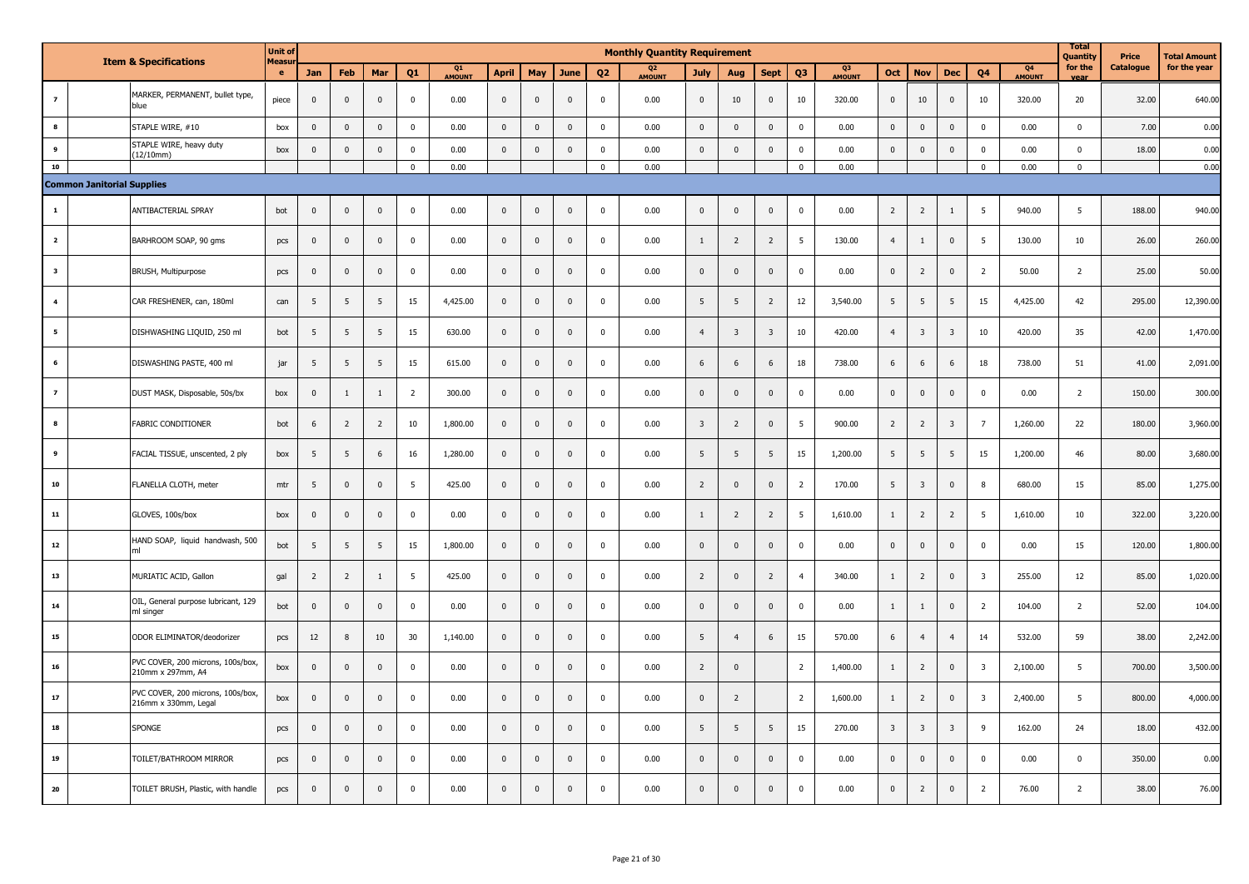|                         | <b>Item &amp; Specifications</b>  |                                                           | <b>Unit of</b>     |                |                |                |                |                     |              |                         |              |                | <b>Monthly Quantity Requirement</b> |                         |                         |                         |                         |                    |                         |                         |                |                         |                                 | <b>Total</b><br>Quantity | Price     | <b>Total Amount</b> |
|-------------------------|-----------------------------------|-----------------------------------------------------------|--------------------|----------------|----------------|----------------|----------------|---------------------|--------------|-------------------------|--------------|----------------|-------------------------------------|-------------------------|-------------------------|-------------------------|-------------------------|--------------------|-------------------------|-------------------------|----------------|-------------------------|---------------------------------|--------------------------|-----------|---------------------|
|                         |                                   |                                                           | <b>Measu</b><br>e. | Jan            | Feb            | Mar            | Q1             | Q1<br><b>AMOUNT</b> | <b>April</b> | May                     | June         | Q <sub>2</sub> | Q <sub>2</sub><br>AMOUNT            | <b>July</b>             | Aug                     | <b>Sept</b>             | Q <sub>3</sub>          | Q3<br><b>MOUNT</b> | Oct                     | <b>Nov</b>              | <b>Dec</b>     | Q <sub>4</sub>          | Q <sub>4</sub><br><b>AMOUNT</b> | for the<br>vear          | Catalogue | for the year        |
| $\overline{z}$          |                                   | MARKER, PERMANENT, bullet type,<br>blue                   | piece              | $\mathbf 0$    | $\mathbf 0$    | $\pmb{0}$      | $\Omega$       | 0.00                | $\mathbf 0$  | $\overline{\mathbf{0}}$ | $\Omega$     | $\Omega$       | 0.00                                | $\pmb{0}$               | 10                      | $\mathbf{0}$            | 10                      | 320.00             | $\pmb{0}$               | 10                      | $\mathbf 0$    | 10                      | 320.00                          | 20                       | 32.00     | 640.00              |
| $\bf{8}$                |                                   | STAPLE WIRE, #10                                          | box                | $\mathbf 0$    | $\mathbf 0$    | $\mathbf{0}$   | $\pmb{0}$      | 0.00                | $\mathbf 0$  | $\overline{\mathbf{0}}$ | $\mathsf 0$  | $\pmb{0}$      | 0.00                                | $\mathbf 0$             | $\mathbf{0}$            | $\mathbf 0$             | $\mathbf 0$             | 0.00               | $\mathsf 0$             | $\pmb{0}$               | $\mathbf{0}$   | $\overline{0}$          | 0.00                            | $\mathbf 0$              | 7.00      | 0.00                |
| 9                       |                                   | STAPLE WIRE, heavy duty<br>(12/10mm)                      | box                | $\mathbf 0$    | $\mathbf 0$    | $\mathbf 0$    | $\pmb{0}$      | 0.00                | $\mathbf 0$  | $\,$ 0                  | $\mathsf 0$  | $\pmb{0}$      | 0.00                                | $\mathbf 0$             | $\mathbf{0}$            | $\mathbf{0}$            | $\mathbf 0$             | 0.00               | $\pmb{0}$               | $\pmb{0}$               | $\pmb{0}$      | $\pmb{0}$               | 0.00                            | $\pmb{0}$                | 18.00     | 0.00                |
| 10                      |                                   |                                                           |                    |                |                |                | $\mathbf 0$    | 0.00                |              |                         |              | $\mathbf{0}$   | 0.00                                |                         |                         |                         | $\mathbf 0$             | 0.00               |                         |                         |                | $\overline{0}$          | 0.00                            | $\mathbf 0$              |           | 0.00                |
|                         | <b>Common Janitorial Supplies</b> |                                                           |                    |                |                |                |                |                     |              |                         |              |                |                                     |                         |                         |                         |                         |                    |                         |                         |                |                         |                                 |                          |           |                     |
| $\mathbf{1}$            |                                   | ANTIBACTERIAL SPRAY                                       | bot                | $\overline{0}$ | $\mathbf 0$    | $\mathbf{0}$   | $\mathbf 0$    | 0.00                | $\mathbf{0}$ | $\overline{0}$          | $\mathbf{0}$ | $\Omega$       | 0.00                                | $\mathbf{0}$            | $\Omega$                | $\Omega$                | $\pmb{0}$               | 0.00               | $\overline{2}$          | $\overline{2}$          | $\mathbf{1}$   | 5                       | 940.00                          | - 5                      | 188.00    | 940.00              |
| $\overline{\mathbf{2}}$ |                                   | BARHROOM SOAP, 90 gms                                     | pcs                | $\mathbf 0$    | $\mathbf 0$    | $\mathbf{0}$   | $\mathbf 0$    | 0.00                | $\mathbf 0$  | $\overline{0}$          | $\mathbf 0$  | $\Omega$       | 0.00                                | $\mathbf{1}$            | $\overline{2}$          | $\overline{2}$          | 5                       | 130.00             | $\overline{4}$          | $\mathbf{1}$            | $\mathbf 0$    | - 5                     | 130.00                          | 10                       | 26.00     | 260.00              |
| $\overline{\mathbf{3}}$ |                                   | BRUSH, Multipurpose                                       | pcs                | $\mathbf 0$    | $\mathbf 0$    | $\pmb{0}$      | $\mathbf 0$    | 0.00                | $\mathbf 0$  | $\overline{0}$          | $\mathbf 0$  | $\Omega$       | 0.00                                | $\mathbf 0$             | $\mathbf 0$             | $\mathbf{0}$            | $\pmb{0}$               | 0.00               | $\mathbf 0$             | $\overline{2}$          | $\mathbf 0$    | $\overline{2}$          | 50.00                           | $\overline{2}$           | 25.00     | 50.00               |
| $\overline{4}$          |                                   | CAR FRESHENER, can, 180ml                                 | can                | 5              | 5              | 5              | 15             | 4,425.00            | $\mathbf 0$  | $\overline{\mathbf{0}}$ | $\mathbf 0$  | $\mathbf{0}$   | 0.00                                | 5                       | 5                       | $\overline{2}$          | 12                      | 3,540.00           | 5                       | 5                       | 5              | 15                      | 4,425.00                        | 42                       | 295.00    | 12,390.00           |
| 5                       |                                   | DISHWASHING LIQUID, 250 ml                                | bot                | 5              | 5              | 5              | 15             | 630.00              | $\mathbf 0$  | $\,$ 0                  | $\mathbf 0$  | $\mathbf 0$    | 0.00                                | $\overline{4}$          | $\overline{\mathbf{3}}$ | $\overline{\mathbf{3}}$ | 10                      | 420.00             | $\overline{4}$          | $\overline{\mathbf{3}}$ | $\overline{3}$ | 10                      | 420.00                          | 35                       | 42.00     | 1,470.00            |
| 6                       |                                   | DISWASHING PASTE, 400 ml                                  | jar                | 5              | 5              | 5              | 15             | 615.00              | $\mathbf 0$  | $\,$ 0                  | $\mathbf 0$  | $\mathbf 0$    | 0.00                                | 6                       | 6                       | 6                       | 18                      | 738.00             | 6                       | 6                       | 6              | 18                      | 738.00                          | 51                       | 41.00     | 2,091.00            |
| $\overline{z}$          |                                   | DUST MASK, Disposable, 50s/bx                             | box                | $\mathbf 0$    | $\mathbf{1}$   | 1              | $\overline{2}$ | 300.00              | $\mathbf 0$  | $\,$ 0                  | $\mathbf 0$  | $\mathbf 0$    | 0.00                                | $\mathbf 0$             | $\mathbf{0}$            | $\mathbf{0}$            | $\mathbf 0$             | 0.00               | $\mathbf 0$             | $\mathbf 0$             | $\mathbf 0$    | $\mathbf 0$             | 0.00                            | $\overline{2}$           | 150.00    | 300.00              |
| $\bf{8}$                |                                   | FABRIC CONDITIONER                                        | bot                | 6              | $\overline{2}$ | $\overline{2}$ | $10\,$         | 1,800.00            | $\mathbf 0$  | $\,$ 0                  | $\mathbf 0$  | $\mathbf 0$    | 0.00                                | $\overline{\mathbf{3}}$ | $\overline{2}$          | $\mathbf 0$             | 5                       | 900.00             | $\overline{2}$          | $\overline{2}$          | $\mathbf{3}$   | $\overline{7}$          | 1,260.00                        | 22                       | 180.00    | 3,960.00            |
| $\overline{9}$          |                                   | FACIAL TISSUE, unscented, 2 ply                           | box                | 5              | $\sqrt{5}$     | 6              | 16             | 1,280.00            | $\mathbf 0$  | $\mathbf 0$             | $\mathbf 0$  | $\mathbf 0$    | 0.00                                | 5                       | 5                       | 5                       | 15                      | 1,200.00           | $5\phantom{.0}$         | 5                       | 5              | 15                      | 1,200.00                        | 46                       | 80.00     | 3,680.00            |
| ${\bf 10}$              |                                   | FLANELLA CLOTH, meter                                     | mtr                | 5              | $\mathbf 0$    | $\mathbf{0}$   | 5              | 425.00              | $\mathbf{0}$ | $\overline{\mathbf{0}}$ | $\mathbf 0$  | $\mathbf 0$    | 0.00                                | $\overline{2}$          | $\mathbf{0}$            | $\mathbf{0}$            | $\overline{2}$          | 170.00             | 5                       | $\overline{\mathbf{3}}$ | $\mathbf 0$    | 8                       | 680.00                          | 15                       | 85.00     | 1,275.00            |
| ${\bf 11}$              |                                   | GLOVES, 100s/box                                          | box                | $\mathbf 0$    | $\mathbf 0$    | $\mathbf{0}$   | $\mathbf 0$    | 0.00                | $\mathbf 0$  | $\overline{\mathbf{0}}$ | $\mathbf{0}$ | $\mathbf 0$    | 0.00                                | $\overline{1}$          | $\overline{2}$          | $\overline{2}$          | 5 <sub>5</sub>          | 1,610.00           | $\mathbf{1}$            | $\overline{2}$          | $\overline{2}$ | - 5                     | 1,610.00                        | 10                       | 322.00    | 3,220.00            |
| 12                      |                                   | HAND SOAP, liquid handwash, 500                           | bot                | 5              | 5              | 5              | 15             | 1,800.00            | $\mathbf 0$  | $\overline{0}$          | $\mathbf 0$  | $\mathbf 0$    | 0.00                                | $\mathbf 0$             | $\mathbf{0}$            | $\mathbf{0}$            | $\mathbf 0$             | 0.00               | $\pmb{0}$               | $\mathbf 0$             | $\mathbf 0$    | $\mathbf 0$             | 0.00                            | 15                       | 120.00    | 1,800.00            |
| 13                      |                                   | MURIATIC ACID, Gallon                                     | gal                | $\overline{2}$ | $\overline{2}$ | $\mathbf{1}$   | 5              | 425.00              | $\mathbf 0$  | $\overline{\mathbf{0}}$ | $\mathbf 0$  | $\mathbf 0$    | 0.00                                | $\overline{2}$          | $\mathbf{0}$            | $\overline{2}$          | $\overline{4}$          | 340.00             | $\mathbf{1}$            | $\overline{2}$          | $\mathbf 0$    | $\overline{\mathbf{3}}$ | 255.00                          | 12                       | 85.00     | 1,020.00            |
| ${\bf 14}$              |                                   | OIL, General purpose lubricant, 129<br>ml singer          | bot                | $\mathbf 0$    | $\mathbf 0$    | $\pmb{0}$      | $\mathbf 0$    | 0.00                | $\mathbf 0$  | $\overline{\mathbf{0}}$ | $\mathbf 0$  | $\mathbf{0}$   | 0.00                                | $\pmb{0}$               | $\mathbf{0}$            | $\mathbf 0$             | $\pmb{0}$               | 0.00               | $\mathbf{1}$            | 1                       | $\mathbf 0$    | $\overline{2}$          | 104.00                          | $\overline{2}$           | 52.00     | 104.00              |
| 15                      |                                   | ODOR ELIMINATOR/deodorizer                                | pcs                | 12             | 8              | 10             | 30             | 1,140.00            | $\mathbf 0$  | $\overline{\mathbf{0}}$ | $\mathbf 0$  | $\mathbf 0$    | 0.00                                | 5                       | $\overline{4}$          | 6                       | 15                      | 570.00             | 6                       | $\overline{4}$          | $\overline{4}$ | 14                      | 532.00                          | 59                       | 38.00     | 2,242.00            |
| 16                      |                                   | PVC COVER, 200 microns, 100s/box,<br>210mm x 297mm, A4    | box                | $\mathbf 0$    | $\mathbf 0$    | $\mathbf{0}$   | $\mathbf 0$    | 0.00                | $\mathbf 0$  | $\,$ 0                  | $\mathbf 0$  | $\mathbf{0}$   | 0.00                                | $\overline{2}$          | $\mathbf{0}$            |                         | $\overline{2}$          | 1,400.00           | $\mathbf{1}$            | $\overline{2}$          | $\pmb{0}$      | $\overline{\mathbf{3}}$ | 2,100.00                        | 5                        | 700.00    | 3,500.00            |
| ${\bf 17}$              |                                   | PVC COVER, 200 microns, 100s/box,<br>216mm x 330mm, Legal | box                | $\mathbf 0$    | $\mathbf 0$    | $\mathbf{0}$   | $\mathbf 0$    | 0.00                | $\mathbf 0$  | $\overline{\mathbf{0}}$ | $\mathbf 0$  | $\mathbf 0$    | 0.00                                | $\mathbf 0$             | $\overline{2}$          |                         | $\overline{2}$          | 1,600.00           | 1                       | $\overline{2}$          | $\mathbf 0$    | -3                      | 2,400.00                        | 5                        | 800.00    | 4,000.00            |
| 18                      |                                   | SPONGE                                                    | pcs                | $\mathbf 0$    | $\mathbf 0$    | $\pmb{0}$      | $\pmb{0}$      | 0.00                | $\mathbf 0$  | $\,$ 0                  | $\mathsf 0$  | $\mathbf 0$    | 0.00                                | 5                       | 5                       | 5                       | 15                      | 270.00             | $\overline{\mathbf{3}}$ | $\overline{\mathbf{3}}$ | $\overline{3}$ | 9                       | 162.00                          | 24                       | 18.00     | 432.00              |
| 19                      |                                   | TOILET/BATHROOM MIRROR                                    | pcs                | $\mathbf 0$    | $\mathbf 0$    | $\mathbf{0}$   | $\mathbf 0$    | 0.00                | $\mathbf{0}$ | $\overline{\mathbf{0}}$ | $\mathbf 0$  | $\mathbf 0$    | 0.00                                | $\mathbf 0$             | $\mathbf{0}$            | $\mathbf{0}$            | $\overline{\mathbf{0}}$ | 0.00               | $\bf{0}$                | $\mathbf 0$             | $\mathbf 0$    | $\mathbf 0$             | 0.00                            | $\mathbf 0$              | 350.00    | 0.00                |
| ${\bf 20}$              |                                   | TOILET BRUSH, Plastic, with handle                        | pcs                | $\mathbf 0$    | $\mathbf 0$    | $\mathbf{0}$   | $\mathbf 0$    | 0.00                | $\pmb{0}$    | $\overline{0}$          | $\mathbf{0}$ | $\Omega$       | 0.00                                | $\mathbf{0}$            | $\Omega$                | $\mathbf{0}$            | $\pmb{0}$               | 0.00               | $\mathbf{0}$            | 2                       | $\mathbf{0}$   | $\overline{2}$          | 76.00                           | $\overline{2}$           | 38.00     | 76.00               |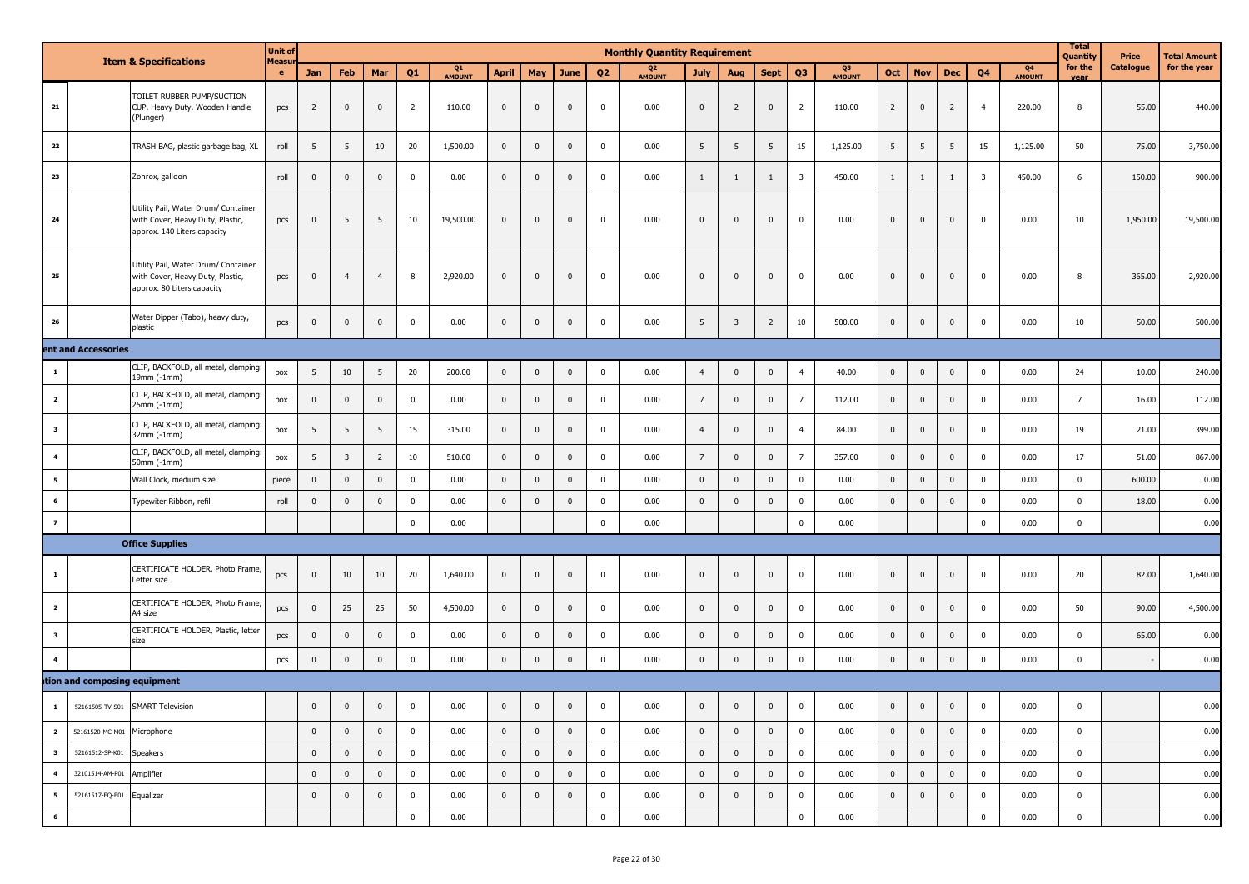|                         |                              | <b>Item &amp; Specifications</b>                                                                       | <b>Unit of</b><br>Measu |                |                         |                |                |              |                |                |                         |                | <b>Monthly Quantity Requirement</b> |                 |                         |                |                         |              |                         |                         |                |                         |                                 | <b>Total</b><br>Quantity | Price     | Total Amount |
|-------------------------|------------------------------|--------------------------------------------------------------------------------------------------------|-------------------------|----------------|-------------------------|----------------|----------------|--------------|----------------|----------------|-------------------------|----------------|-------------------------------------|-----------------|-------------------------|----------------|-------------------------|--------------|-------------------------|-------------------------|----------------|-------------------------|---------------------------------|--------------------------|-----------|--------------|
|                         |                              |                                                                                                        | e.                      | Jan            | Feb                     | Mar            | Q <sub>1</sub> | Q1<br>AMOUNT | <b>April</b>   | May            | June                    | Q <sub>2</sub> | Q <sub>2</sub><br><b>AMOUNT</b>     | <b>July</b>     | Aug                     | <b>Sept</b>    | Q <sub>3</sub>          | Q3<br>AMOUNT | Oct                     | <b>Nov</b>              | Dec            | Q4                      | Q <sub>4</sub><br><b>AMOUNT</b> | for the<br>vear          | Catalogue | for the year |
| 21                      |                              | TOILET RUBBER PUMP/SUCTION<br>CUP, Heavy Duty, Wooden Handle<br>(Plunger)                              | pcs                     | $\overline{2}$ | $\mathbf 0$             | $\mathbf{0}$   | $\overline{2}$ | 110.00       | $\bf{0}$       | $\mathbf 0$    | $\overline{\mathbf{0}}$ | $\mathbf 0$    | 0.00                                | $\overline{0}$  | $\overline{2}$          | $\overline{0}$ | $\overline{2}$          | 110.00       | $\overline{2}$          | $\mathbf 0$             | $\overline{2}$ | $\overline{4}$          | 220.00                          | 8                        | 55.00     | 440.00       |
| 22                      |                              | TRASH BAG, plastic garbage bag, XL                                                                     | roll                    | 5              | 5                       | 10             | 20             | 1,500.00     | $\bf{0}$       | $\mathbf 0$    | $\mathbf 0$             | $\mathbf 0$    | 0.00                                | 5               | 5                       | 5              | 15                      | 1,125.00     | 5                       | $5\phantom{.0}$         | 5              | 15                      | 1,125.00                        | 50                       | 75.00     | 3,750.00     |
| 23                      |                              | Zonrox, galloon                                                                                        | roll                    | $\mathbf{0}$   | $\mathbf{0}$            | $\mathbf 0$    | $\mathbf 0$    | 0.00         | $\mathbf{0}$   | $\mathbf{0}$   | $\mathbf{0}$            | $\mathbf 0$    | 0.00                                | $\mathbf{1}$    | 1                       | $\mathbf{1}$   | $\overline{\mathbf{3}}$ | 450.00       | 1                       | $\mathbf{1}$            |                | $\overline{\mathbf{3}}$ | 450.00                          | 6                        | 150.00    | 900.00       |
| ${\bf 24}$              |                              | Utility Pail, Water Drum/ Container<br>with Cover, Heavy Duty, Plastic,<br>approx. 140 Liters capacity | pcs                     | $\overline{0}$ | 5                       | 5              | 10             | 19,500.00    | $\bf{0}$       | $\mathbf 0$    | $\mathbf 0$             | $\mathbf 0$    | 0.00                                | $\mathbf 0$     | $\mathbf{0}$            | $\overline{0}$ | $\mathbf 0$             | 0.00         | $\overline{\mathbf{0}}$ | $\overline{0}$          | $\mathbf 0$    | $\overline{\mathbf{0}}$ | 0.00                            | 10                       | 1,950.00  | 19,500.00    |
| 25                      |                              | Utility Pail, Water Drum/ Container<br>with Cover, Heavy Duty, Plastic,<br>approx. 80 Liters capacity  | pcs                     | $\overline{0}$ | $\overline{4}$          | $\overline{4}$ | 8              | 2,920.00     | $\bf{0}$       | $\mathbf 0$    | $\mathbf 0$             | $\mathbf 0$    | 0.00                                | $\mathbf 0$     | $\mathbf{0}$            | $\overline{0}$ | $\mathbf{0}$            | 0.00         | $\mathbf 0$             | $\overline{0}$          | $\mathbf{0}$   | $\pmb{0}$               | 0.00                            | 8                        | 365.00    | 2,920.00     |
| 26                      |                              | Water Dipper (Tabo), heavy duty,<br>plastic                                                            | pcs                     | $\overline{0}$ | $\mathbf 0$             | $\mathbf{0}$   | $\mathbf 0$    | 0.00         | $\bf{0}$       | $\mathbf 0$    | $\mathbf 0$             | $\mathbf 0$    | 0.00                                | 5               | $\overline{\mathbf{3}}$ | $\overline{2}$ | 10                      | 500.00       | $\mathbf 0$             | $\overline{0}$          | $\mathbf{0}$   | $\pmb{0}$               | 0.00                            | 10                       | 50.00     | 500.00       |
|                         | ent and Accessories          |                                                                                                        |                         |                |                         |                |                |              |                |                |                         |                |                                     |                 |                         |                |                         |              |                         |                         |                |                         |                                 |                          |           |              |
| $\mathbf{1}$            |                              | CLIP, BACKFOLD, all metal, clamping:<br>19mm (-1mm)                                                    | box                     | 5              | 10                      | 5              | 20             | 200.00       | $\mathbf 0$    | $\mathbf 0$    | $\mathbf 0$             | $\mathbf 0$    | 0.00                                | $\overline{4}$  | $\mathbf 0$             | $\overline{0}$ | $\overline{4}$          | 40.00        | $\mathbf 0$             | $\overline{0}$          | $\overline{0}$ | $\mathbf 0$             | 0.00                            | 24                       | 10.00     | 240.00       |
| $\overline{2}$          |                              | CLIP, BACKFOLD, all metal, clamping:<br>25mm (-1mm)                                                    | box                     | $\overline{0}$ | $\overline{0}$          | $\mathbf{0}$   | $\mathbf 0$    | 0.00         | $\mathbf 0$    | $\mathbf 0$    | $\overline{0}$          | $\mathbf 0$    | 0.00                                | $7\overline{ }$ | $\mathbf{0}$            | $\overline{0}$ | $\overline{7}$          | 112.00       | $\mathbf 0$             | $\overline{0}$          | $\mathbf 0$    | $\mathbf 0$             | 0.00                            | $\overline{7}$           | 16.00     | 112.00       |
| $\overline{\mathbf{3}}$ |                              | CLIP, BACKFOLD, all metal, clamping:<br>32mm (-1mm)                                                    | box                     | 5              | 5                       | 5              | 15             | 315.00       | $\bf{0}$       | $\mathbf 0$    | $\overline{0}$          | $\mathbf 0$    | 0.00                                | $\overline{4}$  | $\overline{0}$          | $\overline{0}$ | $\overline{4}$          | 84.00        | $\mathbf 0$             | $\overline{0}$          | $\mathbf{0}$   | $\pmb{0}$               | 0.00                            | 19                       | 21.00     | 399.00       |
| $\overline{\mathbf{4}}$ |                              | CLIP, BACKFOLD, all metal, clamping:<br>50mm (-1mm)                                                    | box                     | 5 <sup>5</sup> | $\overline{\mathbf{3}}$ | $\overline{2}$ | 10             | 510.00       | $\mathbf 0$    | $\mathbf 0$    | $\pmb{0}$               | $\mathbf 0$    | 0.00                                | $7\overline{ }$ | $\mathbf 0$             | $\overline{0}$ | $\overline{7}$          | 357.00       | $\mathbf 0$             | $\overline{0}$          | $\mathbf{0}$   | $\mathbf 0$             | 0.00                            | 17                       | 51.00     | 867.00       |
| 5                       |                              | Wall Clock, medium size                                                                                | piece                   | $\overline{0}$ | $\mathbf 0$             | $\mathbf{0}$   | $\mathbf 0$    | 0.00         | $\mathbf 0$    | $\mathbf 0$    | $\mathbf 0$             | $\mathbf 0$    | 0.00                                | $\mathbf{0}$    | $\mathbf 0$             | $\mathbf{0}$   | $\mathbf 0$             | 0.00         | $\mathbf 0$             | $\overline{0}$          | $\mathbf{0}$   | $\mathbf 0$             | 0.00                            | $\mathbf 0$              | 600.00    | 0.00         |
| 6                       |                              | Typewiter Ribbon, refill                                                                               | roll                    | $\overline{0}$ | $\overline{\mathbf{0}}$ | $\mathbf{0}$   | $\mathbf 0$    | 0.00         | $\mathbf 0$    | $\mathbf 0$    | $\mathbf 0$             | $\mathbf 0$    | 0.00                                | $\mathbf 0$     | $\mathbf 0$             | $\overline{0}$ | $\mathbf{0}$            | 0.00         | $\mathbf 0$             | $\overline{\mathbf{0}}$ | $\mathbf 0$    | $\mathbf 0$             | 0.00                            | $\mathbf 0$              | 18.00     | 0.00         |
| $\overline{z}$          |                              |                                                                                                        |                         |                |                         |                | $\mathbf{0}$   | 0.00         |                |                |                         | $\mathbf 0$    | 0.00                                |                 |                         |                | $\mathbf 0$             | 0.00         |                         |                         |                | $\mathbf 0$             | 0.00                            | $\pmb{0}$                |           | 0.00         |
|                         |                              | <b>Office Supplies</b>                                                                                 |                         |                |                         |                |                |              |                |                |                         |                |                                     |                 |                         |                |                         |              |                         |                         |                |                         |                                 |                          |           |              |
| 1                       |                              | CERTIFICATE HOLDER, Photo Frame,<br>Letter size                                                        | pcs                     | $\overline{0}$ | 10                      | 10             | 20             | 1,640.00     | $\bf{0}$       | $\mathbf 0$    | $\overline{\mathbf{0}}$ | $\mathbf 0$    | 0.00                                | $\overline{0}$  | $\mathbf 0$             | $\overline{0}$ | $\mathbf 0$             | 0.00         | $\mathbf 0$             | $\overline{0}$          | $\overline{0}$ | $\mathbf 0$             | 0.00                            | 20                       | 82.00     | 1,640.00     |
| $\overline{2}$          |                              | CERTIFICATE HOLDER, Photo Frame,<br>A4 size                                                            | pcs                     | $\overline{0}$ | 25                      | 25             | 50             | 4,500.00     | $\bf{0}$       | $\mathbf 0$    | $\overline{0}$          | $\mathbf 0$    | 0.00                                | $\overline{0}$  | $\overline{0}$          | $\overline{0}$ | $\mathbf 0$             | 0.00         | $\mathbf 0$             | $\overline{0}$          | $\mathbf{0}$   | $\mathbf 0$             | 0.00                            | 50                       | 90.00     | 4,500.00     |
| $\overline{\mathbf{3}}$ |                              | CERTIFICATE HOLDER, Plastic, letter<br>size                                                            | pcs                     | $\overline{0}$ | $\mathbf 0$             | $\mathbf{0}$   | $\mathbf 0$    | 0.00         | $\mathbf{0}$   | $\mathbf 0$    | $\mathbf 0$             | $\mathbf 0$    | 0.00                                | $\mathbf 0$     | $\mathbf{0}$            | $\mathbf{0}$   | $\mathbf 0$             | 0.00         | $\mathbf 0$             | $\overline{0}$          | $\mathbf{0}$   | $\mathbf 0$             | 0.00                            | $\mathbf 0$              | 65.00     | 0.00         |
| $\overline{4}$          |                              |                                                                                                        | pcs                     | $\overline{0}$ | $\mathbf 0$             | $\mathbf 0$    | $\mathbf 0$    | 0.00         | $\mathbf 0$    | $\mathbf 0$    | $\overline{0}$          | $\mathbf 0$    | 0.00                                | $\mathbf 0$     | $\mathbf 0$             | $\mathbf 0$    | $\mathbf 0$             | 0.00         | $\mathbf 0$             | $\overline{\mathbf{0}}$ | $\mathbf 0$    | $\mathbf 0$             | 0.00                            | $\mathbf 0$              |           | 0.00         |
|                         | tion and composing equipment |                                                                                                        |                         |                |                         |                |                |              |                |                |                         |                |                                     |                 |                         |                |                         |              |                         |                         |                |                         |                                 |                          |           |              |
| $\mathbf 1$             |                              | 52161505-TV-S01 SMART Television                                                                       |                         | 0              | $\pmb{0}$               | $\mathbf 0$    | U              | 0.00         | U              | U              | $\mathbf 0$             |                | 0.00                                |                 |                         | $\mathbf{0}$   |                         | 0.00         | $\pmb{0}$               | $\pmb{0}$               | $\bf{0}$       | $\pmb{0}$               | 0.00                            | U                        |           | 0.00         |
|                         | 2 52161520-MC-M01 Microphone |                                                                                                        |                         | $\overline{0}$ | $\overline{0}$          | $\overline{0}$ | $\overline{0}$ | 0.00         | $\overline{0}$ | $\overline{0}$ | $\overline{0}$          | $\overline{0}$ | 0.00                                | $\overline{0}$  | $\pmb{0}$               | $\overline{0}$ | $\bf{0}$                | 0.00         | $\overline{0}$          | $\overline{0}$          | $\overline{0}$ | $\overline{0}$          | 0.00                            | $\mathbf{0}$             |           | 0.00         |
| $\overline{\mathbf{3}}$ | 52161512-SP-K01 Speakers     |                                                                                                        |                         | $\overline{0}$ | $\overline{0}$          | $\overline{0}$ | $\bf{0}$       | 0.00         | $\overline{0}$ | $\overline{0}$ | $\overline{0}$          | $\overline{0}$ | 0.00                                | $\overline{0}$  | $\mathbf 0$             | $\overline{0}$ | $\overline{0}$          | 0.00         | $\overline{0}$          | $\overline{0}$          | $\overline{0}$ | $\overline{0}$          | 0.00                            | $\mathbf{0}$             |           |              |
| $\overline{\mathbf{4}}$ | 32101514-AM-P01 Amplifier    |                                                                                                        |                         | $\overline{0}$ | $\overline{0}$          | $\overline{0}$ | $\overline{0}$ | 0.00         | $\overline{0}$ | $\overline{0}$ | $\overline{0}$          | $\bf{0}$       | 0.00                                | $\overline{0}$  | $\mathbf 0$             | $\overline{0}$ | $\mathbf 0$             | 0.00         | $\overline{0}$          | $\overline{0}$          | $\overline{0}$ | $\overline{0}$          | 0.00                            | $\bf{0}$                 |           | 0.00         |
| 5 <sub>5</sub>          | 52161517-EQ-E01 Equalizer    |                                                                                                        |                         | $\overline{0}$ | $\overline{0}$          | $\overline{0}$ | $\bf{0}$       | 0.00         | $\mathbf 0$    | $\overline{0}$ | $\overline{0}$          | $\overline{0}$ | 0.00                                | $\mathbf 0$     | $\mathbf 0$             | $\overline{0}$ | $\mathbf 0$             | 0.00         | $\overline{0}$          | $\overline{0}$          | $\overline{0}$ | $\overline{0}$          | 0.00                            | $\mathbf 0$              |           | 0.00         |
| $\bf 6$                 |                              |                                                                                                        |                         |                |                         |                | $\mathbf{0}$   | 0.00         |                |                |                         | $\mathbf 0$    | 0.00                                |                 |                         |                | $\mathbf 0$             | 0.00         |                         |                         |                | $\mathbf 0$             | 0.00                            | $\bf{0}$                 |           | 0.00         |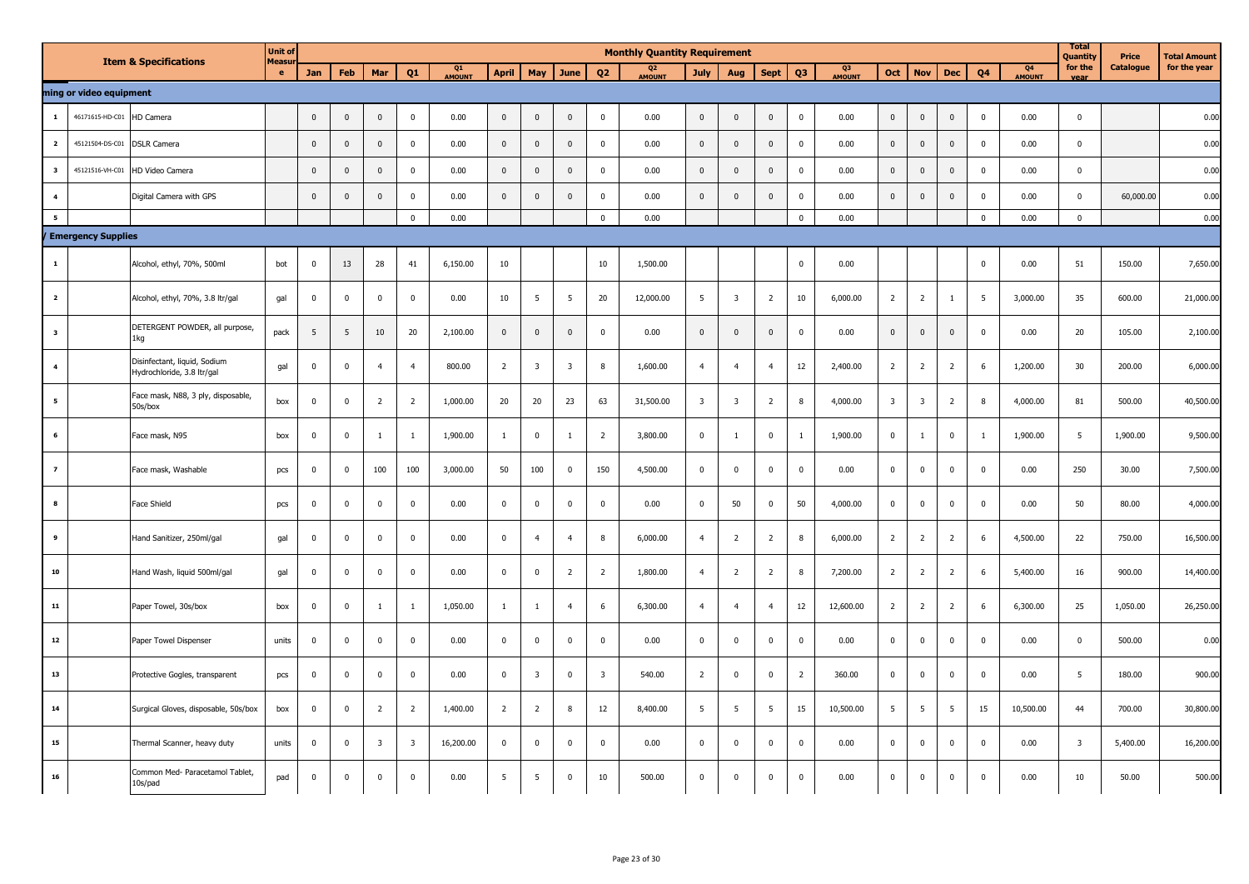|                          |                           | <b>Item &amp; Specifications</b>                           | <b>Unit of</b><br>Measu |                         |                 |                |                         |              |                |                         |                         |                         | <b>Monthly Quantity Requirement</b> |                         |                         |                |                |                          |                         |                         |                         |                         |              | <b>Total</b><br>Quantity | Price            | <b>Total Amount</b> |
|--------------------------|---------------------------|------------------------------------------------------------|-------------------------|-------------------------|-----------------|----------------|-------------------------|--------------|----------------|-------------------------|-------------------------|-------------------------|-------------------------------------|-------------------------|-------------------------|----------------|----------------|--------------------------|-------------------------|-------------------------|-------------------------|-------------------------|--------------|--------------------------|------------------|---------------------|
|                          |                           |                                                            | e                       | Jan                     | <b>Feb</b>      | Mar            | Q1                      | Q1<br>AMOUNT | <b>April</b>   | May                     | June                    | Q <sub>2</sub>          | Q2<br>AMOUNT                        | <b>July</b>             | Aug                     | Sept           | Q3             | Q <sub>3</sub><br>AMOUNT | Oct                     | <b>Nov</b>              | <b>Dec</b>              | Q4                      | Q4<br>AMOUNT | for the<br>vear          | <b>Catalogue</b> | for the year        |
|                          | ming or video equipment   |                                                            |                         |                         |                 |                |                         |              |                |                         |                         |                         |                                     |                         |                         |                |                |                          |                         |                         |                         |                         |              |                          |                  |                     |
| $\mathbf 1$              | 46171615-HD-C01           | HD Camera                                                  |                         | $\mathbf{0}$            | $\mathbf 0$     | $\mathsf 0$    | $\mathbf 0$             | 0.00         | $\mathbf 0$    | $\mathbf 0$             | $\mathbb O$             | $\mathbf 0$             | 0.00                                | $\mathbf 0$             | $\mathbf 0$             | $\mathbf 0$    | $\mathbf 0$    | 0.00                     | $\mathbf 0$             | $\mathbf 0$             | $\mathbb O$             | $\overline{\mathbf{0}}$ | 0.00         | $\mathbf 0$              |                  | 0.00                |
| $\overline{\mathbf{2}}$  | 45121504-DS-C01           | <b>DSLR Camera</b>                                         |                         | $\mathbf 0$             | $\mathbf{0}$    | $\pmb{0}$      | $\pmb{0}$               | 0.00         | $\mathbf 0$    | $\mathbf 0$             | $\mathbf 0$             | $\mathbf 0$             | 0.00                                | $\mathbf 0$             | $\pmb{0}$               | $\mathbf 0$    | $\pmb{0}$      | 0.00                     | $\mathbf 0$             | $\pmb{0}$               | $\mathbf 0$             | $\mathbf 0$             | 0.00         | $\mathbf{0}$             |                  | 0.00                |
| $\overline{\mathbf{3}}$  | 45121516-VH-C01           | HD Video Camera                                            |                         | $\mathbf{0}$            | $\mathbf{0}$    | $\mathbf 0$    | $\mathbf{0}$            | 0.00         | $\mathbf 0$    | $\mathbf{0}$            | $\mathbf 0$             | $\mathbf 0$             | 0.00                                | $\mathbf 0$             | $\mathbf 0$             | $\mathbf{0}$   | $\mathbf 0$    | 0.00                     | $\mathbf{0}$            | $\mathbf{0}$            | $\mathbf 0$             | $\mathbf 0$             | 0.00         | $\Omega$                 |                  | 0.00                |
| $\overline{\mathbf{4}}$  |                           | Digital Camera with GPS                                    |                         | $\mathbf 0$             | $\mathbf 0$     | $\mathbf 0$    | $\pmb{0}$               | 0.00         | $\mathbf 0$    | $\mathbf 0$             | $\mathbf 0$             | $\mathbf 0$             | 0.00                                | $\mathsf 0$             | $\mathbf 0$             | $\mathbf{0}$   | $\pmb{0}$      | 0.00                     | $\mathbf 0$             | $\mathbf 0$             | $\mathbf 0$             | $\mathbf 0$             | 0.00         | $\mathbf 0$              | 60,000.00        | 0.00                |
| $5^{\circ}$              |                           |                                                            |                         |                         |                 |                | $\mathbf{0}$            | 0.00         |                |                         |                         | $\mathbf{0}$            | 0.00                                |                         |                         |                | $\overline{0}$ | 0.00                     |                         |                         |                         | $\overline{0}$          | 0.00         | $\overline{0}$           |                  | 0.00                |
|                          | <b>Emergency Supplies</b> |                                                            |                         |                         |                 |                |                         |              |                |                         |                         |                         |                                     |                         |                         |                |                |                          |                         |                         |                         |                         |              |                          |                  |                     |
| $\mathbf 1$              |                           | Alcohol, ethyl, 70%, 500ml                                 | bot                     | $\mathbf{0}$            | 13              | 28             | 41                      | 6,150.00     | 10             |                         |                         | 10                      | 1,500.00                            |                         |                         |                | $\mathbf 0$    | 0.00                     |                         |                         |                         | $\mathbf 0$             | 0.00         | 51                       | 150.00           | 7,650.00            |
| $\overline{\mathbf{2}}$  |                           | Alcohol, ethyl, 70%, 3.8 ltr/gal                           | gal                     | $\mathbf 0$             | $\mathbf 0$     | $\pmb{0}$      | $\pmb{0}$               | 0.00         | 10             | $5\overline{5}$         | $5\overline{5}$         | 20                      | 12,000.00                           | 5 <sup>5</sup>          | $\overline{\mathbf{3}}$ | $\overline{2}$ | 10             | 6,000.00                 | $\overline{2}$          | $\overline{2}$          | $\overline{1}$          | 5                       | 3,000.00     | 35                       | 600.00           | 21,000.00           |
| $\mathbf{3}$             |                           | DETERGENT POWDER, all purpose,<br>1kg                      | pack                    | 5                       | $5\phantom{.0}$ | $10\,$         | 20                      | 2,100.00     | $\mathbf 0$    | $\mathbf 0$             | $\mathbb O$             | $\pmb{0}$               | 0.00                                | $\mathsf 0$             | $\pmb{0}$               | $\mathbf 0$    | $\pmb{0}$      | 0.00                     | $\mathbf 0$             | $\mathbf 0$             | $\mathbf 0$             | $\mathbf 0$             | 0.00         | 20                       | 105.00           | 2,100.00            |
| $\overline{\mathbf{4}}$  |                           | Disinfectant, liquid, Sodium<br>Hydrochloride, 3.8 ltr/gal | gal                     | $\overline{0}$          | $\mathbf{0}$    | $\overline{4}$ | $\overline{4}$          | 800.00       | $\overline{2}$ | $\overline{\mathbf{3}}$ | $\overline{\mathbf{3}}$ | 8                       | 1,600.00                            | $\overline{4}$          | $\overline{4}$          | $\overline{4}$ | 12             | 2,400.00                 | $\overline{2}$          | $\overline{2}$          | $\overline{2}$          | 6                       | 1,200.00     | 30                       | 200.00           | 6,000.00            |
| 5                        |                           | Face mask, N88, 3 ply, disposable,<br>50s/box              | box                     | $\mathbf 0$             | $\mathbf 0$     | $\overline{2}$ | $\overline{2}$          | 1,000.00     | 20             | 20                      | 23                      | 63                      | 31,500.00                           | $\overline{\mathbf{3}}$ | $\overline{\mathbf{3}}$ | $\overline{2}$ | 8              | 4,000.00                 | $\overline{\mathbf{3}}$ | $\overline{\mathbf{3}}$ | $\overline{2}$          | 8                       | 4,000.00     | 81                       | 500.00           | 40,500.00           |
| 6                        |                           | Face mask, N95                                             | box                     | $\mathbf 0$             | $\mathbf 0$     | $\mathbf{1}$   | $\mathbf{1}$            | 1,900.00     | $\mathbf{1}$   | $\overline{0}$          | $\overline{1}$          | $\overline{2}$          | 3,800.00                            | $\mathbf 0$             | $\mathbf{1}$            | $\mathbf 0$    | $\mathbf{1}$   | 1,900.00                 | $\mathbf 0$             | <sup>1</sup>            | $\overline{\mathbf{0}}$ | <sup>1</sup>            | 1,900.00     | 5                        | 1,900.00         | 9,500.00            |
| $\overline{\phantom{a}}$ |                           | Face mask, Washable                                        | pcs                     | $\overline{\mathbf{0}}$ | $\mathbf 0$     | 100            | 100                     | 3,000.00     | 50             | 100                     | $\overline{\mathbf{0}}$ | 150                     | 4,500.00                            | $\mathbf 0$             | $\mathbf 0$             | $\mathbf 0$    | $\pmb{0}$      | 0.00                     | $\mathbf 0$             | $\mathbf 0$             | $\mathbf 0$             | $\mathbf 0$             | 0.00         | 250                      | 30.00            | 7,500.00            |
| 8                        |                           | Face Shield                                                | pcs                     | $\mathbf 0$             | $\mathbf 0$     | $\mathbf 0$    | $\mathbf{0}$            | 0.00         | $\mathbf 0$    | $\mathbf 0$             | $\mathbf 0$             | $\mathbf 0$             | 0.00                                | $\mathbf 0$             | 50                      | $\mathbf 0$    | 50             | 4,000.00                 | $\mathbf 0$             | $\mathbf 0$             | $\overline{\mathbf{0}}$ | $\overline{\mathbf{0}}$ | 0.00         | 50                       | 80.00            | 4,000.00            |
| 9                        |                           | Hand Sanitizer, 250ml/gal                                  | gal                     | $\Omega$                | $\mathbf 0$     | $\mathbf 0$    | $\pmb{0}$               | 0.00         | $\mathbf 0$    | $\overline{4}$          | $\overline{4}$          | 8                       | 6,000.00                            | $\overline{4}$          | $\overline{2}$          | $\overline{2}$ | 8              | 6,000.00                 | $\overline{2}$          | $\overline{2}$          | $\overline{2}$          | 6                       | 4,500.00     | 22                       | 750.00           | 16,500.00           |
| 10                       |                           | Hand Wash, liquid 500ml/gal                                | gal                     | $\mathbf{0}$            | $\mathbf 0$     | $\pmb{0}$      | $\mathbf 0$             | 0.00         | $\mathbf 0$    | $\mathbf 0$             | $\overline{2}$          | $\overline{2}$          | 1,800.00                            | $\overline{4}$          | $\overline{2}$          | $\overline{2}$ | 8              | 7,200.00                 | $\overline{2}$          | $\overline{2}$          | $\overline{2}$          | 6                       | 5,400.00     | 16                       | 900.00           | 14,400.00           |
| 11                       |                           | Paper Towel, 30s/box                                       | box                     | $\mathbf{0}$            | $\mathbf{0}$    | $\mathbf{1}$   | $\mathbf{1}$            | 1,050.00     | $\mathbf{1}$   | $\mathbf{1}$            | $\overline{4}$          | 6                       | 6,300.00                            | $\overline{4}$          | $\overline{4}$          | $\overline{4}$ | 12             | 12,600.00                | $\overline{2}$          | $\overline{2}$          | $\overline{2}$          | 6                       | 6,300.00     | 25                       | 1,050.00         | 26,250.00           |
| 12                       |                           | Paper Towel Dispenser                                      | units                   | $\mathbf 0$             | $\mathbf 0$     | $\mathbf 0$    | $\mathbf 0$             | 0.00         | $\mathbf 0$    | $\mathbf 0$             | $\mathbf 0$             | $\mathbf 0$             | 0.00                                | $\mathbf 0$             | $\mathbf 0$             | $\mathbf 0$    | $\mathbf 0$    | 0.00                     | $\mathbf 0$             | $\mathbf 0$             | $\mathbf 0$             | $\mathbf{0}$            | 0.00         | $\mathbf 0$              | 500.00           | 0.00                |
| 13                       |                           | Protective Gogles, transparent                             | pcs                     | $\mathbf 0$             | $\mathbf 0$     | $\mathbf 0$    | $\mathbf 0$             | 0.00         | $\mathbf 0$    | $\overline{\mathbf{3}}$ | $\mathbf 0$             | $\overline{\mathbf{3}}$ | 540.00                              | $\overline{2}$          | $\mathbf 0$             | $\mathbf 0$    | $\overline{2}$ | 360.00                   | $\mathbf 0$             | $\mathbf 0$             | $\mathbf 0$             | $\mathbf 0$             | 0.00         | 5                        | 180.00           | 900.00              |
| $\bf{14}$                |                           | Surgical Gloves, disposable, 50s/box                       | box                     | $\mathbf 0$             | $\mathbf 0$     | $\overline{2}$ | $\overline{2}$          | 1,400.00     | $\overline{2}$ | $\overline{2}$          | 8                       | 12                      | 8,400.00                            | 5 <sup>5</sup>          | 5                       | 5              | 15             | 10,500.00                | $5\phantom{.0}$         | 5                       | 5                       | 15                      | 10,500.00    | 44                       | 700.00           | 30,800.00           |
| 15                       |                           | Thermal Scanner, heavy duty                                | units                   | $\mathbf 0$             | $\mathbf 0$     | $\overline{3}$ | $\overline{\mathbf{3}}$ | 16,200.00    | $\overline{0}$ | $\mathbf 0$             | $\mathbf 0$             | $\mathbf{0}$            | 0.00                                | $\mathbf 0$             | $\mathsf 0$             | $\mathbf 0$    | $\mathbf 0$    | 0.00                     | $\mathbf 0$             | $\mathbf 0$             | $\mathbf 0$             | $\mathbf 0$             | 0.00         | $\overline{\mathbf{3}}$  | 5,400.00         | 16,200.00           |
| 16                       |                           | Common Med- Paracetamol Tablet,<br>10s/pad                 | pad                     | $\overline{0}$          | $\mathbf 0$     | $\mathbf 0$    | $\mathbf{0}$            | 0.00         | 5              | $\overline{5}$          | $\mathbf 0$             | 10                      | 500.00                              | $\mathbf 0$             | $\mathbf 0$             | $\mathbf 0$    | $\mathbf 0$    | 0.00                     | $\mathbf 0$             | $\mathbf{0}$            | $\mathbf 0$             | $\mathbf{0}$            | 0.00         | 10                       | 50.00            | 500.00              |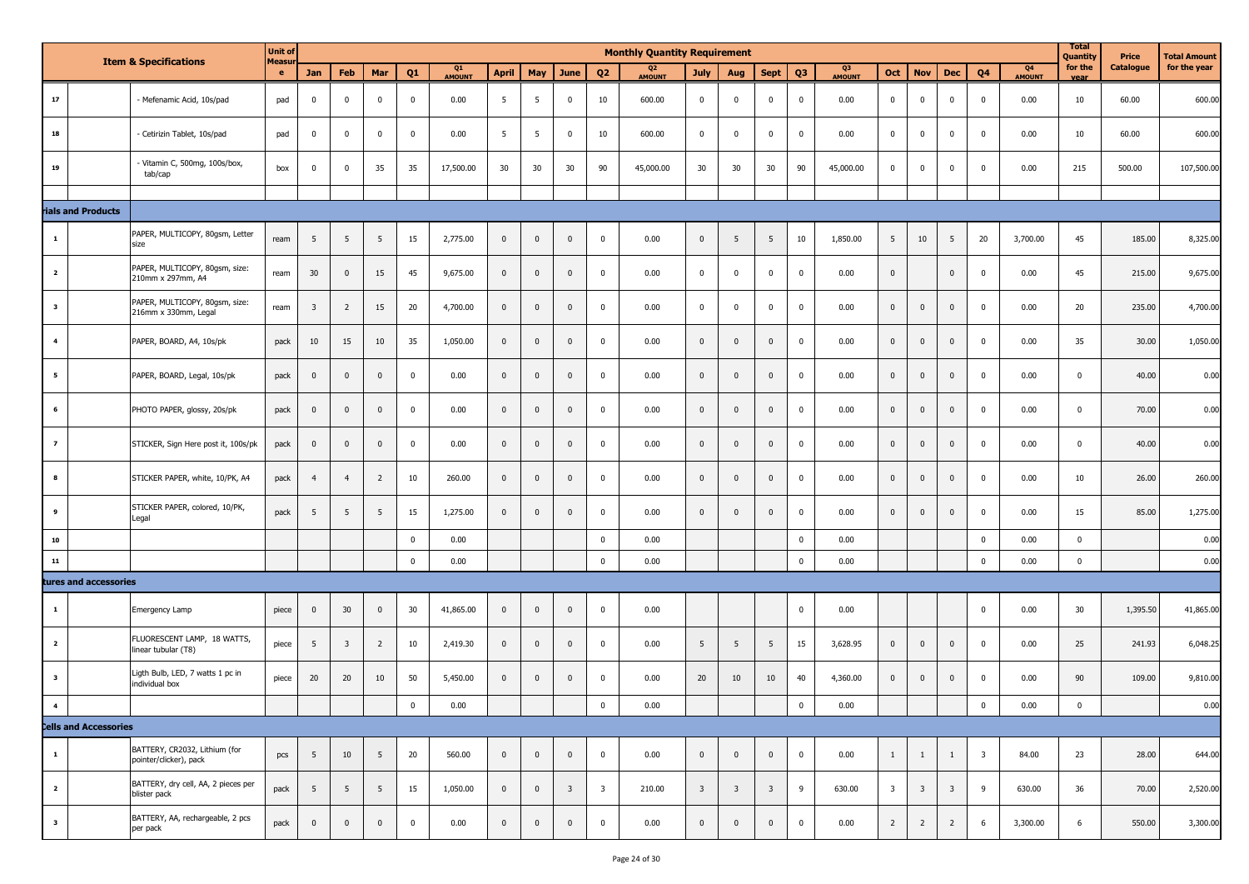|                         | <b>Item &amp; Specifications</b>                        | <b>Unit of</b><br><b>Measu</b> |                         |                         |                 |             |              |                 |                         |                         |                         | <b>Monthly Quantity Requirement</b> |                         |                         |                         |                |                     |                         |                         |                         |                         |                                 | <b>Total</b><br>Quantity | Price     | Total Amount |
|-------------------------|---------------------------------------------------------|--------------------------------|-------------------------|-------------------------|-----------------|-------------|--------------|-----------------|-------------------------|-------------------------|-------------------------|-------------------------------------|-------------------------|-------------------------|-------------------------|----------------|---------------------|-------------------------|-------------------------|-------------------------|-------------------------|---------------------------------|--------------------------|-----------|--------------|
|                         |                                                         | $\bullet$                      | Jan                     | Feb                     | Mar             | Q1          | Q1<br>AMOUNT | <b>April</b>    | May                     | June                    | Q <sub>2</sub>          | Q <sub>2</sub><br><b>AMOUNT</b>     | <b>July</b>             | Aug                     | <b>Sept</b>             | Q <sub>3</sub> | Q3<br><b>AMOUNT</b> | Oct                     | <b>Nov</b>              | <b>Dec</b>              | Q <sub>4</sub>          | Q <sub>4</sub><br><b>AMOUNT</b> | for the<br><b>Vear</b>   | Catalogue | for the year |
| $17\,$                  | - Mefenamic Acid, 10s/pad                               | pad                            | $\overline{0}$          | $\mathbf 0$             | $\mathbf{0}$    | $\bf{0}$    | 0.00         | 5               | 5                       | $\mathbf 0$             | 10                      | 600.00                              | $\mathbf 0$             | $\mathbf 0$             | $\overline{0}$          | $\mathbf 0$    | 0.00                | $\mathbf 0$             | $\mathbf 0$             | $\mathbf 0$             | $\overline{0}$          | 0.00                            | 10                       | 60.00     | 600.00       |
| 18                      | Cetirizin Tablet, 10s/pad                               | pad                            | $\overline{0}$          | $\mathbf 0$             | $\mathbf 0$     | $\mathbf 0$ | 0.00         | $5\phantom{.0}$ | 5                       | $\mathbf 0$             | 10                      | 600.00                              | $\mathbf 0$             | $\mathbf 0$             | $\overline{0}$          | $\mathbf 0$    | 0.00                | $\overline{0}$          | $\mathbf 0$             | $\mathbf 0$             | $\mathbf 0$             | 0.00                            | 10                       | 60.00     | 600.00       |
| 19                      | - Vitamin C, 500mg, 100s/box,<br>tab/cap                | box                            | $\overline{0}$          | $\overline{0}$          | 35              | 35          | 17,500.00    | 30 <sub>o</sub> | 30                      | 30                      | 90                      | 45,000.00                           | 30                      | 30                      | 30                      | 90             | 45,000.00           | $\overline{0}$          | $\mathbf 0$             | $\mathbf 0$             | $\mathbf 0$             | 0.00                            | 215                      | 500.00    | 107,500.00   |
|                         |                                                         |                                |                         |                         |                 |             |              |                 |                         |                         |                         |                                     |                         |                         |                         |                |                     |                         |                         |                         |                         |                                 |                          |           |              |
| rials and Products      |                                                         |                                |                         |                         |                 |             |              |                 |                         |                         |                         |                                     |                         |                         |                         |                |                     |                         |                         |                         |                         |                                 |                          |           |              |
| $\mathbf{1}$            | PAPER, MULTICOPY, 80gsm, Letter<br>size                 | ream                           | 5 <sub>5</sub>          | $5\phantom{.0}$         | $5\overline{5}$ | 15          | 2,775.00     | $\bf{0}$        | $\overline{\mathbf{0}}$ | $\overline{\mathbf{0}}$ | $\mathbf 0$             | 0.00                                | $\mathbf{0}$            | 5                       | 5                       | 10             | 1,850.00            | 5                       | 10                      | 5                       | 20                      | 3,700.00                        | 45                       | 185.00    | 8,325.00     |
| $\overline{\mathbf{2}}$ | PAPER, MULTICOPY, 80gsm, size:<br>210mm x 297mm, A4     | ream                           | 30                      | $\overline{0}$          | 15              | 45          | 9,675.00     | $\mathbf 0$     | $\overline{\mathbf{0}}$ | $\overline{0}$          | $\mathbf 0$             | 0.00                                | $\overline{0}$          | $\mathbf 0$             | $\overline{\mathbf{0}}$ | $\overline{0}$ | 0.00                | $\overline{0}$          |                         | $\mathbf{0}$            | $\mathbf 0$             | 0.00                            | 45                       | 215.00    | 9,675.00     |
| 3                       | PAPER, MULTICOPY, 80gsm, size:<br>216mm x 330mm, Legal  | ream                           | $\overline{\mathbf{3}}$ | $\overline{2}$          | 15              | 20          | 4,700.00     | $\mathbf{0}$    | $\overline{0}$          | $\overline{0}$          | $\mathbf 0$             | 0.00                                | $\mathbf 0$             | $\mathbf 0$             | $\overline{\mathbf{0}}$ | $\mathbf 0$    | 0.00                | $\overline{0}$          | $\mathbf{0}$            | $\mathbf 0$             | $\mathbf 0$             | 0.00                            | 20                       | 235.00    | 4,700.00     |
| $\overline{4}$          | PAPER, BOARD, A4, 10s/pk                                | pack                           | 10                      | 15                      | 10              | 35          | 1,050.00     | $\bf{0}$        | $\overline{0}$          | $\overline{0}$          | $\mathbf 0$             | 0.00                                | $\mathbf{0}$            | $\mathbf 0$             | $\mathbf{0}$            | $\mathbf 0$    | 0.00                | $\overline{0}$          | $\bf{0}$                | $\mathbf{0}$            | $\mathbf{0}$            | 0.00                            | 35                       | 30.00     | 1,050.00     |
| 5                       | PAPER, BOARD, Legal, 10s/pk                             | pack                           | $\mathbf 0$             | $\overline{0}$          | $\overline{0}$  | $\mathbf 0$ | 0.00         | $\mathbf 0$     | $\mathbf 0$             | $\overline{0}$          | $\mathbf 0$             | 0.00                                | $\mathbf{0}$            | $\mathbf 0$             | $\overline{0}$          | $\mathbf 0$    | 0.00                | $\overline{0}$          | $\bf{0}$                | $\mathbf 0$             | $\overline{\mathbf{0}}$ | 0.00                            | $\mathbf 0$              | 40.00     | 0.00         |
| 6                       | PHOTO PAPER, glossy, 20s/pk                             | pack                           | $\overline{0}$          | $\overline{0}$          | $\mathbf{0}$    | $\mathbf 0$ | 0.00         | $\overline{0}$  | $\mathbf 0$             | $\overline{0}$          | $\mathbf 0$             | 0.00                                | $\mathbf{0}$            | $\mathbf 0$             | $\mathbf 0$             | $\mathbf 0$    | 0.00                | $\overline{0}$          | $\bf{0}$                | $\mathbf 0$             | $\bf{0}$                | 0.00                            | $\mathbf{0}$             | 70.00     | 0.00         |
| $\overline{z}$          | STICKER, Sign Here post it, 100s/pk                     | pack                           | $\overline{0}$          | $\overline{0}$          | $\overline{0}$  | $\bf{0}$    | 0.00         | $\overline{0}$  | $\mathbf 0$             | $\overline{\mathbf{0}}$ | $\pmb{0}$               | 0.00                                | $\mathbf{0}$            | $\mathbf 0$             | $\mathbf 0$             | $\pmb{0}$      | 0.00                | $\overline{0}$          | $\bf{0}$                | $\mathbf{0}$            | $\bf{0}$                | 0.00                            | $\mathbf 0$              | 40.00     | 0.00         |
| 8                       | STICKER PAPER, white, 10/PK, A4                         | pack                           | $\overline{4}$          | $\overline{4}$          | $\overline{2}$  | 10          | 260.00       | $\mathbf 0$     | $\overline{0}$          | $\mathbf{0}$            | $\mathbf 0$             | 0.00                                | $\mathbf{0}$            | $\Omega$                | $\mathbf 0$             | $\mathbf 0$    | 0.00                | $\overline{0}$          | $\bf{0}$                | $\mathbf 0$             | $\mathbf 0$             | 0.00                            | 10                       | 26.00     | 260.00       |
| 9                       | STICKER PAPER, colored, 10/PK,<br>Legal                 | pack                           | $5\overline{5}$         | $5\overline{5}$         | $5\overline{5}$ | 15          | 1,275.00     | $\mathbf{0}$    | $\overline{0}$          | $\mathbf{0}$            | $\mathbf 0$             | 0.00                                | $\mathbf{0}$            | $\Omega$                | $\overline{0}$          | $\mathbf 0$    | 0.00                | $\overline{0}$          | $\mathbf{0}$            | $\mathbf 0$             | $\pmb{0}$               | 0.00                            | 15                       | 85.00     | 1,275.00     |
| 10                      |                                                         |                                |                         |                         |                 | $\mathbf 0$ | 0.00         |                 |                         |                         | $\mathbf 0$             | 0.00                                |                         |                         |                         | $\mathbf 0$    | 0.00                |                         |                         |                         | $\pmb{0}$               | 0.00                            | $\mathbf 0$              |           | 0.00         |
| 11                      |                                                         |                                |                         |                         |                 | $\mathbf 0$ | 0.00         |                 |                         |                         | $\mathbf 0$             | 0.00                                |                         |                         |                         | $\mathbf 0$    | 0.00                |                         |                         |                         | $\overline{\mathbf{0}}$ | 0.00                            | $\mathbf 0$              |           | 0.00         |
|                         | tures and accessories                                   |                                |                         |                         |                 |             |              |                 |                         |                         |                         |                                     |                         |                         |                         |                |                     |                         |                         |                         |                         |                                 |                          |           |              |
| 1                       | Emergency Lamp                                          | piece                          | $\mathbf 0$             | 30                      | $\mathbf{0}$    | 30          | 41,865.00    | $\mathbf 0$     | $\overline{0}$          | $\overline{0}$          | $\mathbf 0$             | 0.00                                |                         |                         |                         | $\mathbf 0$    | 0.00                |                         |                         |                         | $\mathbf 0$             | 0.00                            | 30                       | 1,395.50  | 41,865.00    |
| $\overline{2}$          | FLUORESCENT LAMP, 18 WATTS,<br>linear tubular (T8)      | piece                          | 5                       | $\overline{\mathbf{3}}$ | $\overline{2}$  | 10          | 2,419.30     | $\mathbf 0$     | $\mathbf 0$             | $\mathbf 0$             | $\mathbf 0$             | 0.00                                | 5                       | 5                       | 5                       | 15             | 3,628.95            | $\overline{0}$          | $\bf{0}$                | $\mathbf 0$             | $\mathbf 0$             | 0.00                            | 25                       | 241.93    | 6,048.25     |
| 3                       | Ligth Bulb, LED, 7 watts 1 pc in<br>individual box      | piece                          | 20                      | 20                      | 10              | 50          | 5,450.00     | $\mathbf 0$     | $\overline{\mathbf{0}}$ | $\overline{\mathbf{0}}$ | $\mathbf 0$             | 0.00                                | 20                      | 10                      | 10                      | 40             | 4,360.00            | $\overline{0}$          | $\bf{0}$                | $\mathbf 0$             | $\bf{0}$                | 0.00                            | 90                       | 109.00    | 9,810.00     |
|                         |                                                         |                                |                         |                         |                 | $\mathbf 0$ | 0.00         |                 |                         |                         | $\mathbf 0$             | 0.00                                |                         |                         |                         | $\mathbf 0$    | 0.00                |                         |                         |                         | $\mathbf 0$             | 0.00                            | $\pmb{0}$                |           | 0.00         |
|                         | <b>Cells and Accessories</b>                            |                                |                         |                         |                 |             |              |                 |                         |                         |                         |                                     |                         |                         |                         |                |                     |                         |                         |                         |                         |                                 |                          |           |              |
| $\mathbf{1}$            | BATTERY, CR2032, Lithium (for<br>pointer/clicker), pack | pcs                            | $5\overline{5}$         | 10                      | $5\overline{5}$ | 20          | 560.00       | $\mathbf 0$     | $\mathbf 0$             | $\mathbf 0$             | $\overline{\mathbf{0}}$ | 0.00                                | $\mathbf{0}$            | $\mathbf 0$             | $\overline{0}$          | $\mathbf 0$    | 0.00                | $\mathbf{1}$            | $\mathbf{1}$            | 1                       | $\overline{\mathbf{3}}$ | 84.00                           | 23                       | 28.00     | 644.00       |
| $\overline{2}$          | BATTERY, dry cell, AA, 2 pieces per<br>blister pack     | pack                           | $5\overline{5}$         | $5\overline{5}$         | $5\overline{5}$ | 15          | 1,050.00     | $\bf{0}$        | $\overline{\mathbf{0}}$ | $\overline{\mathbf{3}}$ | $\overline{\mathbf{3}}$ | 210.00                              | $\overline{\mathbf{3}}$ | $\overline{\mathbf{3}}$ | $\overline{\mathbf{3}}$ | 9              | 630.00              | $\overline{\mathbf{3}}$ | $\overline{\mathbf{3}}$ | $\overline{\mathbf{3}}$ | 9                       | 630.00                          | 36                       | 70.00     | 2,520.00     |
| $\mathbf 3$             | BATTERY, AA, rechargeable, 2 pcs<br>per pack            | pack                           | $\mathbf 0$             | $\mathbf{0}$            | $\mathbf 0$     | $\bf{0}$    | 0.00         | $\mathbf 0$     | $\mathbf 0$             | $\overline{\mathbf{0}}$ | $\mathbf 0$             | 0.00                                | $\mathbf{0}$            | $\mathbf 0$             | $\mathbf 0$             | $\mathbf 0$    | 0.00                | $\overline{2}$          | $\overline{2}$          | $\overline{2}$          | 6                       | 3,300.00                        | 6                        | 550.00    | 3,300.00     |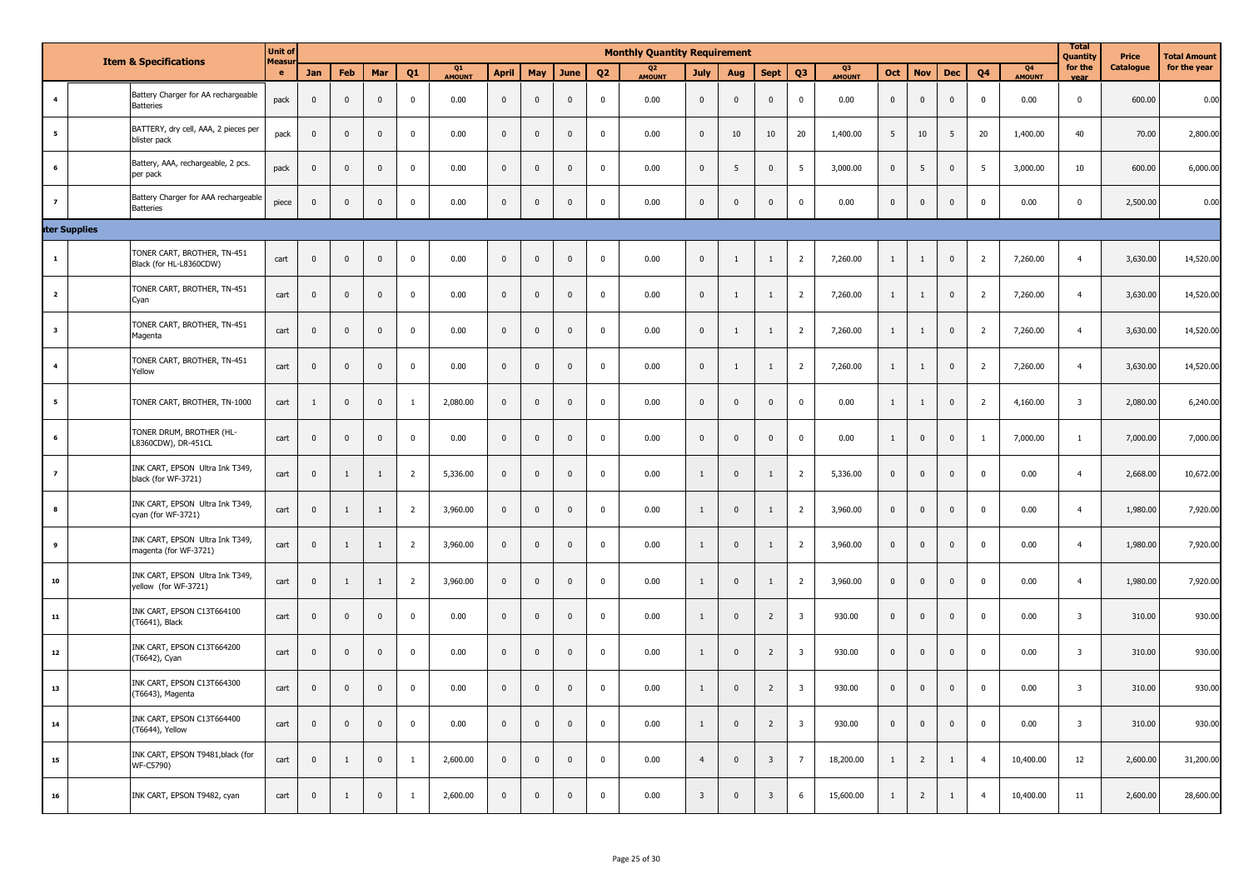|                         |                      | <b>Item &amp; Specifications</b>                         | <b>Unit of</b><br><b>Measu</b> |              |              |              |                |                     |                |                |              |                | <b>Monthly Quantity Requirement</b> |                         |              |                |                         |              |                |                |              |                |                          | <b>Total</b><br>Quantity | Price     | <b>Total Amount</b> |
|-------------------------|----------------------|----------------------------------------------------------|--------------------------------|--------------|--------------|--------------|----------------|---------------------|----------------|----------------|--------------|----------------|-------------------------------------|-------------------------|--------------|----------------|-------------------------|--------------|----------------|----------------|--------------|----------------|--------------------------|--------------------------|-----------|---------------------|
|                         |                      |                                                          | e                              | Jan          | <b>Feb</b>   | Mar          | O <sub>1</sub> | Q1<br><b>AMOUNT</b> | <b>April</b>   | May            | June         | Q <sub>2</sub> | Q <sub>2</sub><br>AMOUNT            | <b>July</b>             | Aug          | Sept           | 03                      | Q3<br>AMOUNT | Oct            | <b>Nov</b>     | <b>Dec</b>   | 04             | Q <sub>4</sub><br>AMOUNT | for the<br>vear          | Catalogue | for the year        |
| $\overline{4}$          |                      | Battery Charger for AA rechargeable<br><b>Batteries</b>  | pack                           | $\mathbf 0$  | $\mathbf{0}$ | $\mathbf 0$  | $\mathsf 0$    | 0.00                | $\mathbf 0$    | $\mathbf 0$    | $\mathbf 0$  | $\mathbf 0$    | 0.00                                | $\mathbf 0$             | $\mathbf{0}$ | $\mathsf 0$    | $\mathbf 0$             | 0.00         | $\mathsf 0$    | $\mathbf{0}$   | $\mathsf 0$  | $\mathbf 0$    | 0.00                     | $\mathbf 0$              | 600.00    | 0.00                |
| 5                       |                      | BATTERY, dry cell, AAA, 2 pieces per<br>blister pack     | pack                           | $\mathbf 0$  | $\pmb{0}$    | $\mathbf 0$  | $\pmb{0}$      | 0.00                | $\mathbf 0$    | $\mathbf 0$    | $\mathbf{0}$ | $\mathbf 0$    | 0.00                                | $\mathbf 0$             | 10           | 10             | 20                      | 1,400.00     | 5 <sup>5</sup> | 10             | 5            | 20             | 1,400.00                 | 40                       | 70.00     | 2,800.00            |
| - 6                     |                      | Battery, AAA, rechargeable, 2 pcs.<br>per pack           | pack                           | $\mathbf 0$  | $\pmb{0}$    | $\mathbf 0$  | $\mathbf 0$    | 0.00                | $\mathbf 0$    | $\mathbf 0$    | $\mathbf{0}$ | $\mathbf 0$    | 0.00                                | $\mathbf 0$             | 5            | $\mathbf 0$    | 5                       | 3,000.00     | $\mathbf{0}$   | 5              | $\mathbf 0$  | 5              | 3,000.00                 | 10                       | 600.00    | 6,000.00            |
| $\overline{7}$          |                      | Battery Charger for AAA rechargeable<br><b>Batteries</b> | piece                          | $\mathbf 0$  | $\mathbf 0$  | $\mathbf 0$  | $\mathbf 0$    | 0.00                | $\mathbf 0$    | $\mathbf 0$    | $\mathbf 0$  | $\mathbf 0$    | 0.00                                | $\mathbf 0$             | $\mathbf 0$  | $\mathbf 0$    | $\mathbf 0$             | 0.00         | $\mathbf 0$    | $\pmb{0}$      | $\mathbf 0$  | 0              | 0.00                     | $\mathbf 0$              | 2,500.00  | 0.00                |
|                         | <b>iter Supplies</b> |                                                          |                                |              |              |              |                |                     |                |                |              |                |                                     |                         |              |                |                         |              |                |                |              |                |                          |                          |           |                     |
| $\mathbf{1}$            |                      | TONER CART, BROTHER, TN-451<br>Black (for HL-L8360CDW)   | cart                           | $\mathbf 0$  | $\pmb{0}$    | $\mathbf 0$  | $\pmb{0}$      | 0.00                | $\pmb{0}$      | $\mathbf 0$    | $\mathbf 0$  | $\mathbf 0$    | 0.00                                | $\mathbf 0$             | $\mathbf{1}$ | $\mathbf{1}$   | $\overline{2}$          | 7,260.00     | $\mathbf{1}$   | $\mathbf{1}$   | $\bf{0}$     | $\overline{2}$ | 7,260.00                 | $\overline{4}$           | 3,630.00  | 14,520.00           |
| $\overline{2}$          |                      | TONER CART, BROTHER, TN-451<br>Cyan                      | cart                           | $\mathbf 0$  | $\pmb{0}$    | $\mathbf 0$  | $\mathbf 0$    | 0.00                | $\mathbf 0$    | $\mathbf 0$    | $\mathbf 0$  | $\mathbf 0$    | 0.00                                | $\mathbf 0$             | 1            | $\mathbf{1}$   | $\overline{2}$          | 7,260.00     | $\mathbf{1}$   | 1              | $\mathbf 0$  | $\overline{2}$ | 7,260.00                 | $\overline{4}$           | 3,630.00  | 14,520.00           |
| $\overline{\mathbf{3}}$ |                      | TONER CART, BROTHER, TN-451<br>Magenta                   | cart                           | $\mathbf 0$  | $\mathbf 0$  | $\mathbf 0$  | $\mathbf 0$    | 0.00                | $\mathbf 0$    | $\mathbf 0$    | $\mathbf{0}$ | $\mathbf 0$    | 0.00                                | $\mathbf 0$             | 1            | $\mathbf{1}$   | $\overline{2}$          | 7,260.00     | $\mathbf{1}$   | $\mathbf{1}$   | $\mathbf 0$  | $\overline{2}$ | 7,260.00                 | $\overline{4}$           | 3,630.00  | 14,520.00           |
| $\overline{a}$          |                      | TONER CART, BROTHER, TN-451<br>Yellow                    | cart                           | $\mathbf 0$  | $\mathbf 0$  | $\mathbf 0$  | $\mathbf 0$    | 0.00                | $\mathbf 0$    | $\mathbf 0$    | $\mathbf 0$  | $\mathbf 0$    | 0.00                                | $\mathbf 0$             | 1            | $\mathbf{1}$   | $\overline{2}$          | 7,260.00     | $\mathbf{1}$   | $\mathbf{1}$   | $\mathbf 0$  | $\overline{2}$ | 7,260.00                 | $\overline{4}$           | 3,630.00  | 14,520.00           |
| 5                       |                      | TONER CART, BROTHER, TN-1000                             | cart                           | $\mathbf{1}$ | $\mathbf 0$  | $\mathbf{0}$ | $\mathbf{1}$   | 2,080.00            | $\bf{0}$       | $\mathbf 0$    | $\mathbf 0$  | $\mathbf{0}$   | 0.00                                | $\mathbf 0$             | $\mathbf 0$  | $\mathbf 0$    | $\mathbf 0$             | 0.00         | $\mathbf{1}$   | $\mathbf{1}$   | $\mathbf 0$  | $\overline{2}$ | 4,160.00                 | $\overline{\mathbf{3}}$  | 2,080.00  | 6,240.00            |
| 6                       |                      | TONER DRUM, BROTHER (HL-<br>L8360CDW), DR-451CL          | cart                           | $\mathbf 0$  | $\mathbf 0$  | $\mathbf 0$  | $\bf{0}$       | 0.00                | $\mathbf 0$    | $\mathbf 0$    | $\mathbf{0}$ | $\mathbf 0$    | 0.00                                | $\bf{0}$                | $\mathbf 0$  | $\mathbf 0$    | $\mathbf 0$             | 0.00         | $\mathbf{1}$   | $\mathbf 0$    | $\mathbf 0$  | -1             | 7,000.00                 | $\mathbf{1}$             | 7,000.00  | 7,000.00            |
| $\overline{z}$          |                      | INK CART, EPSON Ultra Ink T349,<br>black (for WF-3721)   | cart                           | $\mathbf 0$  | $1\,$        | $\mathbf{1}$ | $\overline{2}$ | 5,336.00            | $\mathbf 0$    | $\mathbf 0$    | $\mathbf{0}$ | $\mathbf 0$    | 0.00                                | $\mathbf{1}$            | $\mathbf 0$  | $\mathbf{1}$   | $\overline{2}$          | 5,336.00     | $\mathbf{0}$   | $\mathbf 0$    | $\mathbf 0$  | $\Omega$       | 0.00                     | $\overline{4}$           | 2,668.00  | 10,672.00           |
| 8                       |                      | INK CART, EPSON Ultra Ink T349,<br>cyan (for WF-3721)    | cart                           | $\mathbf 0$  | $\mathbf{1}$ | $\mathbf{1}$ | $\overline{2}$ | 3,960.00            | $\overline{0}$ | $\mathbf 0$    | $\mathbf 0$  | $\mathbf 0$    | 0.00                                | $\mathbf{1}$            | $\mathbf 0$  | $\mathbf{1}$   | $\overline{2}$          | 3,960.00     | $\overline{0}$ | $\mathbf 0$    | $\mathbf 0$  | $\overline{0}$ | 0.00                     | $\overline{4}$           | 1,980.00  | 7,920.00            |
| 9                       |                      | INK CART, EPSON Ultra Ink T349,<br>magenta (for WF-3721) | cart                           | $\mathbf 0$  | $\mathbf{1}$ | 1            | $\overline{2}$ | 3,960.00            | $\mathbf 0$    | $\mathbf 0$    | $\mathbf{0}$ | $\mathbf{0}$   | 0.00                                | $\mathbf{1}$            | $\mathbf{0}$ | 1              | $\overline{2}$          | 3,960.00     | $\mathbf{0}$   | $\mathbf 0$    | $\mathsf 0$  | $\Omega$       | 0.00                     | $\overline{4}$           | 1,980.00  | 7,920.00            |
| ${\bf 10}$              |                      | INK CART, EPSON Ultra Ink T349,<br>yellow (for WF-3721)  | cart                           | $\mathbf 0$  | $\mathbf{1}$ | $\mathbf{1}$ | $\overline{2}$ | 3,960.00            | $\mathbf 0$    | $\mathbf{0}$   | $\mathbf{0}$ | $\mathbf 0$    | 0.00                                | $\mathbf{1}$            | $\mathbf 0$  | $\mathbf{1}$   | $\overline{2}$          | 3,960.00     | $\mathbf{0}$   | $\mathbf 0$    | $\mathbf 0$  | $\mathbf 0$    | 0.00                     | $\overline{4}$           | 1,980.00  | 7,920.00            |
| ${\bf 11}$              |                      | INK CART, EPSON C13T664100<br>(T6641), Black             | cart                           | $\mathbf 0$  | $\mathbf{0}$ | $\mathbf 0$  | $\mathsf 0$    | 0.00                | $\mathbf 0$    | $\mathbf 0$    | $\mathbf 0$  | $\mathbf 0$    | 0.00                                | $\mathbf{1}$            | $\mathbf{0}$ | $\overline{2}$ | $\overline{\mathbf{3}}$ | 930.00       | $\mathsf 0$    | $\mathbf{0}$   | $\mathsf 0$  | $\mathbf{0}$   | 0.00                     | $\overline{\mathbf{3}}$  | 310.00    | 930.00              |
| 12                      |                      | INK CART, EPSON C13T664200<br>(T6642), Cyan              | cart                           | $\mathbf 0$  | $\mathbf 0$  | $\mathbf 0$  | $\pmb{0}$      | 0.00                | $\mathbf 0$    | $\mathbf 0$    | $\mathbf{0}$ | $\mathbf 0$    | 0.00                                | $\mathbf{1}$            | $\mathbf 0$  | $\overline{2}$ | $\overline{\mathbf{3}}$ | 930.00       | $\mathbf 0$    | $\mathbf 0$    | $\mathbf 0$  | $\mathbf 0$    | 0.00                     | $\overline{\mathbf{3}}$  | 310.00    | 930.00              |
| 13                      |                      | INK CART, EPSON C13T664300<br>(T6643), Magenta           | cart                           | $\mathbf 0$  | $\mathbf 0$  | $\mathbf 0$  | $\mathbf 0$    | 0.00                | $\overline{0}$ | $\overline{0}$ | $\mathbf 0$  | $\mathbf 0$    | 0.00                                | $\mathbf{1}$            | $\mathbf 0$  | $\overline{2}$ | $\overline{\mathbf{3}}$ | 930.00       | $\mathbf{0}$   | $\mathbf 0$    | $\mathbf 0$  | $\overline{0}$ | 0.00                     | $\overline{\mathbf{3}}$  | 310.00    | 930.00              |
| ${\bf 14}$              |                      | INK CART, EPSON C13T664400<br>(T6644), Yellow            | cart                           | $\mathbf 0$  | $\mathsf 0$  | $\mathbf 0$  | $\pmb{0}$      | 0.00                | $\mathbf 0$    | $\mathbf 0$    | $\mathbf{0}$ | $\mathbf 0$    | 0.00                                | $\mathbf{1}$            | $\mathbf 0$  | $\overline{2}$ | $\overline{\mathbf{3}}$ | 930.00       | $\mathbf 0$    | $\mathbf 0$    | $\mathbf 0$  | $^{\circ}$     | 0.00                     | $\overline{\mathbf{3}}$  | 310.00    | 930.00              |
| 15                      |                      | INK CART, EPSON T9481, black (for<br>WF-C5790)           | cart                           | $\mathbf 0$  | $1\,$        | $\mathbf 0$  | $\mathbf{1}$   | 2,600.00            | $\mathbf 0$    | $\overline{0}$ | $\mathbf{0}$ | $\mathbf 0$    | 0.00                                | $\overline{4}$          | $\mathbf 0$  | $\overline{3}$ | $7\overline{ }$         | 18,200.00    | $\mathbf{1}$   | $\overline{2}$ | $\mathbf{1}$ | $\overline{4}$ | 10,400.00                | 12                       | 2,600.00  | 31,200.00           |
| 16                      |                      | INK CART, EPSON T9482, cyan                              | cart                           | $\mathbf 0$  | $\mathbf{1}$ | $\mathbf 0$  | $\mathbf{1}$   | 2,600.00            | $\mathbf{0}$   | $\mathbf 0$    | $\mathbb O$  | $\mathbf 0$    | 0.00                                | $\overline{\mathbf{3}}$ | $\mathbf 0$  | $\overline{3}$ | 6                       | 15,600.00    | $\mathbf{1}$   | $\overline{2}$ | $\mathbf{1}$ | $\overline{4}$ | 10,400.00                | 11                       | 2,600.00  | 28,600.00           |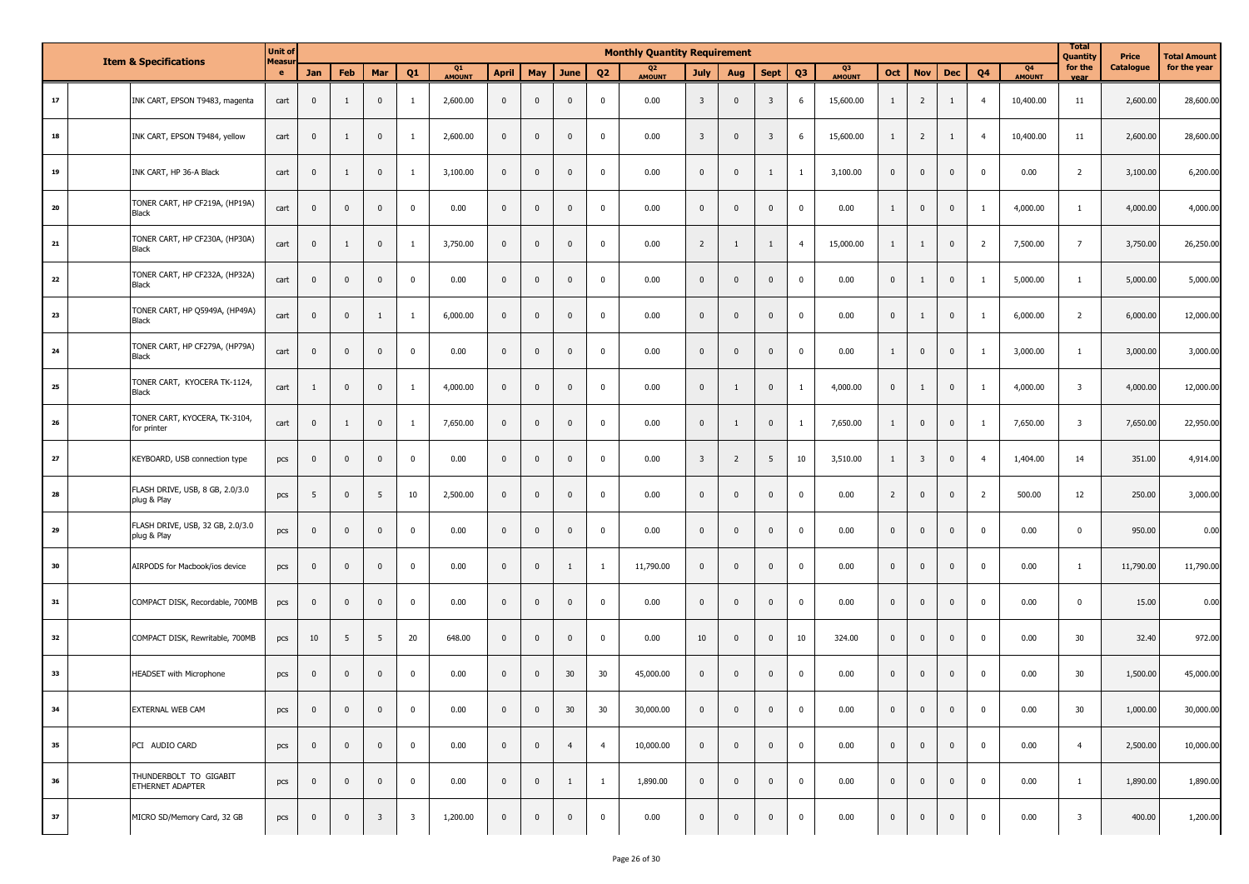|            | <b>Item &amp; Specifications</b> |                                                 |            |                         |              |                         |                         |                     |                |              |                         |                | <b>Monthly Quantity Requirement</b> |                |                         |                         |                |                     |                |                         |              |                |                                 | <b>Total</b><br>Quantity | Price     | <b>Total Amount</b> |
|------------|----------------------------------|-------------------------------------------------|------------|-------------------------|--------------|-------------------------|-------------------------|---------------------|----------------|--------------|-------------------------|----------------|-------------------------------------|----------------|-------------------------|-------------------------|----------------|---------------------|----------------|-------------------------|--------------|----------------|---------------------------------|--------------------------|-----------|---------------------|
|            |                                  |                                                 | Measu<br>e | Jan                     | Feb          | Mar                     | Q <sub>1</sub>          | Q1<br><b>AMOUNT</b> | <b>April</b>   | May          | June                    | Q <sub>2</sub> | Q <sub>2</sub><br><b>AMOUNT</b>     | <b>July</b>    | Aug                     | <b>Sept</b>             | Q <sub>3</sub> | Q3<br><b>AMOUNT</b> | Oct            | <b>Nov</b>              | <b>Dec</b>   | Q <sub>4</sub> | Q <sub>4</sub><br><b>AMOUNT</b> | for the<br><b>Vea</b>    | Catalogue | for the year        |
| ${\bf 17}$ |                                  | INK CART, EPSON T9483, magenta                  | cart       | $\mathbf 0$             | $\mathbf{1}$ | $\mathbf 0$             | -1                      | 2,600.00            | $\mathbf 0$    | $\mathbf 0$  | $\overline{\mathbf{0}}$ | 0              | 0.00                                | $\overline{3}$ | $\mathbf{0}$            | $\overline{\mathbf{3}}$ | 6              | 15,600.00           | 1              | $\overline{2}$          | 1            | $\overline{4}$ | 10,400.00                       | 11                       | 2,600.00  | 28,600.00           |
| 18         |                                  | INK CART, EPSON T9484, yellow                   | cart       | $\mathbf 0$             | $\mathbf{1}$ | $\mathbf 0$             | -1                      | 2,600.00            | $\mathbf{0}$   | $\mathbf 0$  | $\overline{\mathbf{0}}$ | 0              | 0.00                                | $\overline{3}$ | $\mathbf{0}$            | $\overline{\mathbf{3}}$ | 6              | 15,600.00           | $\mathbf{1}$   | $\overline{2}$          | 1            | $\overline{4}$ | 10,400.00                       | 11                       | 2,600.00  | 28,600.00           |
| 19         |                                  | INK CART, HP 36-A Black                         | cart       | $\mathbf 0$             | $\mathbf{1}$ | $\mathbf 0$             | -1                      | 3,100.00            | $\mathbf{0}$   | $\mathbf 0$  | $\overline{\mathbf{0}}$ | 0              | 0.00                                | $\mathbf{0}$   | $\mathbf{0}$            | 1                       | -1             | 3,100.00            | $\mathbf{0}$   | $\mathbf{0}$            | $\mathbf{0}$ | $\mathbf 0$    | 0.00                            | $\overline{2}$           | 3,100.00  | 6,200.00            |
| 20         |                                  | TONER CART, HP CF219A, (HP19A)<br>Black         | cart       | $\mathbf 0$             | $\mathbf{0}$ | $\mathbf 0$             | $\mathbf 0$             | 0.00                | $\mathbf 0$    | $\mathbf 0$  | $\overline{\mathbf{0}}$ | 0              | 0.00                                | $\mathbf{0}$   | $\mathbf{0}$            | $\mathbf 0$             | $^{\circ}$     | 0.00                | 1              | $\mathbf 0$             | $\mathbf 0$  | -1             | 4,000.00                        | 1                        | 4,000.00  | 4,000.00            |
| 21         |                                  | TONER CART, HP CF230A, (HP30A)<br><b>Black</b>  | cart       | $\mathbf 0$             | $\mathbf{1}$ | $\mathbf 0$             | -1                      | 3,750.00            | $\overline{0}$ | $\mathbf 0$  | $\overline{\mathbf{0}}$ | 0              | 0.00                                | $\overline{2}$ | 1                       | 1                       | $\overline{4}$ | 15,000.00           | 1              | -1                      | $\mathbf 0$  | $\overline{2}$ | 7,500.00                        | $\overline{7}$           | 3,750.00  | 26,250.00           |
| 22         |                                  | TONER CART, HP CF232A, (HP32A)<br>Black         | cart       | $\mathbf 0$             | $\mathbf{0}$ | $\mathbf 0$             | $\mathbf 0$             | 0.00                | $\overline{0}$ | $\mathbf 0$  | $\overline{\mathbf{0}}$ | 0              | 0.00                                | $\mathbf{0}$   | $\mathbf{0}$            | $\mathbf 0$             | $\mathbf 0$    | 0.00                | $\mathbf{0}$   | -1                      | $\mathbf 0$  | $\mathbf{1}$   | 5,000.00                        | 1                        | 5,000.00  | 5,000.00            |
| 23         |                                  | TONER CART, HP Q5949A, (HP49A)<br>Black         | cart       | $\mathbf 0$             | $\pmb{0}$    | 1                       | -1                      | 6,000.00            | $\overline{0}$ | $\mathbf 0$  | $\mathbf 0$             | 0              | 0.00                                | $\mathbf 0$    | $\mathbf 0$             | $\pmb{0}$               | 0              | 0.00                | $\mathbf{0}$   | 1                       | $\mathbf 0$  | -1             | 6,000.00                        | $\overline{2}$           | 6,000.00  | 12,000.00           |
| 24         |                                  | TONER CART, HP CF279A, (HP79A)<br><b>Black</b>  | cart       | $\mathbf 0$             | $\pmb{0}$    | $\mathbf 0$             | 0                       | 0.00                | $\mathbf 0$    | $\mathbf 0$  | $\mathbf 0$             | 0              | 0.00                                | $\mathbf 0$    | $\mathbf{0}$            | $\pmb{0}$               | 0              | 0.00                | 1              | $\mathbf 0$             | $\mathbf 0$  | -1             | 3,000.00                        | 1                        | 3,000.00  | 3,000.00            |
| 25         |                                  | TONER CART, KYOCERA TK-1124,<br><b>Black</b>    | cart       | 1                       | $\pmb{0}$    | $\pmb{0}$               | -1                      | 4,000.00            | $\overline{0}$ | $\mathbf 0$  | $\mathbf 0$             | 0              | 0.00                                | $\mathbf 0$    | 1                       | $\pmb{0}$               | -1             | 4,000.00            | $\mathbf{0}$   | 1                       | $\mathbf 0$  | -1             | 4,000.00                        | $\overline{\mathbf{3}}$  | 4,000.00  | 12,000.00           |
| 26         |                                  | TONER CART, KYOCERA, TK-3104,<br>for printer    | cart       | $\pmb{0}$               | 1            | $\mathbf 0$             | -1                      | 7,650.00            | $\overline{0}$ | $\mathbf 0$  | $\overline{\mathbf{0}}$ | 0              | 0.00                                | $\mathbf{0}$   | 1                       | $\pmb{0}$               | -1             | 7,650.00            | 1              | $\mathbf 0$             | $\mathbf 0$  | 1              | 7,650.00                        | $\overline{\mathbf{3}}$  | 7,650.00  | 22,950.00           |
| 27         |                                  | KEYBOARD, USB connection type                   | pcs        | $\pmb{0}$               | $\mathbf 0$  | $\mathbf 0$             | 0                       | 0.00                | $\overline{0}$ | $\mathbf 0$  | $\overline{\mathbf{0}}$ | 0              | 0.00                                | $\overline{3}$ | $\overline{2}$          | 5                       | 10             | 3,510.00            | 1              | $\overline{\mathbf{3}}$ | $\mathbf 0$  | $\overline{4}$ | 1,404.00                        | 14                       | 351.00    | 4,914.00            |
| 28         |                                  | FLASH DRIVE, USB, 8 GB, 2.0/3.0<br>plug & Play  | pcs        | - 5                     | $\mathbf{0}$ | 5                       | 10                      | 2,500.00            | $\mathbf{0}$   | $\mathbf 0$  | $\mathbf{0}$            | 0              | 0.00                                | $\mathbf{0}$   | $\mathbf{0}$            | $\mathbf 0$             | 0              | 0.00                | $\overline{2}$ | $\mathbf{0}$            | $\mathbf 0$  | $\overline{2}$ | 500.00                          | 12                       | 250.00    | 3,000.00            |
| 29         |                                  | FLASH DRIVE, USB, 32 GB, 2.0/3.0<br>plug & Play | pcs        | $\mathbf 0$             | $\mathbf{0}$ | $\mathbf 0$             | $\mathbf 0$             | 0.00                | $\mathbf{0}$   | $\mathbf 0$  | $\mathbf{0}$            | 0              | 0.00                                | $\mathbf{0}$   | $\mathbf{0}$            | $\mathbf 0$             | 0              | 0.00                | $\mathbf{0}$   | $\mathbf{0}$            | $\mathbf 0$  | $\mathbf 0$    | 0.00                            | $\mathbf 0$              | 950.00    | 0.00                |
| 30         |                                  | AIRPODS for Macbook/ios device                  | pcs        | $\mathbf 0$             | $\mathbf{0}$ | $\mathbf 0$             | $\mathbf 0$             | 0.00                | $\mathbf{0}$   | $\mathbf 0$  | 1                       | -1             | 11,790.00                           | $\mathbf{0}$   | $\mathbf{0}$            | $\mathbf 0$             | 0              | 0.00                | $\mathbf{0}$   | $\mathbf{0}$            | $\mathbf 0$  | $\mathbf 0$    | 0.00                            | 1                        | 11,790.00 | 11,790.00           |
| 31         |                                  | COMPACT DISK, Recordable, 700MB                 | pcs        | $\pmb{0}$               | $\mathbf 0$  | $\pmb{0}$               | 0                       | 0.00                | $\mathbf 0$    | $\mathbf 0$  | $\mathbf 0$             | 0              | 0.00                                | $\mathbf 0$    | 0                       | $\mathbf 0$             | 0              | 0.00                | $\mathbf{0}$   | $\mathbf 0$             | $\mathbf{0}$ | $\mathbf 0$    | 0.00                            | $\mathbf 0$              | 15.00     | 0.00                |
| 32         |                                  | COMPACT DISK, Rewritable, 700MB                 | pcs        | 10                      | 5            | 5                       | 20                      | 648.00              | $\overline{0}$ | $\mathbf 0$  | $\mathbf 0$             | 0              | 0.00                                | 10             | $\mathbf 0$             | $\mathbf 0$             | 10             | 324.00              | $\mathbf{0}$   | $\mathbf 0$             | $\mathbf 0$  | $\mathbf 0$    | 0.00                            | 30                       | 32.40     | 972.00              |
| 33         |                                  | HEADSET with Microphone                         | pcs        | $\mathbf 0$             | $\mathbf 0$  | $\mathbf 0$             | $\mathbf 0$             | 0.00                | $\mathbf{0}$   | $\mathbf 0$  | 30                      | 30             | 45,000.00                           | $\mathbf{0}$   | $\mathbf 0$             | $\mathbf 0$             | 0              | 0.00                | $\Omega$       | $\mathbf{0}$            | $\mathbf{0}$ | $\mathbf 0$    | 0.00                            | 30                       | 1,500.00  | 45,000.00           |
| 34         |                                  | EXTERNAL WEB CAM                                | pcs        | $\overline{\mathbf{0}}$ | $\mathbf 0$  | $\pmb{0}$               | $\overline{0}$          | 0.00                | $\overline{0}$ | $\mathbf 0$  | 30                      | 30             | 30,000.00                           | $\overline{0}$ | $\overline{\mathbf{0}}$ | $\pmb{0}$               | $\mathbf 0$    | 0.00                | $\mathbf{0}$   | $\overline{\mathbf{0}}$ | $\mathbf 0$  | $\mathbf 0$    | 0.00                            | 30                       | 1,000.00  | 30,000.00           |
| 35         |                                  | PCI AUDIO CARD                                  | pcs        | $\bf{0}$                | $\mathbf 0$  | $\pmb{0}$               | $\mathbf 0$             | 0.00                | $\overline{0}$ | $\mathbf{0}$ | $\overline{4}$          | $\overline{4}$ | 10,000.00                           | $\mathbf{0}$   | $\mathbf 0$             | $\mathbf 0$             | $\mathbf{0}$   | 0.00                | $\mathbf{0}$   | $\overline{0}$          | $\mathbf{0}$ | $\mathbf 0$    | 0.00                            | $\overline{4}$           | 2,500.00  | 10,000.00           |
| 36         |                                  | THUNDERBOLT TO GIGABIT<br>ETHERNET ADAPTER      | pcs        | $\bf{0}$                | $\mathbf 0$  | $\pmb{0}$               | $\mathbf{0}$            | 0.00                | $\overline{0}$ | $\mathbf{0}$ | 1                       | <sup>1</sup>   | 1,890.00                            | $\mathbf{0}$   | $\mathbf 0$             | $\pmb{0}$               | $\mathbf{0}$   | 0.00                | $\mathbf{0}$   | $\overline{0}$          | $\mathbf{0}$ | $\mathbf 0$    | 0.00                            | 1                        | 1,890.00  | 1,890.00            |
| 37         |                                  | MICRO SD/Memory Card, 32 GB                     | pcs        | $\bf{0}$                | $\mathbf 0$  | $\overline{\mathbf{3}}$ | $\overline{\mathbf{3}}$ | 1,200.00            | $\overline{0}$ | $\pmb{0}$    | $\mathbf 0$             | $\overline{0}$ | 0.00                                | $\mathbf{0}$   | $\mathbf 0$             | $\overline{\mathbf{0}}$ | $\mathbf{0}$   | 0.00                | $\mathbf 0$    | $\bf{0}$                | $\mathbf 0$  | $\mathbf 0$    | 0.00                            | $\overline{\mathbf{3}}$  | 400.00    | 1,200.00            |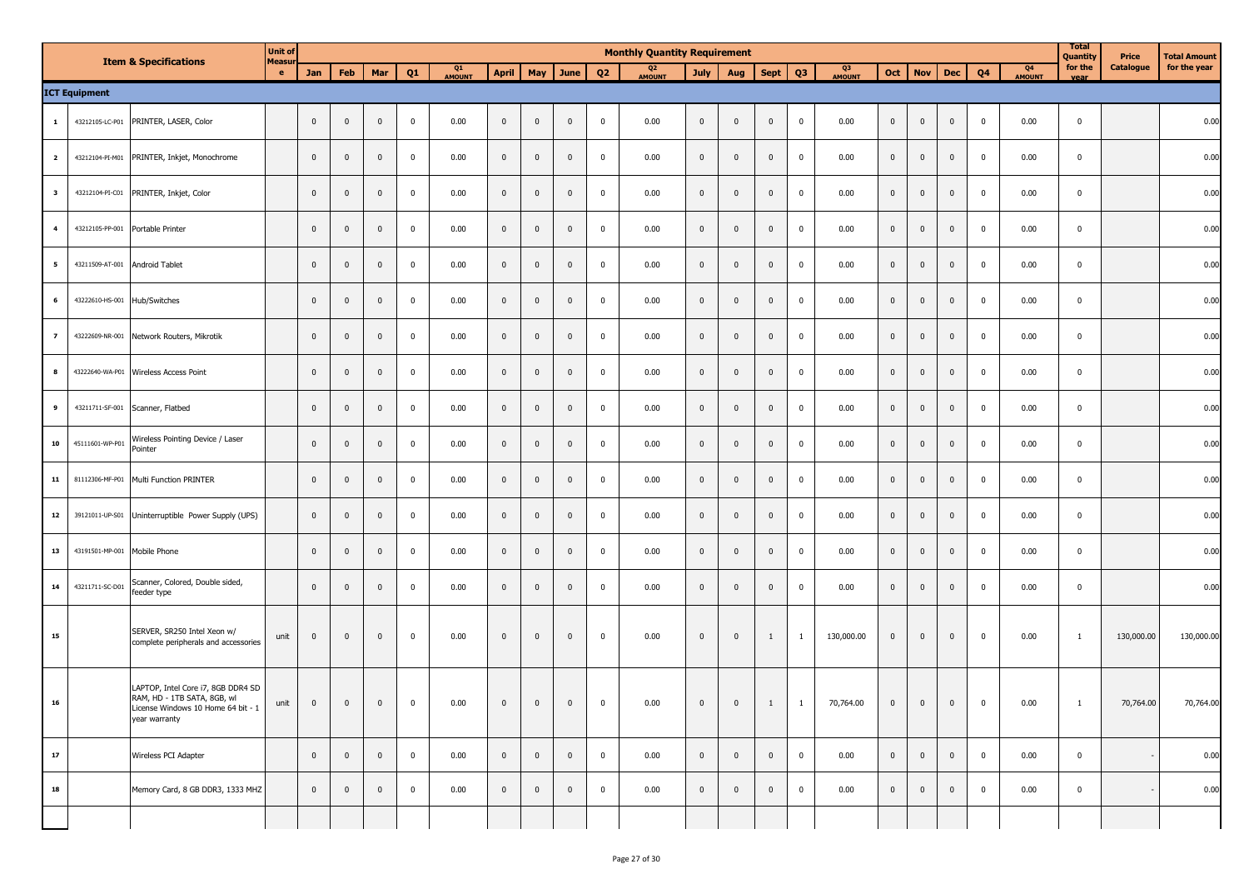|                         |                      | <b>Item &amp; Specifications</b>                                                                                        | <b>Unit of</b><br><b>Measur</b> |                |                |                |              |              |                         |                |                         |                | <b>Monthly Quantity Requirement</b> |                |                |              |                |              |                |                |                |                |              | <b>Total</b><br>Quantity | Price            | <b>Total Amount</b> |
|-------------------------|----------------------|-------------------------------------------------------------------------------------------------------------------------|---------------------------------|----------------|----------------|----------------|--------------|--------------|-------------------------|----------------|-------------------------|----------------|-------------------------------------|----------------|----------------|--------------|----------------|--------------|----------------|----------------|----------------|----------------|--------------|--------------------------|------------------|---------------------|
|                         |                      |                                                                                                                         | e.                              | Jan            | Feb            | Mar            | Q1           | Q1<br>AMOUNT |                         |                | April   May   June      | Q2             | Q <sub>2</sub><br>AMOUNT            | July           | Aug            | Sept         | Q <sub>3</sub> | Q3<br>AMOUNT | Oct            | <b>Nov</b>     | Dec            | Q <sub>4</sub> | Q4<br>AMOUNT | for the<br>vear          | <b>Catalogue</b> | for the year        |
|                         | <b>ICT Equipment</b> |                                                                                                                         |                                 |                |                |                |              |              |                         |                |                         |                |                                     |                |                |              |                |              |                |                |                |                |              |                          |                  |                     |
| 1                       | 43212105-LC-P01      | PRINTER, LASER, Color                                                                                                   |                                 | $\overline{0}$ | $\mathbf 0$    | $\overline{0}$ | $\mathbf{0}$ | 0.00         | $\overline{\mathbf{0}}$ | $\overline{0}$ | $\mathbf 0$             | $\bf{0}$       | 0.00                                | $\overline{0}$ | $\mathbf 0$    | $\mathbf 0$  | $\mathbf 0$    | 0.00         | $\mathbf 0$    | $\mathbf 0$    | $\mathbf{0}$   | $\overline{0}$ | 0.00         | $\mathbf 0$              |                  | 0.00                |
| $\overline{\mathbf{2}}$ |                      | 43212104-PI-M01 PRINTER, Inkjet, Monochrome                                                                             |                                 | $\mathbf{0}$   | $\mathbf 0$    | $\overline{0}$ | $\mathbf{0}$ | 0.00         | $\overline{0}$          | $\overline{0}$ | $\overline{\mathbf{0}}$ | $\bf{0}$       | 0.00                                | $\mathbf{0}$   | $\mathbf{0}$   | $\mathbf 0$  | $\mathbf 0$    | 0.00         | $\mathbf{0}$   | $\mathbf 0$    | $\mathbf{0}$   | $\mathbf 0$    | 0.00         | $\mathbf{0}$             |                  | 0.00                |
| $\overline{\mathbf{3}}$ |                      | 43212104-PI-C01 PRINTER, Inkjet, Color                                                                                  |                                 | $\overline{0}$ | $\mathbf{0}$   | $\mathbf{0}$   | $\mathbf{0}$ | 0.00         | $\overline{0}$          | $\mathbf 0$    | $\mathbf{0}$            | $\bf{0}$       | 0.00                                | $\mathbf{0}$   | $\mathbf{0}$   | $\mathbf 0$  | $\mathbf 0$    | 0.00         | $\mathbf{0}$   | $\mathbf 0$    | $\mathbf 0$    | $\mathbf 0$    | 0.00         | $\mathbf{0}$             |                  | 0.00                |
| $\overline{a}$          | 43212105-PP-001      | Portable Printer                                                                                                        |                                 | $\mathbf{0}$   | $\mathbf 0$    | $\mathbf{0}$   | $\mathbf{0}$ | 0.00         | $\overline{0}$          | $\mathbf 0$    | $\mathbf{0}$            | $\bf{0}$       | 0.00                                | $\mathbf{0}$   | $\mathbf{0}$   | $\mathbf 0$  | $\mathbf 0$    | 0.00         | $\mathbf{0}$   | $\mathbf 0$    | $\mathbf 0$    | $\mathbf 0$    | 0.00         | $\mathbf{0}$             |                  | 0.00                |
| 5                       | 43211509-AT-001      | Android Tablet                                                                                                          |                                 | $\mathbf 0$    | $\pmb{0}$      | $\mathbf 0$    | $\mathbf{0}$ | 0.00         | $\overline{\mathbf{0}}$ | $\mathbf 0$    | $\mathbf 0$             | $\mathbf 0$    | 0.00                                | $\mathbf{0}$   | $\mathbf 0$    | $\mathbf 0$  | $\overline{0}$ | 0.00         | $\mathbf{0}$   | $\mathbf{0}$   | $\mathbf 0$    | $\mathbf 0$    | 0.00         | $\mathbf 0$              |                  | 0.00                |
| 6                       | 43222610-HS-001      | Hub/Switches                                                                                                            |                                 | $\mathbf 0$    | $\pmb{0}$      | $\mathbf 0$    | $\mathbf{0}$ | 0.00         | $\overline{0}$          | $\mathbf 0$    | $\mathbf 0$             | $\mathbf 0$    | 0.00                                | $\mathbf{0}$   | $\mathbf 0$    | $\mathbf 0$  | $\overline{0}$ | 0.00         | $\mathbf{0}$   | $\mathbf{0}$   | $\mathbf 0$    | $\mathbf 0$    | 0.00         | $\mathbf 0$              |                  | 0.00                |
| $\overline{z}$          |                      | 43222609-NR-001 Network Routers, Mikrotik                                                                               |                                 | $\overline{0}$ | $\mathbf 0$    | $\mathbf{0}$   | $\mathbf{0}$ | 0.00         | $\overline{0}$          | $\overline{0}$ | $\mathbf 0$             | $\bf{0}$       | 0.00                                | $\mathbf{0}$   | $\mathbf{0}$   | $\mathbf{0}$ | $\mathbf 0$    | 0.00         | $\mathbf 0$    | $\mathbf 0$    | $\mathbf 0$    | $\mathbf 0$    | 0.00         | $\mathbf 0$              |                  | 0.00                |
| 8                       |                      | 43222640-WA-P01 Wireless Access Point                                                                                   |                                 | $\overline{0}$ | $\mathbf 0$    | $\mathbf{0}$   | $\mathbf{0}$ | 0.00         | $\overline{0}$          | $\overline{0}$ | $\mathbf 0$             | $\bf{0}$       | 0.00                                | $\overline{0}$ | $\mathbf{0}$   | $\mathbf{0}$ | $\mathbf 0$    | 0.00         | $\mathbf 0$    | $\mathbf 0$    | $\mathbf 0$    | $\mathbf 0$    | 0.00         | $\mathbf 0$              |                  | 0.00                |
| 9                       | 43211711-SF-001      | Scanner, Flatbed                                                                                                        |                                 | $\overline{0}$ | $\mathbf 0$    | $\overline{0}$ | $\mathbf{0}$ | 0.00         | $\overline{0}$          | $\overline{0}$ | $\mathbf 0$             | $\bf{0}$       | 0.00                                | $\overline{0}$ | $\mathbf{0}$   | $\mathbf{0}$ | $\mathbf 0$    | 0.00         | $\mathbf{0}$   | $\mathbf 0$    | $\mathbf 0$    | $\mathbf 0$    | 0.00         | $\mathbf 0$              |                  | 0.00                |
| ${\bf 10}$              | 45111601-WP-P01      | Wireless Pointing Device / Laser<br>Pointer                                                                             |                                 | $\mathbf 0$    | $\mathbf 0$    | $\overline{0}$ | $\mathbf{0}$ | 0.00         | $\mathbf 0$             | $\overline{0}$ | $\mathbf 0$             | $\mathbf{0}$   | 0.00                                | $\mathbf{0}$   | $\overline{0}$ | $\mathbf 0$  | $\mathbf{0}$   | 0.00         | $\mathbf 0$    | $\mathbf 0$    | $\mathbf{0}$   | $\mathbf 0$    | 0.00         | $\mathbf 0$              |                  | 0.00                |
| 11                      | 81112306-MF-P01      | Multi Function PRINTER                                                                                                  |                                 | $\overline{0}$ | $\mathbf 0$    | $\overline{0}$ | $\mathbf{0}$ | 0.00         | $\mathbf 0$             | $\overline{0}$ | $\overline{0}$          | $\mathbf{0}$   | 0.00                                | $\mathbf{0}$   | $\overline{0}$ | $\mathbf 0$  | $\overline{0}$ | 0.00         | $\mathbf 0$    | $\mathbf 0$    | $\mathbf{0}$   | $\mathbf 0$    | 0.00         | $\mathbf 0$              |                  | 0.00                |
| 12                      | 39121011-UP-S01      | Uninterruptible Power Supply (UPS)                                                                                      |                                 | $\mathbf 0$    | $\mathbf 0$    | $\overline{0}$ | $\mathbf{0}$ | 0.00         | $\mathbf 0$             | $\overline{0}$ | $\overline{0}$          | $\bf{0}$       | 0.00                                | $\mathbf{0}$   | $\overline{0}$ | $\mathbf 0$  | $\overline{0}$ | 0.00         | $\mathbf 0$    | $\mathbf 0$    | $\mathbf{0}$   | $\mathbf 0$    | 0.00         | $\mathbf 0$              |                  | 0.00                |
| 13                      | 43191501-MP-001      | Mobile Phone                                                                                                            |                                 | $\mathbf 0$    | $\mathbf{0}$   | $\mathbf 0$    | $\mathbf{0}$ | 0.00         | $\overline{\mathbf{0}}$ | $\mathbf{0}$   | $\mathbf{0}$            | $\bf{0}$       | 0.00                                | $\mathbf{0}$   | $\overline{0}$ | $\mathbf{0}$ | $\mathbf 0$    | 0.00         | $\mathbf 0$    | $\mathbf 0$    | $\mathbf{0}$   | $\mathbf 0$    | 0.00         | $\mathbf 0$              |                  | 0.00                |
| 14                      | 43211711-SC-D01      | Scanner, Colored, Double sided,<br>feeder type                                                                          |                                 | $\mathbf 0$    | $\mathbf{0}$   | $\mathbf 0$    | $\mathbf{0}$ | 0.00         | $\overline{0}$          | $\mathbf{0}$   | $\mathbf{0}$            | $\bf{0}$       | 0.00                                | $\mathbf{0}$   | $\mathbf 0$    | $\mathbf{0}$ | $\mathbf 0$    | 0.00         | $\mathbf{0}$   | $\mathbf{0}$   | $\mathbf 0$    | $\mathbf 0$    | 0.00         | $\mathbf 0$              |                  | 0.00                |
| 15                      |                      | SERVER, SR250 Intel Xeon w/<br>complete peripherals and accessories                                                     | unit                            | $\mathbf 0$    | $\mathbf 0$    | $\mathbf 0$    | $\mathbf 0$  | 0.00         | $\overline{0}$          | $\mathbf{0}$   | $\mathbf 0$             | $\mathbf 0$    | 0.00                                | $\mathbf{0}$   | $\mathbf{0}$   | 1            | 1              | 130,000.00   | $\mathbf{0}$   | $\mathbf{0}$   | $\mathbf 0$    | $\mathbf 0$    | 0.00         | $\overline{1}$           | 130,000.00       | 130,000.00          |
| 16                      |                      | LAPTOP, Intel Core i7, 8GB DDR4 SD<br>RAM, HD - 1TB SATA, 8GB, wl<br>icense Windows 10 Home 64 bit - 1<br>year warranty | unit                            | $\overline{0}$ | $\overline{0}$ | $\overline{0}$ | $\bf{0}$     | 0.00         | $\overline{0}$          | $\overline{0}$ | $\overline{0}$          | $\mathbf{0}$   | 0.00                                | $\mathbf{0}$   | $\overline{0}$ | $\mathbf{1}$ | $\mathbf{1}$   | 70,764.00    | $\overline{0}$ | $\overline{0}$ | $\overline{0}$ | $\mathbf 0$    | 0.00         | $\overline{1}$           | 70,764.00        | 70,764.00           |
| 17                      |                      | Wireless PCI Adapter                                                                                                    |                                 | $\overline{0}$ | $\overline{0}$ | $\overline{0}$ | $\mathbf{0}$ | 0.00         | $\overline{0}$          | $\overline{0}$ | $\overline{0}$          | $\overline{0}$ | 0.00                                | $\mathbf{0}$   | $\overline{0}$ | $\mathbf{0}$ | $\overline{0}$ | 0.00         | $\overline{0}$ | $\bf{0}$       | $\overline{0}$ | $\overline{0}$ | 0.00         | $\mathbf 0$              |                  | 0.00                |
| 18                      |                      | Memory Card, 8 GB DDR3, 1333 MHZ                                                                                        |                                 | $\overline{0}$ | $\overline{0}$ | $\overline{0}$ | $\mathbf{0}$ | 0.00         | $\overline{0}$          | $\overline{0}$ | $\overline{0}$          | $\mathbf{0}$   | 0.00                                | $\mathbf{0}$   | $\mathbf 0$    | $\mathbf{0}$ | $\mathbf 0$    | 0.00         | $\mathbf{0}$   | $\mathbf 0$    | $\mathbf{0}$   | $\mathbf 0$    | 0.00         | $\mathbf 0$              |                  | 0.00                |
|                         |                      |                                                                                                                         |                                 |                |                |                |              |              |                         |                |                         |                |                                     |                |                |              |                |              |                |                |                |                |              |                          |                  |                     |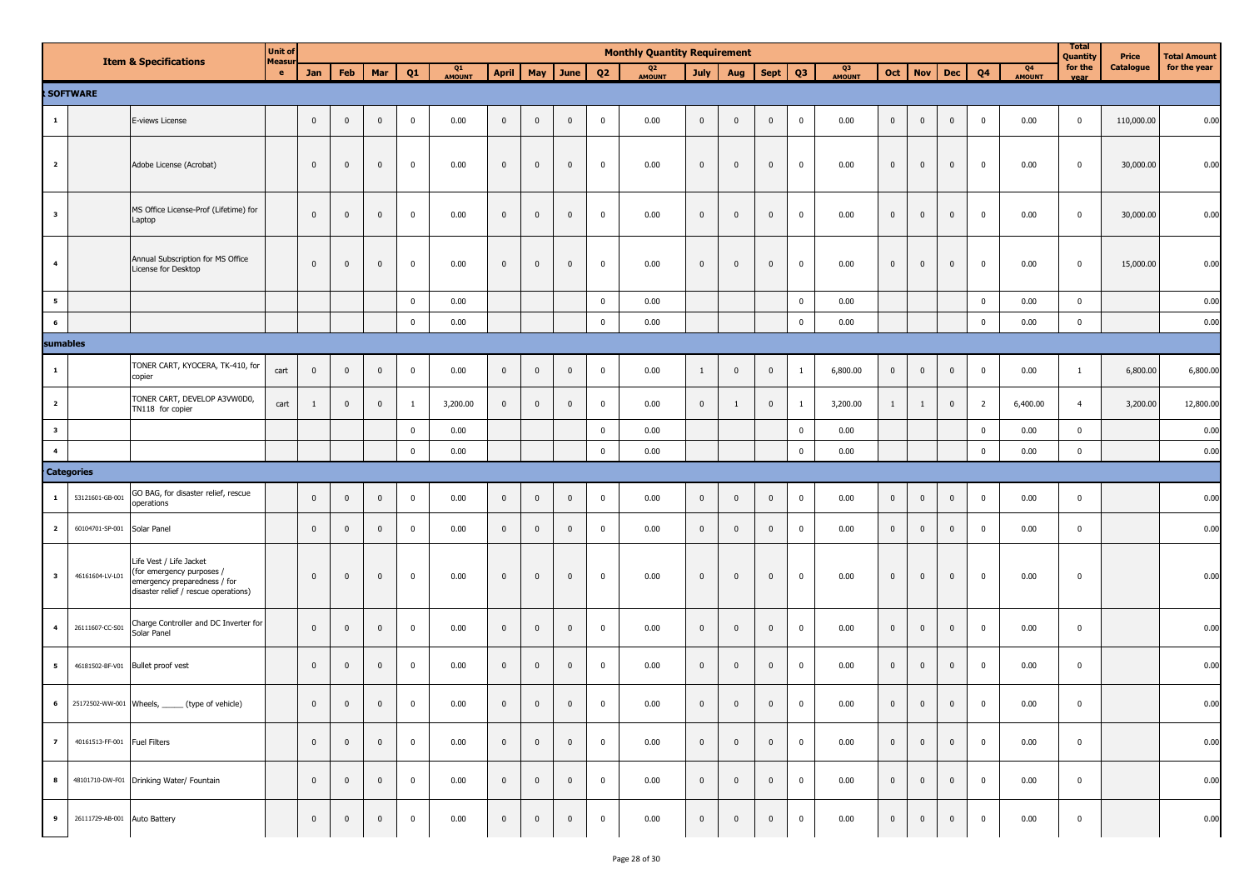|                         |                              |                                                                                                                              | <b>Unit of</b> |                         |                |              |             |              |                |              |                    |                         | <b>Monthly Quantity Requirement</b> |                |                         |                |                         |              |                |                |                |                |              | <b>Total</b><br>Quantity | Price      | <b>Total Amount</b> |
|-------------------------|------------------------------|------------------------------------------------------------------------------------------------------------------------------|----------------|-------------------------|----------------|--------------|-------------|--------------|----------------|--------------|--------------------|-------------------------|-------------------------------------|----------------|-------------------------|----------------|-------------------------|--------------|----------------|----------------|----------------|----------------|--------------|--------------------------|------------|---------------------|
|                         |                              | <b>Item &amp; Specifications</b>                                                                                             | Measur<br>e.   | Jan                     | Feb            | Mar          | Q1          | Q1<br>AMOUNT |                |              | April   May   June | Q <sub>2</sub>          | Q <sub>2</sub><br>AMOUNT            | July           | Aug                     | <b>Sept</b>    | Q <sub>3</sub>          | Q3<br>AMOUNT | Oct            | <b>Nov</b>     | <b>Dec</b>     | Q <sub>4</sub> | Q4<br>AMOUNT | for the                  | Catalogue  | for the year        |
|                         | SOFTWARE                     |                                                                                                                              |                |                         |                |              |             |              |                |              |                    |                         |                                     |                |                         |                |                         |              |                |                |                |                |              |                          |            |                     |
| $\mathbf{1}$            |                              | E-views License                                                                                                              |                | $\,$ 0                  | $\pmb{0}$      | $\mathbf 0$  | $\mathbf 0$ | 0.00         | $\mathbf 0$    | $\mathbf 0$  | $\mathbf 0$        | $\mathbf 0$             | 0.00                                | $\mathbf 0$    | $\mathbf{0}$            | $\mathbf{0}$   | $\overline{0}$          | 0.00         | $\mathbf 0$    | $\mathbf 0$    | $\overline{0}$ | $\mathbf 0$    | 0.00         | $\mathbf 0$              | 110,000.00 | 0.00                |
| $\overline{\mathbf{2}}$ |                              | Adobe License (Acrobat)                                                                                                      |                | $\mathbf{0}$            | $\mathbf 0$    | $\mathbf{0}$ | $\mathbf 0$ | 0.00         | $\mathbf 0$    | $\mathbf 0$  | $\mathbf{0}$       | $\mathbf 0$             | 0.00                                | $\overline{0}$ | $\mathbf 0$             | $\mathbf 0$    | $\pmb{0}$               | 0.00         | $\mathbf 0$    | $\pmb{0}$      | $\mathbf{0}$   | $\bf{0}$       | 0.00         | $\mathbf 0$              | 30,000.00  | 0.00                |
| $\overline{\mathbf{3}}$ |                              | MS Office License-Prof (Lifetime) for<br>Laptop                                                                              |                | $\overline{0}$          | $\mathbf{0}$   | $\mathbf{0}$ | $\mathbf 0$ | 0.00         | $\mathbf 0$    | $\mathbf 0$  | $\mathbf 0$        | $\mathbf 0$             | 0.00                                | $\mathbf 0$    | $\mathbf{0}$            | $\mathbf 0$    | $\overline{\mathbf{0}}$ | 0.00         | $\overline{0}$ | $\mathbf 0$    | $\mathbf 0$    | $\mathbf 0$    | 0.00         | $\mathbf 0$              | 30,000.00  | 0.00                |
| $\overline{\mathbf{4}}$ |                              | Annual Subscription for MS Office<br>License for Desktop                                                                     |                | $\mathbf{0}$            | $\mathbf 0$    | $\mathbf{0}$ | $\mathbf 0$ | 0.00         | $\mathbf 0$    | $\mathbf{0}$ | $\Omega$           | $\mathbf 0$             | 0.00                                | $\overline{0}$ | $\mathbf{0}$            | $\Omega$       | $\overline{0}$          | 0.00         | $\mathbf 0$    | $\mathbf{0}$   | $\mathbf 0$    | 0              | 0.00         | 0                        | 15,000.00  | 0.00                |
| $5\overline{5}$         |                              |                                                                                                                              |                |                         |                |              | $\mathbf 0$ | 0.00         |                |              |                    | $\overline{\mathbf{0}}$ | 0.00                                |                |                         |                | $\overline{0}$          | 0.00         |                |                |                | $\mathbf 0$    | 0.00         | $\mathbf 0$              |            | 0.00                |
| 6                       |                              |                                                                                                                              |                |                         |                |              | $\mathbf 0$ | 0.00         |                |              |                    | $\mathbf 0$             | 0.00                                |                |                         |                | $\mathbf 0$             | 0.00         |                |                |                | $\mathbf 0$    | 0.00         | $\mathbf 0$              |            | 0.00                |
| sumables                |                              |                                                                                                                              |                |                         |                |              |             |              |                |              |                    |                         |                                     |                |                         |                |                         |              |                |                |                |                |              |                          |            |                     |
| $\mathbf{1}$            |                              | TONER CART, KYOCERA, TK-410, for<br>copier                                                                                   | cart           | $\overline{\mathbf{0}}$ | $\mathbf{0}$   | $\mathbf{0}$ | $\mathbf 0$ | 0.00         | $\mathbf 0$    | $\pmb{0}$    | $\mathbf{0}$       | $\mathbf 0$             | 0.00                                | $\mathbf{1}$   | $\mathbf{0}$            | $\mathbf 0$    | $\overline{1}$          | 6,800.00     | $\mathbf 0$    | $\overline{0}$ | $\mathbf{0}$   | $\overline{0}$ | 0.00         | $\mathbf{1}$             | 6,800.00   | 6,800.00            |
| $\overline{\mathbf{2}}$ |                              | TONER CART, DEVELOP A3VW0D0,<br>TN118 for copier                                                                             | cart           | 1                       | $\mathbf 0$    | $\mathbf 0$  | -1          | 3,200.00     | $\mathbf 0$    | $\mathbf 0$  | $\mathbf 0$        | $\mathbf 0$             | 0.00                                | $\overline{0}$ | 1                       | $\mathbf{0}$   | $\overline{1}$          | 3,200.00     | $\mathbf{1}$   | $\mathbf{1}$   | $\mathbf 0$    | $\overline{2}$ | 6,400.00     | $\overline{4}$           | 3,200.00   | 12,800.00           |
| $\overline{\mathbf{3}}$ |                              |                                                                                                                              |                |                         |                |              | $\mathbf 0$ | 0.00         |                |              |                    | $\overline{\mathbf{0}}$ | 0.00                                |                |                         |                | $\overline{\mathbf{0}}$ | 0.00         |                |                |                | $\mathbf 0$    | 0.00         | $\mathbf 0$              |            | 0.00                |
| $\overline{\mathbf{4}}$ |                              |                                                                                                                              |                |                         |                |              | $\mathbf 0$ | 0.00         |                |              |                    | $\mathbf 0$             | 0.00                                |                |                         |                | $\mathbf 0$             | 0.00         |                |                |                | $\mathbf 0$    | 0.00         | $\mathbf 0$              |            | 0.00                |
|                         | <b>Categories</b>            |                                                                                                                              |                |                         |                |              |             |              |                |              |                    |                         |                                     |                |                         |                |                         |              |                |                |                |                |              |                          |            |                     |
| $\mathbf{1}$            | 53121601-GB-001              | GO BAG, for disaster relief, rescue<br>operations                                                                            |                | $\overline{\mathbf{0}}$ | $\mathbf 0$    | $\mathbf 0$  | $\mathbf 0$ | 0.00         | $\bf{0}$       | $\pmb{0}$    | $\overline{0}$     | $\mathbf 0$             | 0.00                                | $\overline{0}$ | $\pmb{0}$               | $\mathbf{0}$   | $\mathbf 0$             | 0.00         | $\pmb{0}$      | $\mathbf 0$    | $\overline{0}$ | $\overline{0}$ | 0.00         | $\mathbf 0$              |            | 0.00                |
| $\overline{\mathbf{2}}$ | 60104701-SP-001 Solar Panel  |                                                                                                                              |                | $\mathbf 0$             | $\mathbf 0$    | $\mathbf 0$  | $\mathbf 0$ | 0.00         | $\mathbf 0$    | $\mathbf 0$  | $\mathbf 0$        | $\overline{\mathbf{0}}$ | 0.00                                | $\mathbf{0}$   | $\mathbf{0}$            | $\mathbf{0}$   | $\overline{0}$          | 0.00         | $\mathbf 0$    | $\mathbf 0$    | $\mathbf 0$    | $\mathbf 0$    | 0.00         | $\mathbf 0$              |            | 0.00                |
| $\overline{\mathbf{3}}$ | 46161604-LV-L01              | Life Vest / Life Jacket<br>(for emergency purposes /<br>emergency preparedness / for<br>disaster relief / rescue operations) |                | $\mathbf{0}$            | $\mathbf{0}$   | $\mathbf 0$  | $\mathbf 0$ | 0.00         | $\pmb{0}$      | $\pmb{0}$    | $\mathbf{0}$       | $\mathbf 0$             | 0.00                                | $\mathbf{0}$   | $\mathbf 0$             | $\mathbf{0}$   | $\overline{\mathbf{0}}$ | 0.00         | $\overline{0}$ | $\pmb{0}$      | $\mathbf{0}$   | $\overline{0}$ | 0.00         | $\mathbf 0$              |            | 0.00                |
| $\overline{\mathbf{4}}$ | 26111607-CC-S01              | Charge Controller and DC Inverter for<br>Solar Panel                                                                         |                | $\overline{0}$          | $\mathbf{0}$   | $\mathbf 0$  | $\mathbf 0$ | 0.00         | $\mathbf 0$    | $\pmb{0}$    | $\mathbf 0$        | $\mathbf 0$             | 0.00                                | $\mathbf{0}$   | $\mathbf 0$             | $\mathbf{0}$   | $\overline{\mathbf{0}}$ | 0.00         | $\mathbf 0$    | $\mathbf 0$    | $\mathbf{0}$   | $\overline{0}$ | 0.00         | $\mathbf 0$              |            | 0.00                |
| $5\overline{5}$         |                              | 46181502-BF-V01 Bullet proof vest                                                                                            |                | $\mathbf 0$             | $\mathbf{0}$   | $\mathbf 0$  | $\mathbf 0$ | 0.00         | $\mathbf 0$    | $\mathbf 0$  | $\mathbf 0$        | $\mathbf 0$             | 0.00                                | $\overline{0}$ | $\mathbf{0}$            | $\mathbf{0}$   | $\overline{\mathbf{0}}$ | 0.00         | $\overline{0}$ | $\overline{0}$ | $\overline{0}$ | $\overline{0}$ | 0.00         | $\mathbf 0$              |            | 0.00                |
| $\bf 6$                 |                              | 25172502-WW-001 Wheels, ______ (type of vehicle)                                                                             |                | $\mathbf 0$             | $\overline{0}$ | $\mathbf 0$  | $\mathbf 0$ | 0.00         | $\overline{0}$ | $\mathbf 0$  | $\mathbf 0$        | $\mathbf 0$             | 0.00                                | $\overline{0}$ | $\mathbf{0}$            | $\mathbf{0}$   | $\overline{0}$          | 0.00         | $\mathbf 0$    | $\mathbf 0$    | $\mathsf 0$    | $\mathbf 0$    | 0.00         | $\mathbf 0$              |            | 0.00                |
| $\overline{z}$          | 40161513-FF-001 Fuel Filters |                                                                                                                              |                | $\overline{0}$          | $\overline{0}$ | $\mathbf 0$  | $\mathbf 0$ | 0.00         | $\bf{0}$       | $\mathbf 0$  | $\mathbf{0}$       | $\bf{0}$                | 0.00                                | $\mathbf 0$    | $\overline{\mathbf{0}}$ | $\overline{0}$ | $\overline{0}$          | 0.00         | $\overline{0}$ | $\overline{0}$ | $\mathbf{0}$   | $\bf{0}$       | 0.00         | $\mathbf 0$              |            | 0.00                |
| 8                       |                              | 48101710-DW-F01 Drinking Water/ Fountain                                                                                     |                | $\overline{0}$          | $\overline{0}$ | $\mathbf{0}$ | $\mathbf 0$ | 0.00         | $\mathbf{0}$   | $\mathbf{0}$ | $\mathbf 0$        | $\mathbf{0}$            | 0.00                                | $\mathbf{0}$   | $\overline{0}$          | $\mathbf{0}$   | $\overline{0}$          | 0.00         | $\overline{0}$ | $\overline{0}$ | $\mathbf{0}$   | $\overline{0}$ | 0.00         | $\mathbf 0$              |            | 0.00                |
| $\overline{9}$          | 26111729-AB-001 Auto Battery |                                                                                                                              |                | $\mathbf 0$             | $\overline{0}$ | $\mathbf 0$  | $\mathbf 0$ | 0.00         | $\overline{0}$ | $\mathbf 0$  | $\mathbf 0$        | $\mathbf 0$             | 0.00                                | $\mathbf 0$    | $\mathbf 0$             | $\mathbf{0}$   | $\mathbf{0}$            | 0.00         | $\overline{0}$ | $\bf{0}$       | $\mathbf{0}$   | $\mathbf 0$    | 0.00         | $\mathbf 0$              |            | 0.00                |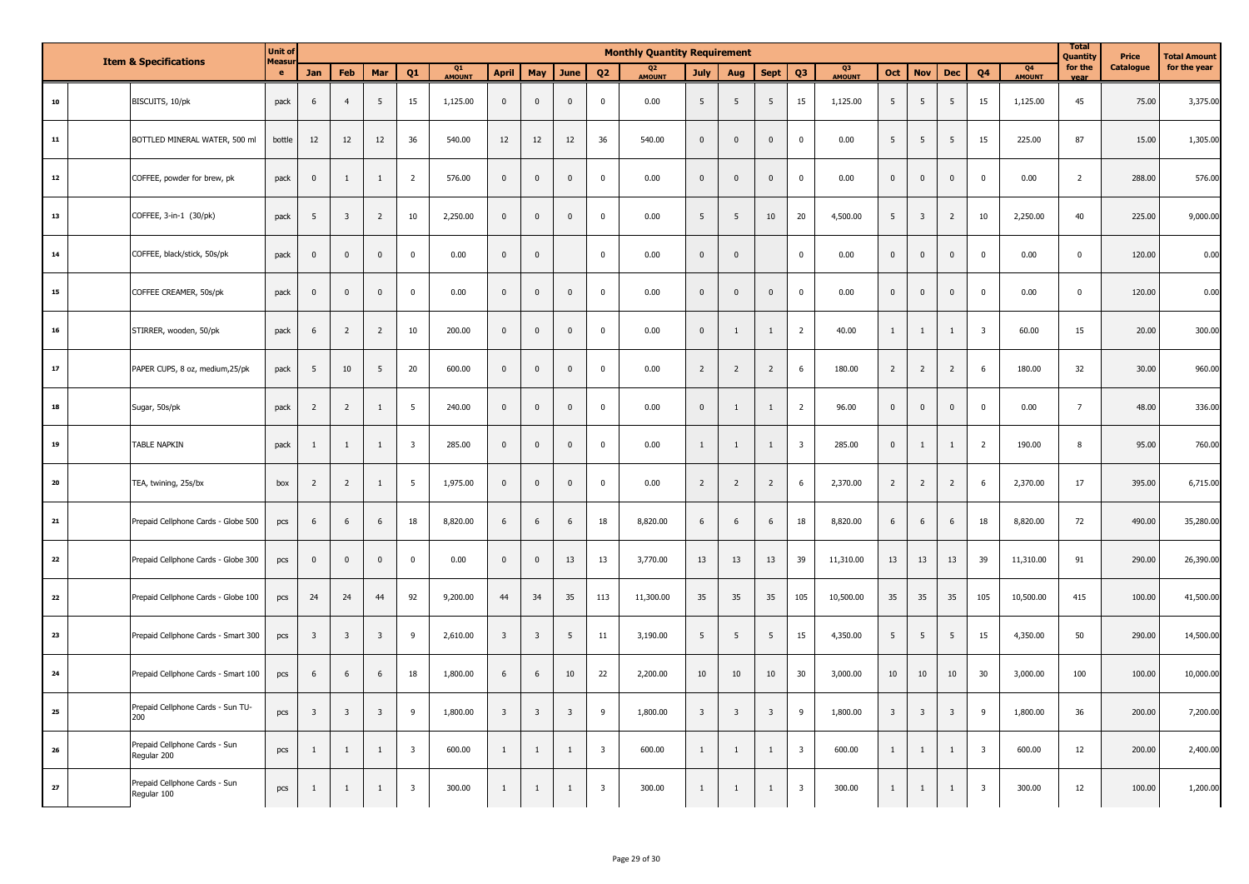|            | <b>Item &amp; Specifications</b>             | <b>Unit of</b><br>Measu |                         |                         |                         |                         |              |                         |                         |                         |                         | <b>Monthly Quantity Requirement</b> |                         |                         |                         |                         |                    |                         |                         |                         |                         |                                 | <b>Total</b><br>Quantity | Price     | <b>Total Amount</b> |
|------------|----------------------------------------------|-------------------------|-------------------------|-------------------------|-------------------------|-------------------------|--------------|-------------------------|-------------------------|-------------------------|-------------------------|-------------------------------------|-------------------------|-------------------------|-------------------------|-------------------------|--------------------|-------------------------|-------------------------|-------------------------|-------------------------|---------------------------------|--------------------------|-----------|---------------------|
|            |                                              | $\bullet$               | Jan                     | Feb                     | Mar                     | Q1                      | Q1<br>AMOUNT | April                   | May                     | June                    | Q <sub>2</sub>          | Q <sub>2</sub><br>AMOUNT            | July                    | Aug                     | <b>Sept</b>             | Q <sub>3</sub>          | Q3<br><b>MOUNT</b> | Oct                     | <b>Nov</b>              | <b>Dec</b>              | Q <sub>4</sub>          | Q <sub>4</sub><br><b>AMOUNT</b> | for the<br>vear          | Catalogue | for the year        |
| ${\bf 10}$ | BISCUITS, 10/pk                              | pack                    | 6                       | $\overline{4}$          | 5                       | 15                      | 1,125.00     | $\mathbf 0$             | $\mathbf 0$             | $\mathbf 0$             | $\mathbf 0$             | 0.00                                | 5                       | 5                       | $5\overline{5}$         | 15                      | 1,125.00           | 5                       | 5                       | 5                       | 15                      | 1,125.00                        | 45                       | 75.00     | 3,375.00            |
| 11         | BOTTLED MINERAL WATER, 500 ml                | bottle                  | 12                      | 12                      | 12                      | 36                      | 540.00       | 12                      | 12                      | 12                      | 36                      | 540.00                              | $\mathbf 0$             | $\mathbf 0$             | $\mathbf 0$             | $\mathbf 0$             | 0.00               | 5                       | $5\phantom{.0}$         | $\overline{5}$          | 15                      | 225.00                          | 87                       | 15.00     | 1,305.00            |
| 12         | COFFEE, powder for brew, pk                  | pack                    | $\mathbf 0$             | $\mathbf{1}$            | $1\,$                   | $\overline{2}$          | 576.00       | $\mathbf 0$             | $\mathbf 0$             | $\mathbf 0$             | $\pmb{0}$               | 0.00                                | $\mathbf 0$             | $\mathbf 0$             | $\mathbf 0$             | $\mathbf 0$             | 0.00               | $\mathbf 0$             | $\pmb{0}$               | $\mathbf 0$             | $\mathbf 0$             | 0.00                            | $\overline{2}$           | 288.00    | 576.00              |
| 13         | COFFEE, 3-in-1 (30/pk)                       | pack                    | $5\phantom{.0}$         | $\overline{\mathbf{3}}$ | $\overline{2}$          | 10                      | 2,250.00     | $\pmb{0}$               | $\mathbf 0$             | $\mathbf 0$             | $\mathbf 0$             | 0.00                                | 5                       | 5                       | 10                      | 20                      | 4,500.00           | 5                       | $\overline{3}$          | $\overline{2}$          | 10                      | 2,250.00                        | 40                       | 225.00    | 9,000.00            |
| 14         | COFFEE, black/stick, 50s/pk                  | pack                    | $\mathbf 0$             | $\mathbf 0$             | $\mathbf 0$             | $\mathbf 0$             | 0.00         | $\pmb{0}$               | $\mathbf 0$             |                         | $\mathbf 0$             | 0.00                                | $\mathbf 0$             | $\mathbf{0}$            |                         | $\mathbf 0$             | 0.00               | $\pmb{0}$               | $\mathbf 0$             | $\mathbf 0$             | $\mathbf 0$             | 0.00                            | $\mathbf 0$              | 120.00    | 0.00                |
| 15         | COFFEE CREAMER, 50s/pk                       | pack                    | $\pmb{0}$               | $\overline{0}$          | $\mathbf 0$             | $\pmb{0}$               | 0.00         | $\mathbf{0}$            | $\mathbf 0$             | $\mathbf 0$             | $\mathbf 0$             | 0.00                                | $\mathbf{0}$            | $\mathbf{0}$            | $\mathbf{0}$            | $\mathbf{0}$            | 0.00               | $\mathbf 0$             | $\mathbf{0}$            | $\mathbf 0$             | $\mathbf{0}$            | 0.00                            | $\mathbf 0$              | 120.00    | 0.00                |
| ${\bf 16}$ | STIRRER, wooden, 50/pk                       | pack                    | 6                       | $\overline{2}$          | $\overline{2}$          | 10                      | 200.00       | $\mathbf{0}$            | $\mathbf 0$             | $\mathbf{0}$            | $\mathbf 0$             | 0.00                                | $\mathbf{0}$            | $\mathbf{1}$            | 1                       | 2                       | 40.00              | $\mathbf{1}$            | $\mathbf{1}$            | $\mathbf{1}$            | $\overline{\mathbf{3}}$ | 60.00                           | 15                       | 20.00     | 300.00              |
| 17         | PAPER CUPS, 8 oz, medium,25/pk               | pack                    | 5                       | 10                      | 5                       | 20                      | 600.00       | $\mathbf{0}$            | $\mathbf 0$             | $\mathbf 0$             | $\mathbf 0$             | 0.00                                | $\overline{2}$          | $\overline{2}$          | $\overline{2}$          | 6                       | 180.00             | $\overline{2}$          | $\overline{2}$          | $\overline{2}$          | 6                       | 180.00                          | 32                       | 30.00     | 960.00              |
| 18         | Sugar, 50s/pk                                | pack                    | $\overline{2}$          | $\overline{2}$          | $\mathbf{1}$            | 5                       | 240.00       | $\mathbf{0}$            | $\mathbf 0$             | $\mathbf{0}$            | $\mathbf 0$             | 0.00                                | $\mathbf 0$             | $\mathbf{1}$            | 1                       | $\overline{2}$          | 96.00              | $\mathsf{O}\xspace$     | $\mathbf{0}$            | $\mathbf 0$             | $\mathbf 0$             | 0.00                            | $\overline{7}$           | 48.00     | 336.00              |
| 19         | TABLE NAPKIN                                 | pack                    | $\mathbf{1}$            | $\mathbf{1}$            | $\mathbf{1}$            | $\overline{\mathbf{3}}$ | 285.00       | $\mathbf 0$             | $\mathbf 0$             | $\mathbf 0$             | $\mathbf 0$             | 0.00                                | $\mathbf{1}$            | $\mathbf{1}$            | $\mathbf{1}$            | $\overline{\mathbf{3}}$ | 285.00             | $\mathbf 0$             | $\mathbf{1}$            | $\mathbf{1}$            | $\overline{2}$          | 190.00                          | 8                        | 95.00     | 760.00              |
| ${\bf 20}$ | TEA, twining, 25s/bx                         | box                     | $\overline{2}$          | $\overline{2}$          | $\mathbf{1}$            | 5                       | 1,975.00     | $\pmb{0}$               | $\mathbf 0$             | $\mathbf 0$             | $\mathbf 0$             | 0.00                                | $\overline{2}$          | $\overline{2}$          | $\overline{2}$          | 6                       | 2,370.00           | $\overline{2}$          | $\overline{2}$          | $\overline{2}$          | 6                       | 2,370.00                        | 17                       | 395.00    | 6,715.00            |
| ${\bf 21}$ | Prepaid Cellphone Cards - Globe 500          | pcs                     | 6                       | 6                       | 6                       | 18                      | 8,820.00     | 6                       | 6                       | 6                       | 18                      | 8,820.00                            | 6                       | 6                       | 6                       | 18                      | 8,820.00           | 6                       | 6                       | 6                       | 18                      | 8,820.00                        | 72                       | 490.00    | 35,280.00           |
| 22         | Prepaid Cellphone Cards - Globe 300          | pcs                     | $\pmb{0}$               | $\mathbf 0$             | $\mathbf 0$             | $\pmb{0}$               | 0.00         | $\pmb{0}$               | $\mathbf 0$             | 13                      | 13                      | 3,770.00                            | 13                      | 13                      | 13                      | 39                      | 11,310.00          | 13                      | 13                      | 13                      | 39                      | 11,310.00                       | 91                       | 290.00    | 26,390.00           |
| 22         | Prepaid Cellphone Cards - Globe 100          | pcs                     | 24                      | 24                      | 44                      | 92                      | 9,200.00     | 44                      | 34                      | 35                      | 113                     | 11,300.00                           | 35                      | 35                      | 35                      | 105                     | 10,500.00          | 35                      | 35                      | 35                      | 105                     | 10,500.00                       | 415                      | 100.00    | 41,500.00           |
| 23         | Prepaid Cellphone Cards - Smart 300          | pcs                     | $\overline{\mathbf{3}}$ | $\overline{\mathbf{3}}$ | $\overline{\mathbf{3}}$ | 9                       | 2,610.00     | $\overline{3}$          | $\overline{\mathbf{3}}$ | 5                       | 11                      | 3,190.00                            | 5                       | 5                       | $5\overline{5}$         | 15                      | 4,350.00           | $5\phantom{.0}$         | 5                       | 5                       | 15                      | 4,350.00                        | 50                       | 290.00    | 14,500.00           |
| 24         | Prepaid Cellphone Cards - Smart 100          | pcs                     | 6                       | 6                       | 6                       | 18                      | 1,800.00     | 6                       | 6                       | 10                      | 22                      | 2,200.00                            | 10                      | 10                      | 10                      | 30                      | 3,000.00           | 10                      | 10                      | 10                      | 30                      | 3,000.00                        | 100                      | 100.00    | 10,000.00           |
| 25         | Prepaid Cellphone Cards - Sun TU-<br>200     | pcs                     | $\overline{\mathbf{3}}$ | $\overline{3}$          | $\overline{\mathbf{3}}$ | 9                       | 1,800.00     | $\overline{\mathbf{3}}$ | $\overline{\mathbf{3}}$ | $\overline{\mathbf{3}}$ | 9                       | 1,800.00                            | $\overline{\mathbf{3}}$ | $\overline{\mathbf{3}}$ | $\overline{\mathbf{3}}$ | 9                       | 1,800.00           | $\overline{\mathbf{3}}$ | $\overline{\mathbf{3}}$ | $\overline{\mathbf{3}}$ | 9                       | 1,800.00                        | 36                       | 200.00    | 7,200.00            |
| ${\bf 26}$ | Prepaid Cellphone Cards - Sun<br>Regular 200 | pcs                     | $\mathbf{1}$            | $\mathbf{1}$            | $\mathbf{1}$            | 3                       | 600.00       | $\mathbf{1}$            | $\mathbf{1}$            | $\mathbf{1}$            | $\overline{\mathbf{3}}$ | 600.00                              | $\mathbf{1}$            | 1                       | $\mathbf{1}$            | $\overline{3}$          | 600.00             | $\mathbf{1}$            | $\mathbf{1}$            | $\mathbf{1}$            | $\overline{\mathbf{3}}$ | 600.00                          | 12                       | 200.00    | 2,400.00            |
| $27\,$     | Prepaid Cellphone Cards - Sun<br>Regular 100 | pcs                     | $\mathbf{1}$            | $\overline{1}$          | 1                       | 3                       | 300.00       | $\mathbf{1}$            | $\mathbf{1}$            | $\mathbf{1}$            | $\overline{\mathbf{3}}$ | 300.00                              | $\mathbf{1}$            | $\mathbf{1}$            | 1                       | $\overline{\mathbf{3}}$ | 300.00             | $\mathbf{1}$            | $\mathbf{1}$            | 1                       | $\overline{\mathbf{3}}$ | 300.00                          | 12                       | 100.00    | 1,200.00            |